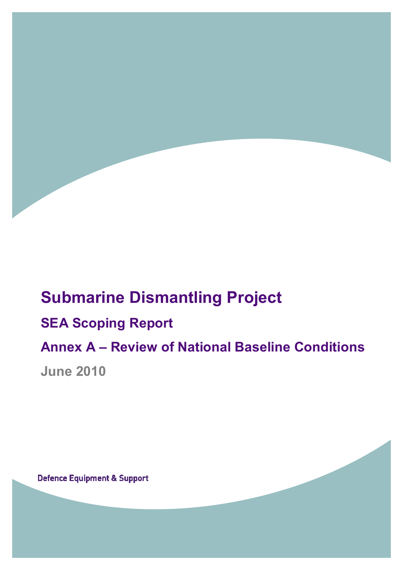# **Submarine Dismantling Project SEA Scoping Report Annex A – Review of National Baseline Conditions**

**June 2010** 

**Defence Equipment & Support**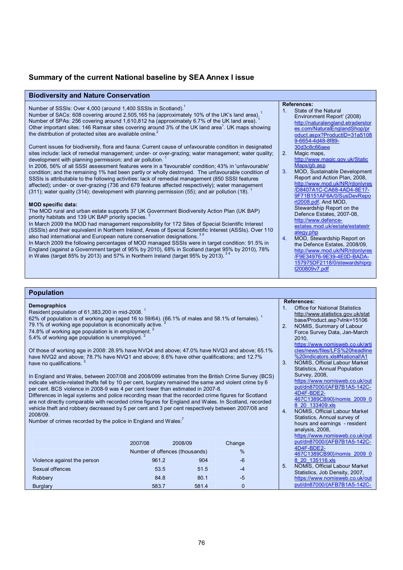### **Summary of the current National baseline by SEA Annex I issue**

| <b>Biodiversity and Nature Conservation</b>                                                                                                                                                                                                                                                                                                                                                                                                                                                                                                                                                                                                                                                                                                                                        |                                                                                                                                                                                                                                                                                                                    |
|------------------------------------------------------------------------------------------------------------------------------------------------------------------------------------------------------------------------------------------------------------------------------------------------------------------------------------------------------------------------------------------------------------------------------------------------------------------------------------------------------------------------------------------------------------------------------------------------------------------------------------------------------------------------------------------------------------------------------------------------------------------------------------|--------------------------------------------------------------------------------------------------------------------------------------------------------------------------------------------------------------------------------------------------------------------------------------------------------------------|
| Number of SSSIs: Over 4,000 (around 1,400 SSSIs in Scotland). <sup>1</sup><br>Number of SACs: 608 covering around 2,505,165 ha (approximately 10% of the UK's land area). <sup>1</sup><br>Number of SPAs: 256 covering around 1,610,812 ha (approximately 6.7% of the UK land area). <sup>1</sup><br>Other important sites: 146 Ramsar sites covering around 3% of the UK land area <sup>1</sup> . UK maps showing<br>the distribution of protected sites are available online. <sup>2</sup><br>Current issues for biodiversity, flora and fauna: Current cause of unfavourable condition in designated<br>sites include: lack of remedial management; under- or over-grazing; water management; water guality;                                                                    | <b>References:</b><br>State of the Natural<br>1 <sub>1</sub><br>Environment Report' (2008)<br>http://naturalengland.etraderstor<br>es.com/NaturalEnglandShop/pr<br>oduct.aspx?ProductID=31a5108<br>9-6654-4d48-8f89-<br>30d3c8c66aee<br>2.<br>Magic maps,                                                          |
| development with planning permission; and air pollution. <sup>1</sup><br>In 2006, 56% of all SSSI assessment features were in a 'favourable' condition; 43% in 'unfavourable'<br>condition; and the remaining 1% had been partly or wholly destroyed. The unfavourable condition of<br>SSSIs is attributable to the following activities: lack of remedial management (850 SSSI features<br>affected); under- or over-grazing (736 and 679 features affected respectively); water management<br>(311); water quality (314); development with planning permission (55); and air pollution (18).                                                                                                                                                                                     | http://www.magic.gov.uk/Static<br>Maps/gb.asp<br>MOD, Sustainable Development<br>3.<br>Report and Action Plan, 2008,<br>http://www.mod.uk/NR/rdonlyres<br>/D8407A1C-CA68-4AD4-8E17-<br>9F71B151AF6A/0/SusDevRepo<br>rt2008.pdf. And MOD,                                                                           |
| <b>MOD specific data:</b><br>The MOD rural and urban estate supports 37 UK Government Biodiversity Action Plan (UK BAP)<br>priority habitats and 139 UK BAP priority species. <sup>3</sup><br>In March 2009 the MOD had management responsibility for 172 Sites of Special Scientific Interest<br>(SSSIs) and their equivalent in Northern Ireland, Areas of Special Scientific Interest (ASSIs). Over 110<br>also had international and European nature conservation designations. 34<br>In March 2009 the following percentages of MOD managed SSSIs were in target condition: 91.5% in<br>England (against a Government target of 95% by 2010), 68% in Scotland (target 95% by 2010), 78%<br>in Wales (target 85% by 2013) and 57% in Northern Ireland (target 95% by 2013). 34 | Stewardship Report on the<br>Defence Estates, 2007-08,<br>http://www.defence-<br>estates.mod.uk/estate/estatestr<br>ategy.php<br>MOD, Stewardship Report on<br>4.<br>the Defence Estates, 2008/09,<br>http://www.mod.uk/NR/rdonlyres<br>/F9E34976-9E39-4E0D-BADA-<br>157975DF2118/0/stewardshiprp<br>t200809v7.pdf |

| <b>Demographics</b><br>Resident population of 61,383,200 in mid-2008. <sup>1</sup><br>62% of population is of working age (aged 16 to 59/64). (66.1% of males and 58.1% of females). <sup>1</sup><br>79.1% of working age population is economically active.<br>74.8% of working age population is in employment. <sup>2</sup><br>5.4% of working age population is unemployed. <sup>2</sup>                                                                                                                                                                                                            |                                        |         |          | 1 <sub>1</sub><br>2. | <b>References:</b><br><b>Office for National Statistics</b><br>http://www.statistics.gov.uk/stat<br>base/Product.asp?vlnk=15106<br>NOMIS, Summary of Labour<br>Force Survey Data, Jan-March<br>2010,                                              |
|---------------------------------------------------------------------------------------------------------------------------------------------------------------------------------------------------------------------------------------------------------------------------------------------------------------------------------------------------------------------------------------------------------------------------------------------------------------------------------------------------------------------------------------------------------------------------------------------------------|----------------------------------------|---------|----------|----------------------|---------------------------------------------------------------------------------------------------------------------------------------------------------------------------------------------------------------------------------------------------|
| Of those of working age in 2008: 28.9% have NVQ4 and above; 47.0% have NVQ3 and above; 65.1%<br>have NVQ2 and above; 78.7% have NVQ1 and above; 8.6% have other qualifications; and 12.7%<br>have no qualifications.<br>In England and Wales, between 2007/08 and 2008/099 estimates from the British Crime Survey (BCS)                                                                                                                                                                                                                                                                                |                                        |         |          |                      | https://www.nomisweb.co.uk/arti<br>cles/news/files/LFS%20headline<br>%20indicators.xls#National!A1<br>NOMIS, Official Labour Market<br><b>Statistics, Annual Population</b><br>Survey, 2008,<br>https://www.nomisweb.co.uk/out                    |
| indicate vehicle-related thefts fell by 10 per cent, burglary remained the same and violent crime by 6<br>per cent. BCS violence in 2008-9 was 4 per cent lower than estimated in 2007-8.<br>Differences in legal systems and police recording mean that the recorded crime figures for Scotland<br>are not directly comparable with recorded crime figures for England and Wales. In Scotland, recorded<br>vehicle theft and robbery decreased by 5 per cent and 3 per cent respectively between 2007/08 and<br>2008/09.<br>Number of crimes recorded by the police in England and Wales: <sup>7</sup> |                                        |         |          | 4.                   | put/dn87000/{AFB7B1A5-142C-<br>4D4F-BDE2-<br>467C1389CB90}/nomis 2009 0<br>8 20 133409.xls<br>NOMIS, Official Labour Market<br>Statistics, Annual survey of<br>hours and earnings - resident<br>analysis, 2008.<br>https://www.nomisweb.co.uk/out |
|                                                                                                                                                                                                                                                                                                                                                                                                                                                                                                                                                                                                         | 2007/08                                | 2008/09 | Change   |                      | put/dn87000/{AFB7B1A5-142C-<br>4D4F-BDE2-                                                                                                                                                                                                         |
|                                                                                                                                                                                                                                                                                                                                                                                                                                                                                                                                                                                                         | Number of offences (thousands)<br>$\%$ |         |          |                      |                                                                                                                                                                                                                                                   |
| 961.2<br>904<br>Violence against the person<br>$-6$                                                                                                                                                                                                                                                                                                                                                                                                                                                                                                                                                     |                                        |         |          |                      | 467C1389CB90}/nomis 2009 0<br>8 20 135116.xls                                                                                                                                                                                                     |
| Sexual offences                                                                                                                                                                                                                                                                                                                                                                                                                                                                                                                                                                                         | 53.5                                   | 51.5    | $-4$     | 5.                   | NOMIS, Official Labour Market<br>Statistics, Job Density, 2007,                                                                                                                                                                                   |
| Robbery                                                                                                                                                                                                                                                                                                                                                                                                                                                                                                                                                                                                 | 84.8                                   | 80.1    | $-5$     |                      | https://www.nomisweb.co.uk/out                                                                                                                                                                                                                    |
| <b>Burglary</b>                                                                                                                                                                                                                                                                                                                                                                                                                                                                                                                                                                                         | 583.7                                  | 581.4   | $\Omega$ |                      | put/dn87000/{AFB7B1A5-142C-                                                                                                                                                                                                                       |
|                                                                                                                                                                                                                                                                                                                                                                                                                                                                                                                                                                                                         |                                        |         |          |                      |                                                                                                                                                                                                                                                   |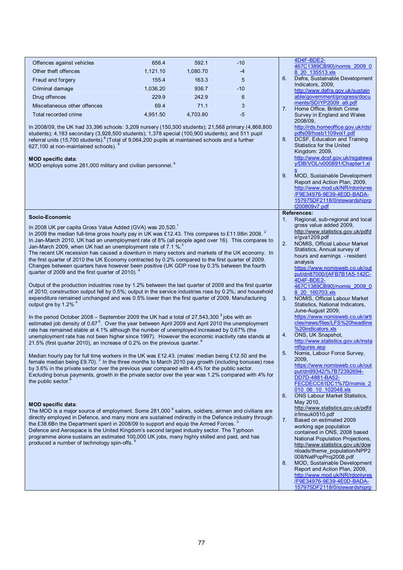| Offences against vehicles                                                                                                                                                                                                                                                                                                                                                                                                                                                                                        | 656.4    | 592.1    | $-10$ |          | 4D4F-BDE2-<br>467C1389CB90}/nomis 2009 0                                                                                                                                                                              |
|------------------------------------------------------------------------------------------------------------------------------------------------------------------------------------------------------------------------------------------------------------------------------------------------------------------------------------------------------------------------------------------------------------------------------------------------------------------------------------------------------------------|----------|----------|-------|----------|-----------------------------------------------------------------------------------------------------------------------------------------------------------------------------------------------------------------------|
| Other theft offences                                                                                                                                                                                                                                                                                                                                                                                                                                                                                             | 1,121.10 | 1,080.70 | $-4$  |          | 8 20 135513.xls                                                                                                                                                                                                       |
| Fraud and forgery                                                                                                                                                                                                                                                                                                                                                                                                                                                                                                | 155.4    | 163.3    | 5     | 6.       | Defra, Sustainable Development                                                                                                                                                                                        |
| Criminal damage                                                                                                                                                                                                                                                                                                                                                                                                                                                                                                  | 1,036.20 | 936.7    | $-10$ |          | Indicators, 2009.<br>http://www.defra.gov.uk/sustain                                                                                                                                                                  |
| Drug offences                                                                                                                                                                                                                                                                                                                                                                                                                                                                                                    | 229.9    | 242.9    | 6     |          | able/government/progress/docu                                                                                                                                                                                         |
| Miscellaneous other offences                                                                                                                                                                                                                                                                                                                                                                                                                                                                                     | 69.4     | 71.1     | 3     |          | ments/SDIYP2009 a9.pdf                                                                                                                                                                                                |
| Total recorded crime                                                                                                                                                                                                                                                                                                                                                                                                                                                                                             | 4,951.50 | 4,703.80 | $-5$  | 7.       | Home Office, British Crime<br>Survey in England and Wales<br>2008/09,                                                                                                                                                 |
| In 2008/09, the UK had 33,396 schools: 3,209 nursery (150,300 students); 21,568 primary (4,868,800<br>students); 4,183 secondary (3,928,500 students); 1,378 special (100,900 students); and 511 pupil<br>referral units (15,700 students). <sup>8</sup> (Total of 9,064,200 pupils at maintained schools and a further<br>627,100 at non-maintained schools). <sup>8</sup><br><b>MOD specific data:</b>                                                                                                         |          |          |       | 8.       | http://rds.homeoffice.gov.uk/rds/<br>pdfs09/hosb1109vol1.pdf<br>DCSF, Education and Training<br><b>Statistics for the United</b><br>Kingdom: 2009,<br>http://www.dcsf.gov.uk/rsgatewa<br>y/DB/VOL/v000891/Chapter1.xl |
| MOD employs some 281,000 military and civilian personnel. <sup>9</sup>                                                                                                                                                                                                                                                                                                                                                                                                                                           |          |          |       | 9.       | MOD, Sustainable Development<br>Report and Action Plan, 2009,<br>http://www.mod.uk/NR/rdonlyres<br>/F9E34976-9E39-4E0D-BADA-<br>157975DF2118/0/stewardshiprp<br>t200809v7.pdf                                         |
| Socio-Economic                                                                                                                                                                                                                                                                                                                                                                                                                                                                                                   |          |          |       |          | <b>References:</b>                                                                                                                                                                                                    |
| In 2008 UK per capita Gross Value Added (GVA) was 20,520.<br>In 2009 the median full-time gross hourly pay in UK was £12.43. This compares to £11.98in 2008. <sup>2</sup><br>In Jan-March 2010, UK had an unemployment rate of 8% (all people aged over 16). This compares to                                                                                                                                                                                                                                    |          |          |       | 1.       | Regional, sub-regional and local<br>gross value added 2009.<br>http://www.statistics.gov.uk/pdfd<br>ir/gva1209.pdf                                                                                                    |
| Jan-March 2009, when UK had an unemployment rate of 7.1 %.<br>The recent UK recession has caused a downturn in many sectors and markets of the UK economy. In<br>the first quarter of 2010 the UK Economy contracted by 0.2% compared to the first quarter of 2009.<br>Changes between quarters have however been positive (UK GDP rose by 0.3% between the fourth<br>quarter of 2009 and the first quarter of 2010). 4                                                                                          |          |          |       | 2.       | NOMIS, Official Labour Market<br>Statistics, Annual survey of<br>hours and earnings - resident<br>analysis<br>https://www.nomisweb.co.uk/out<br>put/dn87000/{AFB7B1A5-142C-                                           |
| Output of the production industries rose by 1.2% between the last quarter of 2009 and the first quarter<br>of 2010; construction output fell by 0.5%; output in the service industries rose by 0.2%; and household<br>expenditure remained unchanged and was 0.5% lower than the first quarter of 2009. Manufacturing<br>output gre by 1.2% <sup>4</sup>                                                                                                                                                         |          |          |       | 3.       | 4D4F-BDE2-<br>467C1389CB90}/nomis 2009 0<br>8 20 160703.xls<br>NOMIS, Official Labour Market<br>Statistics, National Indicators,<br>June-August 2009,                                                                 |
| In the period October 2008 – September 2009 the UK had a total of $27,543,300^{\circ}$ jobs with an<br>estimated job density of 0.67 <sup>6</sup> . Over the year between April 2009 and April 2010 the unemployment<br>rate has remained stable at 4.1% although the number of unemployed increased by 0.67% (the<br>unemployment rate has not been higher since 1997). However the economic inactivity rate stands at<br>21.5% (first quarter 2010), an increase of 0.2% on the previous quarter. <sup>6</sup> |          |          |       | 4.       | https://www.nomisweb.co.uk/arti<br>cles/news/files/LFS%20headline<br>%20indicators.xls<br>ONS, UK Snapshot,<br>http://www.statistics.gov.uk/insta<br>ntfigures.asp                                                    |
| Median hourly pay for full time workers in the UK was £12.43. (males' median being £12.50 and the<br>female median being £9.70). <sup>2</sup> In the three months to March 2010 pay growth (including bonuses) rose<br>by 3.6% in the private sector over the previous year compared with 4.4% for the public sector.<br>Excluding bonus payments, growth in the private sector over the year was 1.2% compared with 4% for<br>the public sector.                                                                |          |          |       | 5.       | Nomis, Labour Force Survey,<br>2009,<br>https://www.nomisweb.co.uk/out<br>put/dn99342/%7B72392694-<br>DD7D-4881-BA52-<br>FECDECC61DC1%7D/nomis 2<br>010 06 10 102048.xls                                              |
| <b>MOD specific data:</b><br>The MOD is a major source of employment. Some 281,000 <sup>8</sup> sailors, soldiers, airmen and civilians are<br>directly employed in Defence, and many more are sustained indirectly in the Defence industry through                                                                                                                                                                                                                                                              |          |          |       | 6.<br>7. | <b>ONS Labour Market Statistics,</b><br>May 2010,<br>http://www.statistics.gov.uk/pdfd<br>ir/lmsuk0510.pdf<br>Based on estimated 2009                                                                                 |
| the £38.6Bn the Department spent in 2008/09 to support and equip the Armed Forces. <sup>3</sup><br>Defence and Aerospace is the United Kingdom's second largest industry sector. The Typhoon<br>programme alone sustains an estimated 100,000 UK jobs, many highly skilled and paid, and has<br>produced a number of technology spin-offs.                                                                                                                                                                       |          |          |       |          | working age population<br>contained in ONS, 2008 based<br>National Population Projections,<br>http://www.statistics.gov.uk/dow<br>nloads/theme_population/NPP2<br>008/NatPopProj2008.pdf                              |
|                                                                                                                                                                                                                                                                                                                                                                                                                                                                                                                  |          |          |       | 8.       | <b>MOD, Sustainable Development</b><br>Report and Action Plan, 2009,<br>http://www.mod.uk/NR/rdonlyres<br>/F9E34976-9E39-4E0D-BADA-<br>157975DF2118/0/stewardshiprp                                                   |
|                                                                                                                                                                                                                                                                                                                                                                                                                                                                                                                  |          |          |       |          |                                                                                                                                                                                                                       |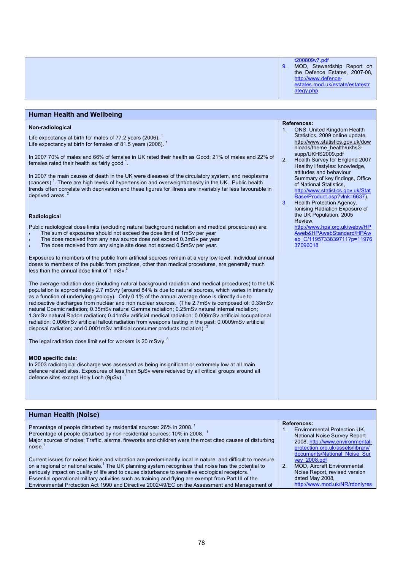| t200809v7.pdf<br>MOD, Stewardship Report on<br>9.<br>the Defence Estates, 2007-08,<br>http://www.defence-<br>estates.mod.uk/estate/estatestr<br>ategy.php |
|-----------------------------------------------------------------------------------------------------------------------------------------------------------|
|                                                                                                                                                           |

| <b>Human Health and Wellbeing</b>                                                                                                                                                                                                                                                                                                                                                                                                                                                                                                                                                                                                                                                                                                                                                                                                                                                                                                                                                                                                                                                                                                                                                                                                                                                                                                                                                                                                                                                                                                                                                                                                                                                                                                                                                                                                                                                                                                                                                                                                                                                                                                                       |                            |                                                                                                                                                                                                                                                                                                                                                                                                                                                                                                                                                                                                                          |
|---------------------------------------------------------------------------------------------------------------------------------------------------------------------------------------------------------------------------------------------------------------------------------------------------------------------------------------------------------------------------------------------------------------------------------------------------------------------------------------------------------------------------------------------------------------------------------------------------------------------------------------------------------------------------------------------------------------------------------------------------------------------------------------------------------------------------------------------------------------------------------------------------------------------------------------------------------------------------------------------------------------------------------------------------------------------------------------------------------------------------------------------------------------------------------------------------------------------------------------------------------------------------------------------------------------------------------------------------------------------------------------------------------------------------------------------------------------------------------------------------------------------------------------------------------------------------------------------------------------------------------------------------------------------------------------------------------------------------------------------------------------------------------------------------------------------------------------------------------------------------------------------------------------------------------------------------------------------------------------------------------------------------------------------------------------------------------------------------------------------------------------------------------|----------------------------|--------------------------------------------------------------------------------------------------------------------------------------------------------------------------------------------------------------------------------------------------------------------------------------------------------------------------------------------------------------------------------------------------------------------------------------------------------------------------------------------------------------------------------------------------------------------------------------------------------------------------|
| Non-radiological<br>Life expectancy at birth for males of 77.2 years (2006). $^1$<br>Life expectancy at birth for females of 81.5 years (2006). $^1$<br>In 2007 70% of males and 66% of females in UK rated their health as Good; 21% of males and 22% of<br>females rated their health as fairly good <sup>1</sup> .<br>In 2007 the main causes of death in the UK were diseases of the circulatory system, and neoplasms<br>(cancers) <sup>1</sup> . There are high levels of hypertension and overweight/obesity in the UK. Public health<br>trends often correlate with deprivation and these figures for illness are invariably far less favourable in<br>deprived areas. <sup>2</sup><br>Radiological<br>Public radiological dose limits (excluding natural background radiation and medical procedures) are:<br>The sum of exposures should not exceed the dose limit of 1mSv per year<br>The dose received from any new source does not exceed 0.3mSv per year<br>The dose received from any single site does not exceed 0.5mSv per year.<br>Exposures to members of the public from artificial sources remain at a very low level. Individual annual<br>doses to members of the public from practices, other than medical procedures, are generally much<br>less than the annual dose limit of 1 mSv. <sup>3</sup><br>The average radiation dose (including natural background radiation and medical procedures) to the UK<br>population is approximately 2.7 mSv/y (around 84% is due to natural sources, which varies in intensity<br>as a function of underlying geology). Only 0.1% of the annual average dose is directly due to<br>radioactive discharges from nuclear and non nuclear sources. (The 2.7mSv is composed of: 0.33mSv<br>natural Cosmic radiation; 0.35mSv natural Gamma radiation; 0.25mSv natural internal radiation;<br>1.3mSv natural Radon radiation; 0.41mSv artificial medical radiation; 0.006mSv artificial occupational<br>radiation; 0.006mSv artificial fallout radiation from weapons testing in the past; 0.0009mSv artificial<br>disposal radiation; and 0.0001mSv artificial consumer products radiation). | 1 <sub>1</sub><br>2.<br>3. | <b>References:</b><br>ONS, United Kingdom Health<br>Statistics, 2009 online update,<br>http://www.statistics.gov.uk/dow<br>nloads/theme health/ukhs3-<br>supp/UKHS2009.pdf<br>Health Survey for England 2007<br>Healthy lifestyles: knowledge,<br>attitudes and behaviour<br>Summary of key findings, Office<br>of National Statistics.<br>http://www.statistics.gov.uk/Stat<br>Base/Product.asp?vlnk=6637).<br>Health Protection Agency,<br>Ionising Radiation Exposure of<br>the UK Population: 2005<br>Review,<br>http://www.hpa.org.uk/webw/HP<br>Aweb&HPAwebStandard/HPAw<br>eb C/1195733839711?p=11976<br>37096018 |
|                                                                                                                                                                                                                                                                                                                                                                                                                                                                                                                                                                                                                                                                                                                                                                                                                                                                                                                                                                                                                                                                                                                                                                                                                                                                                                                                                                                                                                                                                                                                                                                                                                                                                                                                                                                                                                                                                                                                                                                                                                                                                                                                                         |                            |                                                                                                                                                                                                                                                                                                                                                                                                                                                                                                                                                                                                                          |
| The legal radiation dose limit set for workers is 20 mSv/y. $3$<br><b>MOD specific data:</b><br>In 2003 radiological discharge was assessed as being insignificant or extremely low at all main<br>defence related sites. Exposures of less than 5µSv were received by all critical groups around all<br>defence sites except Holy Loch (9µSv). <sup>3</sup>                                                                                                                                                                                                                                                                                                                                                                                                                                                                                                                                                                                                                                                                                                                                                                                                                                                                                                                                                                                                                                                                                                                                                                                                                                                                                                                                                                                                                                                                                                                                                                                                                                                                                                                                                                                            |                            |                                                                                                                                                                                                                                                                                                                                                                                                                                                                                                                                                                                                                          |
|                                                                                                                                                                                                                                                                                                                                                                                                                                                                                                                                                                                                                                                                                                                                                                                                                                                                                                                                                                                                                                                                                                                                                                                                                                                                                                                                                                                                                                                                                                                                                                                                                                                                                                                                                                                                                                                                                                                                                                                                                                                                                                                                                         |                            |                                                                                                                                                                                                                                                                                                                                                                                                                                                                                                                                                                                                                          |

### **Human Health (Noise)**

| Percentage of people disturbed by residential sources: 26% in 2008. <sup>1</sup><br>Percentage of people disturbed by non-residential sources: 10% in 2008.<br>Major sources of noise: Traffic, alarms, fireworks and children were the most cited causes of disturbing<br>noise.                                                                                                                                                                                                                                                          |    | <b>References:</b><br>Environmental Protection UK,<br>National Noise Survey Report<br>2008. http://www.environmental-<br>protection.org.uk/assets/library/<br>documents/National Noise Sur |
|--------------------------------------------------------------------------------------------------------------------------------------------------------------------------------------------------------------------------------------------------------------------------------------------------------------------------------------------------------------------------------------------------------------------------------------------------------------------------------------------------------------------------------------------|----|--------------------------------------------------------------------------------------------------------------------------------------------------------------------------------------------|
| Current issues for noise: Noise and vibration are predominantly local in nature, and difficult to measure<br>on a regional or national scale. <sup>1</sup> The UK planning system recognises that noise has the potential to<br>seriously impact on quality of life and to cause disturbance to sensitive ecological receptors.<br>Essential operational military activities such as training and flying are exempt from Part III of the<br>Environmental Protection Act 1990 and Directive 2002/49/EC on the Assessment and Management of | 2. | vey 2008.pdf<br><b>MOD, Aircraft Environmental</b><br>Noise Report, revised version<br>dated May 2008,<br>http://www.mod.uk/NR/rdonlyres                                                   |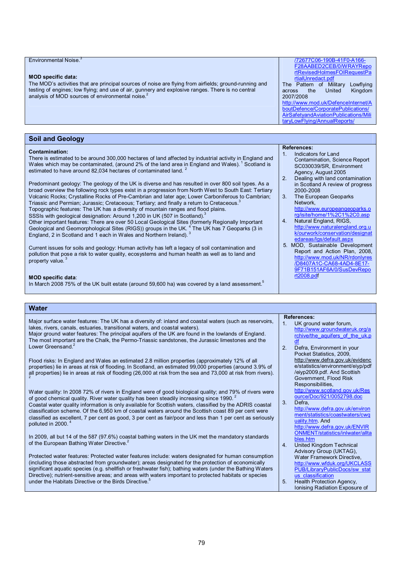| Environmental Noise. <sup>3</sup><br><b>MOD specific data:</b><br>The MOD's activities that are principal sources of noise are flying from airfields; ground-running and<br>testing of engines; low flying; and use of air, gunnery and explosive ranges. There is no central<br>analysis of MOD sources of environmental noise. <sup>2</sup>                                                                                                                                                                                                                                                                                                                                                                                                                                                                                                                                                                                                                                                                                                                                                                                                                                                                                                                                                                                                                                                                                                                                                                                                                                                            | /72677C06-190B-41F0-A166-<br>F28AABED2CEB/0/WRAYRepo<br>rtRevisedHolmesFOIRequestPa<br>rtialUnredact.pdf<br>The Pattern of Military Lowflying<br>Kingdom<br>United<br>across<br>the<br>2007/2008<br>http://www.mod.uk/DefenceInternet/A<br>boutDefence/CorporatePublications/<br>AirSafetyandAviationPublications/Mili<br>taryLowFlying/AnnualReports/                                                                                                                                                                                                                                                                                                                  |
|----------------------------------------------------------------------------------------------------------------------------------------------------------------------------------------------------------------------------------------------------------------------------------------------------------------------------------------------------------------------------------------------------------------------------------------------------------------------------------------------------------------------------------------------------------------------------------------------------------------------------------------------------------------------------------------------------------------------------------------------------------------------------------------------------------------------------------------------------------------------------------------------------------------------------------------------------------------------------------------------------------------------------------------------------------------------------------------------------------------------------------------------------------------------------------------------------------------------------------------------------------------------------------------------------------------------------------------------------------------------------------------------------------------------------------------------------------------------------------------------------------------------------------------------------------------------------------------------------------|-------------------------------------------------------------------------------------------------------------------------------------------------------------------------------------------------------------------------------------------------------------------------------------------------------------------------------------------------------------------------------------------------------------------------------------------------------------------------------------------------------------------------------------------------------------------------------------------------------------------------------------------------------------------------|
|                                                                                                                                                                                                                                                                                                                                                                                                                                                                                                                                                                                                                                                                                                                                                                                                                                                                                                                                                                                                                                                                                                                                                                                                                                                                                                                                                                                                                                                                                                                                                                                                          |                                                                                                                                                                                                                                                                                                                                                                                                                                                                                                                                                                                                                                                                         |
| <b>Soil and Geology</b>                                                                                                                                                                                                                                                                                                                                                                                                                                                                                                                                                                                                                                                                                                                                                                                                                                                                                                                                                                                                                                                                                                                                                                                                                                                                                                                                                                                                                                                                                                                                                                                  |                                                                                                                                                                                                                                                                                                                                                                                                                                                                                                                                                                                                                                                                         |
| <b>Contamination:</b><br>There is estimated to be around 300,000 hectares of land affected by industrial activity in England and<br>Wales which may be contaminated, (around 2% of the land area in England and Wales). <sup>1</sup> Scotland is<br>estimated to have around 82,034 hectares of contaminated land. <sup>2</sup><br>Predominant geology: The geology of the UK is diverse and has resulted in over 800 soil types. As a<br>broad overview the following rock types exist in a progression from North West to South East: Tertiary<br>Volcanic Rocks; Crystalline Rocks of Pre-Cambrian and later age; Lower Carboniferous to Cambrian;<br>Triassic and Permian; Jurassic; Cretaceous; Tertiary; and finally a return to Cretaceous. <sup>3</sup><br>Topographic features: The UK has a diversity of mountain ranges and flood plains.<br>SSSIs with geological designation: Around 1,200 in UK (507 in Scotland).<br>Other important features: There are over 50 Local Geological Sites (formerly Regionally Important<br>Geological and Geomorphological Sites (RIGS)) groups in the UK. <sup>4</sup> The UK has 7 Geoparks (3 in<br>England, 2 in Scotland and 1 each in Wales and Northern Ireland). <sup>3</sup><br>Current issues for soils and geology: Human activity has left a legacy of soil contamination and<br>pollution that pose a risk to water quality, ecosystems and human health as well as to land and<br>property value. <sup>3</sup><br><b>MOD specific data:</b><br>In March 2008 75% of the UK built estate (around 59,600 ha) was covered by a land assessment. | <b>References:</b><br>Indicators for Land<br>1.<br>Contamination, Science Report<br>SC030039/SR, Environment<br>Agency, August 2005<br>Dealing with land contamination<br>2.<br>in Scotland A review of progress<br>2000-2008<br>The European Geoparks<br>3 <sub>1</sub><br>Network.<br>http://www.europeangeoparks.o<br>rg/isite/home/1%2C1%2C0.asp<br>Natural England, RIGS,<br>4.<br>http://www.naturalengland.org.u<br>k/ourwork/conservation/designat<br>edareas/lqs/default.aspx<br>5. MOD, Sustainable Development<br>Report and Action Plan, 2008,<br>http://www.mod.uk/NR/rdonlyres<br>/D8407A1C-CA68-4AD4-8E17-<br>9F71B151AF6A/0/SusDevRepo<br>rt2008.pdf    |
|                                                                                                                                                                                                                                                                                                                                                                                                                                                                                                                                                                                                                                                                                                                                                                                                                                                                                                                                                                                                                                                                                                                                                                                                                                                                                                                                                                                                                                                                                                                                                                                                          |                                                                                                                                                                                                                                                                                                                                                                                                                                                                                                                                                                                                                                                                         |
| <b>Water</b>                                                                                                                                                                                                                                                                                                                                                                                                                                                                                                                                                                                                                                                                                                                                                                                                                                                                                                                                                                                                                                                                                                                                                                                                                                                                                                                                                                                                                                                                                                                                                                                             |                                                                                                                                                                                                                                                                                                                                                                                                                                                                                                                                                                                                                                                                         |
| Major surface water features: The UK has a diversity of: inland and coastal waters (such as reservoirs,<br>lakes, rivers, canals, estuaries, transitional waters, and coastal waters).<br>Major ground water features: The principal aquifers of the UK are found in the lowlands of England.<br>The most important are the Chalk, the Permo-Triassic sandstones, the Jurassic limestones and the<br>Lower Greensand <sup>2</sup><br>Flood risks: In England and Wales an estimated 2.8 million properties (approximately 12% of all<br>properties) lie in areas at risk of flooding. In Scotland, an estimated 99,000 properties (around 3.9% of<br>all properties) lie in areas at risk of flooding (26,000 at risk from the sea and 73,000 at risk from rivers).<br>Water quality: In 2008 72% of rivers in England were of good biological quality; and 79% of rivers were<br>of good chemical quality. River water quality has been steadily increasing since 1990.<br>Coastal water quality information is only available for Scottish waters, classified by the ADRIS coastal<br>classification scheme. Of the 6,950 km of coastal waters around the Scottish coast 89 per cent were<br>classified as excellent, 7 per cent as good, 3 per cent as fair/poor and less than 1 per cent as seriously<br>polluted in 2000. <sup>4</sup><br>In 2009, all but 14 of the 587 (97.6%) coastal bathing waters in the UK met the mandatory standards<br>of the European Bathing Water Directive. <sup>2</sup>                                                                                              | <b>References:</b><br>1 <sub>1</sub><br>UK ground water forum,<br>http://www.groundwateruk.org/a<br>rchive/the aquifers of the uk.p<br>df<br>2.<br>Defra, Environment in your<br>Pocket Statistics, 2009,<br>http://www.defra.gov.uk/evidenc<br>e/statistics/environment/eiyp/pdf<br>/eiyp2009.pdf. And Scottish<br>Government, Flood Risk<br>Responsibilities,<br>http://www.scotland.gov.uk/Res<br>ource/Doc/921/0052798.doc<br>3.<br>Defra,<br>http://www.defra.gov.uk/environ<br>ment/statistics/coastwaters/cwq<br>uality.htm And<br>http://www.defra.gov.uk/ENVIR<br><b>ONMENT/statistics/inlwater/allta</b><br>bles.htm<br><b>United Kingdom Technical</b><br>4. |
| Protected water features: Protected water features include: waters designated for human consumption<br>(including those abstracted from groundwater); areas designated for the protection of economically<br>significant aquatic species (e.g. shellfish or freshwater fish); bathing waters (under the Bathing Waters                                                                                                                                                                                                                                                                                                                                                                                                                                                                                                                                                                                                                                                                                                                                                                                                                                                                                                                                                                                                                                                                                                                                                                                                                                                                                   | Advisory Group (UKTAG),<br>Water Framework Directive,<br>http://www.wfduk.org/UKCLASS<br>PUB/LibraryPublicDocs/sw stat                                                                                                                                                                                                                                                                                                                                                                                                                                                                                                                                                  |

Directive); nutrient-sensitive areas; and areas with waters important to protected habitats or species<br>under the Habitats Directive or the Birds Directive.<sup>5</sup>

us classification 5. Health Protection Agency, Ionising Radiation Exposure of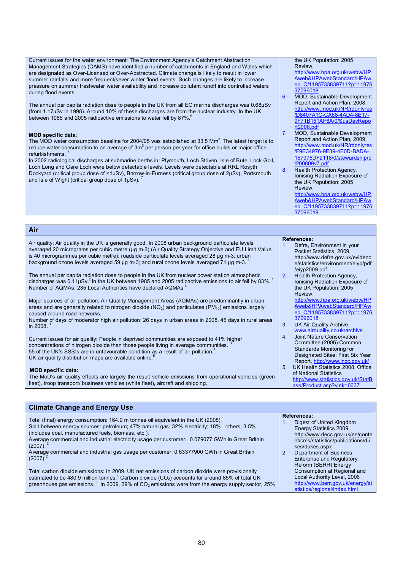Current issues for the water environment: The Environment Agency's Catchment Abstraction Management Strategies (CAMS) have identified a number of catchments in England and Wales which are designated as Over-Licensed or Over-Abstracted. Climate change is likely to result in lower summer rainfalls and more frequent/sever winter flood events. Such changes are likely to increase pressure on summer freshwater water availability and increase pollutant runoff into controlled waters during flood events.

The annual per capita radiation dose to people in the UK from all EC marine discharges was 0.68µSv (from 1.17µSv in 1998). Around 10% of these discharges are from the nuclear industry. In the UK between 1985 and 2005 radioactive emissions to water fell by 87%.

### **MOD specific data**:

The MOD water consumption baseline for 2004/05 was established at 33.5 Mm<sup>3</sup>. The latest target is to reduce water consumption to an average of 3m $^3$  per person per year for office builds or major office refurbishments. 7

In 2002 radiological discharges at submarine berths in: Plymouth, Loch Striven, Isle of Bute, Lock Goil, Loch Long and Gare Loch were below detectable levels. Levels were detectable at RRL Rosyth Dockyard (critical group dose of <1µSv), Barrow-in-Furness (critical group dose of 2µSv), Portsmouth and Isle of Wight (critical group dose of 1µSv). 7

### **Air**

Air quality: Air quality in the UK is generally good. In 2008 urban background particulate levels averaged 20 micrograms per cubic metre (µg m-3) (Air Quality Strategy Objective and EU Limit Value is 40 microgrammes per cubic metre); roadside particulate levels averaged 28 µg m-3; urban background ozone levels averaged 59 µg m-3; and rural ozone levels averaged 71 µg m-3. 1

The annual per capita radiation dose to people in the UK from nuclear power station atmospheric discharges was 0.11µSv.<sup>2</sup> In the UK between 1985 and 2005 radioactive emissions to air fell by 83%. <sup>1</sup> Number of AQMAs: 235 Local Authorities have declared AQMAs.<sup>3</sup>

Major sources of air pollution: Air Quality Management Areas (AQMAs) are predominantly in urban areas and are generally related to nitrogen dioxide  $(NO<sub>2</sub>)$  and particulates  $(PM<sub>10</sub>)$  emissions largely caused around road networks.

Number of days of moderator high air pollution: 26 days in urban areas in 2008. 45 days in rural areas in 2008. 1

Current issues for air quality: People in deprived communities are exposed to 41% higher<br>consentations of nitrogen diovide than these needs living in querage communities.<sup>3</sup> concentrations of nitrogen dioxide than those people living in average communities. 55 of the UK's SSSIs are in unfavourable condition as a result of air pollution.<sup>4</sup> UK air quality distribution maps are available online.<sup>5</sup>

#### **MOD specific data:**

**Climate Change and Energy Use** 

The MoD's air quality effects are largely the result vehicle emissions from operational vehicles (green front)<br>float) treen transport/husinese vehicles (white float), gireraft and objaning fleet), troop transport/ business vehicles (white fleet), aircraft and shipping.

| the UK Population: 2005                                               |
|-----------------------------------------------------------------------|
| Review.                                                               |
| http://www.hpa.org.uk/webw/HP                                         |
| $\mathbf{r}$ , and $\mathbf{r}$ , and $\mathbf{r}$ , and $\mathbf{r}$ |

Aweb&HPAwebStandard/HPAw eb\_C/1195733839711?p=11976 37096018

- 6. MOD, Sustainable Development Report and Action Plan, 2008, <http://www.mod.uk/NR/rdonlyres> /D8407A1C-CA68-4AD4-8E17- 9F71B151AF6A/0/SusDevRepo rt2008.pdf
- 7. MOD, Sustainable Development Report and Action Plan, 2009, <http://www.mod.uk/NR/rdonlyres> /F9E34976-9E39-4E0D-BADA-157975DF2118/0/stewardshiprp t200809v7.pdf
- 8. Health Protection Agency, Ionising Radiation Exposure of the UK Population: 2005 Review,

<http://www.hpa.org.uk/webw/HP> Aweb&HPAwebStandard/HPAw eb\_C/1195733839711?p=11976 37096018

**References:** 

1. Defra, Environment in your Pocket Statistics, 2009, <http://www.defra.gov.uk/evidenc> e/statistics/environment/eiyp/pdf /eiyp2009.pdf. 2. Health Protection Agency, Ionising Radiation Exposure of the UK Population: 2005

Review, <http://www.hpa.org.uk/webw/HP> Aweb&HPAwebStandard/HPAw eb\_C/1195733839711?p=11976 37096018

- 3. UK Air Quality Archive, [www.airquality.co.uk/archive](http://www.airquality.co.uk/archive)
- 4. Joint Nature Conservation Committee (2006) Common Standards Monitoring for Designated Sites: First Six Year Report,<http://www.jncc.gov.uk/> 5. UK Health Statistics 2008, Office
- of National Statistics <http://www.statistics.gov.uk/StatB> ase/Product.asp?vlnk=6637

| <b>Primate Unange and Lifely USE</b>                                                                                                                                                                                                                                                                                                                                                           |                                                                                                                                                                     |
|------------------------------------------------------------------------------------------------------------------------------------------------------------------------------------------------------------------------------------------------------------------------------------------------------------------------------------------------------------------------------------------------|---------------------------------------------------------------------------------------------------------------------------------------------------------------------|
| Total (final) energy consumption: 164.9 m tonnes oil equivalent in the UK (2008). <sup>1</sup><br>Split between energy sources: petroleum; 47% natural gas; 32% electricity; 18%, others; 3.5%<br>(includes coal, manufactured fuels, biomass, etc.). <sup>1</sup><br>Average commercial and industrial electricity usage per customer: 0.079077 GWh in Great Britain<br>$(2007)$ <sup>2</sup> | <b>References:</b><br>Digest of United Kingdom<br>Energy Statistics 2009.<br>http://www.decc.gov.uk/en/conte<br>nt/cms/statistics/publications/du<br>kes/dukes.aspx |
| Average commercial and industrial gas usage per customer: 0.63377900 GWh in Great Britain<br>$(2007)$ .                                                                                                                                                                                                                                                                                        | Department of Business,<br>2 <sub>1</sub><br><b>Enterprise and Requlatory</b><br>Reform (BERR) Energy                                                               |
| Total carbon dioxide emissions: In 2009, UK net emissions of carbon dioxide were provisionally<br>estimated to be 480.9 million tonnes. <sup>4</sup> Carbon dioxide (CO <sub>2</sub> ) accounts for around 85% of total UK<br>greenhouse gas emissions. <sup>3</sup> In 2009, 39% of $CO2$ emissions were from the energy supply sector, 25%                                                   | Consumption at Regional and<br>Local Authority Level, 2006<br>http://www.berr.gov.uk/energy/st<br>atistics/regional/index.html                                      |
|                                                                                                                                                                                                                                                                                                                                                                                                |                                                                                                                                                                     |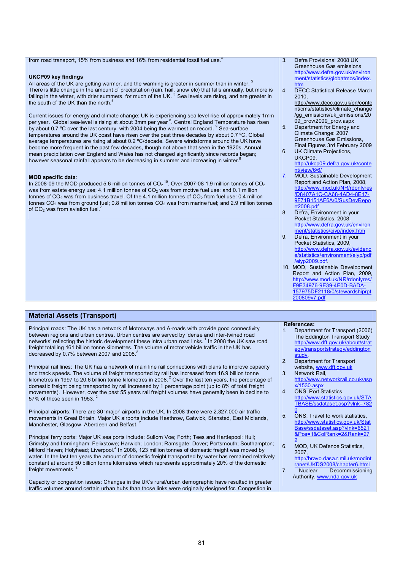|  | from road transport, 15% from business and 16% from residential fossil fuel use. <sup>4</sup> |
|--|-----------------------------------------------------------------------------------------------|
|  |                                                                                               |

### **UKCP09 key findings**

All areas of the UK are getting warmer, and the warming is greater in summer than in winter.  $5$ There is little change in the amount of precipitation (rain, hail, snow etc) that falls annually, but more is falling in the winter, with drier summers, for much of the UK. <sup>5</sup> Sea levels are rising, and are greater in the south of the UK than the north.<sup>5</sup>

Current issues for energy and climate change: UK is experiencing sea level rise of approximately 1mm per year. Global sea-level is rising at about 3mm per year <sup>8</sup>. Central England Temperature has risen by about 0.7 °C over the last century, with 2004 being the warmest on record. <sup>9</sup> Sea-surface temperatures around the UK coast have risen over the past three decades by about 0.7 ºC. Global average temperatures are rising at about 0.2 ºC/decade. Severe windstorms around the UK have become more frequent in the past few decades, though not above that seen in the 1920s. Annual mean precipitation over England and Wales has not changed significantly since records began; however seasonal rainfall appears to be decreasing in summer and increasing in winter.<sup>8</sup>

### **MOD specific data**:

**Material Assets (Transport)** 

In 2008-09 the MOD produced 5.6 million tonnes of CO<sub>2</sub><sup>10</sup>. Over 2007-08 1.9 million tonnes of CO<sub>2</sub> was from estate energy use; 4.1 million tonnes of  $CO<sub>2</sub>$  was from motive fuel use; and 0.1 million tonnes of  $CO<sub>2</sub>$  was from business travel. Of the 4.1 million tonnes of  $CO<sub>2</sub>$  from fuel use: 0.4 million tonnes CO<sub>2</sub> was from ground fuel; 0.8 million tonnes CO<sub>2</sub> was from marine fuel; and 2.9 million tonnes of  $CO<sub>2</sub>$  was from aviation fuel.<sup>7</sup>

- 3. Defra Provisional 2008 UK Greenhouse Gas emissions <http://www.defra.gov.uk/environ> ment/statistics/globatmos/index. htm
- 4. DECC Statistical Release March 2010,
	- <http://www.decc.gov.uk/en/conte> nt/cms/statistics/climate\_change /gg\_emissions/uk\_emissions/20 09\_prov/2009\_prov.aspx
- 5. Department for Energy and Climate Change: 2007 Greenhouse Gas Emissions, Final Figures 3rd February 2009
- 6. UK Climate Projections, UKCP09,
	- <http://ukcp09.defra.gov.uk/conte> nt/view/6/6/
- 7. MOD, Sustainable Development Report and Action Plan, 2008, <http://www.mod.uk/NR/rdonlyres> /D8407A1C-CA68-4AD4-8E17- 9F71B151AF6A/0/SusDevRepo rt2008.pdf
- 8. Defra, Environment in your Pocket Statistics, 2008, <http://www.defra.gov.uk/environ> ment/statistics/eiyp/index.htm
- 9 Defra, Environment in your Pocket Statistics, 2009, <http://www.defra.gov.uk/evidenc> e/statistics/environment/eiyp/pdf /eiyp2009.pdf.
- 10. MOD, Sustainable Development Report and Action Plan, 2009, <http://www.mod.uk/NR/rdonlyres/> F9E34976-9E39-4E0D-BADA-157975DF2118/0/stewardshiprpt 200809v7.pdf

| Material Assets (Transport)                                                                                                                                                                                                                                                                                                                                                                                                                                                                                                                                                                                                                                                                                                                                                                                                                     |                            |                                                                                                                                                                                                                                                                                                                 |
|-------------------------------------------------------------------------------------------------------------------------------------------------------------------------------------------------------------------------------------------------------------------------------------------------------------------------------------------------------------------------------------------------------------------------------------------------------------------------------------------------------------------------------------------------------------------------------------------------------------------------------------------------------------------------------------------------------------------------------------------------------------------------------------------------------------------------------------------------|----------------------------|-----------------------------------------------------------------------------------------------------------------------------------------------------------------------------------------------------------------------------------------------------------------------------------------------------------------|
| Principal roads: The UK has a network of Motorways and A-roads with provide good connectivity<br>between regions and urban centres. Urban centres are served by 'dense and inter-twined road<br>networks' reflecting the historic development these intra urban road links. <sup>1</sup> In 2008 the UK saw road<br>freight totalling 161 billion tonne kilometres. The volume of motor vehicle traffic in the UK has<br>decreased by 0.7% between 2007 and 2008.                                                                                                                                                                                                                                                                                                                                                                               | 1.                         | <b>References:</b><br>Department for Transport (2006)<br>The Eddington Transport Study<br>http://www.dft.gov.uk/about/strat<br>egy/transportstrategy/eddington<br>study.                                                                                                                                        |
| Principal rail lines: The UK has a network of main line rail connections with plans to improve capacity<br>and track speeds. The volume of freight transported by rail has increased from 16.9 billion tonne<br>kilometres in 1997 to 20.6 billion tonne kilometres in 2008. <sup>2</sup> Over the last ten years, the percentage of<br>domestic freight being transported by rail increased by 1 percentage point (up to 8% of total freight<br>movements). However, over the past 55 years rail freight volumes have generally been in decline to<br>57% of those seen in 1953. $2^2$                                                                                                                                                                                                                                                         | 2.<br>3.<br>4.             | Department for Transport<br>website, www.dft.gov.uk<br>Network Rail,<br>http://www.networkrail.co.uk/asp<br>$x/1530$ .aspx<br><b>ONS, Port Statistics,</b><br>http://www.statistics.gov.uk/STA<br>TBASE/ssdataset.asp?vlnk=782                                                                                  |
| Principal airports: There are 30 'major' airports in the UK. In 2008 there were 2,327,000 air traffic<br>movements in Great Britain. Major UK airports include Heathrow, Gatwick, Stansted, East Midlands,<br>Manchester, Glasgow, Aberdeen and Belfast. <sup>2</sup><br>Principal ferry ports: Major UK sea ports include: Sullom Voe; Forth; Tees and Hartlepool; Hull;<br>Grimsby and Immingham; Felixstowe; Harwich; London; Ramsgate; Dover; Portsmouth; Southampton;<br>Milford Haven; Holyhead; Liverpool. <sup>4</sup> In 2008, 123 million tonnes of domestic freight was moved by<br>water. In the last ten years the amount of domestic freight transported by water has remained relatively<br>constant at around 50 billion tonne kilometres which represents approximately 20% of the domestic<br>freight movements. <sup>2</sup> | 5.<br>6.<br>7 <sub>1</sub> | ONS, Travel to work statistics,<br>http://www.statistics.gov.uk/Stat<br>Base/ssdataset.asp?vlnk=6521<br>&Pos=1&ColRank=2&Rank=27<br>MOD, UK Defence Statistics,<br>2007.<br>http://bravo.dasa.r.mil.uk/modint<br>ranet/UKDS2008/chapter6.html<br>Decommissioning<br><b>Nuclear</b><br>Authority, www.nda.gov.uk |
| Capacity or congestion issues: Changes in the UK's rural/urban demographic have resulted in greater<br>traffic volumes around certain urban hubs than those links were originally designed for. Congestion in                                                                                                                                                                                                                                                                                                                                                                                                                                                                                                                                                                                                                                   |                            |                                                                                                                                                                                                                                                                                                                 |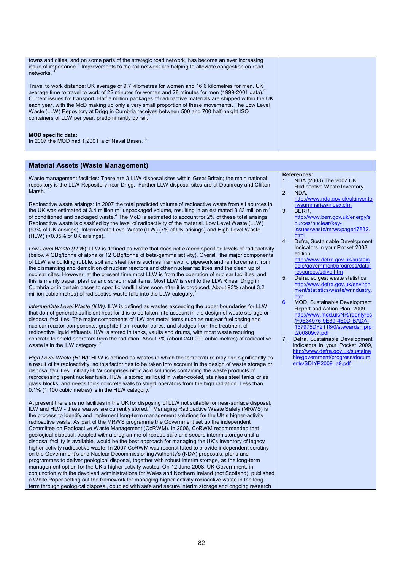| towns and cities, and on some parts of the strategic road network, has become an ever increasing<br>issue of importance. <sup>1</sup> Improvements to the rail network are helping to alleviate congestion on road<br>networks.                                                                                                                                                                                                                                                                                                                                                               |  |
|-----------------------------------------------------------------------------------------------------------------------------------------------------------------------------------------------------------------------------------------------------------------------------------------------------------------------------------------------------------------------------------------------------------------------------------------------------------------------------------------------------------------------------------------------------------------------------------------------|--|
| Travel to work distance: UK average of 9.7 kilometres for women and 16.6 kilometres for men. UK<br>average time to travel to work of 22 minutes for women and 28 minutes for men (1999-2001 data). <sup>5</sup><br>Current issues for transport: Half a million packages of radioactive materials are shipped within the UK<br>each year, with the MoD making up only a very small proportion of these movements. The Low Level<br>Waste (LLW) Repository at Drigg in Cumbria receives between 500 and 700 half-height ISO<br>containers of LLW per year, predominantly by rail. <sup>7</sup> |  |
| <b>MOD specific data:</b><br>In 2007 the MOD had 1.200 Ha of Naval Bases. <sup>6</sup>                                                                                                                                                                                                                                                                                                                                                                                                                                                                                                        |  |

### **Material Assets (Waste Management)**

Waste management facilities: There are 3 LLW disposal sites within Great Britain; the main national repository is the LLW Repository near Drigg. Further LLW disposal sites are at Dounreay and Clifton<br>Merch 1 Marsh.

Radioactive waste arisings: In 2007 the total predicted volume of radioactive waste from all sources in the UK was estimated at 3.4 million m<sup>3</sup> unpackaged volume, resulting in an estimated 3.83 million m<sup>3</sup> of conditioned and packaged waste.<sup>2</sup> The MoD is estimated to account for 2% of these total arisings Radioactive waste is classified by the level of radioactivity of the material. Low Level Waste (LLW) (93% of UK arisings), Intermediate Level Waste (ILW) (7% of UK arisings) and High Level Waste (HLW) (<0.05% of UK arisings).

*Low Level Waste (LLW*): LLW is defined as *w*aste that does not exceed specified levels of radioactivity (below 4 GBq/tonne of alpha or 12 GBq/tonne of beta-gamma activity). Overall, the major components of LLW are building rubble, soil and steel items such as framework, pipework and reinforcement from the dismantling and demolition of nuclear reactors and other nuclear facilities and the clean up of nuclear sites. However, at the present time most LLW is from the operation of nuclear facilities, and this is mainly paper, plastics and scrap metal items. Most LLW is sent to the LLWR near Drigg in Cumbria or in certain cases to specific landfill sites soon after it is produced. About 93% (about 3.2 million cubic metres) of radioactive waste falls into the LLW category.

*Intermediate Level Waste (ILW):* ILW is defined as wastes exceeding the upper boundaries for LLW that do not generate sufficient heat for this to be taken into account in the design of waste storage or disposal facilities. The major components of ILW are metal items such as nuclear fuel casing and nuclear reactor components, graphite from reactor cores, and sludges from the treatment of radioactive liquid effluents. ILW is stored in tanks, vaults and drums, with most waste requiring concrete to shield operators from the radiation. About 7% (about 240,000 cubic metres) of radioactive waste is in the ILW category. 2

*High Level Waste (HLW):* HLW is defined as wastes in which the temperature may rise significantly as a result of its radioactivity, so this factor has to be taken into account in the design of waste storage or disposal facilities. Initially HLW comprises nitric acid solutions containing the waste products of reprocessing spent nuclear fuels. HLW is stored as liquid in water-cooled, stainless steel tanks or as glass blocks, and needs thick concrete walls to shield operators from the high radiation. Less than  $0.1\%$  (1,100 cubic metres) is in the HLW category.<sup>2</sup>

At present there are no facilities in the UK for disposing of LLW not suitable for near-surface disposal, ILW and HLW - these wastes are currently stored.<sup>2</sup> Managing Radioactive Waste Safely (MRWS) is the process to identify and implement long-term management solutions for the UK's higher-activity radioactive waste. As part of the MRWS programme the Government set up the independent Committee on Radioactive Waste Management (CoRWM). In 2006, CoRWM recommended that geological disposal, coupled with a programme of robust, safe and secure interim storage until a disposal facility is available, would be the best approach for managing the UK's inventory of legacy higher activity radioactive waste. In 2007 CoRWM was reconstituted to provide independent scrutiny on the Government's and Nuclear Decommissioning Authority's (NDA) proposals, plans and programmes to deliver geological disposal, together with robust interim storage, as the long-term management option for the UK's higher activity wastes. On 12 June 2008, UK Government, in conjunction with the devolved administrations for Wales and Northern Ireland (not Scotland), published a White Paper setting out the framework for managing higher-activity radioactive waste in the longterm through geological disposal, coupled with safe and secure interim storage and ongoing research

#### **References:**

- 1. NDA (2008) The 2007 UK Radioactive Waste Inventory 2. NDA,
- <http://www.nda.gov.uk/ukinvento> ry/summaries/index.cfm
- 3. BERR, <http://www.berr.gov.uk/energy/s> ources/nuclear/keyissues/waste/mrws/page47832. html
- 4. Defra, Sustainable Development Indicators in your Pocket 2008 edition

<http://www.defra.gov.uk/sustain> able/government/progress/dataesources/sdivp.htm

- 5. Defra, edigest waste statistics, <http://www.defra.gov.uk/environ> ment/statistics/waste/wrindustry. htm
- 6. MOD, Sustainable Development Report and Action Plan, 2009, http://www.mod.uk/NR/rdonlyre /F9E34976-9E39-4E0D-BADA-157975DF2118/0/stewardshiprp t200809v7.pdf
- 7. Defra, Sustainable Development Indicators in your Pocket 2009, <http://www.defra.gov.uk/sustaina> ble/government/progress/docum ents/SDIYP2009\_a9.pdf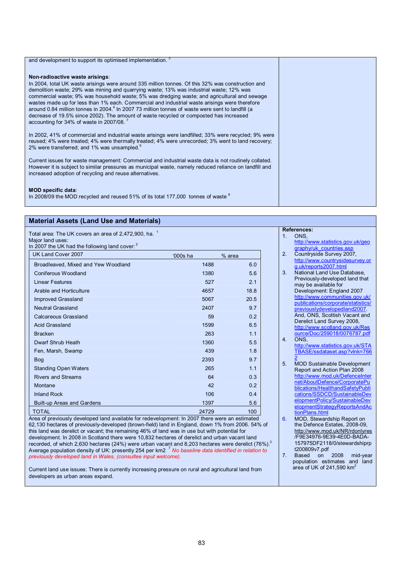| and development to support its optimised implementation.                                                                                                                                                                                                                                                                                                                                                                                                                                                                                                                                                                                                                                           |  |
|----------------------------------------------------------------------------------------------------------------------------------------------------------------------------------------------------------------------------------------------------------------------------------------------------------------------------------------------------------------------------------------------------------------------------------------------------------------------------------------------------------------------------------------------------------------------------------------------------------------------------------------------------------------------------------------------------|--|
| Non-radioactive waste arisings:<br>In 2004, total UK waste arisings were around 335 million tonnes. Of this 32% was construction and<br>demolition waste; 29% was mining and quarrying waste; 13% was industrial waste; 12% was<br>commercial waste; 9% was household waste; 5% was dredging waste; and agricultural and sewage<br>wastes made up for less than 1% each. Commercial and industrial waste arisings were therefore<br>around 0.84 million tonnes in 2004. <sup>4</sup> In 2007 73 million tonnes of waste were sent to landfill (a<br>decrease of 19.5% since 2002). The amount of waste recycled or composted has increased<br>accounting for 34% of waste in 2007/08. <sup>7</sup> |  |
| In 2002, 41% of commercial and industrial waste arisings were landfilled; 33% were recycled; 9% were<br>reused; 4% were treated; 4% were thermally treated; 4% were unrecorded; 3% went to land recovery;<br>2% were transferred; and 1% was unsampled.                                                                                                                                                                                                                                                                                                                                                                                                                                            |  |
| Current issues for waste management: Commercial and industrial waste data is not routinely collated.<br>However it is subject to similar pressures as municipal waste, namely reduced reliance on landfill and<br>increased adoption of recycling and reuse alternatives.                                                                                                                                                                                                                                                                                                                                                                                                                          |  |
| <b>MOD specific data:</b><br>In 2008/09 the MOD recycled and reused 51% of its total 177,000 tonnes of waste <sup>6</sup>                                                                                                                                                                                                                                                                                                                                                                                                                                                                                                                                                                          |  |

| <b>Material Assets (Land Use and Materials)</b>                                                                                                   |          |        |
|---------------------------------------------------------------------------------------------------------------------------------------------------|----------|--------|
| Total area: The UK covers an area of 2,472,900, ha. <sup>1</sup><br>Major land uses:<br>In 2007 the UK had the following land cover: <sup>2</sup> |          |        |
| UK Land Cover 2007                                                                                                                                | '000s ha | % area |
| Broadleaved, Mixed and Yew Woodland                                                                                                               | 1488     | 6.0    |
| Coniferous Woodland                                                                                                                               | 1380     | 5.6    |
| Linear Features                                                                                                                                   | 527      | 2.1    |
| Arable and Horticulture                                                                                                                           | 4657     | 18.8   |
| Improved Grassland                                                                                                                                | 5067     | 20.5   |
| <b>Neutral Grassland</b>                                                                                                                          | 2407     | 9.7    |
| Calcareous Grassland                                                                                                                              | 59       | 0.2    |
| <b>Acid Grassland</b>                                                                                                                             | 1599     | 6.5    |
| <b>Bracken</b>                                                                                                                                    | 263      | 1.1    |
| Dwarf Shrub Heath                                                                                                                                 | 1360     | 5.5    |
| Fen, Marsh, Swamp                                                                                                                                 | 439      | 1.8    |
| <b>Bog</b>                                                                                                                                        | 2393     | 9.7    |
| <b>Standing Open Waters</b>                                                                                                                       | 265      | 1.1    |
| <b>Rivers and Streams</b>                                                                                                                         | 64       | 0.3    |
| Montane                                                                                                                                           | 42       | 0.2    |
| <b>Inland Rock</b>                                                                                                                                | 106      | 0.4    |
| Built-up Areas and Gardens                                                                                                                        | 1397     | 5.6    |
| <b>TOTAL</b>                                                                                                                                      | 24729    | 100    |
| Area of previously developed land available for redevelopment: In 2007 there were an estimated                                                    |          |        |

62,130 hectares of previously-developed (brown-field) land in England, down 1% from 2006. 54% of this land was derelict or vacant; the remaining 46% of land was in use but with potential for development. In 2008 in Scotland there were 10,832 hectares of derelict and urban vacant land recorded, of which 2,630 hectares (24%) were urban vacant and 8,203 hectares were derelict (76%).<sup>3</sup> Average population density of UK: presently 254 per km2 <sup>7</sup> *No baseline data identified in relation to previously developed land in Wales, (consultee input welcome).* 

Current land use issues: There is currently increasing pressure on rural and agricultural land from developers as urban areas expand.

|                  | <b>References:</b>                                            |
|------------------|---------------------------------------------------------------|
| $\mathbf 1$      | ONS.                                                          |
|                  | http://www.statistics.gov.uk/geo                              |
|                  | graphy/uk countries.asp                                       |
| $\overline{2}$   | Countryside Survey 2007,                                      |
|                  | http://www.countrysidesurvey.or                               |
|                  | g.uk/reports2007.html                                         |
| 3.               | National Land Use Database,                                   |
|                  | Previously-developed land that                                |
|                  | may be available for                                          |
|                  | Development: England 2007                                     |
|                  | http://www.communities.gov.uk/                                |
|                  | publications/corporate/statistics/                            |
|                  | previouslydevelopedland2007.                                  |
|                  | And, ONS, Scottish Vacant and                                 |
|                  | Derelict Land Survey 2008,                                    |
|                  | http://www.scotland.gov.uk/Res                                |
|                  | ource/Doc/259018/0076787.pdf                                  |
| $\overline{4}$ . | ONS.                                                          |
|                  | http://www.statistics.gov.uk/STA                              |
|                  | TBASE/ssdataset.asp?vlnk=766                                  |
| 5                |                                                               |
|                  | <b>MOD Sustainable Development</b>                            |
|                  | Report and Action Plan 2008<br>http://www.mod.uk/DefenceInter |
|                  | net/AboutDefence/CorporatePu                                  |
|                  | blications/HealthandSafetyPubli                               |
|                  | cations/SSDCD/SustainableDev                                  |
|                  | elopmentPolicy/SustainableDev                                 |
|                  | elopmentStrategyReportsAndAc                                  |
|                  | tionPlans.html                                                |
| 6.               | MOD, Stewardship Report on                                    |
|                  | the Defence Estates, 2008-09,                                 |
|                  | http://www.mod.uk/NR/rdonlyres                                |
|                  | /F9E34976-9E39-4E0D-BADA-                                     |
|                  | 157975DF2118/0/stewardshiprp                                  |
|                  | t200809v7.pdf                                                 |
|                  |                                                               |

7. Based on 2008 mid-year population estimates and land area of UK of 241,590  $km^2$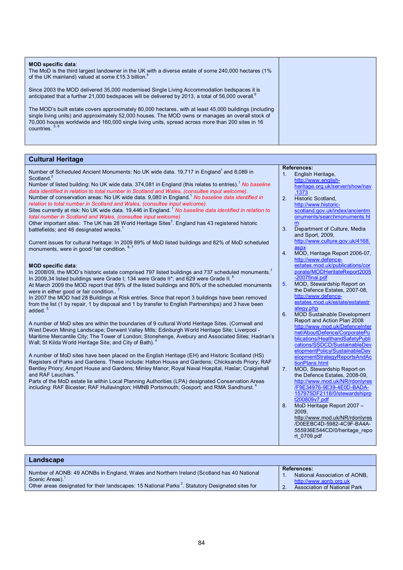| <b>MOD specific data:</b><br>The MoD is the third largest landowner in the UK with a diverse estate of some 240,000 hectares (1%)<br>of the UK mainland) valued at some £15.3 billion. <sup>5</sup>                                                                                                                                  |  |
|--------------------------------------------------------------------------------------------------------------------------------------------------------------------------------------------------------------------------------------------------------------------------------------------------------------------------------------|--|
| Since 2003 the MOD delivered 35,000 modernised Single Living Accommodation bedspaces it is<br>anticipated that a further 21,000 bedspaces will be delivered by 2013, a total of 56,000 overall. <sup>6</sup>                                                                                                                         |  |
| The MOD's built estate covers approximately 80,000 hectares, with at least 45,000 buildings (including<br>single living units) and approximately 52,000 houses. The MOD owns or manages an overall stock of<br>70,000 houses worldwide and 160,000 single living units, spread across more than 200 sites in 16<br>countries. $5, 6$ |  |

### **Cultural Heritage**

Number of Scheduled Ancient Monuments: No UK wide data. 19,717 in England<sup>1</sup> and 8,089 in **Scotland** 

Number of listed building: No UK wide data. 374,081 in England (this relates to entries).<sup>1</sup> *No baseline data identified in relation to total number in Scotland and Wales, (consultee input welcome).* Number of conservation areas: No UK wide data. 9,080 in England.<sup>1</sup> *No baseline data identified in* 

*relation to total number in Scotland and Wales, (consultee input welcome).* Sites currently at risk: No UK wide data. 19,446 in England.<sup>1</sup> No baseline data *identified in relation to total number in Scotland and Wales, (consultee input welcome).*

Other important sites: The UK has 28 World Heritage Sites $^3$ . England has 43 registered historic battlefields; and 46 designated wrecks.

Current issues for cultural heritage: In 2009 89% of MoD listed buildings and 82% of MoD scheduled monuments, were in good/ fair condition. 6,7

### **MOD specific data**:

In 2008/09, the MOD's historic estate comprised 797 listed buildings and 737 scheduled monuments.<sup>7</sup> In 2009,34 listed buildings were Grade I; 134 were Grade II\*; and 629 were Grade II. At March 2009 the MOD report that 89% of the listed buildings and 80% of the scheduled monuments

were in either good or fair condition..<sup>7</sup>

In 2007 the MOD had 28 Buildings at Risk entries. Since that report 3 buildings have been removed from the list (1 by repair, 1 by disposal and 1 by transfer to English Partnerships) and 3 have been added.<sup>5</sup>

A number of MoD sites are within the boundaries of 9 cultural World Heritage Sites. (Cornwall and West Devon Mining Landscape; Derwent Valley Mills; Edinburgh World Heritage Site; Liverpool - Maritime Mercantile City; The Tower of London; Stonehenge, Avebury and Associated Sites; Hadrian's Wall; St Kilda World Heritage Site; and City of Bath).

A number of MoD sites have been placed on the English Heritage (EH) and Historic Scotland (HS) Registers of Parks and Gardens. These include: Halton House and Gardens; Chicksands Priory; RAF Bentley Priory; Amport House and Gardens; Minley Manor; Royal Naval Hospital, Haslar; Craigiehall and RAF Leuchars.

Parts of the MoD estate lie within Local Planning Authorities (LPA) designated Conservation Areas including: RAF Bicester; RAF Hullavington; HMNB Portsmouth; Gosport; and RMA Sandhurst.<sup>4</sup>

#### **References:**

- 1. English Heritage, <http://www.english>heritage.org.uk/server/show/nav .1373
- 2. **Historic Scotland** <http://www.historic>scotland.gov.uk/index/ancientm onuments/searchmonuments.ht m
- 3. Department of Culture, Media and Sport, 2009, <http://www.culture.gov.uk/4168>. aspx
- 4. MOD, Heritage Report 2006-07, http://www.defence estates.mod.uk/publications/cor porate/MODHeritateReport2005 -2007final.pdf
- 5. MOD, Stewardship Report on the Defence Estates, 2007-08, <http://www.defence>estates.mod.uk/estate/estatestr ategy.php
- 6. MOD Sustainable Development Report and Action Plan 2008 <http://www.mod.uk/DefenceInter> net/AboutDefence/CorporatePu blications/HealthandSafetyPubli cations/SSDCD/SustainableDev elopmentPolicy/SustainableDev elopmentStrategyReportsAndAc tionPlans.html
- 7. MOD, Stewardship Report on the Defence Estates, 2008-09, <http://www.mod.uk/NR/rdonlyres> /F9E34976-9E39-4E0D-BADA-157975DF2118/0/stewardshiprp t200809v7.pdf
- 8. MoD Heritage Report 2007 2009, <http://www.mod.uk/NR/rdonlyres> /D0EEBC4D-5982-4C9F-BA4A-555936E544CD/0/heritage\_repo rt\_0709.pdf

| Landscape                                                                                                                                                                                                                                |                                                                                                               |
|------------------------------------------------------------------------------------------------------------------------------------------------------------------------------------------------------------------------------------------|---------------------------------------------------------------------------------------------------------------|
| Number of AONB: 49 AONBs in England, Wales and Northern Ireland (Scotland has 40 National<br>Scenic Areas). <sup>1</sup><br>Other areas designated for their landscapes: 15 National Parks <sup>2</sup> . Statutory Designated sites for | <b>References:</b><br>National Association of AONB.<br>http://www.aonb.org.uk<br>Association of National Park |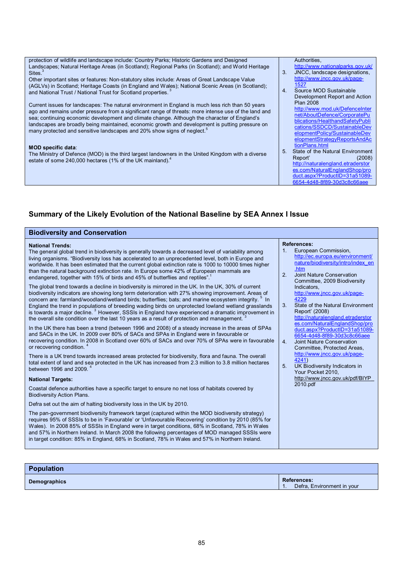protection of wildlife and landscape include: Country Parks; Historic Gardens and Designed Landscapes; Natural Heritage Areas (in Scotland); Regional Parks (in Scotland); and World Heritage Sites.

Other important sites or features: Non-statutory sites include: Areas of Great Landscape Value (AGLVs) in Scotland; Heritage Coasts (in England and Wales); National Scenic Areas (in Scotland); and National Trust / National Trust for Scotland properties.

Current issues for landscapes: The natural environment in England is much less rich than 50 years ago and remains under pressure from a significant range of threats: more intense use of the land and sea; continuing economic development and climate change. Although the character of England's landscapes are broadly being maintained, economic growth and development is putting pressure on many protected and sensitive landscapes and 20% show signs of neglect.<sup>5</sup>

### **MOD specific data**:

The Ministry of Defence (MOD) is the third largest landowners in the United Kingdom with a diverse estate of some 240,000 hectares (1% of the UK mainland).<sup>4</sup>

### Authorities,

- <http://www.nationalparks.gov.uk/> 3. JNCC, landscape designations, <http://www.jncc.gov.uk/page>-1527
- 4. Source MOD Sustainable Development Report and Action Plan 2008 <http://www.mod.uk/DefenceInter> net/AboutDefence/CorporatePu blications/HealthandSafetyPubli cations/SSDCD/SustainableDev elopmentPolicy/SustainableDev elopmentStrategyReportsAndAc tionPlans.html
- 5. State of the Natural Environment Report' (2008) <http://naturalengland.etraderstor> es.com/NaturalEnglandShop/pro duct.aspx?ProductID=31a51089- 6654-4d48-8f89-30d3c8c66aee

### **Summary of the Likely Evolution of the National Baseline by SEA Annex I Issue**

| <b>Biodiversity and Conservation</b>                                                                                                                                                                                                                                                                                                                                                                                                                                                                                                                                                                                                                 |                                                                                                                                                                                                                      |
|------------------------------------------------------------------------------------------------------------------------------------------------------------------------------------------------------------------------------------------------------------------------------------------------------------------------------------------------------------------------------------------------------------------------------------------------------------------------------------------------------------------------------------------------------------------------------------------------------------------------------------------------------|----------------------------------------------------------------------------------------------------------------------------------------------------------------------------------------------------------------------|
| <b>National Trends:</b><br>The general global trend in biodiversity is generally towards a decreased level of variability among<br>living organisms. "Biodiversity loss has accelerated to an unprecedented level, both in Europe and<br>worldwide. It has been estimated that the current global extinction rate is 1000 to 10000 times higher<br>than the natural background extinction rate. In Europe some 42% of European mammals are<br>endangered, together with 15% of birds and 45% of butterflies and reptiles".                                                                                                                           | <b>References:</b><br>European Commission,<br>1 <sub>1</sub><br>http://ec.europa.eu/environment/<br>nature/biodiversity/intro/index en<br>. $htm$<br>2.<br>Joint Nature Conservation<br>Committee, 2009 Biodiversity |
| The global trend towards a decline in biodiversity is mirrored in the UK. In the UK, 30% of current<br>biodiversity indicators are showing long term deterioration with 27% showing improvement. Areas of<br>concern are: farmland/woodland/wetland birds; butterflies; bats; and marine ecosystem integrity. <sup>5</sup> In<br>England the trend in populations of breeding wading birds on unprotected lowland wetland grasslands<br>is towards a major decline. <sup>3</sup> However, SSSIs in England have experienced a dramatic improvement in<br>the overall site condition over the last 10 years as a result of protection and management. | Indicators,<br>http://www.jncc.gov.uk/page-<br>4229<br>3 <sub>1</sub><br>State of the Natural Environment<br>Report' (2008)<br>http://naturalengland.etraderstor<br>es.com/NaturalEnglandShop/pro                    |
| In the UK there has been a trend (between 1996 and 2008) of a steady increase in the areas of SPAs<br>and SACs in the UK. In 2009 over 80% of SACs and SPAs in England were in favourable or<br>recovering condition. In 2008 in Scotland over 60% of SACs and over 70% of SPAs were in favourable<br>or recovering condition. <sup>4</sup>                                                                                                                                                                                                                                                                                                          | duct.aspx?ProductID=31a51089-<br>6654-4d48-8f89-30d3c8c66aee<br>Joint Nature Conservation<br>4.<br>Committee, Protected Areas,                                                                                       |
| There is a UK trend towards increased areas protected for biodiversity, flora and fauna. The overall<br>total extent of land and sea protected in the UK has increased from 2.3 million to 3.8 million hectares<br>between 1996 and 2009. <sup>4</sup>                                                                                                                                                                                                                                                                                                                                                                                               | http://www.jncc.gov.uk/page-<br>4241)<br>5 <sub>1</sub><br>UK Biodiversity Indicators in<br>Your Pocket 2010.                                                                                                        |
| <b>National Targets:</b>                                                                                                                                                                                                                                                                                                                                                                                                                                                                                                                                                                                                                             | http://www.jncc.gov.uk/pdf/BIYP<br>2010.pdf                                                                                                                                                                          |
| Coastal defence authorities have a specific target to ensure no net loss of habitats covered by<br><b>Biodiversity Action Plans.</b>                                                                                                                                                                                                                                                                                                                                                                                                                                                                                                                 |                                                                                                                                                                                                                      |
| Defra set out the aim of halting biodiversity loss in the UK by 2010.                                                                                                                                                                                                                                                                                                                                                                                                                                                                                                                                                                                |                                                                                                                                                                                                                      |
| The pan-government biodiversity framework target (captured within the MOD biodiversity strategy)<br>requires 95% of SSSIs to be in 'Favourable' or 'Unfavourable Recovering' condition by 2010 (85% for<br>Wales). In 2008 85% of SSSIs in England were in target conditions, 68% in Scotland, 78% in Wales<br>and 57% in Northern Ireland. In March 2008 the following percentages of MOD managed SSSIs were<br>in target condition: 85% in England, 68% in Scotland, 78% in Wales and 57% in Northern Ireland.                                                                                                                                     |                                                                                                                                                                                                                      |

| <b>Population</b> |                                                  |
|-------------------|--------------------------------------------------|
| Demographics      | <b>References:</b><br>Defra, Environment in your |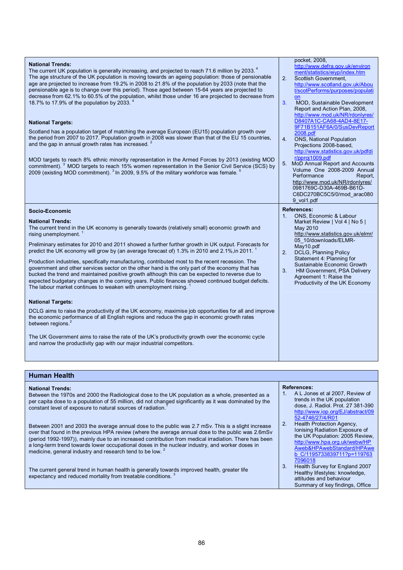| <b>National Trends:</b><br>The current UK population is generally increasing, and projected to reach 71.6 million by 2033. <sup>4</sup><br>The age structure of the UK population is moving towards an ageing population: those of pensionable<br>age are projected to increase from 19.2% in 2008 to 21.8% of the population by 2033 (note that the<br>pensionable age is to change over this period). Those aged between 15-64 years are projected to<br>decrease from 62.1% to 60.5% of the population, whilst those under 16 are projected to decrease from<br>18.7% to 17.9% of the population by 2033.<br><b>National Targets:</b><br>Scotland has a population target of matching the average European (EU15) population growth over<br>the period from 2007 to 2017. Population growth in 2008 was slower than that of the EU 15 countries,<br>and the gap in annual growth rates has increased. <sup>2</sup> | pocket, 2008,<br>http://www.defra.gov.uk/environ<br>ment/statistics/eivp/index.htm<br>2.<br>Scottish Government.<br>http://www.scotland.gov.uk/Abou<br>t/scotPerforms/purposes/populati<br>on<br>3 <sub>1</sub><br>MOD, Sustainable Development<br>Report and Action Plan, 2008,<br>http://www.mod.uk/NR/rdonlyres/<br>D8407A1C-CA68-4AD4-8E17-<br>9F71B151AF6A/0/SusDevReport<br>2008.pdf<br><b>ONS, National Population</b><br>4.<br>Projections 2008-based,<br>http://www.statistics.gov.uk/pdfdi |
|-----------------------------------------------------------------------------------------------------------------------------------------------------------------------------------------------------------------------------------------------------------------------------------------------------------------------------------------------------------------------------------------------------------------------------------------------------------------------------------------------------------------------------------------------------------------------------------------------------------------------------------------------------------------------------------------------------------------------------------------------------------------------------------------------------------------------------------------------------------------------------------------------------------------------|------------------------------------------------------------------------------------------------------------------------------------------------------------------------------------------------------------------------------------------------------------------------------------------------------------------------------------------------------------------------------------------------------------------------------------------------------------------------------------------------------|
| MOD targets to reach 8% ethnic minority representation in the Armed Forces by 2013 (existing MOD<br>commitment). <sup>3</sup> MOD targets to reach 15% women representation in the Senior Civil Service (SCS) by<br>2009 (existing MOD commitment). <sup>3</sup> In 2009, 9.5% of the military workforce was female.                                                                                                                                                                                                                                                                                                                                                                                                                                                                                                                                                                                                  | r/pproi1009.pdf<br>5. MoD Annual Report and Accounts<br>Volume One 2008-2009 Annual<br>Performance<br>Report,<br>http://www.mod.uk/NR/rdonlyres/<br>0981769C-D30A-469B-B61D-<br>C6DC270BC5C5/0/mod arac080<br>9 vol1.pdf                                                                                                                                                                                                                                                                             |
|                                                                                                                                                                                                                                                                                                                                                                                                                                                                                                                                                                                                                                                                                                                                                                                                                                                                                                                       |                                                                                                                                                                                                                                                                                                                                                                                                                                                                                                      |
| Socio-Economic                                                                                                                                                                                                                                                                                                                                                                                                                                                                                                                                                                                                                                                                                                                                                                                                                                                                                                        | <b>References:</b>                                                                                                                                                                                                                                                                                                                                                                                                                                                                                   |
| <b>National Trends:</b><br>The current trend in the UK economy is generally towards (relatively small) economic growth and<br>rising unemployment. $1$<br>Preliminary estimates for 2010 and 2011 showed a further further growth in UK output. Forecasts for<br>predict the UK economy will grow by (an average forecast of) 1.3% in 2010 and 2.1%, in 2011.<br>Production industries, specifically manufacturing, contributed most to the recent recession. The<br>government and other services sector on the other hand is the only part of the economy that has<br>bucked the trend and maintained positive growth although this can be expected to reverse due to<br>expected budgetary changes in the coming years. Public finances showed continued budget deficits.<br>The labour market continues to weaken with unemployment rising.                                                                       | ONS, Economic & Labour<br>1 <sub>1</sub><br>Market Review   Vol 4   No 5  <br>May 2010<br>http://www.statistics.gov.uk/elmr/<br>05 10/downloads/ELMR-<br>May10.pdf<br>2 <sup>2</sup><br>DCLG, Planning Policy<br>Statement 4: Planning for<br>Sustainable Economic Growth<br>3.<br><b>HM Government, PSA Delivery</b><br>Agreement 1: Raise the<br>Productivity of the UK Economy                                                                                                                    |
| <b>National Targets:</b>                                                                                                                                                                                                                                                                                                                                                                                                                                                                                                                                                                                                                                                                                                                                                                                                                                                                                              |                                                                                                                                                                                                                                                                                                                                                                                                                                                                                                      |
| DCLG aims to raise the productivity of the UK economy, maximise job opportunities for all and improve<br>the economic performance of all English regions and reduce the gap in economic growth rates<br>between regions. <sup>2</sup>                                                                                                                                                                                                                                                                                                                                                                                                                                                                                                                                                                                                                                                                                 |                                                                                                                                                                                                                                                                                                                                                                                                                                                                                                      |

### **Human Health**

| <b>National Trends:</b><br>Between the 1970s and 2000 the Radiological dose to the UK population as a whole, presented as a<br>per capita dose to a population of 55 million, did not changed significantly as it was dominated by the<br>constant level of exposure to natural sources of radiation.                                                                                                                                                                                        | <b>References:</b><br>A L Jones et al 2007, Review of<br>1.<br>trends in the UK population<br>dose, J. Radiol. Prot. 27 381-390<br>http://www.iop.org/EJ/abstract/09<br>52-4746/27/4/R01              |
|----------------------------------------------------------------------------------------------------------------------------------------------------------------------------------------------------------------------------------------------------------------------------------------------------------------------------------------------------------------------------------------------------------------------------------------------------------------------------------------------|-------------------------------------------------------------------------------------------------------------------------------------------------------------------------------------------------------|
| Between 2001 and 2003 the average annual dose to the public was 2.7 mSv. This is a slight increase<br>over that found in the previous HPA review (where the average annual dose to the public was 2.6mSv<br>(period 1992-1997)), mainly due to an increased contribution from medical irradiation. There has been<br>a long-term trend towards lower occupational doses in the nuclear industry, and worker doses in<br>medicine, general industry and research tend to be low. <sup>2</sup> | Health Protection Agency,<br>$2_{-}$<br>Ionising Radiation Exposure of<br>the UK Population: 2005 Review,<br>http://www.hpa.org.uk/webw/HP<br>Aweb&HPAwebStandard/HPAwe<br>b C/1195733839711?p=119763 |
| The current general trend in human health is generally towards improved health, greater life<br>expectancy and reduced mortality from treatable conditions. <sup>3</sup>                                                                                                                                                                                                                                                                                                                     | 7096018<br>Health Survey for England 2007<br>3.<br>Healthy lifestyles: knowledge,<br>attitudes and behaviour<br>Summary of key findings, Office                                                       |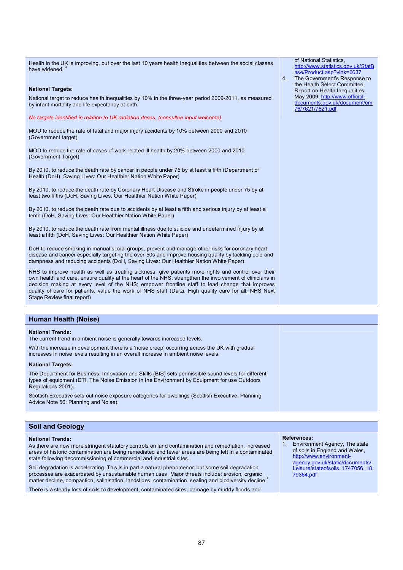Health in the UK is improving, but over the last 10 years health inequalities between the social classes have widened. 4 **National Targets:**  National target to reduce health inequalities by 10% in the three-year period 2009-2011, as measured by infant mortality and life expectancy at birth. *No targets identified in relation to UK radiation doses, (consultee input welcome).*  MOD to reduce the rate of fatal and major injury accidents by 10% between 2000 and 2010 (Government target) MOD to reduce the rate of cases of work related ill health by 20% between 2000 and 2010 (Government Target) By 2010, to reduce the death rate by cancer in people under 75 by at least a fifth (Department of Health (DoH), Saving Lives: Our Healthier Nation White Paper) By 2010, to reduce the death rate by Coronary Heart Disease and Stroke in people under 75 by at least two fifths (DoH, Saving Lives: Our Healthier Nation White Paper) By 2010, to reduce the death rate due to accidents by at least a fifth and serious injury by at least a tenth (DoH, Saving Lives: Our Healthier Nation White Paper) By 2010, to reduce the death rate from mental illness due to suicide and undetermined injury by at least a fifth (DoH, Saving Lives: Our Healthier Nation White Paper) DoH to reduce smoking in manual social groups, prevent and manage other risks for coronary heart disease and cancer especially targeting the over-50s and improve housing quality by tackling cold and dampness and reducing accidents (DoH, Saving Lives: Our Healthier Nation White Paper) NHS to improve health as well as treating sickness; give patients more rights and control over their own health and care; ensure quality at the heart of the NHS; strengthen the involvement of clinicians in decision making at every level of the NHS; empower frontline staff to lead change that improves quality of care for patients; value the work of NHS staff (Darzi, High quality care for all: NHS Next Stage Review final report) of National Statistics, <http://www.statistics.gov.uk/StatB> ase/Product.asp?vlnk=6637 4. The Government's Response to the Health Select Committee Report on Health Inequalities, May 2009,<http://www.official>documents.gov.uk/document/cm 76/7621/7621.pdf

| Human Health (Noise)                                                                                                                                                                                                       |  |
|----------------------------------------------------------------------------------------------------------------------------------------------------------------------------------------------------------------------------|--|
| <b>National Trends:</b><br>The current trend in ambient noise is generally towards increased levels.                                                                                                                       |  |
| With the increase in development there is a 'noise creep' occurring across the UK with gradual<br>increases in noise levels resulting in an overall increase in ambient noise levels.                                      |  |
| <b>National Targets:</b>                                                                                                                                                                                                   |  |
| The Department for Business, Innovation and Skills (BIS) sets permissible sound levels for different<br>types of equipment (DTI, The Noise Emission in the Environment by Equipment for use Outdoors<br>Regulations 2001). |  |
| Scottish Executive sets out noise exposure categories for dwellings (Scottish Executive, Planning<br>Advice Note 56: Planning and Noise).                                                                                  |  |

| <b>National Trends:</b><br>As there are now more stringent statutory controls on land contamination and remediation, increased<br>areas of historic contamination are being remediated and fewer areas are being left in a contaminated<br>state following decommissioning of commercial and industrial sites. | <b>References:</b><br>Environment Agency, The state<br>of soils in England and Wales.<br>http://www.environment-<br>agency.gov.uk/static/documents/ |
|----------------------------------------------------------------------------------------------------------------------------------------------------------------------------------------------------------------------------------------------------------------------------------------------------------------|-----------------------------------------------------------------------------------------------------------------------------------------------------|
| Soil degradation is accelerating. This is in part a natural phenomenon but some soil degradation<br>processes are exacerbated by unsustainable human uses. Major threats include: erosion, organic<br>matter decline, compaction, salinisation, landslides, contamination, sealing and biodiversity decline.   | Leisure/stateofsoils 1747056 18<br>79364.pdf                                                                                                        |
| There is a steady loss of soils to development, contaminated sites, damage by muddy floods and                                                                                                                                                                                                                 |                                                                                                                                                     |

**Soil and Geology**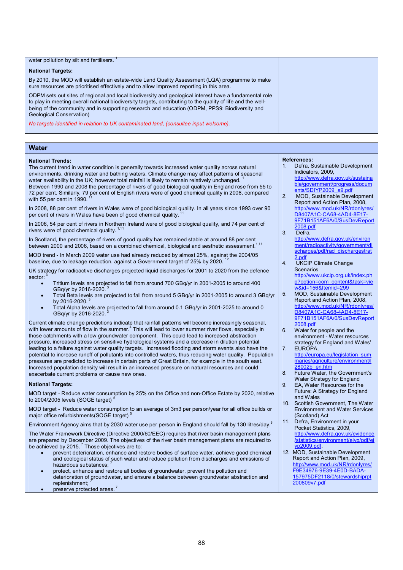| water pollution by silt and fertilisers.                                                                                                                                                                                                                                                                                                           |  |
|----------------------------------------------------------------------------------------------------------------------------------------------------------------------------------------------------------------------------------------------------------------------------------------------------------------------------------------------------|--|
| <b>National Targets:</b>                                                                                                                                                                                                                                                                                                                           |  |
| By 2010, the MOD will establish an estate-wide Land Quality Assessment (LQA) programme to make<br>sure resources are prioritised effectively and to allow improved reporting in this area.                                                                                                                                                         |  |
| ODPM sets out sites of regional and local biodiversity and geological interest have a fundamental role<br>to play in meeting overall national biodiversity targets, contributing to the quality of life and the well-<br>being of the community and in supporting research and education (ODPM, PPS9: Biodiversity and<br>Geological Conservation) |  |
| No targets identified in relation to UK contaminated land, (consultee input welcome).                                                                                                                                                                                                                                                              |  |

### **Water**

### **National Trends:**

The current trend in water condition is generally towards increased water quality across natural environments, drinking water and bathing waters. Climate change may affect patterns of seasonal water availability in the UK; however total rainfall is likely to remain relatively unchanged. 1 Between 1990 and 2008 the percentage of rivers of good biological quality in England rose from 55 to 72 per cent. Similarly, 79 per cent of English rivers were of good chemical quality in 2008, compared with 55 per cent in 1990.

In 2008, 88 per cent of rivers in Wales were of good biological quality. In all years since 1993 over 90 per cent of rivers in Wales have been of good chemical quality.

In 2006, 54 per cent of rivers in Northern Ireland were of good biological quality, and 74 per cent of rivers were of good chemical quality.<sup>1,11</sup>

In Scotland, the percentage of rivers of good quality has remained stable at around 88 per cent<br>between 2000 and 2006, based on a combined chemical, biological and aesthetic assessment.<sup>1,11</sup>

MOD trend - In March 2009 water use had already reduced by almost 25%, against the 2004/05 baseline, due to leakage reduction, against a Government target of 25% by 2020.  $^{12}$ 

UK strategy for radioactive discharges projected liquid discharges for 2001 to 2020 from the defence sector:

- Tritium levels are projected to fall from around 700 GBq/yr in 2001-2005 to around 400 GBq/yr by 2016-2020.
- · Total Beta levels are projected to fall from around 5 GBq/yr in 2001-2005 to around 3 GBq/yr by 2016-2020. $3$
- Total Alpha levels are projected to fall from around 0.1 GBq/yr in 2001-2025 to around 0 GBq/yr by 2016-2020.

Current climate change predictions indicate that rainfall patterns will become increasingly seasonal, with lower amounts of flow in the summer.<sup>4</sup> This will lead to lower summer river flows, especially in those catchments with a low groundwater component. This could lead to increased abstraction pressure, increased stress on sensitive hydrological systems and a decrease in dilution potential leading to a failure against water quality targets. Increased flooding and storm events also have the potential to increase runoff of pollutants into controlled waters, thus reducing water quality. Population pressures are predicted to increase in certain parts of Great Britain, for example in the south east. Increased population density will result in an increased pressure on natural resources and could exacerbate current problems or cause new ones.

### **National Targets:**

MOD target - Reduce water consumption by 25% on the Office and non-Office Estate by 2020, relative to 2004/2005 levels (SOGE target)

MOD target - Reduce water consumption to an average of 3m3 per person/year for all office builds or major office refurbishments(SOGE target)<sup>5</sup>

Environment Agency aims that by 2030 water use per person in England should fall by 130 litres/day.<sup>6</sup>

The Water Framework Directive (Directive 2000/60/EEC) requires that river basin management plans are prepared by December 2009. The objectives of the river basin management plans are required to be achieved by 2015. $<sup>7</sup>$  Those objectives are to:</sup>

- prevent deterioration, enhance and restore bodies of surface water, achieve good chemical and ecological status of such water and reduce pollution from discharges and emissions of hazardous substances:
- · protect, enhance and restore all bodies of groundwater, prevent the pollution and deterioration of groundwater, and ensure a balance between groundwater abstraction and replenishment:
- preserve protected areas.<sup>7</sup>

### **References:**

- Defra, Sustainable Development Indicators, 2009, <http://www.defra.gov.uk/sustaina> ble/government/progress/docum ents/SDIYP2009\_a9.pdf
- 2. MOD, Sustainable Development Report and Action Plan, 2008, http://www.mod.uk/NR/rdonlyre D8407A1C-CA68-4AD4-8E17- 9F71B151AF6A/0/SusDevReport 2008.pdf
- 3. Defra,
- <http://www.defra.gov.uk/environ> ment/radioactivity/government/di scharges/pdf/rad\_dischargestrat 2.pdf
- 4. UKCIP Climate Change **Scenarios** <http://www.ukcip.org.uk/index.ph> p?option=com\_content&task=vie w&id=156&Itemid=299
- 5. MOD, Sustainable Development Report and Action Plan, 2008, <http://www.mod.uk/NR/rdonlyres/> D8407A1C-CA68-4AD4-8E17- 9F71B151AF6A/0/SusDevReport 2008.pdf
- 6. Water for people and the environment - Water resources strategy for England and Wales'
- 7. EUROPA, [http://europa.eu/legislation\\_sum](http://europa.eu/legislation_sum) maries/agriculture/environment/l 28002b\_en.htm
- 8. Future Water, the Government's Water Strategy for England
- 9. EA, Water Resources for the Future: A Strategy for England and Wales
- 10. Scottish Government, The Water Environment and Water Services (Scotland) Act
- 11. Defra, Environment in your Pocket Statistics, 2009, <http://www.defra.gov.uk/evidence> /statistics/environment/eiyp/pdf/ei yp2009.pdf.
- 12. MOD, Sustainable Development Report and Action Plan, 2009, <http://www.mod.uk/NR/rdonlyres/> F9E34976-9E39-4E0D-BADA-157975DF2118/0/stewardshiprpt 200809v7.pdf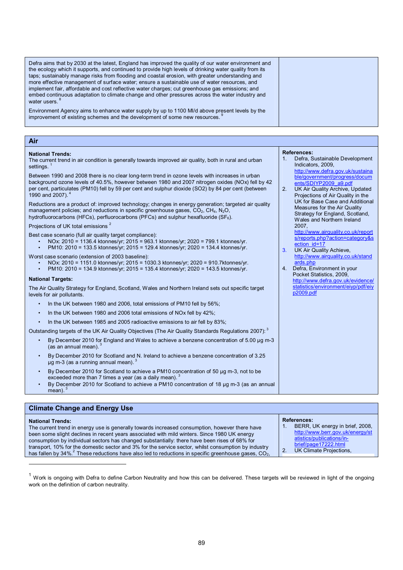| Defra aims that by 2030 at the latest, England has improved the quality of our water environment and<br>the ecology which it supports, and continued to provide high levels of drinking water quality from its<br>taps; sustainably manage risks from flooding and coastal erosion, with greater understanding and<br>more effective management of surface water; ensure a sustainable use of water resources, and<br>implement fair, affordable and cost reflective water charges; cut greenhouse gas emissions; and<br>embed continuous adaptation to climate change and other pressures across the water industry and<br>water users. <sup>8</sup> |  |
|-------------------------------------------------------------------------------------------------------------------------------------------------------------------------------------------------------------------------------------------------------------------------------------------------------------------------------------------------------------------------------------------------------------------------------------------------------------------------------------------------------------------------------------------------------------------------------------------------------------------------------------------------------|--|
| Environment Agency aims to enhance water supply by up to 1100 MI/d above present levels by the<br>improvement of existing schemes and the development of some new resources.                                                                                                                                                                                                                                                                                                                                                                                                                                                                          |  |

**References:** 

2007,

ection\_id=17 3. UK Air Quality Achieve,

4. Defra, Environment in your Pocket Statistics, 2009,

ards.php

p2009.pdf

Indicators, 2009,

Defra, Sustainable Development

<http://www.defra.gov.uk/sustaina> ble/government/progress/docum ents/SDIYP2009\_a9.pdf 2. UK Air Quality Archive, Updated Projections of Air Quality in the UK for Base Case and Additional Measures for the Air Quality Strategy for England, Scotland, Wales and Northern Ireland

> <http://www.airquality.co.uk/report> s/reports.php?action=category&s

> <http://www.airquality.co.uk/stand>

<http://www.defra.gov.uk/evidence/> statistics/environment/eiyp/pdf/eiy

### **Air**

### **National Trends:**

The current trend in air condition is generally towards improved air quality, both in rural and urban and urban<br>acttings  $\frac{1}{2}$ settings.

Between 1990 and 2008 there is no clear long-term trend in ozone levels with increases in urban background ozone levels of 40.5%, however between 1980 and 2007 nitrogen oxides (NOx) fell by 42 per cent, particulates (PM10) fell by 59 per cent and sulphur dioxide (SO2) by 84 per cent (between 1990 and 2007).

Reductions are a product of: improved technology; changes in energy generation; targeted air quality management policies; and reductions in specific greenhouse gases,  $CO<sub>2</sub>$ ,  $CH<sub>4</sub>$ , N<sub>2</sub>O, hydrofluorocarbons (HFCs), perfluorocarbons (PFCs) and sulphur hexafluoride (SF $_6$ ).

### Projections of UK total emissions <sup>2</sup>

- Best case scenario (full air quality target compliance):
	- NOx: 2010 = 1136.4 ktonnes/yr; 2015 = 963.1 ktonnes/yr; 2020 = 799.1 ktonnes/yr.
	- PM10: 2010 = 133.5 ktonnes/yr; 2015 = 129.4 ktonnes/yr; 2020 = 134.4 ktonnes/yr.

Worst case scenario (extension of 2003 baseline):

- NOx: 2010 = 1151.0 ktonnes/yr; 2015 = 1030.3 ktonnes/yr; 2020 = 910.7ktonnes/yr.
- PM10: 2010 = 134.9 ktonnes/yr; 2015 = 135.4 ktonnes/yr; 2020 = 143.5 ktonnes/yr.

### **National Targets:**

 $\overline{a}$ 

The Air Quality Strategy for England, Scotland, Wales and Northern Ireland sets out specific target levels for air pollutants.

- In the UK between 1980 and 2006, total emissions of PM10 fell by 56%;
- In the UK between 1980 and 2006 total emissions of NOx fell by 42%;
- In the UK between 1985 and 2005 radioactive emissions to air fell by 83%;

Outstanding targets of the UK Air Quality Objectives (The Air Quality Standards Regulations 2007): 3

- By December 2010 for England and Wales to achieve a benzene concentration of 5.00 µg m-3 (as an annual mean).
- By December 2010 for Scotland and N. Ireland to achieve a benzene concentration of 3.25  $\mu$ g m-3 (as a running annual mean).
- By December 2010 for Scotland to achieve a PM10 concentration of 50 µg m-3, not to be exceeded more than 7 times a year (as a daily mean).
- By December 2010 for Scotland to achieve a PM10 concentration of 18 µg m-3 (as an annual mean).

| <b>Climate Change and Energy Use</b>                                                                                 |                                  |
|----------------------------------------------------------------------------------------------------------------------|----------------------------------|
| <b>National Trends:</b>                                                                                              | <b>References:</b>               |
| The current trend in energy use is generally towards increased consumption, however there have                       | BERR, UK energy in brief, 2008.  |
| been some slight declines in recent years associated with mild winters. Since 1980 UK energy                         | http://www.berr.gov.uk/energy/st |
| consumption by individual sectors has changed substantially: there have been rises of 68% for                        | atistics/publications/in-        |
| transport, 10% for the domestic sector and 3% for the service sector, whilst consumption by industry                 | brief/page17222.html             |
| has fallen by $34\%$ <sup>2</sup> These reductions have also led to reductions in specific greenhouse gases, $CO2$ , | UK Climate Projections,          |

 $1$  Work is ongoing with Defra to define Carbon Neutrality and how this can be delivered. These targets will be reviewed in light of the ongoing work on the definition of carbon neutrality.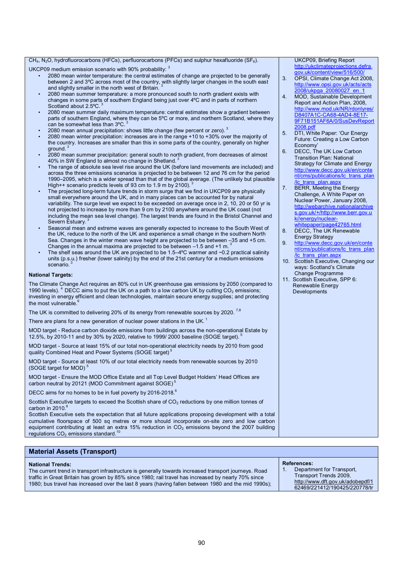### CH<sub>4</sub>, N<sub>2</sub>O, hydrofluorocarbons (HFCs), perfluorocarbons (PFCs) and sulphur hexafluoride (SF<sub>6</sub>).

UKCP09 medium emission scenario with 90% probability: 3

- 2080 mean winter temperature: the central estimates of change are projected to be generally between 2 and 3°C across most of the country, with slightly larger changes in the south east and slightly smaller in the north west of Britain.
- 2080 mean summer temperature: a more pronounced south to north gradient exists with changes in some parts of southern England being just over 4ºC and in parts of northern Scotland about 2.5°C.<sup>3</sup>
- 2080 mean summer daily maximum temperature: central estimates show a gradient between parts of southern England, where they can be 5°C or more, and northern Scotland, where they can be somewhat less than  $3^{\circ}$ C.
- 2080 mean annual precipitation: shows little change (few percent or zero).<sup>3</sup>
- 2080 mean winter precipitation: increases are in the range +10 to +30% over the majority of the country. Increases are smaller than this in some parts of the country, generally on higher ground.<sup>3</sup>
- 2080 mean summer precipitation: general south to north gradient, from decreases of almost 40% in SW England to almost no change in Shetland.
- The range of absolute sea level rise around the UK (before land movements are included) and across the three emissions scenarios is projected to be between 12 and 76 cm for the period 1990–2095, which is a wider spread than that of the global average. (The unlikely but plausible High++ scenario predicts levels of 93 cm to 1.9 m by 2100).
- The projected long-term future trends in storm surge that we find in UKCP09 are physically small everywhere around the UK, and in many places can be accounted for by natural variability. The surge level we expect to be exceeded on average once in 2, 10, 20 or 50 yr is not projected to increase by more than 9 cm by 2100 anywhere around the UK coast (not including the mean sea level change). The largest trends are found in the Bristol Channel and Severn Estuary.
- Seasonal mean and extreme waves are generally expected to increase to the South West of the UK, reduce to the north of the UK and experience a small change in the southern North Sea. Changes in the winter mean wave height are projected to be between –35 and +5 cm. Changes in the annual maxima are projected to be between –1.5 and +1 m.<sup>3</sup>
- The shelf seas around the UK are projected to be 1.5–4 $\degree$ C warmer and ~0.2 practical salinity units (p.s.u.) fresher (lower salinity) by the end of the 21st century for a medium emissions scenario.<sup>3</sup>

### **National Targets:**

The Climate Change Act requires an 80% cut in UK greenhouse gas emissions by 2050 (compared to 1990 levels).  $4$  DECC aims to put the UK on a path to a low carbon UK by cutting CO<sub>2</sub> emissions; investing in energy efficient and clean technologies, maintain secure energy supplies; and protecting the most vulnerable.<sup>6</sup>

The UK is committed to delivering 20% of its energy from renewable sources by 2020.  $^{7,8}$ 

There are plans for a new generation of nuclear power stations in the UK.<sup>1</sup>

MOD target - Reduce carbon dioxide emissions from buildings across the non-operational Estate by 12.5%, by 2010-11 and by 30% by 2020, relative to 1999/ 2000 baseline (SOGE target).<sup>5</sup>

MOD target - Source at least 15% of our total non-operational electricity needs by 2010 from good quality Combined Heat and Power Systems (SOGE target)<sup>5</sup>

MOD target - Source at least 10% of our total electricity needs from renewable sources by 2010 (SOGE target for MOD)<sup>5</sup>

MOD target - Ensure the MOD Office Estate and all Top Level Budget Holders' Head Offices are carbon neutral by 20121 (MOD Commitment against SOGE)<sup>5</sup>

DECC aims for no homes to be in fuel poverty by 2016-2018.<sup>6</sup>

Scottish Executive targets to exceed the Scottish share of CO<sub>2</sub> reductions by one million tonnes of carbon in 2010.<sup>9</sup>

Scottish Executive sets the expectation that all future applications proposing development with a total cumulative floorspace of 500 sq metres or more should incorporate on-site zero and low carbon equipment contributing at least an extra 15% reduction in  $CO<sub>2</sub>$  emissions beyond the 2007 building regulations  $CO<sub>2</sub>$  emissions standard.

### **Material Assets (Transport)**

### **National Trends:**

The current trend in transport infrastructure is generally towards increased transport journeys. Road traffic in Great Britain has grown by 85% since 1980; rail travel has increased by nearly 70% since 1980; bus travel has increased over the last 8 years (having fallen between 1980 and the mid 1990s);

### **References:**

Department for Transport, Transport Trends 2009, <http://www.dft.gov.uk/adobepdf/1> 62469/221412/190425/220778/tr

UKCP09, Briefing Report [http://ukclimateprojections.defra.](http://ukclimateprojections.defra) gov.uk/content/view/516/500/

- 3. OPSI, Climate Change Act 2008, <http://www.opsi.gov.uk/acts/acts> 2008/ukpga\_20080027\_en\_1
- 4. MOD, Sustainable Development Report and Action Plan, 2008, <http://www.mod.uk/NR/rdonlyres/> D8407A1C-CA68-4AD4-8E17- 9F71B151AF6A/0/SusDevReport 2008.pdf
- 5. DTI, White Paper: 'Our Energy Future: Creating a Low Carbon Economy'
- 6. DECC, The UK Low Carbon Transition Plan: National Strategy for Climate and Energy <http://www.decc.gov.uk/en/conte> nt/cms/publications/lc\_trans\_plan /lc\_trans\_plan.aspx
- 7. BERR, Meeting the Energy Challenge, A White Paper on Nuclear Power, January 2008, <http://webarchive.nationalarchive> s.gov.uk/+/<http://www.berr.gov.u> k//energy/nuclearwhitepaper/page42765.html
- 8. DECC, The UK Renewable Energy Strategy
- 9. <http://www.decc.gov.uk/en/conte> nt/cms/publications/lc\_trans\_plan /lc\_trans\_plan.aspx
- 10. Scottish Executive, Changing our ways: Scotland's Climate Change Programme
- 11. Scottish Executive, SPP 6: Renewable Energy Developments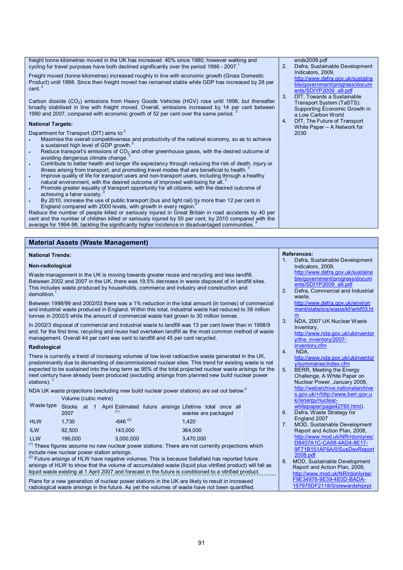freight tonne kilometres moved in the UK has increased 40% since 1980; however walking and cycling for travel purposes have both declined significantly over the period 1996 - 2007. Freight moved (tonne-kilometres) increased roughly in line with economic growth (Gross Domestic Product) until 1998. Since then freight moved has remained stable while GDP has increased by 28 per  $cent.$ Carbon dioxide (CO2) emissions from Heavy Goods Vehicles (HGV) rose until 1998, but thereafter broadly stabilised in line with freight moved. Overall, emissions increased by 14 per cent between<br>1999 and 2007, compared with conomic growth of 52 per sont over the same period.<sup>2</sup> 1990 and 2007, compared with economic growth of 52 per cent over the same period. **National Targets:**  Department for Transport (DfT) aims to:<sup>3</sup> · Maximise the overall competitiveness and productivity of the national economy, so as to achieve a sustained high level of GDP growth. Reduce transport's emissions of  $CO<sub>2</sub>$  and other greenhouse gases, with the desired outcome of avoiding dangerous climate change. · Contribute to better health and longer life expectancy through reducing the risk of death, injury or illness arising from transport, and promoting travel modes that are beneficial to health. · Improve quality of life for transport users and non-transport users, including through a healthy natural environment, with the desired outcome of improved well-being for all.<sup>3</sup> Promote greater equality of transport opportunity for all citizens, with the desired outcome of achieving a fairer society.<sup>3</sup> By 2010, increase the use of public transport (bus and light rail) by more than 12 per cent in England compared with 2000 levels, with growth in every region.<sup>4</sup> ends2009.pdf 2. Defra, Sustainable Development Indicators, 2009, <http://www.defra.gov.uk/sustaina> ble/government/progress/docum ents/SDIYP2009\_a9.pdf DfT, Towards a Sustainable Transport System (TaSTS): Supporting Economic Growth in a Low Carbon World 4. DfT, The Future of Transport White Paper – A Network for 2030

Reduce the number of people killed or seriously injured in Great Britain in road accidents by 40 per cent and the number of children killed or seriously injured by 50 per cent, by 2010 compared with the average for 1994-98, tackling the significantly higher incidence in disadvantaged communities.

### **Material Assets (Waste Management)**

### **National Trends:**

### **Non-radiological**

Waste management in the UK is moving towards greater reuse and recycling and less landfill. Between 2002 and 2007 in the UK, there was 19.5% decrease in waste disposed of in landfill sites. This includes waste produced by households, commerce and industry and construction and demolition

Between 1998/99 and 2002/03 there was a 1% reduction in the total amount (in tonnes) of commercial and industrial waste produced in England. Within this total, industrial waste had reduced to 38 million tonnes in 2002/3 while the amount of commercial waste had grown to 30 million tonnes.

In 2002/3 disposal of commercial and industrial waste to landfill was 13 per cent lower than in 1998/9 and, for the first time, recycling and reuse had overtaken landfill as the most common method of waste management. Overall 44 per cent was sent to landfill and 45 per cent recycled.

### **Radiological**

There is currently a trend of increasing volumes of low level radioactive waste generated in the UK, predominantly due to dismantling of decommissioned nuclear sites. This trend for existing waste is not expected to be sustained into the long term as 95% of the total projected nuclear waste arisings for the next century have already been produced (excluding arisings from planned new build nuclear power stations).<sup>3</sup>

NDA UK waste projections (excluding new build nuclear power stations) are set out below:<sup>4</sup> Volume (cubic metre)

| Waste type Stocks at 1 April Estimated future arisings Lifetime total once all | 2007    |  |              |  | wastes are packaged |  |  |
|--------------------------------------------------------------------------------|---------|--|--------------|--|---------------------|--|--|
| <b>HLW</b>                                                                     | 1.730   |  | $-646^{(2)}$ |  | 1.420               |  |  |
| <b>ILW</b>                                                                     | 92.500  |  | 143.000      |  | 364,000             |  |  |
| <b>LLW</b>                                                                     | 196,000 |  | 3,000,000    |  | 3,470,000           |  |  |

 $<sup>(1)</sup>$  These figures assume no new nuclear power stations. There are not currently projections which</sup> include new nuclear power station arisings.

(2) Future arisings of HLW have negative volumes. This is because Sellafield has reported future arisings of HLW to show that the volume of accumulated waste (liquid plus vitrified product) will fall as liquid waste existing at 1 April 2007 and forecast in the future is conditioned to a vitrified product.

Plans for a new generation of nuclear power stations in the UK are likely to result in increased radiological waste arisings in the future. As yet the volumes of waste have not been quantified.

<http://www.defra.gov.uk/sustaina> ble/government/progress/docum ents/SDIYP2009\_a9.pdf 2. Defra, Commercial and Industrial waste, <http://www.defra.gov.uk/environ> ment/statistics/waste/kf/wrkf03.ht m

Defra, Sustainable Development

- 3. NDA, 2007 UK Nuclear Waste Inventory, <http://www.nda.gov.uk/ukinventor> y/the\_inventory/2007-
- inventory.cfm 4. NDA,

**References:** 

Indicators, 2009,

- <http://www.nda.gov.uk/ukinventor> y/summaries/index.cfm
- 5. BERR, Meeting the Energy Challenge, A White Paper on Nuclear Power, January 2008, <http://webarchive.nationalarchive> s.gov.uk/+/<http://www.berr.gov.u> k//energy/nuclearwhitepaper/page42765.html).

### 6. Defra, Waste Strategy for England 2007

- 7. MOD, Sustainable Development Report and Action Plan, 2008, <http://www.mod.uk/NR/rdonlyres/> D8407A1C-CA68-4AD4-8E17- 9F71B151AF6A/0/SusDevReport 2008.pdf
- 8. MOD, Sustainable Development Report and Action Plan, 2009, <http://www.mod.uk/NR/rdonlyres/> F9E34976-9E39-4E0D-BADA-157975DF2118/0/stewardshiprpt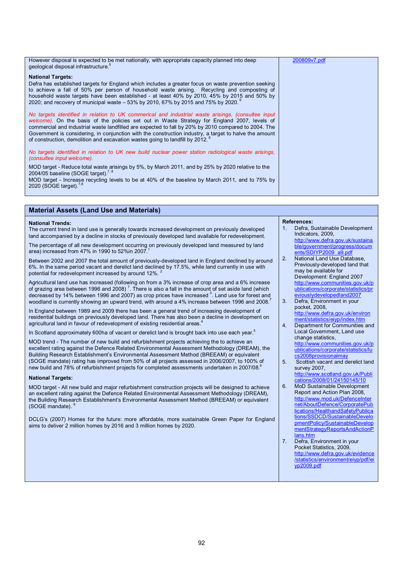| However disposal is expected to be met nationally, with appropriate capacity planned into deep<br>geological disposal infrastructure. <sup>5</sup>                                                                                                                                                                                                                                                                                                                                                                | 200809v7.pdf |
|-------------------------------------------------------------------------------------------------------------------------------------------------------------------------------------------------------------------------------------------------------------------------------------------------------------------------------------------------------------------------------------------------------------------------------------------------------------------------------------------------------------------|--------------|
| <b>National Targets:</b><br>Defra has established targets for England which includes a greater focus on waste prevention seeking<br>to achieve a fall of 50% per person of household waste arising. Recycling and composting of<br>household waste targets have been established - at least 40% by 2010, 45% by 2015 and 50% by<br>2020; and recovery of municipal waste - 53% by 2010, 67% by 2015 and 75% by 2020. <sup>6</sup>                                                                                 |              |
| No targets identified in relation to UK commerical and industrial waste arisings, (consultee input<br>welcome). On the basis of the policies set out in Waste Strategy for England 2007, levels of<br>commercial and industrial waste landfilled are expected to fall by 20% by 2010 compared to 2004. The<br>Government is considering, in conjunction with the construction industry, a target to halve the amount<br>of construction, demolition and excavation wastes going to landfill by 2012. <sup>6</sup> |              |
| No targets identified in relation to UK new build nuclear power station radiological waste arisings,<br>(consultee input welcome).                                                                                                                                                                                                                                                                                                                                                                                |              |
| MOD target - Reduce total waste arisings by 5%, by March 2011, and by 25% by 2020 relative to the<br>2004/05 baseline (SOGE target). <sup>7, 8</sup>                                                                                                                                                                                                                                                                                                                                                              |              |
| MOD target - Increase recycling levels to be at 40% of the baseline by March 2011, and to 75% by<br>2020 (SOGE target). <sup>7,8</sup>                                                                                                                                                                                                                                                                                                                                                                            |              |

### **Material Assets (Land Use and Materials)**

### **National Trends:**

The current trend in land use is generally towards increased development on previously developed land accompanied by a decline in stocks of previously developed land available for redevelopment.

The percentage of all new development occurring on previously developed land measured by land area) increased from  $47\%$  in 1990 to 52%in 2007.

Between 2002 and 2007 the total amount of previously-developed land in England declined by around 6%. In the same period vacant and derelict land declined by 17.5%, while land currently in use with potential for redevelopment increased by around 12%. 2

Agricultural land use has increased (following on from a 3% increase of crop area and a 6% increase of grazing area between 1996 and 2008)<sup>7</sup>. There is also a fall in the amount of set aside land (which<br>decreased by 14% between 1996 and 2007) as crop prices have increased <sup>3</sup>. Land use for forest and woodland is currently showing an upward trend, with around a 4% increase between 1996 and 2008.

In England between 1989 and 2009 there has been a general trend of increasing development of residential buildings on previously developed land. There has also been a decline in development on agricultural land in favour of redevelopment of existing residential areas.

In Scotland approximately 600ha of vacant or derelict land is brought back into use each year.<sup>5</sup>

MOD trend - The number of new build and refurbishment projects achieving the to achieve an excellent rating against the Defence Related Environmental Assessment Methodology (DREAM), the Building Research Establishment's Environmental Assessment Method (BREEAM) or equivalent (SOGE mandate) rating has improved from 50% of all projects assessed in 2006/2007, to 100% of new build and 78% of refurbishment projects for completed assessments undertaken in 2007/08.<sup>6</sup>

### **National Targets:**

MOD target - All new build and major refurbishment construction projects will be designed to achieve an excellent rating against the Defence Related Environmental Assessment Methodology (DREAM), the Building Research Establishment's Environmental Assessment Method (BREEAM) or equivalent (SOGE mandate). 6

DCLG's (2007) Homes for the future: more affordable, more sustainable Green Paper for England aims to deliver 2 million homes by 2016 and 3 million homes by 2020.

### **References:**

- Defra, Sustainable Development Indicators, 2009, <http://www.defra.gov.uk/sustaina> ble/government/progress/docum ents/SDIYP2009\_a9.pdf
- 2. National Land Use Database, Previously-developed land that may be available for Development: England 2007 <http://www.communities.gov.uk/p> ublications/corporate/statistics/pr eviouslydevelopedland2007
- 3. Defra, Environment in your pocket, 2008, <http://www.defra.gov.uk/environ> ment/statistics/eiyp/index.htm
- 4. Department for Communities and Local Government, Land use change statistics,

<http://www.communities.gov.uk/p> ublications/corporate/statistics/lu cs2008provisionalmay

5. Scottish vacant and derelict land survey 2007, <http://www.scotland.gov.uk/Publi>

cations/2008/01/24150145/10

- 6. MoD Sustainable Development Report and Action Plan 2008, <http://www.mod.uk/DefenceInter> net/AboutDefence/CorporatePub lications/HealthandSafetyPublica tions/SSDCD/SustainableDevelo pmentPolicy/SustainableDevelop mentStrategyReportsAndActionP lans.htm
- 7. Defra, Environment in your Pocket Statistics, 2009, <http://www.defra.gov.uk/evidence> /statistics/environment/eiyp/pdf/ei yp2009.pdf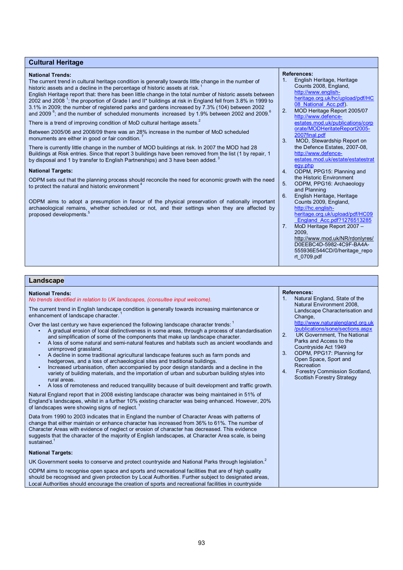### **Cultural Heritage**

### **National Trends:**

The current trend in cultural heritage condition is generally towards little change in the number of historic assets and a decline in the percentage of historic assets at risk.

English Heritage report that: there has been little change in the total number of historic assets between 2002 and 2008<sup>1</sup>; the proportion of Grade I and II\* buildings at risk in England fell from 3.8% in 1999 to 3.1% in 2009; the number of registered parks and gardens increased by 7.3% (104) between 2002 and 2009  $\text{°;}$  and the number of scheduled monuments increased by 1.9% between 2002 and 2009.

There is a trend of improving condition of MoD cultural heritage assets.<sup>2</sup>

Between 2005/06 and 2008/09 there was an 28% increase in the number of MoD scheduled monuments are either in good or fair condition.

There is currently little change in the number of MOD buildings at risk. In 2007 the MOD had 28 Buildings at Risk entries. Since that report 3 buildings have been removed from the list (1 by repair, 1 by disposal and 1 by transfer to English Partnerships) and 3 have been added.<sup>3</sup>

### **National Targets:**

ODPM sets out that the planning process should reconcile the need for economic growth with the need to protect the natural and historic environment

ODPM aims to adopt a presumption in favour of the physical preservation of nationally important archaeological remains, whether scheduled or not, and their settings when they are affected by proposed developments.

#### **References:**

- 1. English Heritage, Heritage Counts 2008, England, <http://www.english>heritage.org.uk/hc/upload/pdf/HC 08 National Acc.pdf).
- 2. MOD Heritage Report 2005/07 <http://www.defence>estates.mod.uk/publications/corp orate/MODHeritateReport2005- 2007final.pdf
- 3. MOD, Stewardship Report on the Defence Estates, 2007-08, <http://www.defence>estates.mod.uk/estate/estatestrat egy.php
- 4. ODPM, PPG15: Planning and the Historic Environment 5. ODPM, PPG16: Archaeology
- and Planning 6. English Heritage, Heritage
- Counts 2009, England, <http://hc.english>heritage.org.uk/upload/pdf/HC09 \_England\_Acc.pdf?1276513285 7. MoD Heritage Report 2007 – 2009, <http://www.mod.uk/NR/rdonlyres/>
	- D0EEBC4D-5982-4C9F-BA4A-555936E544CD/0/heritage\_repo rt\_0709.pdf

### **Landscape**

#### **National Trends:**  *No trends identified in relation to UK landscapes, (consultee input welcome).*  The current trend in English landscape condition is generally towards increasing maintenance or enhancement of landscape character. Over the last century we have experienced the following landscape character trends:<sup>1</sup> • A gradual erosion of local distinctiveness in some areas, through a process of standardisation and simplification of some of the components that make up landscape character. • A loss of some natural and semi-natural features and habitats such as ancient woodlands and unimproved grassland. • A decline in some traditional agricultural landscape features such as farm ponds and hedgerows, and a loss of archaeological sites and traditional buildings. • Increased urbanisation, often accompanied by poor design standards and a decline in the variety of building materials, and the importation of urban and suburban building styles into rural areas. • A loss of remoteness and reduced tranquillity because of built development and traffic growth. Natural England report that in 2008 existing landscape character was being maintained in 51% of England's landscapes, whilst in a further 10% existing character was being enhanced. However, 20% of landscapes were showing signs of neglect.<sup>1</sup> Data from 1990 to 2003 indicates that in England the number of Character Areas with patterns of change that either maintain or enhance character has increased from 36% to 61%. The number of Character Areas with evidence of neglect or erosion of character has decreased. This evidence suggests that the character of the majority of English landscapes, at Character Area scale, is being sustained.<sup>1</sup> **National Targets:**  UK Government seeks to conserve and protect countryside and National Parks through legislation.<sup>2</sup> ODPM aims to recognise open space and sports and recreational facilities that are of high quality **References:**  1. Natural England, State of the Natural Environment 2008, Landscape Characterisation and Change. <http://www.naturalengland.org.uk> /publications/sone/sections.aspx 2. UK Government, The National Parks and Access to the Countryside Act 1949 3. ODPM, PPG17: Planning for Open Space, Sport and Recreation 4. Forestry Commission Scotland, Scottish Forestry Strategy

should be recognised and given protection by Local Authorities. Further subject to designated areas, Local Authorities should encourage the creation of sports and recreational facilities in countryside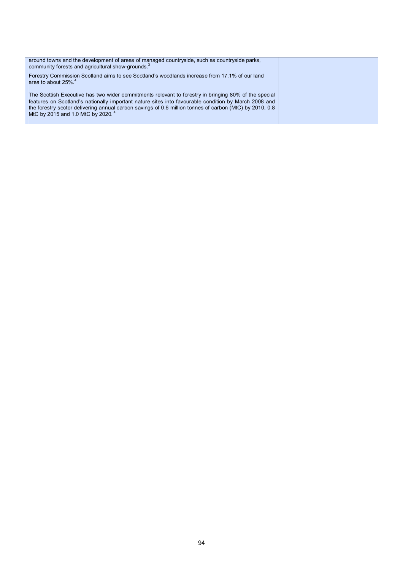| around towns and the development of areas of managed countryside, such as countryside parks,<br>community forests and agricultural show-grounds. <sup>3</sup>                                                                                                                                                                                                            |  |
|--------------------------------------------------------------------------------------------------------------------------------------------------------------------------------------------------------------------------------------------------------------------------------------------------------------------------------------------------------------------------|--|
| Forestry Commission Scotland aims to see Scotland's woodlands increase from 17.1% of our land<br>area to about 25%. <sup>4</sup>                                                                                                                                                                                                                                         |  |
| The Scottish Executive has two wider commitments relevant to forestry in bringing 80% of the special<br>features on Scotland's nationally important nature sites into favourable condition by March 2008 and<br>the forestry sector delivering annual carbon savings of 0.6 million tonnes of carbon (MtC) by 2010, 0.8<br>MtC by 2015 and 1.0 MtC by 2020. <sup>4</sup> |  |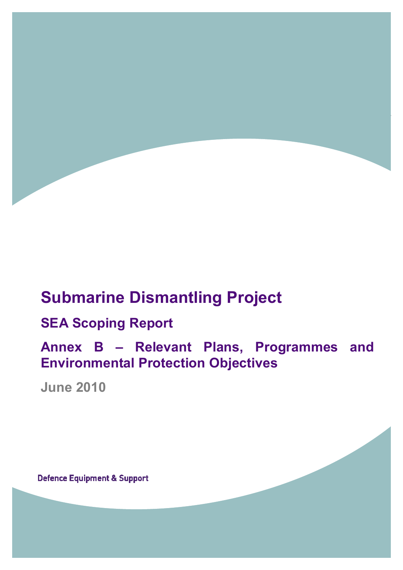

# **Submarine Dismantling Project**

## **SEA Scoping Report**

**Annex B – Relevant Plans, Programmes and Environmental Protection Objectives** 

**June 2010** 

**Defence Equipment & Support**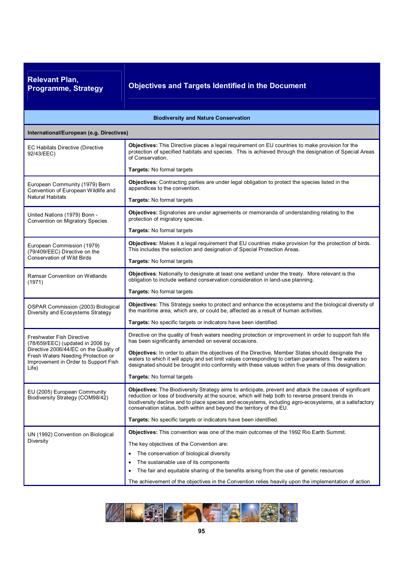**Relevant Plan,** 

**Programme, Strategy Objectives and Targets Identified in the Document** 

| <b>Biodiversity and Nature Conservation</b>                                                                                                                                                           |                                                                                                                                                                                                                                                                                                                                                                                                |  |  |
|-------------------------------------------------------------------------------------------------------------------------------------------------------------------------------------------------------|------------------------------------------------------------------------------------------------------------------------------------------------------------------------------------------------------------------------------------------------------------------------------------------------------------------------------------------------------------------------------------------------|--|--|
| International/European (e.g. Directives)                                                                                                                                                              |                                                                                                                                                                                                                                                                                                                                                                                                |  |  |
| <b>EC Habitats Directive (Directive</b><br>92/43/EEC)                                                                                                                                                 | Objectives: This Directive places a legal requirement on EU countries to make provision for the<br>protection of specified habitats and species. This is achieved through the designation of Special Areas<br>of Conservation.                                                                                                                                                                 |  |  |
|                                                                                                                                                                                                       | Targets: No formal targets                                                                                                                                                                                                                                                                                                                                                                     |  |  |
| European Community (1979) Bern<br>Convention of European Wildlife and                                                                                                                                 | Objectives: Contracting parties are under legal obligation to protect the species listed in the<br>appendices to the convention.                                                                                                                                                                                                                                                               |  |  |
| <b>Natural Habitats</b>                                                                                                                                                                               | Targets: No formal targets                                                                                                                                                                                                                                                                                                                                                                     |  |  |
| United Nations (1979) Bonn -<br>Convention on Migratory Species                                                                                                                                       | <b>Objectives:</b> Signatories are under agreements or memoranda of understanding relating to the<br>protection of migratory species.                                                                                                                                                                                                                                                          |  |  |
|                                                                                                                                                                                                       | Targets: No formal targets                                                                                                                                                                                                                                                                                                                                                                     |  |  |
| European Commission (1979)<br>(79/409/EEC) Directive on the                                                                                                                                           | Objectives: Makes it a legal requirement that EU countries make provision for the protection of birds.<br>This includes the selection and designation of Special Protection Areas.                                                                                                                                                                                                             |  |  |
| <b>Conservation of Wild Birds</b>                                                                                                                                                                     | Targets: No formal targets                                                                                                                                                                                                                                                                                                                                                                     |  |  |
| Ramsar Convention on Wetlands<br>(1971)                                                                                                                                                               | <b>Objectives:</b> Nationally to designate at least one wetland under the treaty. More relevant is the<br>obligation to include wetland conservation consideration in land-use planning.                                                                                                                                                                                                       |  |  |
|                                                                                                                                                                                                       | Targets: No formal targets                                                                                                                                                                                                                                                                                                                                                                     |  |  |
| OSPAR Commission (2003) Biological<br>Diversity and Ecosystems Strategy                                                                                                                               | Objectives: This Strategy seeks to protect and enhance the ecosystems and the biological diversity of<br>the maritime area, which are, or could be, affected as a result of human activities.                                                                                                                                                                                                  |  |  |
|                                                                                                                                                                                                       | Targets: No specific targets or indicators have been identified.                                                                                                                                                                                                                                                                                                                               |  |  |
| <b>Freshwater Fish Directive</b><br>(78/659/EEC) (updated in 2006 by<br>Directive 2006/44/EC on the Quality of<br>Fresh Waters Needing Protection or<br>Improvement in Order to Support Fish<br>Life) | Directive on the quality of fresh waters needing protection or improvement in order to support fish life<br>has been significantly amended on several occasions.                                                                                                                                                                                                                               |  |  |
|                                                                                                                                                                                                       | <b>Objectives:</b> In order to attain the objectives of the Directive, Member States should designate the<br>waters to which it will apply and set limit values corresponding to certain parameters. The waters so<br>designated should be brought into conformity with these values within five years of this designation.                                                                    |  |  |
|                                                                                                                                                                                                       | Targets: No formal targets                                                                                                                                                                                                                                                                                                                                                                     |  |  |
| EU (2005) European Community<br>Biodiversity Strategy (COM98/42)                                                                                                                                      | Objectives: The Biodiversity Strategy aims to anticipate, prevent and attack the causes of significant<br>reduction or loss of biodiversity at the source, which will help both to reverse present trends in<br>biodiversity decline and to place species and ecosystems, including agro-ecosystems, at a satisfactory<br>conservation status, both within and beyond the territory of the EU. |  |  |
|                                                                                                                                                                                                       | Targets: No specific targets or indicators have been identified.                                                                                                                                                                                                                                                                                                                               |  |  |
| UN (1992) Convention on Biological                                                                                                                                                                    | Objectives: This convention was one of the main outcomes of the 1992 Rio Earth Summit.                                                                                                                                                                                                                                                                                                         |  |  |
| Diversity                                                                                                                                                                                             | The key objectives of the Convention are:                                                                                                                                                                                                                                                                                                                                                      |  |  |
|                                                                                                                                                                                                       | The conservation of biological diversity                                                                                                                                                                                                                                                                                                                                                       |  |  |
|                                                                                                                                                                                                       | The sustainable use of its components<br>٠                                                                                                                                                                                                                                                                                                                                                     |  |  |
|                                                                                                                                                                                                       | The fair and equitable sharing of the benefits arising from the use of genetic resources<br>٠                                                                                                                                                                                                                                                                                                  |  |  |
|                                                                                                                                                                                                       | The achievement of the objectives in the Convention relies heavily upon the implementation of action                                                                                                                                                                                                                                                                                           |  |  |

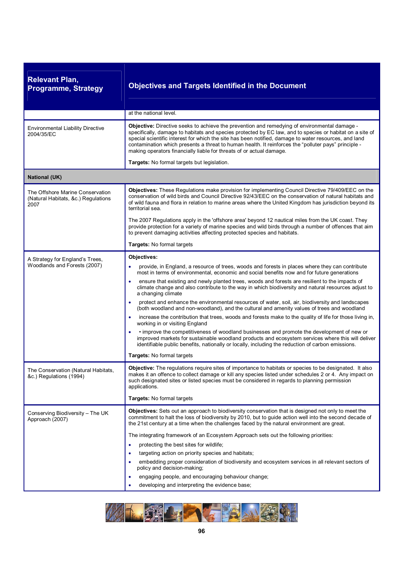| <b>Relevant Plan,</b><br><b>Programme, Strategy</b>                             | <b>Objectives and Targets Identified in the Document</b>                                                                                                                                                                                                                                                                                                                                                                                                                                          |
|---------------------------------------------------------------------------------|---------------------------------------------------------------------------------------------------------------------------------------------------------------------------------------------------------------------------------------------------------------------------------------------------------------------------------------------------------------------------------------------------------------------------------------------------------------------------------------------------|
|                                                                                 | at the national level.                                                                                                                                                                                                                                                                                                                                                                                                                                                                            |
| <b>Environmental Liability Directive</b><br>2004/35/EC                          | Objective: Directive seeks to achieve the prevention and remedying of environmental damage -<br>specifically, damage to habitats and species protected by EC law, and to species or habitat on a site of<br>special scientific interest for which the site has been notified, damage to water resources, and land<br>contamination which presents a threat to human health. It reinforces the "polluter pays" principle -<br>making operators financially liable for threats of or actual damage. |
|                                                                                 | Targets: No formal targets but legislation.                                                                                                                                                                                                                                                                                                                                                                                                                                                       |
| <b>National (UK)</b>                                                            |                                                                                                                                                                                                                                                                                                                                                                                                                                                                                                   |
| The Offshore Marine Conservation<br>(Natural Habitats, &c.) Regulations<br>2007 | <b>Objectives:</b> These Regulations make provision for implementing Council Directive 79/409/EEC on the<br>conservation of wild birds and Council Directive 92/43/EEC on the conservation of natural habitats and<br>of wild fauna and flora in relation to marine areas where the United Kingdom has jurisdiction beyond its<br>territorial sea.                                                                                                                                                |
|                                                                                 | The 2007 Regulations apply in the 'offshore area' beyond 12 nautical miles from the UK coast. They<br>provide protection for a variety of marine species and wild birds through a number of offences that aim<br>to prevent damaging activities affecting protected species and habitats.                                                                                                                                                                                                         |
|                                                                                 | <b>Targets: No formal targets</b>                                                                                                                                                                                                                                                                                                                                                                                                                                                                 |
| A Strategy for England's Trees,                                                 | Objectives:                                                                                                                                                                                                                                                                                                                                                                                                                                                                                       |
| Woodlands and Forests (2007)                                                    | provide, in England, a resource of trees, woods and forests in places where they can contribute<br>most in terms of environmental, economic and social benefits now and for future generations                                                                                                                                                                                                                                                                                                    |
|                                                                                 | ensure that existing and newly planted trees, woods and forests are resilient to the impacts of<br>climate change and also contribute to the way in which biodiversity and natural resources adjust to<br>a changing climate                                                                                                                                                                                                                                                                      |
|                                                                                 | protect and enhance the environmental resources of water, soil, air, biodiversity and landscapes<br>٠<br>(both woodland and non-woodland), and the cultural and amenity values of trees and woodland                                                                                                                                                                                                                                                                                              |
|                                                                                 | increase the contribution that trees, woods and forests make to the quality of life for those living in,<br>$\bullet$<br>working in or visiting England                                                                                                                                                                                                                                                                                                                                           |
|                                                                                 | • improve the competitiveness of woodland businesses and promote the development of new or<br>improved markets for sustainable woodland products and ecosystem services where this will deliver<br>identifiable public benefits, nationally or locally, including the reduction of carbon emissions.                                                                                                                                                                                              |
|                                                                                 | Targets: No formal targets                                                                                                                                                                                                                                                                                                                                                                                                                                                                        |
| The Conservation (Natural Habitats,<br>&c.) Regulations (1994)                  | Objective: The regulations require sites of importance to habitats or species to be designated. It also<br>makes it an offence to collect damage or kill any species listed under schedules 2 or 4. Any impact on<br>such designated sites or listed species must be considered in regards to planning permission<br>applications.                                                                                                                                                                |
|                                                                                 | Targets: No formal targets                                                                                                                                                                                                                                                                                                                                                                                                                                                                        |
| Conserving Biodiversity - The UK<br>Approach (2007)                             | <b>Objectives:</b> Sets out an approach to biodiversity conservation that is designed not only to meet the<br>commitment to halt the loss of biodiversity by 2010, but to guide action well into the second decade of<br>the 21st century at a time when the challenges faced by the natural environment are great.                                                                                                                                                                               |
|                                                                                 | The integrating framework of an Ecosystem Approach sets out the following priorities:                                                                                                                                                                                                                                                                                                                                                                                                             |
|                                                                                 | protecting the best sites for wildlife;<br>$\bullet$                                                                                                                                                                                                                                                                                                                                                                                                                                              |
|                                                                                 | targeting action on priority species and habitats;                                                                                                                                                                                                                                                                                                                                                                                                                                                |
|                                                                                 | embedding proper consideration of biodiversity and ecosystem services in all relevant sectors of<br>policy and decision-making;                                                                                                                                                                                                                                                                                                                                                                   |
|                                                                                 | engaging people, and encouraging behaviour change;                                                                                                                                                                                                                                                                                                                                                                                                                                                |
|                                                                                 | developing and interpreting the evidence base;                                                                                                                                                                                                                                                                                                                                                                                                                                                    |

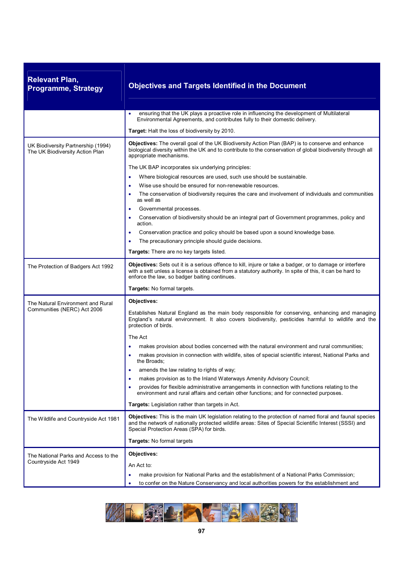| <b>Relevant Plan,</b><br><b>Programme, Strategy</b>                   | <b>Objectives and Targets Identified in the Document</b>                                                                                                                                                                                                              |
|-----------------------------------------------------------------------|-----------------------------------------------------------------------------------------------------------------------------------------------------------------------------------------------------------------------------------------------------------------------|
|                                                                       | ensuring that the UK plays a proactive role in influencing the development of Multilateral<br>Environmental Agreements, and contributes fully to their domestic delivery.                                                                                             |
|                                                                       | Target: Halt the loss of biodiversity by 2010.                                                                                                                                                                                                                        |
| UK Biodiversity Partnership (1994)<br>The UK Biodiversity Action Plan | <b>Objectives:</b> The overall goal of the UK Biodiversity Action Plan (BAP) is to conserve and enhance<br>biological diversity within the UK and to contribute to the conservation of global biodiversity through all<br>appropriate mechanisms.                     |
|                                                                       | The UK BAP incorporates six underlying principles:                                                                                                                                                                                                                    |
|                                                                       | Where biological resources are used, such use should be sustainable.                                                                                                                                                                                                  |
|                                                                       | Wise use should be ensured for non-renewable resources.                                                                                                                                                                                                               |
|                                                                       | The conservation of biodiversity requires the care and involvement of individuals and communities<br>٠<br>as well as                                                                                                                                                  |
|                                                                       | Governmental processes.<br>Conservation of biodiversity should be an integral part of Government programmes, policy and<br>action.                                                                                                                                    |
|                                                                       | Conservation practice and policy should be based upon a sound knowledge base.                                                                                                                                                                                         |
|                                                                       | The precautionary principle should guide decisions.                                                                                                                                                                                                                   |
|                                                                       | Targets: There are no key targets listed.                                                                                                                                                                                                                             |
| The Protection of Badgers Act 1992                                    | Objectives: Sets out it is a serious offence to kill, injure or take a badger, or to damage or interfere<br>with a sett unless a license is obtained from a statutory authority. In spite of this, it can be hard to<br>enforce the law, so badger baiting continues. |
|                                                                       | Targets: No formal targets.                                                                                                                                                                                                                                           |
| The Natural Environment and Rural                                     | Objectives:                                                                                                                                                                                                                                                           |
| Communities (NERC) Act 2006                                           | Establishes Natural England as the main body responsible for conserving, enhancing and managing<br>England's natural environment. It also covers biodiversity, pesticides harmful to wildlife and the<br>protection of birds.                                         |
|                                                                       | The Act                                                                                                                                                                                                                                                               |
|                                                                       | makes provision about bodies concerned with the natural environment and rural communities;                                                                                                                                                                            |
|                                                                       | makes provision in connection with wildlife, sites of special scientific interest, National Parks and<br>the Broads;                                                                                                                                                  |
|                                                                       | amends the law relating to rights of way;                                                                                                                                                                                                                             |
|                                                                       | makes provision as to the Inland Waterways Amenity Advisory Council;<br>٠                                                                                                                                                                                             |
|                                                                       | provides for flexible administrative arrangements in connection with functions relating to the<br>environment and rural affairs and certain other functions; and for connected purposes.                                                                              |
|                                                                       | <b>Targets:</b> Legislation rather than targets in Act.                                                                                                                                                                                                               |
| The Wildlife and Countryside Act 1981                                 | Objectives: This is the main UK legislation relating to the protection of named floral and faunal species<br>and the network of nationally protected wildlife areas: Sites of Special Scientific Interest (SSSI) and<br>Special Protection Areas (SPA) for birds.     |
|                                                                       | Targets: No formal targets                                                                                                                                                                                                                                            |
| The National Parks and Access to the                                  | Objectives:                                                                                                                                                                                                                                                           |
| Countryside Act 1949                                                  | An Act to:                                                                                                                                                                                                                                                            |
|                                                                       | make provision for National Parks and the establishment of a National Parks Commission;<br>٠                                                                                                                                                                          |
|                                                                       | to confer on the Nature Conservancy and local authorities powers for the establishment and                                                                                                                                                                            |

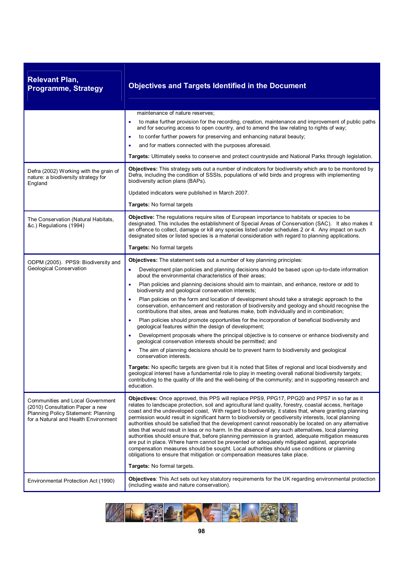| <b>Relevant Plan,</b><br><b>Programme, Strategy</b>                                                                                                | <b>Objectives and Targets Identified in the Document</b>                                                                                                                                                                                                                                                                                                                                                                                                                                                                                                                                                                                                                                                                                                                                                                                                                                                                                                                                                                                                     |
|----------------------------------------------------------------------------------------------------------------------------------------------------|--------------------------------------------------------------------------------------------------------------------------------------------------------------------------------------------------------------------------------------------------------------------------------------------------------------------------------------------------------------------------------------------------------------------------------------------------------------------------------------------------------------------------------------------------------------------------------------------------------------------------------------------------------------------------------------------------------------------------------------------------------------------------------------------------------------------------------------------------------------------------------------------------------------------------------------------------------------------------------------------------------------------------------------------------------------|
|                                                                                                                                                    | maintenance of nature reserves;                                                                                                                                                                                                                                                                                                                                                                                                                                                                                                                                                                                                                                                                                                                                                                                                                                                                                                                                                                                                                              |
|                                                                                                                                                    | to make further provision for the recording, creation, maintenance and improvement of public paths<br>$\bullet$<br>and for securing access to open country, and to amend the law relating to rights of way;                                                                                                                                                                                                                                                                                                                                                                                                                                                                                                                                                                                                                                                                                                                                                                                                                                                  |
|                                                                                                                                                    | to confer further powers for preserving and enhancing natural beauty;                                                                                                                                                                                                                                                                                                                                                                                                                                                                                                                                                                                                                                                                                                                                                                                                                                                                                                                                                                                        |
|                                                                                                                                                    | and for matters connected with the purposes aforesaid.                                                                                                                                                                                                                                                                                                                                                                                                                                                                                                                                                                                                                                                                                                                                                                                                                                                                                                                                                                                                       |
|                                                                                                                                                    | Targets: Ultimately seeks to conserve and protect countryside and National Parks through legislation.                                                                                                                                                                                                                                                                                                                                                                                                                                                                                                                                                                                                                                                                                                                                                                                                                                                                                                                                                        |
| Defra (2002) Working with the grain of<br>nature: a biodiversity strategy for<br>England                                                           | <b>Objectives:</b> This strategy sets out a number of indicators for biodiversity which are to be monitored by<br>Defra, including the condition of SSSIs, populations of wild birds and progress with implementing<br>biodiversity action plans (BAPs).                                                                                                                                                                                                                                                                                                                                                                                                                                                                                                                                                                                                                                                                                                                                                                                                     |
|                                                                                                                                                    | Updated indicators were published in March 2007.                                                                                                                                                                                                                                                                                                                                                                                                                                                                                                                                                                                                                                                                                                                                                                                                                                                                                                                                                                                                             |
|                                                                                                                                                    | Targets: No formal targets                                                                                                                                                                                                                                                                                                                                                                                                                                                                                                                                                                                                                                                                                                                                                                                                                                                                                                                                                                                                                                   |
| The Conservation (Natural Habitats,<br>&c.) Regulations (1994)                                                                                     | Objective: The regulations require sites of European importance to habitats or species to be<br>designated. This includes the establishment of Special Areas of Conservation (SAC). It also makes it<br>an offence to collect, damage or kill any species listed under schedules 2 or 4. Any impact on such<br>designated sites or listed species is a material consideration with regard to planning applications.                                                                                                                                                                                                                                                                                                                                                                                                                                                                                                                                                                                                                                          |
|                                                                                                                                                    | Targets: No formal targets                                                                                                                                                                                                                                                                                                                                                                                                                                                                                                                                                                                                                                                                                                                                                                                                                                                                                                                                                                                                                                   |
| ODPM (2005). PPS9: Biodiversity and                                                                                                                | Objectives: The statement sets out a number of key planning principles:                                                                                                                                                                                                                                                                                                                                                                                                                                                                                                                                                                                                                                                                                                                                                                                                                                                                                                                                                                                      |
| <b>Geological Conservation</b>                                                                                                                     | Development plan policies and planning decisions should be based upon up-to-date information<br>٠<br>about the environmental characteristics of their areas;                                                                                                                                                                                                                                                                                                                                                                                                                                                                                                                                                                                                                                                                                                                                                                                                                                                                                                 |
|                                                                                                                                                    | Plan policies and planning decisions should aim to maintain, and enhance, restore or add to<br>$\bullet$<br>biodiversity and geological conservation interests;                                                                                                                                                                                                                                                                                                                                                                                                                                                                                                                                                                                                                                                                                                                                                                                                                                                                                              |
|                                                                                                                                                    | Plan policies on the form and location of development should take a strategic approach to the<br>conservation, enhancement and restoration of biodiversity and geology and should recognise the<br>contributions that sites, areas and features make, both individually and in combination;                                                                                                                                                                                                                                                                                                                                                                                                                                                                                                                                                                                                                                                                                                                                                                  |
|                                                                                                                                                    | Plan policies should promote opportunities for the incorporation of beneficial biodiversity and<br>geological features within the design of development;                                                                                                                                                                                                                                                                                                                                                                                                                                                                                                                                                                                                                                                                                                                                                                                                                                                                                                     |
|                                                                                                                                                    | Development proposals where the principal objective is to conserve or enhance biodiversity and<br>geological conservation interests should be permitted; and                                                                                                                                                                                                                                                                                                                                                                                                                                                                                                                                                                                                                                                                                                                                                                                                                                                                                                 |
|                                                                                                                                                    | The aim of planning decisions should be to prevent harm to biodiversity and geological<br>conservation interests.                                                                                                                                                                                                                                                                                                                                                                                                                                                                                                                                                                                                                                                                                                                                                                                                                                                                                                                                            |
|                                                                                                                                                    | Targets: No specific targets are given but it is noted that Sites of regional and local biodiversity and<br>geological interest have a fundamental role to play in meeting overall national biodiversity targets;<br>contributing to the quality of life and the well-being of the community; and in supporting research and<br>education.                                                                                                                                                                                                                                                                                                                                                                                                                                                                                                                                                                                                                                                                                                                   |
| Communities and Local Government<br>(2010) Consultation Paper a new<br>Planning Policy Statement: Planning<br>for a Natural and Health Environment | Objectives: Once approved, this PPS will replace PPS9, PPG17, PPG20 and PPS7 in so far as it<br>relates to landscape protection, soil and agricultural land quality, forestry, coastal access, heritage<br>coast and the undeveloped coast. With regard to biodiversity, it states that, where granting planning<br>permission would result in significant harm to biodiversity or geodiversity interests, local planning<br>authorities should be satisfied that the development cannot reasonably be located on any alternative<br>sites that would result in less or no harm. In the absence of any such alternatives, local planning<br>authorities should ensure that, before planning permission is granted, adequate mitigation measures<br>are put in place. Where harm cannot be prevented or adequately mitigated against, appropriate<br>compensation measures should be sought. Local authorities should use conditions or planning<br>obligations to ensure that mitigation or compensation measures take place.<br>Targets: No formal targets. |
| Environmental Protection Act (1990)                                                                                                                | Objectives: This Act sets out key statutory requirements for the UK regarding environmental protection                                                                                                                                                                                                                                                                                                                                                                                                                                                                                                                                                                                                                                                                                                                                                                                                                                                                                                                                                       |
|                                                                                                                                                    | (including waste and nature conservation).                                                                                                                                                                                                                                                                                                                                                                                                                                                                                                                                                                                                                                                                                                                                                                                                                                                                                                                                                                                                                   |

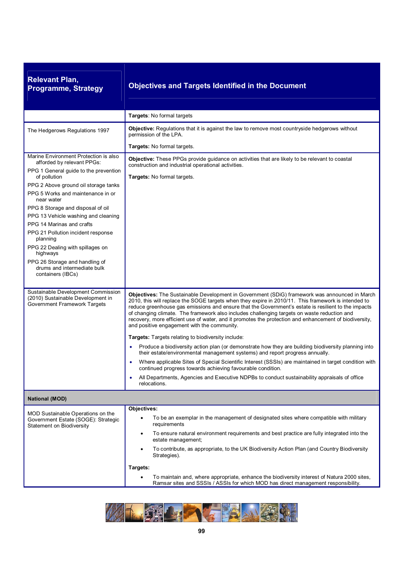| <b>Relevant Plan,</b><br><b>Programme, Strategy</b>                                                     | <b>Objectives and Targets Identified in the Document</b>                                                                                                                                                                                                                                                                                                                                                                                                                                                                                                            |
|---------------------------------------------------------------------------------------------------------|---------------------------------------------------------------------------------------------------------------------------------------------------------------------------------------------------------------------------------------------------------------------------------------------------------------------------------------------------------------------------------------------------------------------------------------------------------------------------------------------------------------------------------------------------------------------|
|                                                                                                         | Targets: No formal targets                                                                                                                                                                                                                                                                                                                                                                                                                                                                                                                                          |
| The Hedgerows Regulations 1997                                                                          | <b>Objective:</b> Regulations that it is against the law to remove most countryside hedgerows without<br>permission of the LPA.                                                                                                                                                                                                                                                                                                                                                                                                                                     |
|                                                                                                         | Targets: No formal targets.                                                                                                                                                                                                                                                                                                                                                                                                                                                                                                                                         |
| Marine Environment Protection is also<br>afforded by relevant PPGs:                                     | <b>Objective:</b> These PPGs provide guidance on activities that are likely to be relevant to coastal<br>construction and industrial operational activities.                                                                                                                                                                                                                                                                                                                                                                                                        |
| PPG 1 General guide to the prevention<br>of pollution                                                   | Targets: No formal targets.                                                                                                                                                                                                                                                                                                                                                                                                                                                                                                                                         |
| PPG 2 Above ground oil storage tanks<br>PPG 5 Works and maintenance in or<br>near water                 |                                                                                                                                                                                                                                                                                                                                                                                                                                                                                                                                                                     |
| PPG 8 Storage and disposal of oil                                                                       |                                                                                                                                                                                                                                                                                                                                                                                                                                                                                                                                                                     |
| PPG 13 Vehicle washing and cleaning<br>PPG 14 Marinas and crafts                                        |                                                                                                                                                                                                                                                                                                                                                                                                                                                                                                                                                                     |
| PPG 21 Pollution incident response<br>planning                                                          |                                                                                                                                                                                                                                                                                                                                                                                                                                                                                                                                                                     |
| PPG 22 Dealing with spillages on<br>highways                                                            |                                                                                                                                                                                                                                                                                                                                                                                                                                                                                                                                                                     |
| PPG 26 Storage and handling of<br>drums and intermediate bulk<br>containers (IBCs)                      |                                                                                                                                                                                                                                                                                                                                                                                                                                                                                                                                                                     |
| Sustainable Development Commission<br>(2010) Sustainable Development in<br>Government Framework Targets | Objectives: The Sustainable Development in Government (SDiG) framework was announced in March<br>2010, this will replace the SOGE targets when they expire in 2010/11. This framework is intended to<br>reduce greenhouse gas emissions and ensure that the Government's estate is resilient to the impacts<br>of changing climate. The framework also includes challenging targets on waste reduction and<br>recovery, more efficient use of water, and it promotes the protection and enhancement of biodiversity,<br>and positive engagement with the community. |
|                                                                                                         | <b>Targets:</b> Targets relating to biodiversity include:                                                                                                                                                                                                                                                                                                                                                                                                                                                                                                           |
|                                                                                                         | Produce a biodiversity action plan (or demonstrate how they are building biodiversity planning into<br>their estate/environmental management systems) and report progress annually.                                                                                                                                                                                                                                                                                                                                                                                 |
|                                                                                                         | Where applicable Sites of Special Scientific Interest (SSSIs) are maintained in target condition with<br>continued progress towards achieving favourable condition.                                                                                                                                                                                                                                                                                                                                                                                                 |
|                                                                                                         | All Departments, Agencies and Executive NDPBs to conduct sustainability appraisals of office<br>relocations.                                                                                                                                                                                                                                                                                                                                                                                                                                                        |
| <b>National (MOD)</b>                                                                                   |                                                                                                                                                                                                                                                                                                                                                                                                                                                                                                                                                                     |
| MOD Sustainable Operations on the                                                                       | Objectives:                                                                                                                                                                                                                                                                                                                                                                                                                                                                                                                                                         |
| Government Estate (SOGE): Strategic<br>Statement on Biodiversity                                        | To be an exemplar in the management of designated sites where compatible with military<br>requirements                                                                                                                                                                                                                                                                                                                                                                                                                                                              |
|                                                                                                         | To ensure natural environment requirements and best practice are fully integrated into the<br>٠<br>estate management;                                                                                                                                                                                                                                                                                                                                                                                                                                               |
|                                                                                                         | To contribute, as appropriate, to the UK Biodiversity Action Plan (and Country Biodiversity<br>$\bullet$<br>Strategies).                                                                                                                                                                                                                                                                                                                                                                                                                                            |
|                                                                                                         | Targets:                                                                                                                                                                                                                                                                                                                                                                                                                                                                                                                                                            |
|                                                                                                         | To maintain and, where appropriate, enhance the biodiversity interest of Natura 2000 sites,<br>Ramsar sites and SSSIs / ASSIs for which MOD has direct management responsibility.                                                                                                                                                                                                                                                                                                                                                                                   |

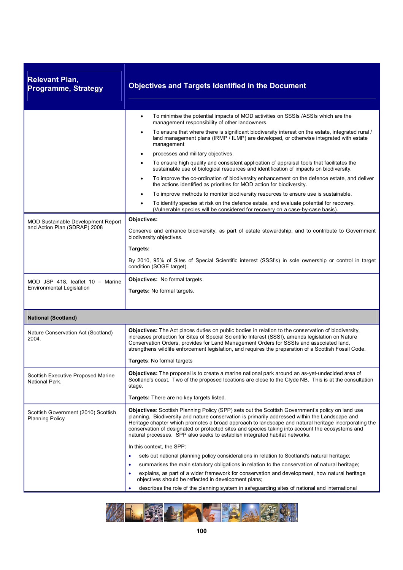| <b>Relevant Plan,</b><br><b>Programme, Strategy</b>                  | <b>Objectives and Targets Identified in the Document</b>                                                                                                                                                                                                                                                                                                                                                                                                                                                                                                                                                                                                                                                                                                                                                                                                                                                                  |  |  |
|----------------------------------------------------------------------|---------------------------------------------------------------------------------------------------------------------------------------------------------------------------------------------------------------------------------------------------------------------------------------------------------------------------------------------------------------------------------------------------------------------------------------------------------------------------------------------------------------------------------------------------------------------------------------------------------------------------------------------------------------------------------------------------------------------------------------------------------------------------------------------------------------------------------------------------------------------------------------------------------------------------|--|--|
|                                                                      | To minimise the potential impacts of MOD activities on SSSIs /ASSIs which are the<br>$\bullet$<br>management responsibility of other landowners.<br>To ensure that where there is significant biodiversity interest on the estate, integrated rural /<br>$\bullet$<br>land management plans (IRMP / ILMP) are developed, or otherwise integrated with estate<br>management<br>processes and military objectives.<br>$\bullet$<br>To ensure high quality and consistent application of appraisal tools that facilitates the<br>$\bullet$<br>sustainable use of biological resources and identification of impacts on biodiversity.<br>To improve the co-ordination of biodiversity enhancement on the defence estate, and deliver<br>$\bullet$<br>the actions identified as priorities for MOD action for biodiversity.<br>To improve methods to monitor biodiversity resources to ensure use is sustainable.<br>$\bullet$ |  |  |
| <b>MOD Sustainable Development Report</b>                            | To identify species at risk on the defence estate, and evaluate potential for recovery.<br>$\bullet$<br>(Vulnerable species will be considered for recovery on a case-by-case basis).<br>Objectives:                                                                                                                                                                                                                                                                                                                                                                                                                                                                                                                                                                                                                                                                                                                      |  |  |
| and Action Plan (SDRAP) 2008                                         | Conserve and enhance biodiversity, as part of estate stewardship, and to contribute to Government<br>biodiversity objectives.<br>Targets:<br>By 2010, 95% of Sites of Special Scientific interest (SSSI's) in sole ownership or control in target<br>condition (SOGE target).                                                                                                                                                                                                                                                                                                                                                                                                                                                                                                                                                                                                                                             |  |  |
| MOD JSP 418, leaflet 10 - Marine<br><b>Environmental Legislation</b> | Objectives: No formal targets.<br>Targets: No formal targets.                                                                                                                                                                                                                                                                                                                                                                                                                                                                                                                                                                                                                                                                                                                                                                                                                                                             |  |  |
| <b>National (Scotland)</b>                                           |                                                                                                                                                                                                                                                                                                                                                                                                                                                                                                                                                                                                                                                                                                                                                                                                                                                                                                                           |  |  |
| Nature Conservation Act (Scotland)<br>2004.                          | Objectives: The Act places duties on public bodies in relation to the conservation of biodiversity,<br>increases protection for Sites of Special Scientific Interest (SSSI), amends legislation on Nature<br>Conservation Orders, provides for Land Management Orders for SSSIs and associated land,<br>strengthens wildlife enforcement legislation, and requires the preparation of a Scottish Fossil Code.<br>Targets: No formal targets                                                                                                                                                                                                                                                                                                                                                                                                                                                                               |  |  |
| Scottish Executive Proposed Marine<br>National Park.                 | Objectives: The proposal is to create a marine national park around an as-yet-undecided area of<br>Scotland's coast. Two of the proposed locations are close to the Clyde NB. This is at the consultation<br>stage.<br>Targets: There are no key targets listed.                                                                                                                                                                                                                                                                                                                                                                                                                                                                                                                                                                                                                                                          |  |  |
| Scottish Government (2010) Scottish<br><b>Planning Policy</b>        | Objectives: Scottish Planning Policy (SPP) sets out the Scottish Government's policy on land use<br>planning. Biodiversity and nature conservation is primarily addressed within the Landscape and<br>Heritage chapter which promotes a broad approach to landscape and natural heritage incorporating the<br>conservation of designated or protected sites and species taking into account the ecosystems and<br>natural processes. SPP also seeks to establish integrated habitat networks.                                                                                                                                                                                                                                                                                                                                                                                                                             |  |  |
|                                                                      | In this context, the SPP:<br>sets out national planning policy considerations in relation to Scotland's natural heritage;                                                                                                                                                                                                                                                                                                                                                                                                                                                                                                                                                                                                                                                                                                                                                                                                 |  |  |
|                                                                      | summarises the main statutory obligations in relation to the conservation of natural heritage;                                                                                                                                                                                                                                                                                                                                                                                                                                                                                                                                                                                                                                                                                                                                                                                                                            |  |  |
|                                                                      | explains, as part of a wider framework for conservation and development, how natural heritage<br>objectives should be reflected in development plans;                                                                                                                                                                                                                                                                                                                                                                                                                                                                                                                                                                                                                                                                                                                                                                     |  |  |
|                                                                      | describes the role of the planning system in safeguarding sites of national and international                                                                                                                                                                                                                                                                                                                                                                                                                                                                                                                                                                                                                                                                                                                                                                                                                             |  |  |

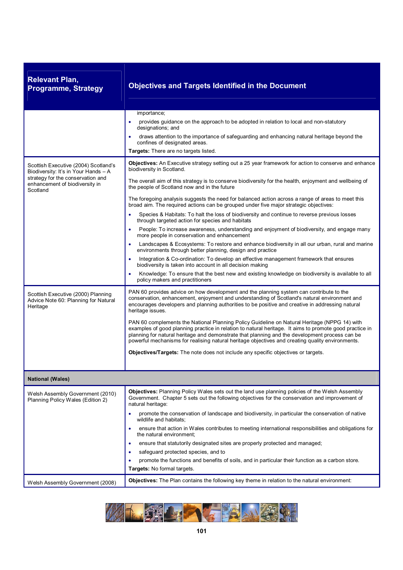| <b>Relevant Plan,</b><br><b>Programme, Strategy</b>                                    | <b>Objectives and Targets Identified in the Document</b>                                                                                                                                                                                                                                                                                                                                                      |
|----------------------------------------------------------------------------------------|---------------------------------------------------------------------------------------------------------------------------------------------------------------------------------------------------------------------------------------------------------------------------------------------------------------------------------------------------------------------------------------------------------------|
|                                                                                        | importance;<br>provides guidance on the approach to be adopted in relation to local and non-statutory                                                                                                                                                                                                                                                                                                         |
|                                                                                        | designations; and<br>draws attention to the importance of safeguarding and enhancing natural heritage beyond the<br>confines of designated areas.                                                                                                                                                                                                                                                             |
|                                                                                        | Targets: There are no targets listed.                                                                                                                                                                                                                                                                                                                                                                         |
| Scottish Executive (2004) Scotland's<br>Biodiversity: It's in Your Hands - A           | Objectives: An Executive strategy setting out a 25 year framework for action to conserve and enhance<br>biodiversity in Scotland.                                                                                                                                                                                                                                                                             |
| strategy for the conservation and<br>enhancement of biodiversity in<br>Scotland        | The overall aim of this strategy is to conserve biodiversity for the health, enjoyment and wellbeing of<br>the people of Scotland now and in the future                                                                                                                                                                                                                                                       |
|                                                                                        | The foregoing analysis suggests the need for balanced action across a range of areas to meet this<br>broad aim. The required actions can be grouped under five major strategic objectives:                                                                                                                                                                                                                    |
|                                                                                        | Species & Habitats: To halt the loss of biodiversity and continue to reverse previous losses<br>through targeted action for species and habitats                                                                                                                                                                                                                                                              |
|                                                                                        | People: To increase awareness, understanding and enjoyment of biodiversity, and engage many<br>more people in conservation and enhancement                                                                                                                                                                                                                                                                    |
|                                                                                        | Landscapes & Ecosystems: To restore and enhance biodiversity in all our urban, rural and marine<br>environments through better planning, design and practice                                                                                                                                                                                                                                                  |
|                                                                                        | Integration & Co-ordination: To develop an effective management framework that ensures<br>biodiversity is taken into account in all decision making                                                                                                                                                                                                                                                           |
|                                                                                        | Knowledge: To ensure that the best new and existing knowledge on biodiversity is available to all<br>policy makers and practitioners                                                                                                                                                                                                                                                                          |
| Scottish Executive (2000) Planning<br>Advice Note 60: Planning for Natural<br>Heritage | PAN 60 provides advice on how development and the planning system can contribute to the<br>conservation, enhancement, enjoyment and understanding of Scotland's natural environment and<br>encourages developers and planning authorities to be positive and creative in addressing natural<br>heritage issues.                                                                                               |
|                                                                                        | PAN 60 complements the National Planning Policy Guideline on Natural Heritage (NPPG 14) with<br>examples of good planning practice in relation to natural heritage. It aims to promote good practice in<br>planning for natural heritage and demonstrate that planning and the development process can be<br>powerful mechanisms for realising natural heritage objectives and creating quality environments. |
|                                                                                        | Objectives/Targets: The note does not include any specific objectives or targets.                                                                                                                                                                                                                                                                                                                             |
| <b>National (Wales)</b>                                                                |                                                                                                                                                                                                                                                                                                                                                                                                               |
| Welsh Assembly Government (2010)<br>Planning Policy Wales (Edition 2)                  | Objectives: Planning Policy Wales sets out the land use planning policies of the Welsh Assembly<br>Government. Chapter 5 sets out the following objectives for the conservation and improvement of<br>natural heritage:                                                                                                                                                                                       |
|                                                                                        | promote the conservation of landscape and biodiversity, in particular the conservation of native<br>wildlife and habitats;                                                                                                                                                                                                                                                                                    |
|                                                                                        | ensure that action in Wales contributes to meeting international responsibilities and obligations for<br>the natural environment;                                                                                                                                                                                                                                                                             |
|                                                                                        | ensure that statutorily designated sites are properly protected and managed;                                                                                                                                                                                                                                                                                                                                  |
|                                                                                        | safeguard protected species, and to                                                                                                                                                                                                                                                                                                                                                                           |
|                                                                                        | promote the functions and benefits of soils, and in particular their function as a carbon store.<br>Targets: No formal targets.                                                                                                                                                                                                                                                                               |
| Welsh Assembly Government (2008)                                                       | Objectives: The Plan contains the following key theme in relation to the natural environment:                                                                                                                                                                                                                                                                                                                 |

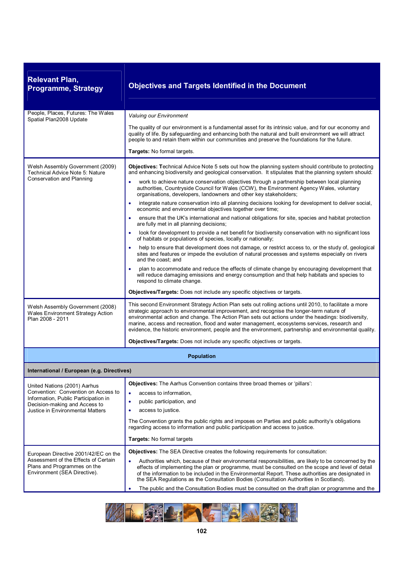| <b>Relevant Plan,</b><br><b>Programme, Strategy</b>                                                                                                                              | <b>Objectives and Targets Identified in the Document</b>                                                                                                                                                                                                                                                                                                                                                                                                                                                            |
|----------------------------------------------------------------------------------------------------------------------------------------------------------------------------------|---------------------------------------------------------------------------------------------------------------------------------------------------------------------------------------------------------------------------------------------------------------------------------------------------------------------------------------------------------------------------------------------------------------------------------------------------------------------------------------------------------------------|
| People, Places, Futures: The Wales<br>Spatial Plan2008 Update                                                                                                                    | Valuing our Environment                                                                                                                                                                                                                                                                                                                                                                                                                                                                                             |
|                                                                                                                                                                                  | The quality of our environment is a fundamental asset for its intrinsic value, and for our economy and<br>quality of life. By safeguarding and enhancing both the natural and built environment we will attract<br>people to and retain them within our communities and preserve the foundations for the future.                                                                                                                                                                                                    |
|                                                                                                                                                                                  | Targets: No formal targets.                                                                                                                                                                                                                                                                                                                                                                                                                                                                                         |
| Welsh Assembly Government (2009)<br><b>Technical Advice Note 5: Nature</b><br><b>Conservation and Planning</b>                                                                   | Objectives: Technical Advice Note 5 sets out how the planning system should contribute to protecting<br>and enhancing biodiversity and geological conservation. It stipulates that the planning system should:<br>work to achieve nature conservation objectives through a partnership between local planning                                                                                                                                                                                                       |
|                                                                                                                                                                                  | authorities, Countryside Council for Wales (CCW), the Environment Agency Wales, voluntary<br>organisations, developers, landowners and other key stakeholders;                                                                                                                                                                                                                                                                                                                                                      |
|                                                                                                                                                                                  | integrate nature conservation into all planning decisions looking for development to deliver social,<br>economic and environmental objectives together over time;                                                                                                                                                                                                                                                                                                                                                   |
|                                                                                                                                                                                  | ensure that the UK's international and national obligations for site, species and habitat protection<br>are fully met in all planning decisions;                                                                                                                                                                                                                                                                                                                                                                    |
|                                                                                                                                                                                  | look for development to provide a net benefit for biodiversity conservation with no significant loss<br>of habitats or populations of species, locally or nationally;                                                                                                                                                                                                                                                                                                                                               |
|                                                                                                                                                                                  | help to ensure that development does not damage, or restrict access to, or the study of, geological<br>sites and features or impede the evolution of natural processes and systems especially on rivers<br>and the coast; and                                                                                                                                                                                                                                                                                       |
|                                                                                                                                                                                  | plan to accommodate and reduce the effects of climate change by encouraging development that<br>will reduce damaging emissions and energy consumption and that help habitats and species to<br>respond to climate change.                                                                                                                                                                                                                                                                                           |
|                                                                                                                                                                                  | Objectives/Targets: Does not include any specific objectives or targets.                                                                                                                                                                                                                                                                                                                                                                                                                                            |
| Welsh Assembly Government (2008)<br>Wales Environment Strategy Action<br>Plan 2008 - 2011                                                                                        | This second Environment Strategy Action Plan sets out rolling actions until 2010, to facilitate a more<br>strategic approach to environmental improvement, and recognise the longer-term nature of<br>environmental action and change. The Action Plan sets out actions under the headings: biodiversity,<br>marine, access and recreation, flood and water management, ecosystems services, research and<br>evidence, the historic environment, people and the environment, partnership and environmental quality. |
|                                                                                                                                                                                  | Objectives/Targets: Does not include any specific objectives or targets.                                                                                                                                                                                                                                                                                                                                                                                                                                            |
|                                                                                                                                                                                  | <b>Population</b>                                                                                                                                                                                                                                                                                                                                                                                                                                                                                                   |
| International / European (e.g. Directives)                                                                                                                                       |                                                                                                                                                                                                                                                                                                                                                                                                                                                                                                                     |
| United Nations (2001) Aarhus<br>Convention: Convention on Access to<br>Information, Public Participation in<br>Decision-making and Access to<br>Justice in Environmental Matters | <b>Objectives:</b> The Aarhus Convention contains three broad themes or 'pillars':<br>access to information,<br>$\bullet$<br>public participation, and<br>$\bullet$<br>access to justice.<br>٠<br>The Convention grants the public rights and imposes on Parties and public authority's obligations<br>regarding access to information and public participation and access to justice.<br>Targets: No formal targets                                                                                                |
|                                                                                                                                                                                  | <b>Objectives:</b> The SEA Directive creates the following requirements for consultation:                                                                                                                                                                                                                                                                                                                                                                                                                           |
| European Directive 2001/42/EC on the<br>Assessment of the Effects of Certain<br>Plans and Programmes on the<br>Environment (SEA Directive).                                      | Authorities which, because of their environmental responsibilities, are likely to be concerned by the<br>effects of implementing the plan or programme, must be consulted on the scope and level of detail<br>of the information to be included in the Environmental Report. These authorities are designated in<br>the SEA Regulations as the Consultation Bodies (Consultation Authorities in Scotland).                                                                                                          |
|                                                                                                                                                                                  | The public and the Consultation Bodies must be consulted on the draft plan or programme and the                                                                                                                                                                                                                                                                                                                                                                                                                     |

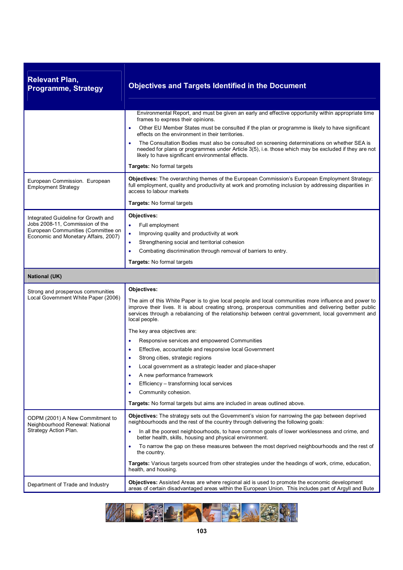| <b>Relevant Plan,</b><br><b>Programme, Strategy</b>                                                                                                  | <b>Objectives and Targets Identified in the Document</b>                                                                                                                                                                                                                                                                                                                                                                                                                                                                                                                                                                                                                                                                                                                                                      |
|------------------------------------------------------------------------------------------------------------------------------------------------------|---------------------------------------------------------------------------------------------------------------------------------------------------------------------------------------------------------------------------------------------------------------------------------------------------------------------------------------------------------------------------------------------------------------------------------------------------------------------------------------------------------------------------------------------------------------------------------------------------------------------------------------------------------------------------------------------------------------------------------------------------------------------------------------------------------------|
|                                                                                                                                                      | Environmental Report, and must be given an early and effective opportunity within appropriate time<br>frames to express their opinions.                                                                                                                                                                                                                                                                                                                                                                                                                                                                                                                                                                                                                                                                       |
|                                                                                                                                                      | Other EU Member States must be consulted if the plan or programme is likely to have significant<br>٠<br>effects on the environment in their territories.                                                                                                                                                                                                                                                                                                                                                                                                                                                                                                                                                                                                                                                      |
|                                                                                                                                                      | The Consultation Bodies must also be consulted on screening determinations on whether SEA is<br>needed for plans or programmes under Article 3(5), i.e. those which may be excluded if they are not<br>likely to have significant environmental effects.                                                                                                                                                                                                                                                                                                                                                                                                                                                                                                                                                      |
|                                                                                                                                                      | Targets: No formal targets                                                                                                                                                                                                                                                                                                                                                                                                                                                                                                                                                                                                                                                                                                                                                                                    |
| European Commission. European<br><b>Employment Strategy</b>                                                                                          | Objectives: The overarching themes of the European Commission's European Employment Strategy:<br>full employment, quality and productivity at work and promoting inclusion by addressing disparities in<br>access to labour markets                                                                                                                                                                                                                                                                                                                                                                                                                                                                                                                                                                           |
|                                                                                                                                                      | Targets: No formal targets                                                                                                                                                                                                                                                                                                                                                                                                                                                                                                                                                                                                                                                                                                                                                                                    |
| Integrated Guideline for Growth and<br>Jobs 2008-11, Commission of the<br>European Communities (Committee on<br>Economic and Monetary Affairs, 2007) | Objectives:<br>Full employment<br>Improving quality and productivity at work<br>$\bullet$<br>Strengthening social and territorial cohesion<br>$\bullet$<br>Combating discrimination through removal of barriers to entry.<br>$\bullet$<br>Targets: No formal targets                                                                                                                                                                                                                                                                                                                                                                                                                                                                                                                                          |
| <b>National (UK)</b>                                                                                                                                 |                                                                                                                                                                                                                                                                                                                                                                                                                                                                                                                                                                                                                                                                                                                                                                                                               |
| Strong and prosperous communities<br>Local Government White Paper (2006)                                                                             | Objectives:<br>The aim of this White Paper is to give local people and local communities more influence and power to<br>improve their lives. It is about creating strong, prosperous communities and delivering better public<br>services through a rebalancing of the relationship between central government, local government and<br>local people.<br>The key area objectives are:<br>Responsive services and empowered Communities<br>$\bullet$<br>Effective, accountable and responsive local Government<br>$\bullet$<br>Strong cities, strategic regions<br>Local government as a strategic leader and place-shaper<br>A new performance framework<br>٠<br>Efficiency - transforming local services<br>Community cohesion.<br>Targets: No formal targets but aims are included in areas outlined above. |
| ODPM (2001) A New Commitment to<br>Neighbourhood Renewal: National<br>Strategy Action Plan.                                                          | <b>Objectives:</b> The strategy sets out the Government's vision for narrowing the gap between deprived<br>neighbourhoods and the rest of the country through delivering the following goals:<br>In all the poorest neighbourhoods, to have common goals of lower worklessness and crime, and<br>better health, skills, housing and physical environment.<br>To narrow the gap on these measures between the most deprived neighbourhoods and the rest of<br>٠<br>the country.<br>Targets: Various targets sourced from other strategies under the headings of work, crime, education,<br>health, and housing.                                                                                                                                                                                                |
| Department of Trade and Industry                                                                                                                     | Objectives: Assisted Areas are where regional aid is used to promote the economic development<br>areas of certain disadvantaged areas within the European Union. This includes part of Argyll and Bute                                                                                                                                                                                                                                                                                                                                                                                                                                                                                                                                                                                                        |

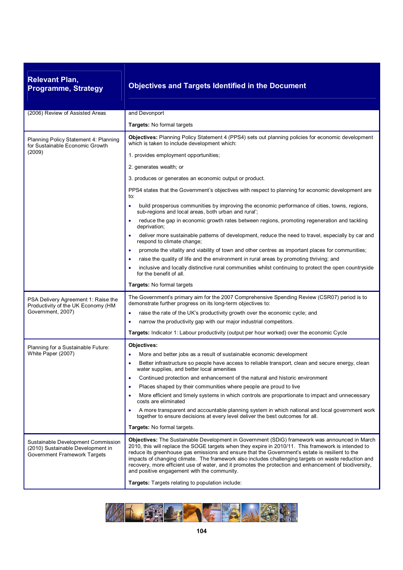| <b>Relevant Plan,</b><br><b>Programme, Strategy</b>                                                     | <b>Objectives and Targets Identified in the Document</b>                                                                                                                                                                                                                                                                                                                                                                                                                                                                                                                |
|---------------------------------------------------------------------------------------------------------|-------------------------------------------------------------------------------------------------------------------------------------------------------------------------------------------------------------------------------------------------------------------------------------------------------------------------------------------------------------------------------------------------------------------------------------------------------------------------------------------------------------------------------------------------------------------------|
| (2006) Review of Assisted Areas                                                                         | and Devonport                                                                                                                                                                                                                                                                                                                                                                                                                                                                                                                                                           |
|                                                                                                         | <b>Targets: No formal targets</b>                                                                                                                                                                                                                                                                                                                                                                                                                                                                                                                                       |
| Planning Policy Statement 4: Planning<br>for Sustainable Economic Growth<br>(2009)                      | Objectives: Planning Policy Statement 4 (PPS4) sets out planning policies for economic development<br>which is taken to include development which:                                                                                                                                                                                                                                                                                                                                                                                                                      |
|                                                                                                         | 1. provides employment opportunities;                                                                                                                                                                                                                                                                                                                                                                                                                                                                                                                                   |
|                                                                                                         | 2. generates wealth; or                                                                                                                                                                                                                                                                                                                                                                                                                                                                                                                                                 |
|                                                                                                         | 3. produces or generates an economic output or product.                                                                                                                                                                                                                                                                                                                                                                                                                                                                                                                 |
|                                                                                                         | PPS4 states that the Government's objectives with respect to planning for economic development are<br>to:                                                                                                                                                                                                                                                                                                                                                                                                                                                               |
|                                                                                                         | build prosperous communities by improving the economic performance of cities, towns, regions,<br>٠<br>sub-regions and local areas, both urban and rural';                                                                                                                                                                                                                                                                                                                                                                                                               |
|                                                                                                         | reduce the gap in economic growth rates between regions, promoting regeneration and tackling<br>deprivation;                                                                                                                                                                                                                                                                                                                                                                                                                                                            |
|                                                                                                         | deliver more sustainable patterns of development, reduce the need to travel, especially by car and<br>respond to climate change;                                                                                                                                                                                                                                                                                                                                                                                                                                        |
|                                                                                                         | promote the vitality and viability of town and other centres as important places for communities;                                                                                                                                                                                                                                                                                                                                                                                                                                                                       |
|                                                                                                         | raise the quality of life and the environment in rural areas by promoting thriving; and                                                                                                                                                                                                                                                                                                                                                                                                                                                                                 |
|                                                                                                         | inclusive and locally distinctive rural communities whilst continuing to protect the open countryside<br>for the benefit of all.                                                                                                                                                                                                                                                                                                                                                                                                                                        |
|                                                                                                         | Targets: No formal targets                                                                                                                                                                                                                                                                                                                                                                                                                                                                                                                                              |
| PSA Delivery Agreement 1: Raise the<br>Productivity of the UK Economy (HM                               | The Government's primary aim for the 2007 Comprehensive Spending Review (CSR07) period is to<br>demonstrate further progress on its long-term objectives to:                                                                                                                                                                                                                                                                                                                                                                                                            |
| Government, 2007)                                                                                       | raise the rate of the UK's productivity growth over the economic cycle; and<br>٠                                                                                                                                                                                                                                                                                                                                                                                                                                                                                        |
|                                                                                                         | narrow the productivity gap with our major industrial competitors.<br>٠                                                                                                                                                                                                                                                                                                                                                                                                                                                                                                 |
|                                                                                                         | Targets: Indicator 1: Labour productivity (output per hour worked) over the economic Cycle                                                                                                                                                                                                                                                                                                                                                                                                                                                                              |
| Planning for a Sustainable Future:                                                                      | Objectives:                                                                                                                                                                                                                                                                                                                                                                                                                                                                                                                                                             |
| White Paper (2007)                                                                                      | More and better jobs as a result of sustainable economic development                                                                                                                                                                                                                                                                                                                                                                                                                                                                                                    |
|                                                                                                         | Better infrastructure so people have access to reliable transport, clean and secure energy, clean<br>water supplies, and better local amenities                                                                                                                                                                                                                                                                                                                                                                                                                         |
|                                                                                                         | Continued protection and enhancement of the natural and historic environment                                                                                                                                                                                                                                                                                                                                                                                                                                                                                            |
|                                                                                                         | Places shaped by their communities where people are proud to live                                                                                                                                                                                                                                                                                                                                                                                                                                                                                                       |
|                                                                                                         | More efficient and timely systems in which controls are proportionate to impact and unnecessary<br>costs are eliminated                                                                                                                                                                                                                                                                                                                                                                                                                                                 |
|                                                                                                         | A more transparent and accountable planning system in which national and local government work<br>together to ensure decisions at every level deliver the best outcomes for all.                                                                                                                                                                                                                                                                                                                                                                                        |
|                                                                                                         | Targets: No formal targets.                                                                                                                                                                                                                                                                                                                                                                                                                                                                                                                                             |
| Sustainable Development Commission<br>(2010) Sustainable Development in<br>Government Framework Targets | Objectives: The Sustainable Development in Government (SDiG) framework was announced in March<br>2010, this will replace the SOGE targets when they expire in 2010/11. This framework is intended to<br>reduce its greenhouse gas emissions and ensure that the Government's estate is resilient to the<br>impacts of changing climate. The framework also includes challenging targets on waste reduction and<br>recovery, more efficient use of water, and it promotes the protection and enhancement of biodiversity,<br>and positive engagement with the community. |
|                                                                                                         | Targets: Targets relating to population include:                                                                                                                                                                                                                                                                                                                                                                                                                                                                                                                        |

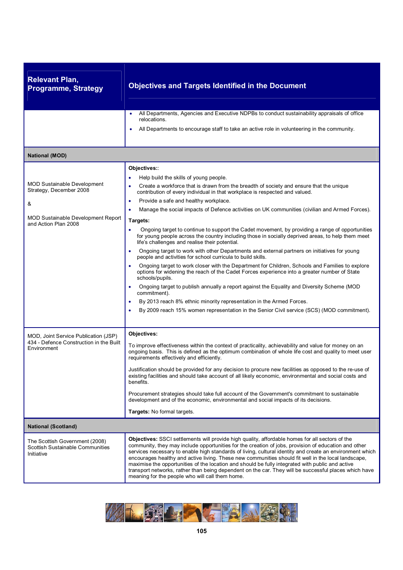| <b>Relevant Plan,</b><br><b>Programme, Strategy</b>                                                                                     | <b>Objectives and Targets Identified in the Document</b>                                                                                                                                                                                                                                                                                                                                                                                                                                                                                                                                                                                                                                                                                                                                                                                                                                                                                                                                                                                                                                                                                                                                                                                                                                                                                          |
|-----------------------------------------------------------------------------------------------------------------------------------------|---------------------------------------------------------------------------------------------------------------------------------------------------------------------------------------------------------------------------------------------------------------------------------------------------------------------------------------------------------------------------------------------------------------------------------------------------------------------------------------------------------------------------------------------------------------------------------------------------------------------------------------------------------------------------------------------------------------------------------------------------------------------------------------------------------------------------------------------------------------------------------------------------------------------------------------------------------------------------------------------------------------------------------------------------------------------------------------------------------------------------------------------------------------------------------------------------------------------------------------------------------------------------------------------------------------------------------------------------|
|                                                                                                                                         | All Departments, Agencies and Executive NDPBs to conduct sustainability appraisals of office<br>$\bullet$<br>relocations.<br>All Departments to encourage staff to take an active role in volunteering in the community.<br>$\bullet$                                                                                                                                                                                                                                                                                                                                                                                                                                                                                                                                                                                                                                                                                                                                                                                                                                                                                                                                                                                                                                                                                                             |
| <b>National (MOD)</b>                                                                                                                   |                                                                                                                                                                                                                                                                                                                                                                                                                                                                                                                                                                                                                                                                                                                                                                                                                                                                                                                                                                                                                                                                                                                                                                                                                                                                                                                                                   |
| <b>MOD Sustainable Development</b><br>Strategy, December 2008<br>&<br><b>MOD Sustainable Development Report</b><br>and Action Plan 2008 | Objectives::<br>Help build the skills of young people.<br>Create a workforce that is drawn from the breadth of society and ensure that the unique<br>contribution of every individual in that workplace is respected and valued.<br>Provide a safe and healthy workplace.<br>٠<br>Manage the social impacts of Defence activities on UK communities (civilian and Armed Forces).<br>Targets:<br>Ongoing target to continue to support the Cadet movement, by providing a range of opportunities<br>for young people across the country including those in socially deprived areas, to help them meet<br>life's challenges and realise their potential.<br>Ongoing target to work with other Departments and external partners on initiatives for young<br>٠<br>people and activities for school curricula to build skills.<br>Ongoing target to work closer with the Department for Children, Schools and Families to explore<br>options for widening the reach of the Cadet Forces experience into a greater number of State<br>schools/pupils.<br>Ongoing target to publish annually a report against the Equality and Diversity Scheme (MOD<br>commitment).<br>By 2013 reach 8% ethnic minority representation in the Armed Forces.<br>$\bullet$<br>By 2009 reach 15% women representation in the Senior Civil service (SCS) (MOD commitment). |
| MOD, Joint Service Publication (JSP)<br>434 - Defence Construction in the Built<br>Environment                                          | Objectives:<br>To improve effectiveness within the context of practicality, achievability and value for money on an<br>ongoing basis. This is defined as the optimum combination of whole life cost and quality to meet user<br>requirements effectively and efficiently.<br>Justification should be provided for any decision to procure new facilities as opposed to the re-use of<br>existing facilities and should take account of all likely economic, environmental and social costs and<br>benefits.<br>Procurement strategies should take full account of the Government's commitment to sustainable<br>development and of the economic, environmental and social impacts of its decisions.<br>Targets: No formal targets.                                                                                                                                                                                                                                                                                                                                                                                                                                                                                                                                                                                                                |
| <b>National (Scotland)</b>                                                                                                              |                                                                                                                                                                                                                                                                                                                                                                                                                                                                                                                                                                                                                                                                                                                                                                                                                                                                                                                                                                                                                                                                                                                                                                                                                                                                                                                                                   |
| The Scottish Government (2008)<br>Scottish Sustainable Communities<br>Initiative                                                        | Objectives: SSCI settlements will provide high quality, affordable homes for all sectors of the<br>community, they may include opportunities for the creation of jobs, provision of education and other<br>services necessary to enable high standards of living, cultural identity and create an environment which<br>encourages healthy and active living. These new communities should fit well in the local landscape,<br>maximise the opportunities of the location and should be fully integrated with public and active<br>transport networks, rather than being dependent on the car. They will be successful places which have<br>meaning for the people who will call them home.                                                                                                                                                                                                                                                                                                                                                                                                                                                                                                                                                                                                                                                        |

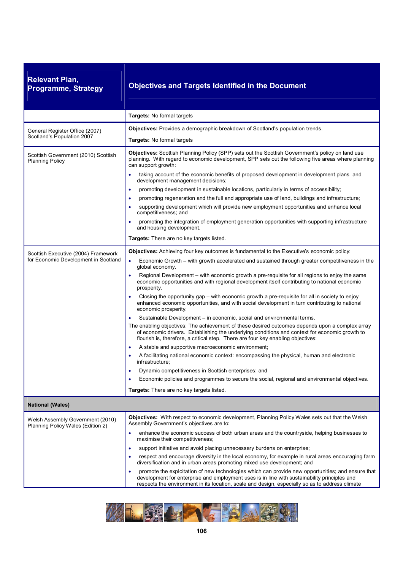| <b>Relevant Plan,</b><br><b>Programme, Strategy</b>                   | <b>Objectives and Targets Identified in the Document</b>                                                                                                                                                                                                                                                                   |
|-----------------------------------------------------------------------|----------------------------------------------------------------------------------------------------------------------------------------------------------------------------------------------------------------------------------------------------------------------------------------------------------------------------|
|                                                                       | Targets: No formal targets                                                                                                                                                                                                                                                                                                 |
| General Register Office (2007)<br>Scotland's Population 2007          | Objectives: Provides a demographic breakdown of Scotland's population trends.                                                                                                                                                                                                                                              |
|                                                                       | Targets: No formal targets                                                                                                                                                                                                                                                                                                 |
| Scottish Government (2010) Scottish<br><b>Planning Policy</b>         | Objectives: Scottish Planning Policy (SPP) sets out the Scottish Government's policy on land use<br>planning. With regard to economic development, SPP sets out the following five areas where planning<br>can support growth:<br>taking account of the economic benefits of proposed development in development plans and |
|                                                                       | development management decisions;                                                                                                                                                                                                                                                                                          |
|                                                                       | promoting development in sustainable locations, particularly in terms of accessibility;<br>٠                                                                                                                                                                                                                               |
|                                                                       | promoting regeneration and the full and appropriate use of land, buildings and infrastructure;<br>$\bullet$<br>supporting development which will provide new employment opportunities and enhance local                                                                                                                    |
|                                                                       | competitiveness; and<br>promoting the integration of employment generation opportunities with supporting infrastructure<br>and housing development.                                                                                                                                                                        |
|                                                                       | Targets: There are no key targets listed.                                                                                                                                                                                                                                                                                  |
| Scottish Executive (2004) Framework                                   | <b>Objectives:</b> Achieving four key outcomes is fundamental to the Executive's economic policy:                                                                                                                                                                                                                          |
| for Economic Development in Scotland                                  | $\bullet$<br>Economic Growth – with growth accelerated and sustained through greater competitiveness in the<br>global economy.                                                                                                                                                                                             |
|                                                                       | Regional Development – with economic growth a pre-requisite for all regions to enjoy the same<br>economic opportunities and with regional development itself contributing to national economic<br>prosperity.                                                                                                              |
|                                                                       | Closing the opportunity gap – with economic growth a pre-requisite for all in society to enjoy<br>enhanced economic opportunities, and with social development in turn contributing to national<br>economic prosperity.                                                                                                    |
|                                                                       | Sustainable Development – in economic, social and environmental terms.<br>٠                                                                                                                                                                                                                                                |
|                                                                       | The enabling objectives: The achievement of these desired outcomes depends upon a complex array<br>of economic drivers. Establishing the underlying conditions and context for economic growth to<br>flourish is, therefore, a critical step. There are four key enabling objectives:                                      |
|                                                                       | A stable and supportive macroeconomic environment;<br>٠                                                                                                                                                                                                                                                                    |
|                                                                       | A facilitating national economic context: encompassing the physical, human and electronic<br>infrastructure;                                                                                                                                                                                                               |
|                                                                       | Dynamic competitiveness in Scottish enterprises; and<br>$\bullet$                                                                                                                                                                                                                                                          |
|                                                                       | Economic policies and programmes to secure the social, regional and environmental objectives.<br>٠                                                                                                                                                                                                                         |
|                                                                       | Targets: There are no key targets listed.                                                                                                                                                                                                                                                                                  |
| <b>National (Wales)</b>                                               |                                                                                                                                                                                                                                                                                                                            |
| Welsh Assembly Government (2010)<br>Planning Policy Wales (Edition 2) | <b>Objectives:</b> With respect to economic development, Planning Policy Wales sets out that the Welsh<br>Assembly Government's objectives are to:                                                                                                                                                                         |
|                                                                       | enhance the economic success of both urban areas and the countryside, helping businesses to<br>$\bullet$<br>maximise their competitiveness;                                                                                                                                                                                |
|                                                                       | support initiative and avoid placing unnecessary burdens on enterprise;<br>$\bullet$                                                                                                                                                                                                                                       |
|                                                                       | respect and encourage diversity in the local economy, for example in rural areas encouraging farm<br>٠<br>diversification and in urban areas promoting mixed use development; and                                                                                                                                          |
|                                                                       | promote the exploitation of new technologies which can provide new opportunities; and ensure that<br>٠<br>development for enterprise and employment uses is in line with sustainability principles and<br>respects the environment in its location, scale and design, especially so as to address climate                  |

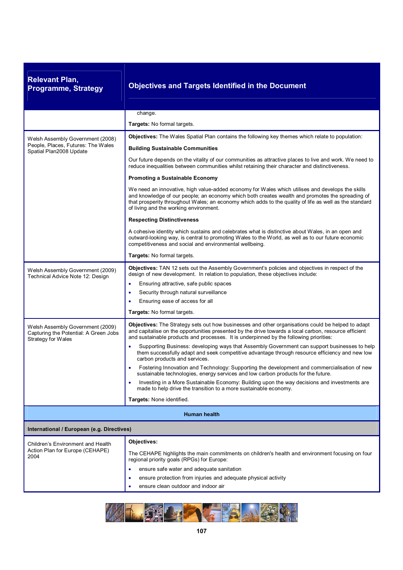| <b>Relevant Plan,</b><br><b>Programme, Strategy</b>                                             | <b>Objectives and Targets Identified in the Document</b>                                                                                                                                                                                                                                                                                                |
|-------------------------------------------------------------------------------------------------|---------------------------------------------------------------------------------------------------------------------------------------------------------------------------------------------------------------------------------------------------------------------------------------------------------------------------------------------------------|
|                                                                                                 | change.                                                                                                                                                                                                                                                                                                                                                 |
|                                                                                                 | <b>Targets:</b> No formal targets.                                                                                                                                                                                                                                                                                                                      |
| Welsh Assembly Government (2008)                                                                | Objectives: The Wales Spatial Plan contains the following key themes which relate to population:                                                                                                                                                                                                                                                        |
| People, Places, Futures: The Wales<br>Spatial Plan2008 Update                                   | <b>Building Sustainable Communities</b>                                                                                                                                                                                                                                                                                                                 |
|                                                                                                 | Our future depends on the vitality of our communities as attractive places to live and work. We need to<br>reduce inequalities between communities whilst retaining their character and distinctiveness.                                                                                                                                                |
|                                                                                                 | Promoting a Sustainable Economy                                                                                                                                                                                                                                                                                                                         |
|                                                                                                 | We need an innovative, high value-added economy for Wales which utilises and develops the skills<br>and knowledge of our people; an economy which both creates wealth and promotes the spreading of<br>that prosperity throughout Wales; an economy which adds to the quality of life as well as the standard<br>of living and the working environment. |
|                                                                                                 | <b>Respecting Distinctiveness</b>                                                                                                                                                                                                                                                                                                                       |
|                                                                                                 | A cohesive identity which sustains and celebrates what is distinctive about Wales, in an open and<br>outward-looking way, is central to promoting Wales to the World, as well as to our future economic<br>competitiveness and social and environmental wellbeing.                                                                                      |
|                                                                                                 | Targets: No formal targets.                                                                                                                                                                                                                                                                                                                             |
| Welsh Assembly Government (2009)<br>Technical Advice Note 12: Design                            | Objectives: TAN 12 sets out the Assembly Government's policies and objectives in respect of the<br>design of new development. In relation to population, these objectives include:<br>Ensuring attractive, safe public spaces<br>$\bullet$<br>Security through natural surveillance<br>٠<br>Ensuring ease of access for all                             |
|                                                                                                 | Targets: No formal targets.                                                                                                                                                                                                                                                                                                                             |
| Welsh Assembly Government (2009)<br>Capturing the Potential: A Green Jobs<br>Strategy for Wales | Objectives: The Strategy sets out how businesses and other organisations could be helped to adapt<br>and capitalise on the opportunities presented by the drive towards a local carbon, resource efficient<br>and sustainable products and processes. It is underpinned by the following priorities:                                                    |
|                                                                                                 | Supporting Business: developing ways that Assembly Government can support businesses to help<br>$\bullet$<br>them successfully adapt and seek competitive advantage through resource efficiency and new low<br>carbon products and services.                                                                                                            |
|                                                                                                 | Fostering Innovation and Technology: Supporting the development and commercialisation of new<br>sustainable technologies, energy services and low carbon products for the future.                                                                                                                                                                       |
|                                                                                                 | Investing in a More Sustainable Economy: Building upon the way decisions and investments are<br>٠<br>made to help drive the transition to a more sustainable economy.                                                                                                                                                                                   |
|                                                                                                 | <b>Targets:</b> None identified.                                                                                                                                                                                                                                                                                                                        |
|                                                                                                 | <b>Human health</b>                                                                                                                                                                                                                                                                                                                                     |
| International / European (e.g. Directives)                                                      |                                                                                                                                                                                                                                                                                                                                                         |
| Children's Environment and Health                                                               | Objectives:                                                                                                                                                                                                                                                                                                                                             |
| Action Plan for Europe (CEHAPE)<br>2004                                                         | The CEHAPE highlights the main commitments on children's health and environment focusing on four<br>regional priority goals (RPGs) for Europe:                                                                                                                                                                                                          |
|                                                                                                 | ensure safe water and adequate sanitation<br>٠                                                                                                                                                                                                                                                                                                          |
|                                                                                                 | ensure protection from injuries and adequate physical activity                                                                                                                                                                                                                                                                                          |
|                                                                                                 | ensure clean outdoor and indoor air                                                                                                                                                                                                                                                                                                                     |

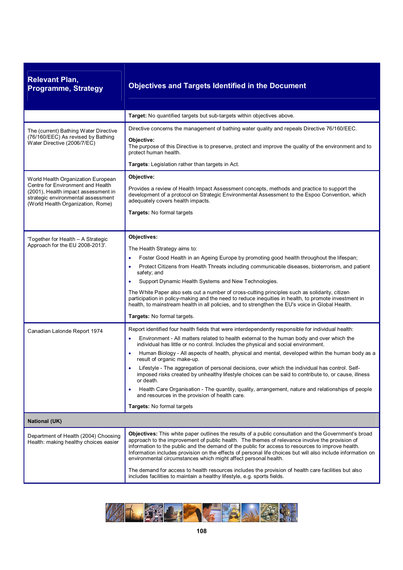| <b>Relevant Plan,</b><br><b>Programme, Strategy</b>                                                                                                                                       | <b>Objectives and Targets Identified in the Document</b>                                                                                                                                                                                                                                                                                                                                                                                                                                                                                                                                                                                                                                                                                                                                                                                    |
|-------------------------------------------------------------------------------------------------------------------------------------------------------------------------------------------|---------------------------------------------------------------------------------------------------------------------------------------------------------------------------------------------------------------------------------------------------------------------------------------------------------------------------------------------------------------------------------------------------------------------------------------------------------------------------------------------------------------------------------------------------------------------------------------------------------------------------------------------------------------------------------------------------------------------------------------------------------------------------------------------------------------------------------------------|
|                                                                                                                                                                                           | Target: No quantified targets but sub-targets within objectives above.                                                                                                                                                                                                                                                                                                                                                                                                                                                                                                                                                                                                                                                                                                                                                                      |
| The (current) Bathing Water Directive<br>(76/160/EEC) As revised by Bathing<br>Water Directive (2006/7/EC)                                                                                | Directive concerns the management of bathing water quality and repeals Directive 76/160/EEC.<br>Objective:<br>The purpose of this Directive is to preserve, protect and improve the quality of the environment and to<br>protect human health.<br>Targets: Legislation rather than targets in Act.                                                                                                                                                                                                                                                                                                                                                                                                                                                                                                                                          |
| World Health Organization European<br>Centre for Environment and Health<br>(2001), Health impact assessment in<br>strategic environmental assessment<br>(World Health Organization, Rome) | Objective:<br>Provides a review of Health Impact Assessment concepts, methods and practice to support the<br>development of a protocol on Strategic Environmental Assessment to the Espoo Convention, which<br>adequately covers health impacts.<br>Targets: No formal targets                                                                                                                                                                                                                                                                                                                                                                                                                                                                                                                                                              |
| 'Together for Health - A Strategic<br>Approach for the EU 2008-2013'.                                                                                                                     | Objectives:<br>The Health Strategy aims to:<br>Foster Good Health in an Ageing Europe by promoting good health throughout the lifespan;<br>Protect Citizens from Health Threats including communicable diseases, bioterrorism, and patient<br>safety; and<br>Support Dynamic Health Systems and New Technologies.<br>The White Paper also sets out a number of cross-cutting principles such as solidarity, citizen<br>participation in policy-making and the need to reduce inequities in health, to promote investment in<br>health, to mainstream health in all policies, and to strengthen the EU's voice in Global Health.<br>Targets: No formal targets.                                                                                                                                                                              |
| Canadian Lalonde Report 1974                                                                                                                                                              | Report identified four health fields that were interdependently responsible for individual health:<br>Environment - All matters related to health external to the human body and over which the<br>individual has little or no control. Includes the physical and social environment.<br>Human Biology - All aspects of health, physical and mental, developed within the human body as a<br>result of organic make-up.<br>Lifestyle - The aggregation of personal decisions, over which the individual has control. Self-<br>imposed risks created by unhealthy lifestyle choices can be said to contribute to, or cause, illness<br>or death.<br>Health Care Organisation - The quantity, quality, arrangement, nature and relationships of people<br>and resources in the provision of health care.<br><b>Targets:</b> No formal targets |
| <b>National (UK)</b>                                                                                                                                                                      |                                                                                                                                                                                                                                                                                                                                                                                                                                                                                                                                                                                                                                                                                                                                                                                                                                             |
| Department of Health (2004) Choosing<br>Health: making healthy choices easier                                                                                                             | Objectives: This white paper outlines the results of a public consultation and the Government's broad<br>approach to the improvement of public health. The themes of relevance involve the provision of<br>information to the public and the demand of the public for access to resources to improve health.<br>Information includes provision on the effects of personal life choices but will also include information on<br>environmental circumstances which might affect personal health.<br>The demand for access to health resources includes the provision of health care facilities but also<br>includes facilities to maintain a healthy lifestyle, e.g. sports fields.                                                                                                                                                           |

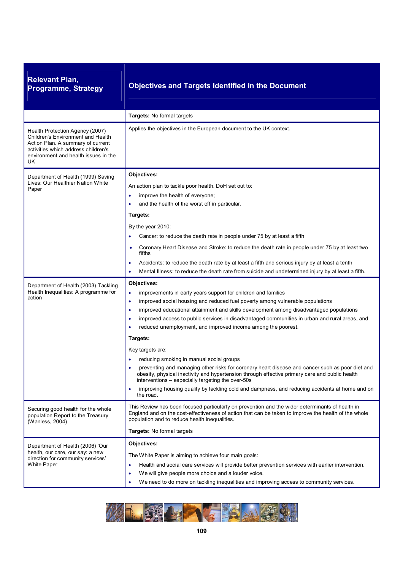| <b>Relevant Plan,</b><br><b>Programme, Strategy</b>                                                                                                                                            | <b>Objectives and Targets Identified in the Document</b>                                                                                                                                                                                                                                                                                                                                                                                                                                                                                                                                                                                                                                                                                                                                                                                                                                                    |
|------------------------------------------------------------------------------------------------------------------------------------------------------------------------------------------------|-------------------------------------------------------------------------------------------------------------------------------------------------------------------------------------------------------------------------------------------------------------------------------------------------------------------------------------------------------------------------------------------------------------------------------------------------------------------------------------------------------------------------------------------------------------------------------------------------------------------------------------------------------------------------------------------------------------------------------------------------------------------------------------------------------------------------------------------------------------------------------------------------------------|
|                                                                                                                                                                                                | Targets: No formal targets                                                                                                                                                                                                                                                                                                                                                                                                                                                                                                                                                                                                                                                                                                                                                                                                                                                                                  |
| Health Protection Agency (2007)<br>Children's Environment and Health<br>Action Plan. A summary of current<br>activities which address children's<br>environment and health issues in the<br>UK | Applies the objectives in the European document to the UK context.                                                                                                                                                                                                                                                                                                                                                                                                                                                                                                                                                                                                                                                                                                                                                                                                                                          |
| Department of Health (1999) Saving<br>Lives: Our Healthier Nation White<br>Paper                                                                                                               | Objectives:<br>An action plan to tackle poor health. DoH set out to:<br>improve the health of everyone;<br>٠<br>and the health of the worst off in particular.<br>Targets:<br>By the year 2010:<br>Cancer: to reduce the death rate in people under 75 by at least a fifth<br>Coronary Heart Disease and Stroke: to reduce the death rate in people under 75 by at least two<br>$\bullet$<br>fifths<br>Accidents: to reduce the death rate by at least a fifth and serious injury by at least a tenth<br>٠<br>Mental Illness: to reduce the death rate from suicide and undetermined injury by at least a fifth.<br>٠                                                                                                                                                                                                                                                                                       |
| Department of Health (2003) Tackling<br>Health Inequalities: A programme for<br>action                                                                                                         | Objectives:<br>improvements in early years support for children and families<br>۰<br>improved social housing and reduced fuel poverty among vulnerable populations<br>۰<br>improved educational attainment and skills development among disadvantaged populations<br>٠<br>improved access to public services in disadvantaged communities in urban and rural areas, and<br>٠<br>reduced unemployment, and improved income among the poorest.<br>۰<br>Targets:<br>Key targets are:<br>reducing smoking in manual social groups<br>preventing and managing other risks for coronary heart disease and cancer such as poor diet and<br>obesity, physical inactivity and hypertension through effective primary care and public health<br>interventions – especially targeting the over-50s<br>improving housing quality by tackling cold and dampness, and reducing accidents at home and on<br>٠<br>the road. |
| Securing good health for the whole<br>population Report to the Treasury<br>(Wanless, 2004)                                                                                                     | This Review has been focused particularly on prevention and the wider determinants of health in<br>England and on the cost-effectiveness of action that can be taken to improve the health of the whole<br>population and to reduce health inequalities.<br>Targets: No formal targets                                                                                                                                                                                                                                                                                                                                                                                                                                                                                                                                                                                                                      |
| Department of Health (2006) 'Our<br>health, our care, our say: a new<br>direction for community services'<br>White Paper                                                                       | Objectives:<br>The White Paper is aiming to achieve four main goals:<br>Health and social care services will provide better prevention services with earlier intervention.<br>٠<br>We will give people more choice and a louder voice.<br>٠<br>We need to do more on tackling inequalities and improving access to community services.                                                                                                                                                                                                                                                                                                                                                                                                                                                                                                                                                                      |

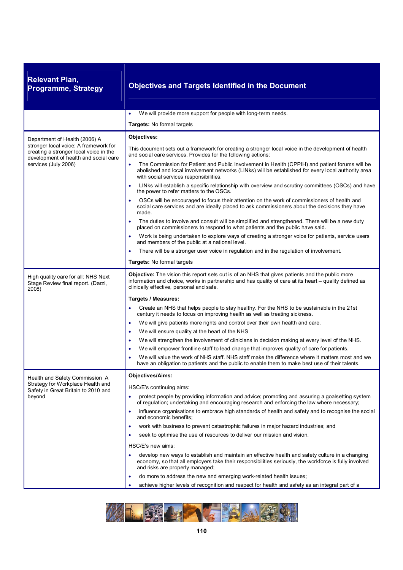| <b>Relevant Plan,</b><br><b>Programme, Strategy</b>                                                                                                                               | <b>Objectives and Targets Identified in the Document</b>                                                                                                                                                                                                                                                                                                                                                                                                                                                                                                                                                                                                                                                                                                                                                                                                                                                                                                                                                                                                                                                                                                                                              |
|-----------------------------------------------------------------------------------------------------------------------------------------------------------------------------------|-------------------------------------------------------------------------------------------------------------------------------------------------------------------------------------------------------------------------------------------------------------------------------------------------------------------------------------------------------------------------------------------------------------------------------------------------------------------------------------------------------------------------------------------------------------------------------------------------------------------------------------------------------------------------------------------------------------------------------------------------------------------------------------------------------------------------------------------------------------------------------------------------------------------------------------------------------------------------------------------------------------------------------------------------------------------------------------------------------------------------------------------------------------------------------------------------------|
|                                                                                                                                                                                   | We will provide more support for people with long-term needs.<br>٠                                                                                                                                                                                                                                                                                                                                                                                                                                                                                                                                                                                                                                                                                                                                                                                                                                                                                                                                                                                                                                                                                                                                    |
|                                                                                                                                                                                   | Targets: No formal targets                                                                                                                                                                                                                                                                                                                                                                                                                                                                                                                                                                                                                                                                                                                                                                                                                                                                                                                                                                                                                                                                                                                                                                            |
| Department of Health (2006) A<br>stronger local voice: A framework for<br>creating a stronger local voice in the<br>development of health and social care<br>services (July 2006) | Objectives:<br>This document sets out a framework for creating a stronger local voice in the development of health<br>and social care services. Provides for the following actions:<br>The Commission for Patient and Public Involvement in Health (CPPIH) and patient forums will be<br>٠<br>abolished and local involvement networks (LINks) will be established for every local authority area<br>with social services responsibilities.<br>LINks will establish a specific relationship with overview and scrutiny committees (OSCs) and have<br>$\bullet$<br>the power to refer matters to the OSCs.<br>OSCs will be encouraged to focus their attention on the work of commissioners of health and<br>$\bullet$<br>social care services and are ideally placed to ask commissioners about the decisions they have<br>made.<br>The duties to involve and consult will be simplified and strengthened. There will be a new duty<br>$\bullet$<br>placed on commissioners to respond to what patients and the public have said.<br>Work is being undertaken to explore ways of creating a stronger voice for patients, service users<br>$\bullet$<br>and members of the public at a national level. |
|                                                                                                                                                                                   | There will be a stronger user voice in regulation and in the regulation of involvement.<br>Targets: No formal targets                                                                                                                                                                                                                                                                                                                                                                                                                                                                                                                                                                                                                                                                                                                                                                                                                                                                                                                                                                                                                                                                                 |
| High quality care for all: NHS Next<br>Stage Review final report. (Darzi,<br>2008)                                                                                                | <b>Objective:</b> The vision this report sets out is of an NHS that gives patients and the public more<br>information and choice, works in partnership and has quality of care at its heart – quality defined as<br>clinically effective, personal and safe.<br>Targets / Measures:<br>Create an NHS that helps people to stay healthy. For the NHS to be sustainable in the 21st<br>century it needs to focus on improving health as well as treating sickness.<br>We will give patients more rights and control over their own health and care.<br>$\bullet$<br>We will ensure quality at the heart of the NHS<br>$\bullet$<br>We will strengthen the involvement of clinicians in decision making at every level of the NHS.<br>$\bullet$<br>We will empower frontline staff to lead change that improves quality of care for patients.<br>$\bullet$<br>We will value the work of NHS staff. NHS staff make the difference where it matters most and we<br>have an obligation to patients and the public to enable them to make best use of their talents.                                                                                                                                         |
| Health and Safety Commission A<br>Strategy for Workplace Health and<br>Safety in Great Britain to 2010 and<br>beyond                                                              | <b>Objectives/Aims:</b><br>HSC/E's continuing aims:<br>protect people by providing information and advice; promoting and assuring a goalsetting system<br>٠<br>of regulation; undertaking and encouraging research and enforcing the law where necessary;<br>influence organisations to embrace high standards of health and safety and to recognise the social<br>$\bullet$<br>and economic benefits;<br>work with business to prevent catastrophic failures in major hazard industries; and<br>seek to optimise the use of resources to deliver our mission and vision.<br>٠<br>HSC/E's new aims:<br>develop new ways to establish and maintain an effective health and safety culture in a changing<br>٠<br>economy, so that all employers take their responsibilities seriously, the workforce is fully involved<br>and risks are properly managed;<br>do more to address the new and emerging work-related health issues;<br>٠<br>achieve higher levels of recognition and respect for health and safety as an integral part of a                                                                                                                                                                |

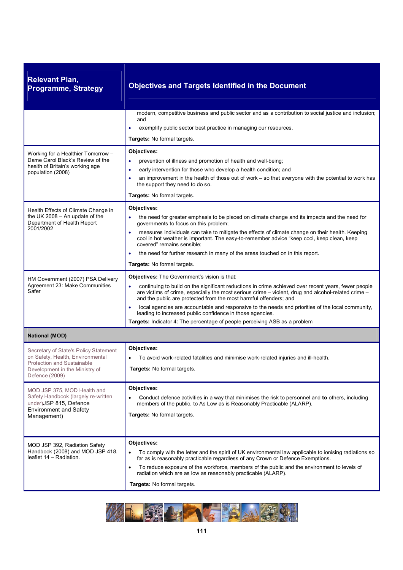| <b>Relevant Plan,</b><br><b>Programme, Strategy</b>                                                                                                         | <b>Objectives and Targets Identified in the Document</b>                                                                                                                                                                                                                                                                                                                                                           |  |
|-------------------------------------------------------------------------------------------------------------------------------------------------------------|--------------------------------------------------------------------------------------------------------------------------------------------------------------------------------------------------------------------------------------------------------------------------------------------------------------------------------------------------------------------------------------------------------------------|--|
|                                                                                                                                                             | modern, competitive business and public sector and as a contribution to social justice and inclusion;<br>and                                                                                                                                                                                                                                                                                                       |  |
|                                                                                                                                                             | exemplify public sector best practice in managing our resources.                                                                                                                                                                                                                                                                                                                                                   |  |
|                                                                                                                                                             | Targets: No formal targets.                                                                                                                                                                                                                                                                                                                                                                                        |  |
| Working for a Healthier Tomorrow -<br>Dame Carol Black's Review of the<br>health of Britain's working age<br>population (2008)                              | Objectives:<br>prevention of illness and promotion of health and well-being;<br>early intervention for those who develop a health condition; and<br>٠<br>an improvement in the health of those out of work – so that everyone with the potential to work has<br>٠<br>the support they need to do so.<br><b>Targets:</b> No formal targets.                                                                         |  |
| Health Effects of Climate Change in                                                                                                                         | Objectives:                                                                                                                                                                                                                                                                                                                                                                                                        |  |
| the UK 2008 $-$ An update of the<br>Department of Health Report                                                                                             | the need for greater emphasis to be placed on climate change and its impacts and the need for<br>governments to focus on this problem;                                                                                                                                                                                                                                                                             |  |
| 2001/2002                                                                                                                                                   | measures individuals can take to mitigate the effects of climate change on their health. Keeping<br>٠<br>cool in hot weather is important. The easy-to-remember advice "keep cool, keep clean, keep<br>covered" remains sensible;                                                                                                                                                                                  |  |
|                                                                                                                                                             | the need for further research in many of the areas touched on in this report.                                                                                                                                                                                                                                                                                                                                      |  |
|                                                                                                                                                             | <b>Targets:</b> No formal targets.                                                                                                                                                                                                                                                                                                                                                                                 |  |
| HM Government (2007) PSA Delivery<br>Agreement 23: Make Communities<br>Safer                                                                                | <b>Objectives:</b> The Government's vision is that:<br>continuing to build on the significant reductions in crime achieved over recent years, fewer people<br>are victims of crime, especially the most serious crime – violent, drug and alcohol-related crime –<br>and the public are protected from the most harmful offenders; and                                                                             |  |
|                                                                                                                                                             | local agencies are accountable and responsive to the needs and priorities of the local community,<br>٠<br>leading to increased public confidence in those agencies.                                                                                                                                                                                                                                                |  |
|                                                                                                                                                             | Targets: Indicator 4: The percentage of people perceiving ASB as a problem                                                                                                                                                                                                                                                                                                                                         |  |
| <b>National (MOD)</b>                                                                                                                                       |                                                                                                                                                                                                                                                                                                                                                                                                                    |  |
| Secretary of State's Policy Statement<br>on Safety, Health, Environmental<br>Protection and Sustainable<br>Development in the Ministry of<br>Defence (2009) | Objectives:<br>To avoid work-related fatalities and minimise work-related injuries and ill-health.<br><b>Targets:</b> No formal targets.                                                                                                                                                                                                                                                                           |  |
| MOD JSP 375, MOD Health and<br>Safety Handbook (largely re-written<br>under)JSP 815, Defence<br><b>Environment and Safety</b><br>Management)                | Objectives:<br>Conduct defence activities in a way that minimises the risk to personnel and to others, including<br>members of the public, to As Low as is Reasonably Practicable (ALARP).<br>Targets: No formal targets.                                                                                                                                                                                          |  |
| MOD JSP 392, Radiation Safety<br>Handbook (2008) and MOD JSP 418,<br>leaflet 14 - Radiation.                                                                | Objectives:<br>To comply with the letter and the spirit of UK environmental law applicable to ionising radiations so<br>far as is reasonably practicable regardless of any Crown or Defence Exemptions.<br>To reduce exposure of the workforce, members of the public and the environment to levels of<br>٠<br>radiation which are as low as reasonably practicable (ALARP).<br><b>Targets:</b> No formal targets. |  |

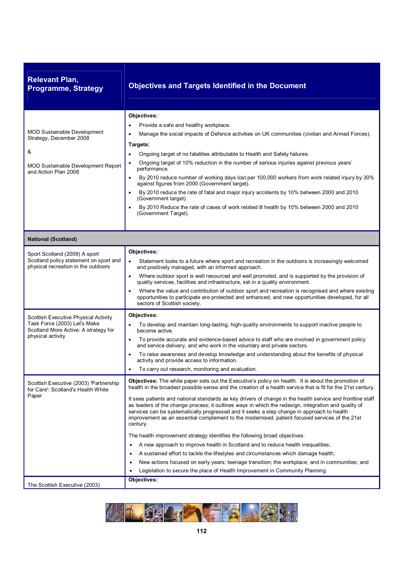| <b>Relevant Plan,</b><br><b>Programme, Strategy</b>                                                                                     | <b>Objectives and Targets Identified in the Document</b>                                                                                                                                                                                                                                                                                                                                                                                                                                                                                                                                                                                                                                                                                                                                                                                                                                                                                                                                                                                                                                                                                                 |
|-----------------------------------------------------------------------------------------------------------------------------------------|----------------------------------------------------------------------------------------------------------------------------------------------------------------------------------------------------------------------------------------------------------------------------------------------------------------------------------------------------------------------------------------------------------------------------------------------------------------------------------------------------------------------------------------------------------------------------------------------------------------------------------------------------------------------------------------------------------------------------------------------------------------------------------------------------------------------------------------------------------------------------------------------------------------------------------------------------------------------------------------------------------------------------------------------------------------------------------------------------------------------------------------------------------|
| <b>MOD Sustainable Development</b><br>Strategy, December 2008<br>&<br><b>MOD Sustainable Development Report</b><br>and Action Plan 2008 | Objectives:<br>Provide a safe and healthy workplace.<br>Manage the social impacts of Defence activities on UK communities (civilian and Armed Forces).<br>Targets:<br>Ongoing target of no fatalities attributable to Health and Safety failures.<br>Ongoing target of 10% reduction in the number of serious injuries against previous years'<br>performance.<br>By 2010 reduce number of working days lost per 100,000 workers from work related injury by 30%<br>$\bullet$<br>against figures from 2000 (Government target).<br>By 2010 reduce the rate of fatal and major injury accidents by 10% between 2000 and 2010<br>(Government target).<br>By 2010 Reduce the rate of cases of work related ill health by 10% between 2000 and 2010<br>(Government Target).                                                                                                                                                                                                                                                                                                                                                                                  |
| <b>National (Scotland)</b>                                                                                                              |                                                                                                                                                                                                                                                                                                                                                                                                                                                                                                                                                                                                                                                                                                                                                                                                                                                                                                                                                                                                                                                                                                                                                          |
| Sport Scotland (2009) A sport<br>Scotland policy statement on sport and<br>physical recreation in the outdoors                          | Objectives:<br>Statement looks to a future where sport and recreation in the outdoors is increasingly welcomed<br>$\bullet$<br>and positively managed, with an informed approach.<br>Where outdoor sport is well resourced and well promoted, and is supported by the provision of<br>quality services, facilities and infrastructure, set in a quality environment.<br>Where the value and contribution of outdoor sport and recreation is recognised and where existing<br>$\bullet$<br>opportunities to participate are protected and enhanced, and new opportunities developed, for all<br>sectors of Scottish society.                                                                                                                                                                                                                                                                                                                                                                                                                                                                                                                              |
| Scottish Executive Physical Activity<br>Task Force (2003) Let's Make<br>Scotland More Active: A strategy for<br>physical activity       | Objectives:<br>To develop and maintain long-lasting, high-quality environments to support inactive people to<br>become active.<br>To provide accurate and evidence-based advice to staff who are involved in government policy<br>$\bullet$<br>and service delivery, and who work in the voluntary and private sectors.<br>To raise awareness and develop knowledge and understanding about the benefits of physical<br>activity and provide access to information.<br>To carry out research, monitoring and evaluation.                                                                                                                                                                                                                                                                                                                                                                                                                                                                                                                                                                                                                                 |
| Scottish Executive (2003) 'Partnership<br>for Care': Scotland's Health White<br>Paper                                                   | <b>Objectives:</b> The white paper sets out the Executive's policy on health. It is about the promotion of<br>health in the broadest possible sense and the creation of a health service that is fit for the 21st century.<br>It sees patients and national standards as key drivers of change in the health service and frontline staff<br>as leaders of the change process; it outlines ways in which the redesign, integration and quality of<br>services can be systematically progressed and it seeks a step change in approach to health<br>improvement as an essential complement to the modernised, patient focused services of the 21st<br>century.<br>The health improvement strategy identifies the following broad objectives:<br>A new approach to improve health in Scotland and to reduce health inequalities;<br>$\bullet$<br>A sustained effort to tackle the lifestyles and circumstances which damage health;<br>٠<br>New actions focused on early years; teenage transition; the workplace; and in communities; and<br>$\bullet$<br>Legislation to secure the place of Health Improvement in Community Planning.<br>٠<br>Objectives: |
| The Scottish Executive (2003)                                                                                                           |                                                                                                                                                                                                                                                                                                                                                                                                                                                                                                                                                                                                                                                                                                                                                                                                                                                                                                                                                                                                                                                                                                                                                          |

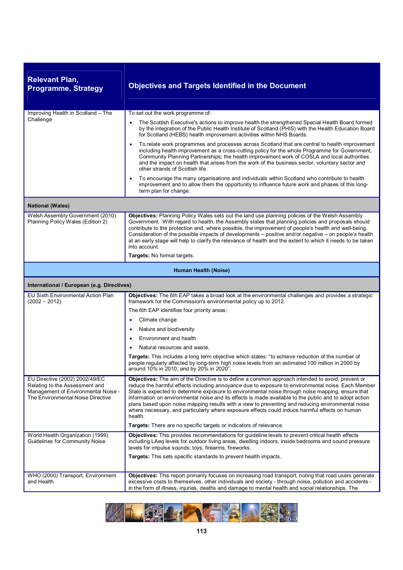| <b>Relevant Plan,</b><br><b>Programme, Strategy</b>                                                                                          | <b>Objectives and Targets Identified in the Document</b>                                                                                                                                                                                                                                                                                                                                                                                                                                                                                                                                                                                                                                                       |
|----------------------------------------------------------------------------------------------------------------------------------------------|----------------------------------------------------------------------------------------------------------------------------------------------------------------------------------------------------------------------------------------------------------------------------------------------------------------------------------------------------------------------------------------------------------------------------------------------------------------------------------------------------------------------------------------------------------------------------------------------------------------------------------------------------------------------------------------------------------------|
| Improving Health in Scotland - The                                                                                                           | To set out the work programme of:                                                                                                                                                                                                                                                                                                                                                                                                                                                                                                                                                                                                                                                                              |
| Challenge                                                                                                                                    | The Scottish Executive's actions to improve health the strengthened Special Health Board formed<br>by the integration of the Public Health Institute of Scotland (PHIS) with the Health Education Board<br>for Scotland (HEBS) health improvement activities within NHS Boards.                                                                                                                                                                                                                                                                                                                                                                                                                                |
|                                                                                                                                              | To relate work programmes and processes across Scotland that are central to health improvement<br>$\bullet$<br>including health improvement as a cross-cutting policy for the whole Programme for Government;<br>Community Planning Partnerships; the health improvement work of COSLA and local authorities<br>and the impact on health that arises from the work of the business sector, voluntary sector and<br>other strands of Scottish life.                                                                                                                                                                                                                                                             |
|                                                                                                                                              | To encourage the many organisations and individuals within Scotland who contribute to health<br>٠<br>improvement and to allow them the opportunity to influence future work and phases of this long-<br>term plan for change.                                                                                                                                                                                                                                                                                                                                                                                                                                                                                  |
| <b>National (Wales)</b>                                                                                                                      |                                                                                                                                                                                                                                                                                                                                                                                                                                                                                                                                                                                                                                                                                                                |
| Welsh Assembly Government (2010)<br>Planning Policy Wales (Edition 2)                                                                        | Objectives: Planning Policy Wales sets out the land use planning policies of the Welsh Assembly<br>Government. With regard to health, the Assembly states that planning policies and proposals should<br>contribute to the protection and, where possible, the improvement of people's health and well-being.<br>Consideration of the possible impacts of developments - positive and/or negative - on people's health<br>at an early stage will help to clarify the relevance of health and the extent to which it needs to be taken<br>into account.                                                                                                                                                         |
|                                                                                                                                              | Targets: No formal targets.                                                                                                                                                                                                                                                                                                                                                                                                                                                                                                                                                                                                                                                                                    |
| Human Health (Noise)                                                                                                                         |                                                                                                                                                                                                                                                                                                                                                                                                                                                                                                                                                                                                                                                                                                                |
| International / European (e.g. Directives)                                                                                                   |                                                                                                                                                                                                                                                                                                                                                                                                                                                                                                                                                                                                                                                                                                                |
| <b>EU Sixth Environmental Action Plan</b><br>$(2002 - 2012)$                                                                                 | Objectives: The 6th EAP takes a broad look at the environmental challenges and provides a strategic<br>framework for the Commission's environmental policy up to 2012.                                                                                                                                                                                                                                                                                                                                                                                                                                                                                                                                         |
|                                                                                                                                              | The 6th EAP identifies four priority areas:                                                                                                                                                                                                                                                                                                                                                                                                                                                                                                                                                                                                                                                                    |
|                                                                                                                                              | Climate change<br>٠                                                                                                                                                                                                                                                                                                                                                                                                                                                                                                                                                                                                                                                                                            |
|                                                                                                                                              | Nature and biodiversity<br>$\bullet$                                                                                                                                                                                                                                                                                                                                                                                                                                                                                                                                                                                                                                                                           |
|                                                                                                                                              | Environment and health<br>٠                                                                                                                                                                                                                                                                                                                                                                                                                                                                                                                                                                                                                                                                                    |
|                                                                                                                                              | Natural resources and waste.                                                                                                                                                                                                                                                                                                                                                                                                                                                                                                                                                                                                                                                                                   |
|                                                                                                                                              | Targets: This includes a long term objective which states: "to achieve reduction of the number of<br>people regularly affected by long-term high noise levels from an estimated 100 million in 2000 by<br>around 10% in 2010, and by 20% in 2020".                                                                                                                                                                                                                                                                                                                                                                                                                                                             |
| EU Directive (2002) 2002/49/EC<br>Relating to the Assessment and<br>Management of Environmental Noise -<br>The Environmental Noise Directive | Objectives: The aim of the Directive is to define a common approach intended to avoid, prevent or<br>reduce the harmful effects including annoyance due to exposure to environmental noise. Each Member<br>State is expected to determine exposure to environmental noise through noise mapping, ensure that<br>information on environmental noise and its effects is made available to the public and to adopt action<br>plans based upon noise mapping results with a view to preventing and reducing environmental noise<br>where necessary, and particularly where exposure effects could induce harmful effects on human<br>health.<br>Targets: There are no specific targets or indicators of relevance. |
| World Health Organization (1999)<br>Guidelines for Community Noise                                                                           | <b>Objectives:</b> This provides recommendations for quideline levels to prevent critical health effects<br>including LAeq levels for outdoor living areas, dwelling indoors, inside bedrooms and sound pressure                                                                                                                                                                                                                                                                                                                                                                                                                                                                                               |
|                                                                                                                                              | levels for impulse sounds: toys, firearms, fireworks.                                                                                                                                                                                                                                                                                                                                                                                                                                                                                                                                                                                                                                                          |
|                                                                                                                                              | <b>Targets:</b> This sets specific standards to prevent health impacts.                                                                                                                                                                                                                                                                                                                                                                                                                                                                                                                                                                                                                                        |
| WHO (2000) Transport, Environment<br>and Health                                                                                              | Objectives: This report primarily focuses on increasing road transport, noting that road users generate<br>excessive costs to themselves, other individuals and society - through noise, pollution and accidents -<br>in the form of illness, injuries, deaths and damage to mental health and social relationships. The                                                                                                                                                                                                                                                                                                                                                                                       |

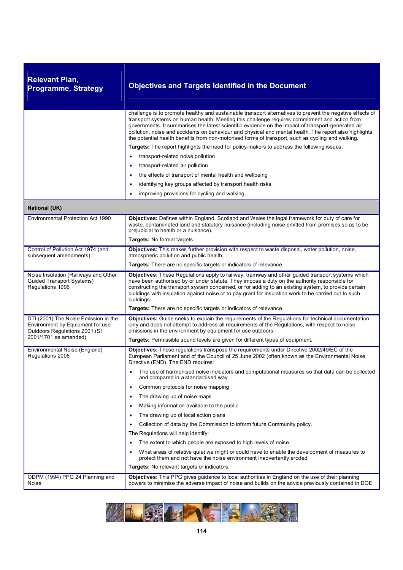| <b>Relevant Plan,</b><br><b>Programme, Strategy</b>                                                                                | <b>Objectives and Targets Identified in the Document</b>                                                                                                                                                                                                                                                                                                                                                                                                                                                                                                                                                                                                                                                                                                                                                                    |
|------------------------------------------------------------------------------------------------------------------------------------|-----------------------------------------------------------------------------------------------------------------------------------------------------------------------------------------------------------------------------------------------------------------------------------------------------------------------------------------------------------------------------------------------------------------------------------------------------------------------------------------------------------------------------------------------------------------------------------------------------------------------------------------------------------------------------------------------------------------------------------------------------------------------------------------------------------------------------|
|                                                                                                                                    | challenge is to promote healthy and sustainable transport alternatives to prevent the negative effects of<br>transport systems on human health. Meeting this challenge requires commitment and action from<br>governments. It summarises the latest scientific evidence on the impact of transport-generated air<br>pollution, noise and accidents on behaviour and physical and mental health. The report also highlights<br>the potential health benefits from non-motorised forms of transport, such as cycling and walking.<br>Targets: The report highlights the need for policy-makers to address the following issues:<br>transport-related noise pollution<br>٠                                                                                                                                                     |
|                                                                                                                                    | transport-related air pollution<br>the effects of transport of mental health and wellbeing<br>$\bullet$<br>identifying key groups affected by transport health risks<br>$\bullet$<br>improving provisions for cycling and walking.                                                                                                                                                                                                                                                                                                                                                                                                                                                                                                                                                                                          |
| <b>National (UK)</b>                                                                                                               |                                                                                                                                                                                                                                                                                                                                                                                                                                                                                                                                                                                                                                                                                                                                                                                                                             |
| Environmental Protection Act 1990                                                                                                  | Objectives: Defines within England, Scotland and Wales the legal framework for duty of care for<br>waste, contaminated land and statutory nuisance (including noise emitted from premises so as to be<br>prejudicial to health or a nuisance).<br><b>Targets:</b> No formal targets.                                                                                                                                                                                                                                                                                                                                                                                                                                                                                                                                        |
| Control of Pollution Act 1974 (and<br>subsequent amendments)                                                                       | Objectives: This makes further provision with respect to waste disposal, water pollution, noise,<br>atmospheric pollution and public health.                                                                                                                                                                                                                                                                                                                                                                                                                                                                                                                                                                                                                                                                                |
| Noise Insulation (Railways and Other<br><b>Guided Transport Systems)</b><br>Regulations 1996                                       | Targets: There are no specific targets or indicators of relevance.<br>Objectives: These Regulations apply to railway, tramway and other guided transport systems which<br>have been authorised by or under statute. They impose a duty on the authority responsible for<br>constructing the transport system concerned, or for adding to an existing system, to provide certain<br>buildings with insulation against noise or to pay grant for insulation work to be carried out to such<br>buildings.<br>Targets: There are no specific targets or indicators of relevance.                                                                                                                                                                                                                                                |
| DTI (2001) The Noise Emission in the<br>Environment by Equipment for use<br>Outdoors Regulations 2001 (SI<br>2001/1701 as amended) | Objectives: Guide seeks to explain the requirements of the Regulations for technical documentation<br>only and does not attempt to address all requirements of the Regulations, with respect to noise<br>emissions in the environment by equipment for use outdoors.<br>Targets: Permissible sound levels are given for different types of equipment.                                                                                                                                                                                                                                                                                                                                                                                                                                                                       |
| Environmental Noise (England)<br>Regulations 2006                                                                                  | Objectives: These regulations transpose the requirements under Directive 2002/49/EC of the<br>European Parliament and of the Council of 25 June 2002 (often known as the Environmental Noise<br>Directive (END). The END requires:                                                                                                                                                                                                                                                                                                                                                                                                                                                                                                                                                                                          |
| ODPM (1994) PPG 24 Planning and                                                                                                    | The use of harmonised noise indicators and computational measures so that data can be collected<br>and compared in a standardised way<br>Common protocols for noise mapping<br>٠<br>The drawing up of noise maps<br>Making information available to the public<br>The drawing up of local action plans<br>Collection of data by the Commission to inform future Community policy.<br>٠<br>The Regulations will help identify:<br>The extent to which people are exposed to high levels of noise<br>What areas of relative quiet we might or could have to enable the development of measures to<br>protect them and not have the noise environment inadvertently eroded.<br>Targets: No relevant targets or indicators.<br>Objectives: This PPG gives guidance to local authorities in England on the use of their planning |
| Noise                                                                                                                              | powers to minimise the adverse impact of noise and builds on the advice previously contained in DOE                                                                                                                                                                                                                                                                                                                                                                                                                                                                                                                                                                                                                                                                                                                         |

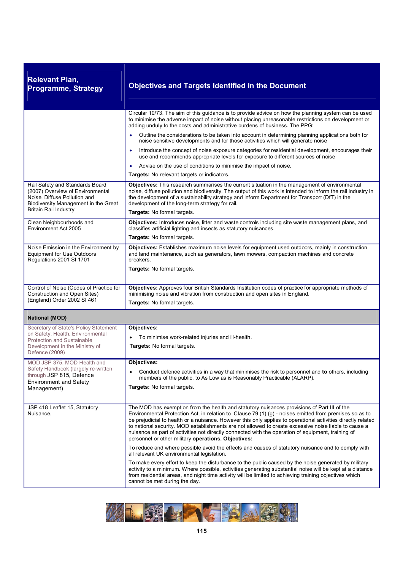| <b>Relevant Plan,</b><br><b>Programme, Strategy</b>                                                                                                                         | <b>Objectives and Targets Identified in the Document</b>                                                                                                                                                                                                                                                                                                                                                                                                                                                                                                                                                                                                                                         |
|-----------------------------------------------------------------------------------------------------------------------------------------------------------------------------|--------------------------------------------------------------------------------------------------------------------------------------------------------------------------------------------------------------------------------------------------------------------------------------------------------------------------------------------------------------------------------------------------------------------------------------------------------------------------------------------------------------------------------------------------------------------------------------------------------------------------------------------------------------------------------------------------|
|                                                                                                                                                                             | Circular 10/73. The aim of this guidance is to provide advice on how the planning system can be used<br>to minimise the adverse impact of noise without placing unreasonable restrictions on development or<br>adding unduly to the costs and administrative burdens of business. The PPG:<br>Outline the considerations to be taken into account in determining planning applications both for<br>noise sensitive developments and for those activities which will generate noise<br>Introduce the concept of noise exposure categories for residential development, encourages their<br>$\bullet$<br>use and recommends appropriate levels for exposure to different sources of noise          |
|                                                                                                                                                                             | Advise on the use of conditions to minimise the impact of noise.<br>$\bullet$<br>Targets: No relevant targets or indicators.                                                                                                                                                                                                                                                                                                                                                                                                                                                                                                                                                                     |
| Rail Safety and Standards Board<br>(2007) Overview of Environmental<br>Noise, Diffuse Pollution and<br>Biodiversity Management in the Great<br><b>Britain Rail Industry</b> | Objectives: This research summarises the current situation in the management of environmental<br>noise, diffuse pollution and biodiversity. The output of this work is intended to inform the rail industry in<br>the development of a sustainability strategy and inform Department for Transport (DfT) in the<br>development of the long-term strategy for rail.<br>Targets: No formal targets.                                                                                                                                                                                                                                                                                                |
| Clean Neighbourhoods and<br>Environment Act 2005                                                                                                                            | Objectives: Introduces noise, litter and waste controls including site waste management plans, and<br>classifies artificial lighting and insects as statutory nuisances.<br>Targets: No formal targets.                                                                                                                                                                                                                                                                                                                                                                                                                                                                                          |
| Noise Emission in the Environment by<br><b>Equipment for Use Outdoors</b><br>Regulations 2001 SI 1701                                                                       | Objectives: Establishes maximum noise levels for equipment used outdoors, mainly in construction<br>and land maintenance, such as generators, lawn mowers, compaction machines and concrete<br>breakers.<br>Targets: No formal targets.                                                                                                                                                                                                                                                                                                                                                                                                                                                          |
| Control of Noise (Codes of Practice for<br>Construction and Open Sites)<br>(England) Order 2002 SI 461                                                                      | Objectives: Approves four British Standards Institution codes of practice for appropriate methods of<br>minimising noise and vibration from construction and open sites in England.<br>Targets: No formal targets.                                                                                                                                                                                                                                                                                                                                                                                                                                                                               |
| <b>National (MOD)</b>                                                                                                                                                       |                                                                                                                                                                                                                                                                                                                                                                                                                                                                                                                                                                                                                                                                                                  |
| Secretary of State's Policy Statement<br>on Safety, Health, Environmental<br><b>Protection and Sustainable</b><br>Development in the Ministry of<br>Defence (2009)          | Objectives:<br>To minimise work-related injuries and ill-health.<br>Targets: No formal targets.                                                                                                                                                                                                                                                                                                                                                                                                                                                                                                                                                                                                  |
| MOD JSP 375, MOD Health and<br>Safety Handbook (largely re-written<br>through JSP 815, Defence<br><b>Environment and Safety</b><br>Management)                              | Objectives:<br>Conduct defence activities in a way that minimises the risk to personnel and to others, including<br>members of the public, to As Low as is Reasonably Practicable (ALARP).<br>Targets: No formal targets.                                                                                                                                                                                                                                                                                                                                                                                                                                                                        |
| JSP 418 Leaflet 15, Statutory<br>Nuisance.                                                                                                                                  | The MOD has exemption from the health and statutory nuisances provisions of Part III of the<br>Environmental Protection Act, in relation to Clause 79 (1) (g) - noises emitted from premises so as to<br>be prejudicial to health or a nuisance. However this only applies to operational activities directly related<br>to national security. MOD establishments are not allowed to create excessive noise liable to cause a<br>nuisance as part of activities not directly connected with the operation of equipment, training of<br>personnel or other military operations. Objectives:<br>To reduce and where possible avoid the effects and causes of statutory nuisance and to comply with |
|                                                                                                                                                                             | all relevant UK environmental legislation.<br>To make every effort to keep the disturbance to the public caused by the noise generated by military<br>activity to a minimum. Where possible, activities generating substantial noise will be kept at a distance<br>from residential areas, and night time activity will be limited to achieving training objectives which<br>cannot be met during the day.                                                                                                                                                                                                                                                                                       |

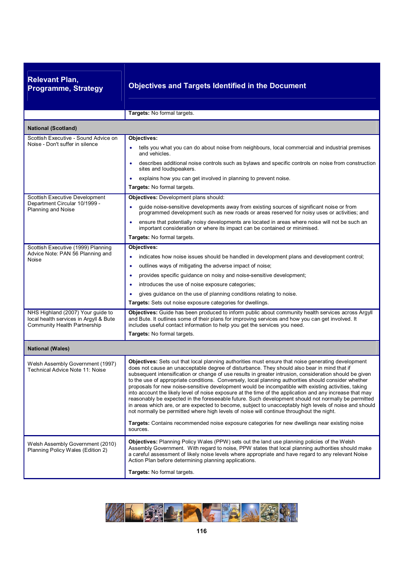| <b>Objectives and Targets Identified in the Document</b>                                                                                                                                                                                                                                                                                                                                                                                                                                                                                                                                                                                                                                                                                                                                                                                                                                                                                                                                                                                                                  |
|---------------------------------------------------------------------------------------------------------------------------------------------------------------------------------------------------------------------------------------------------------------------------------------------------------------------------------------------------------------------------------------------------------------------------------------------------------------------------------------------------------------------------------------------------------------------------------------------------------------------------------------------------------------------------------------------------------------------------------------------------------------------------------------------------------------------------------------------------------------------------------------------------------------------------------------------------------------------------------------------------------------------------------------------------------------------------|
| Targets: No formal targets.                                                                                                                                                                                                                                                                                                                                                                                                                                                                                                                                                                                                                                                                                                                                                                                                                                                                                                                                                                                                                                               |
|                                                                                                                                                                                                                                                                                                                                                                                                                                                                                                                                                                                                                                                                                                                                                                                                                                                                                                                                                                                                                                                                           |
| Objectives:<br>tells you what you can do about noise from neighbours, local commercial and industrial premises<br>and vehicles.<br>describes additional noise controls such as bylaws and specific controls on noise from construction<br>٠<br>sites and loudspeakers.<br>explains how you can get involved in planning to prevent noise.<br>Targets: No formal targets.                                                                                                                                                                                                                                                                                                                                                                                                                                                                                                                                                                                                                                                                                                  |
| <b>Objectives:</b> Development plans should:<br>guide noise-sensitive developments away from existing sources of significant noise or from<br>٠<br>programmed development such as new roads or areas reserved for noisy uses or activities; and<br>ensure that potentially noisy developments are located in areas where noise will not be such an<br>٠<br>important consideration or where its impact can be contained or minimised.<br>Targets: No formal targets.                                                                                                                                                                                                                                                                                                                                                                                                                                                                                                                                                                                                      |
| Objectives:<br>indicates how noise issues should be handled in development plans and development control;<br>outlines ways of mitigating the adverse impact of noise;<br>$\bullet$<br>provides specific guidance on noisy and noise-sensitive development;<br>$\bullet$<br>introduces the use of noise exposure categories;<br>$\bullet$<br>gives guidance on the use of planning conditions relating to noise.<br>Targets: Sets out noise exposure categories for dwellings.                                                                                                                                                                                                                                                                                                                                                                                                                                                                                                                                                                                             |
| Objectives: Guide has been produced to inform public about community health services across Argyll<br>and Bute. It outlines some of their plans for improving services and how you can get involved. It<br>includes useful contact information to help you get the services you need.<br>Targets: No formal targets.                                                                                                                                                                                                                                                                                                                                                                                                                                                                                                                                                                                                                                                                                                                                                      |
|                                                                                                                                                                                                                                                                                                                                                                                                                                                                                                                                                                                                                                                                                                                                                                                                                                                                                                                                                                                                                                                                           |
| <b>Objectives:</b> Sets out that local planning authorities must ensure that noise generating development<br>does not cause an unacceptable degree of disturbance. They should also bear in mind that if<br>subsequent intensification or change of use results in greater intrusion, consideration should be given<br>to the use of appropriate conditions. Conversely, local planning authorities should consider whether<br>proposals for new noise-sensitive development would be incompatible with existing activities, taking<br>into account the likely level of noise exposure at the time of the application and any increase that may<br>reasonably be expected in the foreseeable future. Such development should not normally be permitted<br>in areas which are, or are expected to become, subject to unacceptably high levels of noise and should<br>not normally be permitted where high levels of noise will continue throughout the night.<br>Targets: Contains recommended noise exposure categories for new dwellings near existing noise<br>sources. |
| Objectives: Planning Policy Wales (PPW) sets out the land use planning policies of the Welsh<br>Assembly Government. With regard to noise, PPW states that local planning authorities should make<br>a careful assessment of likely noise levels where appropriate and have regard to any relevant Noise<br>Action Plan before determining planning applications.<br>Targets: No formal targets.                                                                                                                                                                                                                                                                                                                                                                                                                                                                                                                                                                                                                                                                          |
|                                                                                                                                                                                                                                                                                                                                                                                                                                                                                                                                                                                                                                                                                                                                                                                                                                                                                                                                                                                                                                                                           |

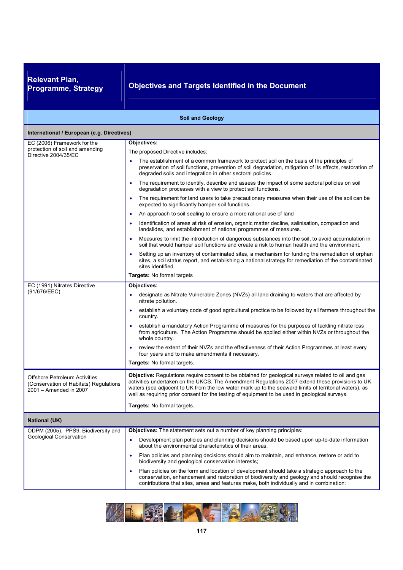**Relevant Plan,** 

## **Programme, Strategy Objectives and Targets Identified in the Document**

|                                                                                                          | <b>Soil and Geology</b>                                                                                                                                                                                                                                                                                                                                                                                            |
|----------------------------------------------------------------------------------------------------------|--------------------------------------------------------------------------------------------------------------------------------------------------------------------------------------------------------------------------------------------------------------------------------------------------------------------------------------------------------------------------------------------------------------------|
| International / European (e.g. Directives)                                                               |                                                                                                                                                                                                                                                                                                                                                                                                                    |
| EC (2006) Framework for the                                                                              | Objectives:                                                                                                                                                                                                                                                                                                                                                                                                        |
| protection of soil and amending<br>Directive 2004/35/EC                                                  | The proposed Directive includes:                                                                                                                                                                                                                                                                                                                                                                                   |
|                                                                                                          | The establishment of a common framework to protect soil on the basis of the principles of<br>preservation of soil functions, prevention of soil degradation, mitigation of its effects, restoration of<br>degraded soils and integration in other sectoral policies.                                                                                                                                               |
|                                                                                                          | The requirement to identify, describe and assess the impact of some sectoral policies on soil<br>degradation processes with a view to protect soil functions.                                                                                                                                                                                                                                                      |
|                                                                                                          | The requirement for land users to take precautionary measures when their use of the soil can be<br>$\bullet$<br>expected to significantly hamper soil functions.                                                                                                                                                                                                                                                   |
|                                                                                                          | An approach to soil sealing to ensure a more rational use of land<br>$\bullet$                                                                                                                                                                                                                                                                                                                                     |
|                                                                                                          | Identification of areas at risk of erosion, organic matter decline, salinisation, compaction and<br>landslides, and establishment of national programmes of measures.                                                                                                                                                                                                                                              |
|                                                                                                          | Measures to limit the introduction of dangerous substances into the soil, to avoid accumulation in<br>soil that would hamper soil functions and create a risk to human health and the environment.                                                                                                                                                                                                                 |
|                                                                                                          | Setting up an inventory of contaminated sites, a mechanism for funding the remediation of orphan<br>$\bullet$<br>sites, a soil status report, and establishing a national strategy for remediation of the contaminated<br>sites identified.                                                                                                                                                                        |
|                                                                                                          | Targets: No formal targets                                                                                                                                                                                                                                                                                                                                                                                         |
| EC (1991) Nitrates Directive                                                                             | Objectives:                                                                                                                                                                                                                                                                                                                                                                                                        |
| (91/676/EEC)                                                                                             | designate as Nitrate Vulnerable Zones (NVZs) all land draining to waters that are affected by<br>nitrate pollution.                                                                                                                                                                                                                                                                                                |
|                                                                                                          | establish a voluntary code of good agricultural practice to be followed by all farmers throughout the<br>٠<br>country.                                                                                                                                                                                                                                                                                             |
|                                                                                                          | establish a mandatory Action Programme of measures for the purposes of tackling nitrate loss<br>from agriculture. The Action Programme should be applied either within NVZs or throughout the<br>whole country.                                                                                                                                                                                                    |
|                                                                                                          | review the extent of their NVZs and the effectiveness of their Action Programmes at least every<br>four years and to make amendments if necessary.                                                                                                                                                                                                                                                                 |
|                                                                                                          | <b>Targets:</b> No formal targets.                                                                                                                                                                                                                                                                                                                                                                                 |
| <b>Offshore Petroleum Activities</b><br>(Conservation of Habitats) Regulations<br>2001 - Amended in 2007 | Objective: Regulations require consent to be obtained for geological surveys related to oil and gas<br>activities undertaken on the UKCS. The Amendment Regulations 2007 extend these provisions to UK<br>waters (sea adjacent to UK from the low water mark up to the seaward limits of territorial waters), as<br>well as requiring prior consent for the testing of equipment to be used in geological surveys. |
|                                                                                                          | Targets: No formal targets.                                                                                                                                                                                                                                                                                                                                                                                        |
| <b>National (UK)</b>                                                                                     |                                                                                                                                                                                                                                                                                                                                                                                                                    |
| ODPM (2005). PPS9: Biodiversity and                                                                      | Objectives: The statement sets out a number of key planning principles:                                                                                                                                                                                                                                                                                                                                            |
| <b>Geological Conservation</b>                                                                           | Development plan policies and planning decisions should be based upon up-to-date information<br>$\bullet$<br>about the environmental characteristics of their areas;                                                                                                                                                                                                                                               |
|                                                                                                          | Plan policies and planning decisions should aim to maintain, and enhance, restore or add to<br>٠<br>biodiversity and geological conservation interests;                                                                                                                                                                                                                                                            |
|                                                                                                          | Plan policies on the form and location of development should take a strategic approach to the<br>٠<br>conservation, enhancement and restoration of biodiversity and geology and should recognise the<br>contributions that sites, areas and features make, both individually and in combination;                                                                                                                   |

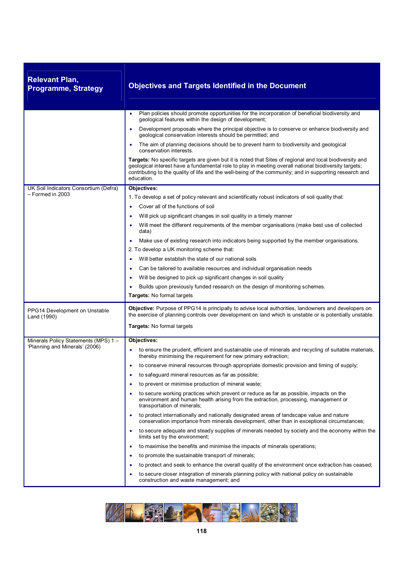| <b>Relevant Plan,</b><br><b>Programme, Strategy</b> | <b>Objectives and Targets Identified in the Document</b>                                                                                                                                                                                                                                                                                   |
|-----------------------------------------------------|--------------------------------------------------------------------------------------------------------------------------------------------------------------------------------------------------------------------------------------------------------------------------------------------------------------------------------------------|
|                                                     | Plan policies should promote opportunities for the incorporation of beneficial biodiversity and<br>$\bullet$<br>geological features within the design of development;                                                                                                                                                                      |
|                                                     | Development proposals where the principal objective is to conserve or enhance biodiversity and<br>$\bullet$<br>geological conservation interests should be permitted; and                                                                                                                                                                  |
|                                                     | The aim of planning decisions should be to prevent harm to biodiversity and geological<br>conservation interests.                                                                                                                                                                                                                          |
|                                                     | Targets: No specific targets are given but it is noted that Sites of regional and local biodiversity and<br>geological interest have a fundamental role to play in meeting overall national biodiversity targets;<br>contributing to the quality of life and the well-being of the community; and in supporting research and<br>education. |
| UK Soil Indicators Consortium (Defra)               | Objectives:                                                                                                                                                                                                                                                                                                                                |
| - Formed in 2003                                    | 1. To develop a set of policy relevant and scientifically robust indicators of soil quality that:                                                                                                                                                                                                                                          |
|                                                     | Cover all of the functions of soil<br>$\bullet$                                                                                                                                                                                                                                                                                            |
|                                                     | Will pick up significant changes in soil quality in a timely manner<br>٠                                                                                                                                                                                                                                                                   |
|                                                     | Will meet the different requirements of the member organisations (make best use of collected<br>data)                                                                                                                                                                                                                                      |
|                                                     | Make use of existing research into indicators being supported by the member organisations.                                                                                                                                                                                                                                                 |
|                                                     | 2. To develop a UK monitoring scheme that:                                                                                                                                                                                                                                                                                                 |
|                                                     | Will better establish the state of our national soils<br>$\bullet$                                                                                                                                                                                                                                                                         |
|                                                     | Can be tailored to available resources and individual organisation needs<br>$\bullet$                                                                                                                                                                                                                                                      |
|                                                     | Will be designed to pick up significant changes in soil quality                                                                                                                                                                                                                                                                            |
|                                                     | Builds upon previously funded research on the design of monitoring schemes.                                                                                                                                                                                                                                                                |
|                                                     | Targets: No formal targets                                                                                                                                                                                                                                                                                                                 |
| PPG14 Development on Unstable<br>Land (1990)        | Objective: Purpose of PPG14 is principally to advise local authorities, landowners and developers on<br>the exercise of planning controls over development on land which is unstable or is potentially unstable.                                                                                                                           |
|                                                     | <b>Targets:</b> No formal targets                                                                                                                                                                                                                                                                                                          |
| Minerals Policy Statements (MPS) 1-                 | Objectives:                                                                                                                                                                                                                                                                                                                                |
| 'Planning and Minerals' (2006)                      | to ensure the prudent, efficient and sustainable use of minerals and recycling of suitable materials,<br>$\bullet$<br>thereby minimising the requirement for new primary extraction;                                                                                                                                                       |
|                                                     | to conserve mineral resources through appropriate domestic provision and timing of supply;                                                                                                                                                                                                                                                 |
|                                                     | to safeguard mineral resources as far as possible;<br>٠                                                                                                                                                                                                                                                                                    |
|                                                     | to prevent or minimise production of mineral waste;                                                                                                                                                                                                                                                                                        |
|                                                     | to secure working practices which prevent or reduce as far as possible, impacts on the<br>٠<br>environment and human health arising from the extraction, processing, management or<br>transportation of minerals;                                                                                                                          |
|                                                     | to protect internationally and nationally designated areas of landscape value and nature<br>٠<br>conservation importance from minerals development, other than in exceptional circumstances;                                                                                                                                               |
|                                                     | to secure adequate and steady supplies of minerals needed by society and the economy within the<br>٠<br>limits set by the environment;                                                                                                                                                                                                     |
|                                                     | to maximise the benefits and minimise the impacts of minerals operations;<br>$\bullet$                                                                                                                                                                                                                                                     |
|                                                     | to promote the sustainable transport of minerals;<br>٠                                                                                                                                                                                                                                                                                     |
|                                                     | to protect and seek to enhance the overall quality of the environment once extraction has ceased;<br>٠                                                                                                                                                                                                                                     |
|                                                     | to secure closer integration of minerals planning policy with national policy on sustainable<br>٠<br>construction and waste management; and                                                                                                                                                                                                |

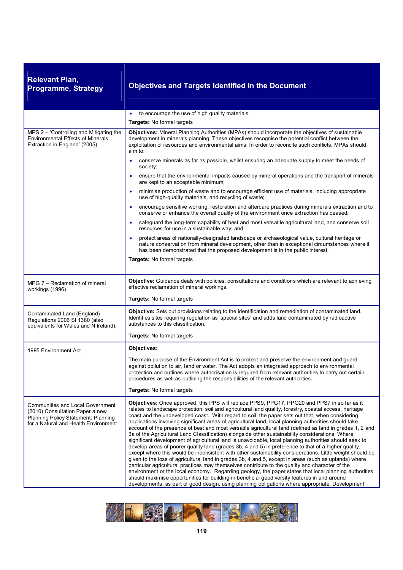| <b>Relevant Plan,</b><br><b>Programme, Strategy</b>                                                                                                | <b>Objectives and Targets Identified in the Document</b>                                                                                                                                                                                                                                                                                                                                                                                                                                                                                                                                                                                                                                                                                                                                                                                                                                                                                                                                                                                                                                                                                                                                                                                                                                                                                                                                                                                                                                   |
|----------------------------------------------------------------------------------------------------------------------------------------------------|--------------------------------------------------------------------------------------------------------------------------------------------------------------------------------------------------------------------------------------------------------------------------------------------------------------------------------------------------------------------------------------------------------------------------------------------------------------------------------------------------------------------------------------------------------------------------------------------------------------------------------------------------------------------------------------------------------------------------------------------------------------------------------------------------------------------------------------------------------------------------------------------------------------------------------------------------------------------------------------------------------------------------------------------------------------------------------------------------------------------------------------------------------------------------------------------------------------------------------------------------------------------------------------------------------------------------------------------------------------------------------------------------------------------------------------------------------------------------------------------|
|                                                                                                                                                    | to encourage the use of high quality materials.                                                                                                                                                                                                                                                                                                                                                                                                                                                                                                                                                                                                                                                                                                                                                                                                                                                                                                                                                                                                                                                                                                                                                                                                                                                                                                                                                                                                                                            |
|                                                                                                                                                    | Targets: No formal targets                                                                                                                                                                                                                                                                                                                                                                                                                                                                                                                                                                                                                                                                                                                                                                                                                                                                                                                                                                                                                                                                                                                                                                                                                                                                                                                                                                                                                                                                 |
| MPS 2 - 'Controlling and Mitigating the<br><b>Environmental Effects of Minerals</b><br>Extraction in England' (2005)                               | Objectives: Mineral Planning Authorities (MPAs) should incorporate the objectives of sustainable<br>development in minerals planning. These objectives recognise the potential conflict between the<br>exploitation of resources and environmental aims. In order to reconcile such conflicts, MPAs should<br>aim to:                                                                                                                                                                                                                                                                                                                                                                                                                                                                                                                                                                                                                                                                                                                                                                                                                                                                                                                                                                                                                                                                                                                                                                      |
|                                                                                                                                                    | conserve minerals as far as possible, whilst ensuring an adequate supply to meet the needs of<br>society;                                                                                                                                                                                                                                                                                                                                                                                                                                                                                                                                                                                                                                                                                                                                                                                                                                                                                                                                                                                                                                                                                                                                                                                                                                                                                                                                                                                  |
|                                                                                                                                                    | ensure that the environmental impacts caused by mineral operations and the transport of minerals<br>$\bullet$<br>are kept to an acceptable minimum;                                                                                                                                                                                                                                                                                                                                                                                                                                                                                                                                                                                                                                                                                                                                                                                                                                                                                                                                                                                                                                                                                                                                                                                                                                                                                                                                        |
|                                                                                                                                                    | minimise production of waste and to encourage efficient use of materials, including appropriate<br>use of high-quality materials, and recycling of waste;                                                                                                                                                                                                                                                                                                                                                                                                                                                                                                                                                                                                                                                                                                                                                                                                                                                                                                                                                                                                                                                                                                                                                                                                                                                                                                                                  |
|                                                                                                                                                    | encourage sensitive working, restoration and aftercare practices during minerals extraction and to<br>$\bullet$<br>conserve or enhance the overall quality of the environment once extraction has ceased;                                                                                                                                                                                                                                                                                                                                                                                                                                                                                                                                                                                                                                                                                                                                                                                                                                                                                                                                                                                                                                                                                                                                                                                                                                                                                  |
|                                                                                                                                                    | safeguard the long-term capability of best and most versatile agricultural land, and conserve soil<br>$\bullet$<br>resources for use in a sustainable way; and                                                                                                                                                                                                                                                                                                                                                                                                                                                                                                                                                                                                                                                                                                                                                                                                                                                                                                                                                                                                                                                                                                                                                                                                                                                                                                                             |
|                                                                                                                                                    | protect areas of nationally-designated landscape or archaeological value, cultural heritage or<br>nature conservation from mineral development, other than in exceptional circumstances where it<br>has been demonstrated that the proposed development is in the public interest.                                                                                                                                                                                                                                                                                                                                                                                                                                                                                                                                                                                                                                                                                                                                                                                                                                                                                                                                                                                                                                                                                                                                                                                                         |
|                                                                                                                                                    | Targets: No formal targets                                                                                                                                                                                                                                                                                                                                                                                                                                                                                                                                                                                                                                                                                                                                                                                                                                                                                                                                                                                                                                                                                                                                                                                                                                                                                                                                                                                                                                                                 |
| MPG 7 - Reclamation of mineral<br>workings (1996)                                                                                                  | Objective: Guidance deals with policies, consultations and conditions which are relevant to achieving<br>effective reclamation of mineral workings.                                                                                                                                                                                                                                                                                                                                                                                                                                                                                                                                                                                                                                                                                                                                                                                                                                                                                                                                                                                                                                                                                                                                                                                                                                                                                                                                        |
|                                                                                                                                                    | Targets: No formal targets                                                                                                                                                                                                                                                                                                                                                                                                                                                                                                                                                                                                                                                                                                                                                                                                                                                                                                                                                                                                                                                                                                                                                                                                                                                                                                                                                                                                                                                                 |
| Contaminated Land (England)<br>Regulations 2006 SI 1380 (also<br>equivalents for Wales and N. Ireland).                                            | Objective: Sets out provisions relating to the identification and remediation of contaminated land.<br>Identifies sites requiring regulation as 'special sites' and adds land contaminated by radioactive<br>substances to this classification.                                                                                                                                                                                                                                                                                                                                                                                                                                                                                                                                                                                                                                                                                                                                                                                                                                                                                                                                                                                                                                                                                                                                                                                                                                            |
|                                                                                                                                                    | Targets: No formal targets                                                                                                                                                                                                                                                                                                                                                                                                                                                                                                                                                                                                                                                                                                                                                                                                                                                                                                                                                                                                                                                                                                                                                                                                                                                                                                                                                                                                                                                                 |
| 1995 Environment Act                                                                                                                               | Objectives:                                                                                                                                                                                                                                                                                                                                                                                                                                                                                                                                                                                                                                                                                                                                                                                                                                                                                                                                                                                                                                                                                                                                                                                                                                                                                                                                                                                                                                                                                |
|                                                                                                                                                    | The main purpose of the Environment Act is to protect and preserve the environment and guard<br>against pollution to air, land or water. The Act adopts an integrated approach to environmental<br>protection and outlines where authorisation is required from relevant authorities to carry out certain<br>procedures as well as outlining the responsibilities of the relevant authorities.                                                                                                                                                                                                                                                                                                                                                                                                                                                                                                                                                                                                                                                                                                                                                                                                                                                                                                                                                                                                                                                                                             |
|                                                                                                                                                    | <b>Targets:</b> No formal targets                                                                                                                                                                                                                                                                                                                                                                                                                                                                                                                                                                                                                                                                                                                                                                                                                                                                                                                                                                                                                                                                                                                                                                                                                                                                                                                                                                                                                                                          |
| Communities and Local Government<br>(2010) Consultation Paper a new<br>Planning Policy Statement: Planning<br>for a Natural and Health Environment | Objectives: Once approved, this PPS will replace PPS9, PPG17, PPG20 and PPS7 in so far as it<br>relates to landscape protection, soil and agricultural land quality, forestry, coastal access, heritage<br>coast and the undeveloped coast. With regard to soil, the paper sets out that, when considering<br>applications involving significant areas of agricultural land, local planning authorities should take<br>account of the presence of best and most versatile agricultural land (defined as land in grades 1, 2 and<br>3a of the Agricultural Land Classification) alongside other sustainability considerations. Where<br>significant development of agricultural land is unavoidable, local planning authorities should seek to<br>develop areas of poorer quality land (grades 3b, 4 and 5) in preference to that of a higher quality,<br>except where this would be inconsistent with other sustainability considerations. Little weight should be<br>given to the loss of agricultural land in grades 3b, 4 and 5, except in areas (such as uplands) where<br>particular agricultural practices may themselves contribute to the quality and character of the<br>environment or the local economy. Regarding geology, the paper states that local planning authorities<br>should maximise opportunities for building-in beneficial geodiversity features in and around<br>developments, as part of good design, using planning obligations where appropriate. Development |

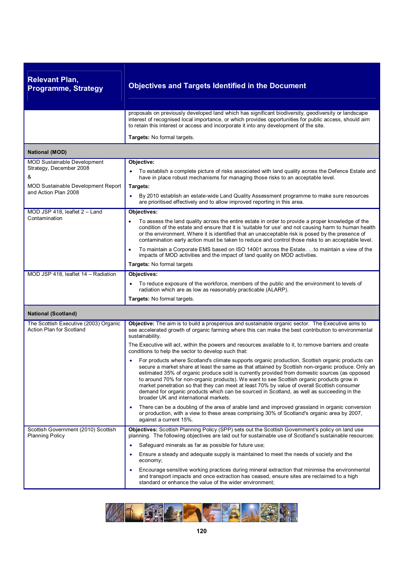| <b>Relevant Plan,</b><br><b>Programme, Strategy</b>                | <b>Objectives and Targets Identified in the Document</b>                                                                                                                                                                                                                                                                                                                                                                                                                                                                                                                                                                                  |
|--------------------------------------------------------------------|-------------------------------------------------------------------------------------------------------------------------------------------------------------------------------------------------------------------------------------------------------------------------------------------------------------------------------------------------------------------------------------------------------------------------------------------------------------------------------------------------------------------------------------------------------------------------------------------------------------------------------------------|
|                                                                    | proposals on previously developed land which has significant biodiversity, geodiversity or landscape<br>interest of recognised local importance, or which provides opportunities for public access, should aim<br>to retain this interest or access and incorporate it into any development of the site.                                                                                                                                                                                                                                                                                                                                  |
|                                                                    | Targets: No formal targets.                                                                                                                                                                                                                                                                                                                                                                                                                                                                                                                                                                                                               |
| <b>National (MOD)</b>                                              |                                                                                                                                                                                                                                                                                                                                                                                                                                                                                                                                                                                                                                           |
| <b>MOD Sustainable Development</b><br>Strategy, December 2008<br>& | Objective:<br>To establish a complete picture of risks associated with land quality across the Defence Estate and<br>have in place robust mechanisms for managing those risks to an acceptable level.                                                                                                                                                                                                                                                                                                                                                                                                                                     |
| <b>MOD Sustainable Development Report</b><br>and Action Plan 2008  | Targets:                                                                                                                                                                                                                                                                                                                                                                                                                                                                                                                                                                                                                                  |
|                                                                    | By 2010 establish an estate-wide Land Quality Assessment programme to make sure resources<br>$\bullet$<br>are prioritised effectively and to allow improved reporting in this area.                                                                                                                                                                                                                                                                                                                                                                                                                                                       |
| MOD JSP 418, leaflet 2 - Land<br>Contamination                     | Objectives:<br>To assess the land quality across the entire estate in order to provide a proper knowledge of the<br>condition of the estate and ensure that it is 'suitable for use' and not causing harm to human health                                                                                                                                                                                                                                                                                                                                                                                                                 |
|                                                                    | or the environment. Where it is identified that an unacceptable risk is posed by the presence of<br>contamination early action must be taken to reduce and control those risks to an acceptable level.                                                                                                                                                                                                                                                                                                                                                                                                                                    |
|                                                                    | To maintain a Corporate EMS based on ISO 14001 across the Estate. to maintain a view of the<br>$\bullet$<br>impacts of MOD activities and the impact of land quality on MOD activities.                                                                                                                                                                                                                                                                                                                                                                                                                                                   |
|                                                                    | <b>Targets:</b> No formal targets                                                                                                                                                                                                                                                                                                                                                                                                                                                                                                                                                                                                         |
| MOD JSP 418, leaflet 14 - Radiation                                | Objectives:                                                                                                                                                                                                                                                                                                                                                                                                                                                                                                                                                                                                                               |
|                                                                    | To reduce exposure of the workforce, members of the public and the environment to levels of<br>radiation which are as low as reasonably practicable (ALARP).                                                                                                                                                                                                                                                                                                                                                                                                                                                                              |
|                                                                    | <b>Targets:</b> No formal targets.                                                                                                                                                                                                                                                                                                                                                                                                                                                                                                                                                                                                        |
| <b>National (Scotland)</b>                                         |                                                                                                                                                                                                                                                                                                                                                                                                                                                                                                                                                                                                                                           |
| The Scottish Executive (2003) Organic<br>Action Plan for Scotland  | Objective: The aim is to build a prosperous and sustainable organic sector. The Executive aims to<br>see accelerated growth of organic farming where this can make the best contribution to environmental<br>sustainability.                                                                                                                                                                                                                                                                                                                                                                                                              |
|                                                                    | The Executive will act, within the powers and resources available to it, to remove barriers and create<br>conditions to help the sector to develop such that:                                                                                                                                                                                                                                                                                                                                                                                                                                                                             |
|                                                                    | For products where Scotland's climate supports organic production, Scottish organic products can<br>secure a market share at least the same as that attained by Scottish non-organic produce. Only an<br>estimated 35% of organic produce sold is currently provided from domestic sources (as opposed<br>to around 70% for non-organic products). We want to see Scottish organic products grow in<br>market penetration so that they can meet at least 70% by value of overall Scottish consumer<br>demand for organic products which can be sourced in Scotland, as well as succeeding in the<br>broader UK and international markets. |
|                                                                    | There can be a doubling of the area of arable land and improved grassland in organic conversion<br>٠<br>or production, with a view to these areas comprising 30% of Scotland's organic area by 2007,<br>against a current 15%.                                                                                                                                                                                                                                                                                                                                                                                                            |
| Scottish Government (2010) Scottish<br><b>Planning Policy</b>      | Objectives: Scottish Planning Policy (SPP) sets out the Scottish Government's policy on land use<br>planning. The following objectives are laid out for sustainable use of Scotland's sustainable resources:                                                                                                                                                                                                                                                                                                                                                                                                                              |
|                                                                    | Safeguard minerals as far as possible for future use;<br>$\bullet$                                                                                                                                                                                                                                                                                                                                                                                                                                                                                                                                                                        |
|                                                                    | Ensure a steady and adequate supply is maintained to meet the needs of society and the<br>economy;                                                                                                                                                                                                                                                                                                                                                                                                                                                                                                                                        |
|                                                                    | Encourage sensitive working practices during mineral extraction that minimise the environmental<br>and transport impacts and once extraction has ceased, ensure sites are reclaimed to a high<br>standard or enhance the value of the wider environment;                                                                                                                                                                                                                                                                                                                                                                                  |

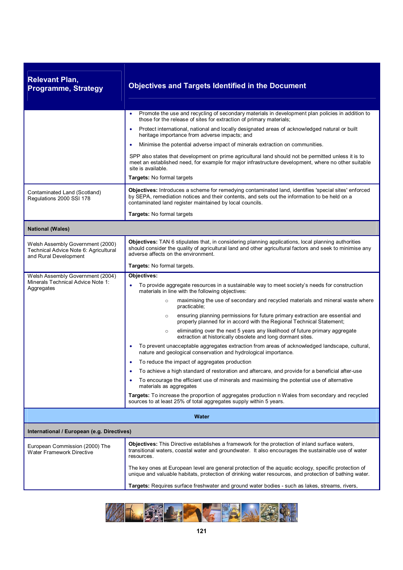| <b>Relevant Plan,</b><br><b>Programme, Strategy</b>                                                | <b>Objectives and Targets Identified in the Document</b>                                                                                                                                                                                                                           |
|----------------------------------------------------------------------------------------------------|------------------------------------------------------------------------------------------------------------------------------------------------------------------------------------------------------------------------------------------------------------------------------------|
|                                                                                                    | Promote the use and recycling of secondary materials in development plan policies in addition to<br>٠<br>those for the release of sites for extraction of primary materials;<br>Protect international, national and locally designated areas of acknowledged natural or built<br>۰ |
|                                                                                                    | heritage importance from adverse impacts; and                                                                                                                                                                                                                                      |
|                                                                                                    | Minimise the potential adverse impact of minerals extraction on communities.<br>٠                                                                                                                                                                                                  |
|                                                                                                    | SPP also states that development on prime agricultural land should not be permitted unless it is to<br>meet an established need, for example for major infrastructure development, where no other suitable<br>site is available.                                                   |
|                                                                                                    | Targets: No formal targets                                                                                                                                                                                                                                                         |
| Contaminated Land (Scotland)<br>Regulations 2000 SSI 178                                           | Objectives: Introduces a scheme for remedying contaminated land, identifies 'special sites' enforced<br>by SEPA, remediation notices and their contents, and sets out the information to be held on a<br>contaminated land register maintained by local councils.                  |
|                                                                                                    | Targets: No formal targets                                                                                                                                                                                                                                                         |
| <b>National (Wales)</b>                                                                            |                                                                                                                                                                                                                                                                                    |
| Welsh Assembly Government (2000)<br>Technical Advice Note 6: Agricultural<br>and Rural Development | Objectives: TAN 6 stipulates that, in considering planning applications, local planning authorities<br>should consider the quality of agricultural land and other agricultural factors and seek to minimise any<br>adverse affects on the environment.                             |
|                                                                                                    | Targets: No formal targets.                                                                                                                                                                                                                                                        |
| Welsh Assembly Government (2004)<br>Minerals Technical Advice Note 1:<br>Aggregates                | Objectives:<br>To provide aggregate resources in a sustainable way to meet society's needs for construction<br>materials in line with the following objectives:                                                                                                                    |
|                                                                                                    | maximising the use of secondary and recycled materials and mineral waste where<br>$\circ$<br>practicable;                                                                                                                                                                          |
|                                                                                                    | ensuring planning permissions for future primary extraction are essential and<br>$\circ$<br>properly planned for in accord with the Regional Technical Statement;                                                                                                                  |
|                                                                                                    | eliminating over the next 5 years any likelihood of future primary aggregate<br>$\circ$<br>extraction at historically obsolete and long dormant sites.                                                                                                                             |
|                                                                                                    | To prevent unacceptable aggregates extraction from areas of acknowledged landscape, cultural,<br>٠<br>nature and geological conservation and hydrological importance.                                                                                                              |
|                                                                                                    | To reduce the impact of aggregates production                                                                                                                                                                                                                                      |
|                                                                                                    | To achieve a high standard of restoration and aftercare, and provide for a beneficial after-use                                                                                                                                                                                    |
|                                                                                                    | To encourage the efficient use of minerals and maximising the potential use of alternative<br>materials as aggregates                                                                                                                                                              |
|                                                                                                    | Targets: To increase the proportion of aggregates production n Wales from secondary and recycled<br>sources to at least 25% of total aggregates supply within 5 years.                                                                                                             |
|                                                                                                    | Water                                                                                                                                                                                                                                                                              |
| International / European (e.g. Directives)                                                         |                                                                                                                                                                                                                                                                                    |
| European Commission (2000) The<br><b>Water Framework Directive</b>                                 | <b>Objectives:</b> This Directive establishes a framework for the protection of inland surface waters,<br>transitional waters, coastal water and groundwater. It also encourages the sustainable use of water<br>resources.                                                        |
|                                                                                                    | The key ones at European level are general protection of the aguatic ecology, specific protection of<br>unique and valuable habitats, protection of drinking water resources, and protection of bathing water.                                                                     |
|                                                                                                    | Targets: Requires surface freshwater and ground water bodies - such as lakes, streams, rivers,                                                                                                                                                                                     |

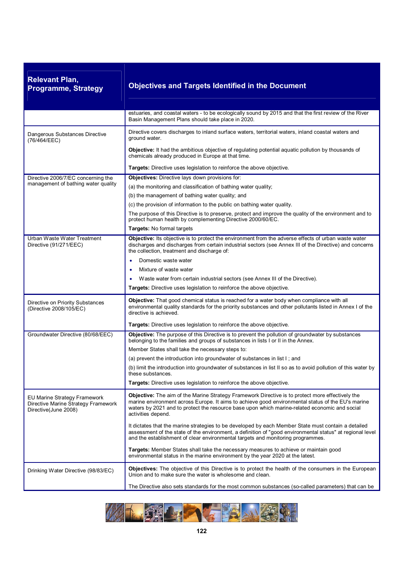| <b>Relevant Plan,</b><br><b>Programme, Strategy</b>                                         | <b>Objectives and Targets Identified in the Document</b>                                                                                                                                                                                                                                                                            |
|---------------------------------------------------------------------------------------------|-------------------------------------------------------------------------------------------------------------------------------------------------------------------------------------------------------------------------------------------------------------------------------------------------------------------------------------|
|                                                                                             | estuaries, and coastal waters - to be ecologically sound by 2015 and that the first review of the River<br>Basin Management Plans should take place in 2020.                                                                                                                                                                        |
| Dangerous Substances Directive<br>(76/464/EEC)                                              | Directive covers discharges to inland surface waters, territorial waters, inland coastal waters and<br>ground water.                                                                                                                                                                                                                |
|                                                                                             | Objective: It had the ambitious objective of regulating potential aquatic pollution by thousands of<br>chemicals already produced in Europe at that time.                                                                                                                                                                           |
|                                                                                             | Targets: Directive uses legislation to reinforce the above objective.                                                                                                                                                                                                                                                               |
| Directive 2006/7/EC concerning the                                                          | Objectives: Directive lays down provisions for:                                                                                                                                                                                                                                                                                     |
| management of bathing water quality                                                         | (a) the monitoring and classification of bathing water quality;                                                                                                                                                                                                                                                                     |
|                                                                                             | (b) the management of bathing water quality; and                                                                                                                                                                                                                                                                                    |
|                                                                                             | (c) the provision of information to the public on bathing water quality.                                                                                                                                                                                                                                                            |
|                                                                                             | The purpose of this Directive is to preserve, protect and improve the quality of the environment and to<br>protect human health by complementing Directive 2000/60/EC.                                                                                                                                                              |
|                                                                                             | Targets: No formal targets                                                                                                                                                                                                                                                                                                          |
| Urban Waste Water Treatment<br>Directive (91/271/EEC)                                       | Objective: Its objective is to protect the environment from the adverse effects of urban waste water<br>discharges and discharges from certain industrial sectors (see Annex III of the Directive) and concerns<br>the collection, treatment and discharge of:                                                                      |
|                                                                                             | Domestic waste water                                                                                                                                                                                                                                                                                                                |
|                                                                                             | Mixture of waste water<br>$\bullet$                                                                                                                                                                                                                                                                                                 |
|                                                                                             | Waste water from certain industrial sectors (see Annex III of the Directive).                                                                                                                                                                                                                                                       |
|                                                                                             | Targets: Directive uses legislation to reinforce the above objective.                                                                                                                                                                                                                                                               |
| Directive on Priority Substances<br>(Directive 2008/105/EC)                                 | Objective: That good chemical status is reached for a water body when compliance with all<br>environmental quality standards for the priority substances and other pollutants listed in Annex I of the<br>directive is achieved.                                                                                                    |
|                                                                                             | Targets: Directive uses legislation to reinforce the above objective.                                                                                                                                                                                                                                                               |
| Groundwater Directive (80/68/EEC)                                                           | Objective: The purpose of this Directive is to prevent the pollution of groundwater by substances<br>belonging to the families and groups of substances in lists I or II in the Annex.                                                                                                                                              |
|                                                                                             | Member States shall take the necessary steps to:                                                                                                                                                                                                                                                                                    |
|                                                                                             | (a) prevent the introduction into groundwater of substances in list I; and                                                                                                                                                                                                                                                          |
|                                                                                             | (b) limit the introduction into groundwater of substances in list II so as to avoid pollution of this water by<br>these substances.                                                                                                                                                                                                 |
|                                                                                             | <b>Targets:</b> Directive uses legislation to reinforce the above objective.                                                                                                                                                                                                                                                        |
| EU Marine Strategy Framework<br>Directive Marine Strategy Framework<br>Directive(June 2008) | <b>Objective:</b> The aim of the Marine Strategy Framework Directive is to protect more effectively the<br>marine environment across Europe. It aims to achieve good environmental status of the EU's marine<br>waters by 2021 and to protect the resource base upon which marine-related economic and social<br>activities depend. |
|                                                                                             | It dictates that the marine strategies to be developed by each Member State must contain a detailed<br>assessment of the state of the environment, a definition of "good environmental status" at regional level<br>and the establishment of clear environmental targets and monitoring programmes.                                 |
|                                                                                             | Targets: Member States shall take the necessary measures to achieve or maintain good<br>environmental status in the marine environment by the year 2020 at the latest.                                                                                                                                                              |
| Drinking Water Directive (98/83/EC)                                                         | <b>Objectives:</b> The objective of this Directive is to protect the health of the consumers in the European<br>Union and to make sure the water is wholesome and clean.                                                                                                                                                            |
|                                                                                             | The Directive also sets standards for the most common substances (so-called parameters) that can be                                                                                                                                                                                                                                 |

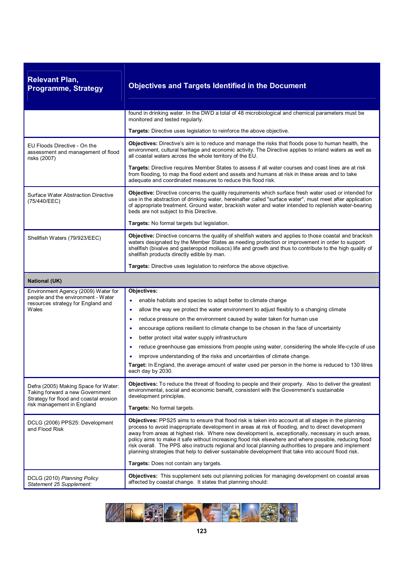| <b>Relevant Plan,</b><br><b>Programme, Strategy</b>                                                               | <b>Objectives and Targets Identified in the Document</b>                                                                                                                                                                                                                                                                                                                                                                                                                                                                                                                                                                                   |
|-------------------------------------------------------------------------------------------------------------------|--------------------------------------------------------------------------------------------------------------------------------------------------------------------------------------------------------------------------------------------------------------------------------------------------------------------------------------------------------------------------------------------------------------------------------------------------------------------------------------------------------------------------------------------------------------------------------------------------------------------------------------------|
|                                                                                                                   | found in drinking water. In the DWD a total of 48 microbiological and chemical parameters must be<br>monitored and tested regularly.                                                                                                                                                                                                                                                                                                                                                                                                                                                                                                       |
|                                                                                                                   | Targets: Directive uses legislation to reinforce the above objective.                                                                                                                                                                                                                                                                                                                                                                                                                                                                                                                                                                      |
| EU Floods Directive - On the<br>assessment and management of flood<br>risks (2007)                                | <b>Objectives:</b> Directive's aim is to reduce and manage the risks that floods pose to human health, the<br>environment, cultural heritage and economic activity. The Directive applies to inland waters as well as<br>all coastal waters across the whole territory of the EU.                                                                                                                                                                                                                                                                                                                                                          |
|                                                                                                                   | Targets: Directive requires Member States to assess if all water courses and coast lines are at risk<br>from flooding, to map the flood extent and assets and humans at risk in these areas and to take<br>adequate and coordinated measures to reduce this flood risk.                                                                                                                                                                                                                                                                                                                                                                    |
| Surface Water Abstraction Directive<br>(75/440/EEC)                                                               | Objective: Directive concerns the quality requirements which surface fresh water used or intended for<br>use in the abstraction of drinking water, hereinafter called "surface water", must meet after application<br>of appropriate treatment. Ground water, brackish water and water intended to replenish water-bearing<br>beds are not subject to this Directive.                                                                                                                                                                                                                                                                      |
|                                                                                                                   | Targets: No formal targets but legislation.                                                                                                                                                                                                                                                                                                                                                                                                                                                                                                                                                                                                |
| Shellfish Waters (79/923/EEC)                                                                                     | Objective: Directive concerns the quality of shellfish waters and applies to those coastal and brackish<br>waters designated by the Member States as needing protection or improvement in order to support<br>shellfish (bivalve and gasteropod molluscs) life and growth and thus to contribute to the high quality of<br>shellfish products directly edible by man.                                                                                                                                                                                                                                                                      |
|                                                                                                                   | Targets: Directive uses legislation to reinforce the above objective.                                                                                                                                                                                                                                                                                                                                                                                                                                                                                                                                                                      |
| <b>National (UK)</b>                                                                                              |                                                                                                                                                                                                                                                                                                                                                                                                                                                                                                                                                                                                                                            |
| Environment Agency (2009) Water for                                                                               | Objectives:                                                                                                                                                                                                                                                                                                                                                                                                                                                                                                                                                                                                                                |
| people and the environment - Water<br>resources strategy for England and                                          | enable habitats and species to adapt better to climate change                                                                                                                                                                                                                                                                                                                                                                                                                                                                                                                                                                              |
| Wales                                                                                                             | allow the way we protect the water environment to adjust flexibly to a changing climate<br>$\bullet$                                                                                                                                                                                                                                                                                                                                                                                                                                                                                                                                       |
|                                                                                                                   | reduce pressure on the environment caused by water taken for human use<br>$\bullet$                                                                                                                                                                                                                                                                                                                                                                                                                                                                                                                                                        |
|                                                                                                                   | encourage options resilient to climate change to be chosen in the face of uncertainty<br>$\bullet$                                                                                                                                                                                                                                                                                                                                                                                                                                                                                                                                         |
|                                                                                                                   | better protect vital water supply infrastructure<br>٠                                                                                                                                                                                                                                                                                                                                                                                                                                                                                                                                                                                      |
|                                                                                                                   | reduce greenhouse gas emissions from people using water, considering the whole life-cycle of use<br>$\bullet$                                                                                                                                                                                                                                                                                                                                                                                                                                                                                                                              |
|                                                                                                                   | improve understanding of the risks and uncertainties of climate change.                                                                                                                                                                                                                                                                                                                                                                                                                                                                                                                                                                    |
|                                                                                                                   | Target: In England, the average amount of water used per person in the home is reduced to 130 litres<br>each day by 2030.                                                                                                                                                                                                                                                                                                                                                                                                                                                                                                                  |
| Defra (2005) Making Space for Water:<br>Taking forward a new Government<br>Strategy for flood and coastal erosion | Objectives: To reduce the threat of flooding to people and their property. Also to deliver the greatest<br>environmental, social and economic benefit, consistent with the Government's sustainable<br>development principles.                                                                                                                                                                                                                                                                                                                                                                                                             |
| risk management in England                                                                                        | Targets: No formal targets.                                                                                                                                                                                                                                                                                                                                                                                                                                                                                                                                                                                                                |
| DCLG (2006) PPS25: Development<br>and Flood Risk                                                                  | Objectives: PPS25 aims to ensure that flood risk is taken into account at all stages in the planning<br>process to avoid inappropriate development in areas at risk of flooding, and to direct development<br>away from areas at highest risk. Where new development is, exceptionally, necessary in such areas,<br>policy aims to make it safe without increasing flood risk elsewhere and where possible, reducing flood<br>risk overall. The PPS also instructs regional and local planning authorities to prepare and implement<br>planning strategies that help to deliver sustainable development that take into account flood risk. |
|                                                                                                                   | Targets: Does not contain any targets.                                                                                                                                                                                                                                                                                                                                                                                                                                                                                                                                                                                                     |
| DCLG (2010) Planning Policy                                                                                       | Objectives: This supplement sets out planning policies for managing development on coastal areas                                                                                                                                                                                                                                                                                                                                                                                                                                                                                                                                           |

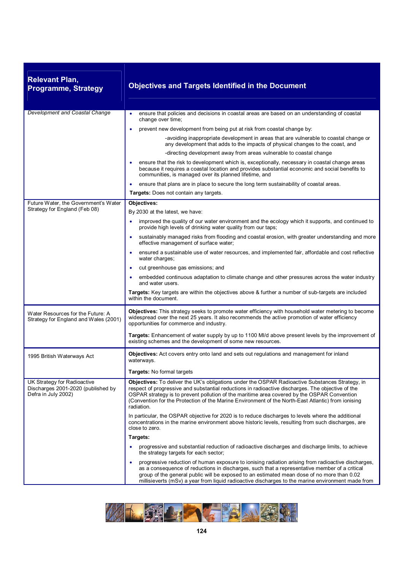| <b>Relevant Plan,</b><br><b>Programme, Strategy</b>                                      | <b>Objectives and Targets Identified in the Document</b>                                                                                                                                                                                                                                                                                                                                                                |
|------------------------------------------------------------------------------------------|-------------------------------------------------------------------------------------------------------------------------------------------------------------------------------------------------------------------------------------------------------------------------------------------------------------------------------------------------------------------------------------------------------------------------|
| <b>Development and Coastal Change</b>                                                    | ensure that policies and decisions in coastal areas are based on an understanding of coastal<br>٠<br>change over time;                                                                                                                                                                                                                                                                                                  |
|                                                                                          | prevent new development from being put at risk from coastal change by:<br>$\bullet$                                                                                                                                                                                                                                                                                                                                     |
|                                                                                          | -avoiding inappropriate development in areas that are vulnerable to coastal change or<br>any development that adds to the impacts of physical changes to the coast, and                                                                                                                                                                                                                                                 |
|                                                                                          | -directing development away from areas vulnerable to coastal change                                                                                                                                                                                                                                                                                                                                                     |
|                                                                                          | ensure that the risk to development which is, exceptionally, necessary in coastal change areas<br>$\bullet$<br>because it requires a coastal location and provides substantial economic and social benefits to<br>communities, is managed over its planned lifetime, and                                                                                                                                                |
|                                                                                          | ensure that plans are in place to secure the long term sustainability of coastal areas.                                                                                                                                                                                                                                                                                                                                 |
|                                                                                          | <b>Targets:</b> Does not contain any targets.                                                                                                                                                                                                                                                                                                                                                                           |
| Future Water, the Government's Water<br>Strategy for England (Feb 08)                    | Objectives:                                                                                                                                                                                                                                                                                                                                                                                                             |
|                                                                                          | By 2030 at the latest, we have:<br>improved the quality of our water environment and the ecology which it supports, and continued to<br>٠                                                                                                                                                                                                                                                                               |
|                                                                                          | provide high levels of drinking water quality from our taps;                                                                                                                                                                                                                                                                                                                                                            |
|                                                                                          | sustainably managed risks from flooding and coastal erosion, with greater understanding and more<br>effective management of surface water;                                                                                                                                                                                                                                                                              |
|                                                                                          | ensured a sustainable use of water resources, and implemented fair, affordable and cost reflective<br>water charges;                                                                                                                                                                                                                                                                                                    |
|                                                                                          | cut greenhouse gas emissions; and<br>٠                                                                                                                                                                                                                                                                                                                                                                                  |
|                                                                                          | embedded continuous adaptation to climate change and other pressures across the water industry<br>and water users.                                                                                                                                                                                                                                                                                                      |
|                                                                                          | Targets: Key targets are within the objectives above & further a number of sub-targets are included<br>within the document.                                                                                                                                                                                                                                                                                             |
| Water Resources for the Future: A<br>Strategy for England and Wales (2001)               | Objectives: This strategy seeks to promote water efficiency with household water metering to become<br>widespread over the next 25 years. It also recommends the active promotion of water efficiency<br>opportunities for commerce and industry.                                                                                                                                                                       |
|                                                                                          | Targets: Enhancement of water supply by up to 1100 MI/d above present levels by the improvement of<br>existing schemes and the development of some new resources.                                                                                                                                                                                                                                                       |
| 1995 British Waterways Act                                                               | <b>Objectives:</b> Act covers entry onto land and sets out regulations and management for inland<br>waterways.                                                                                                                                                                                                                                                                                                          |
|                                                                                          | Targets: No formal targets                                                                                                                                                                                                                                                                                                                                                                                              |
| UK Strategy for Radioactive<br>Discharges 2001-2020 (published by<br>Defra in July 2002) | Objectives: To deliver the UK's obligations under the OSPAR Radioactive Substances Strategy, in<br>respect of progressive and substantial reductions in radioactive discharges. The objective of the<br>OSPAR strategy is to prevent pollution of the maritime area covered by the OSPAR Convention<br>(Convention for the Protection of the Marine Environment of the North-East Atlantic) from ionising<br>radiation. |
|                                                                                          | In particular, the OSPAR objective for 2020 is to reduce discharges to levels where the additional<br>concentrations in the marine environment above historic levels, resulting from such discharges, are<br>close to zero.                                                                                                                                                                                             |
|                                                                                          | Targets:                                                                                                                                                                                                                                                                                                                                                                                                                |
|                                                                                          | progressive and substantial reduction of radioactive discharges and discharge limits, to achieve<br>٠<br>the strategy targets for each sector;                                                                                                                                                                                                                                                                          |
|                                                                                          | progressive reduction of human exposure to ionising radiation arising from radioactive discharges,<br>٠<br>as a consequence of reductions in discharges, such that a representative member of a critical<br>group of the general public will be exposed to an estimated mean dose of no more than 0.02<br>millisieverts (mSv) a year from liquid radioactive discharges to the marine environment made from             |

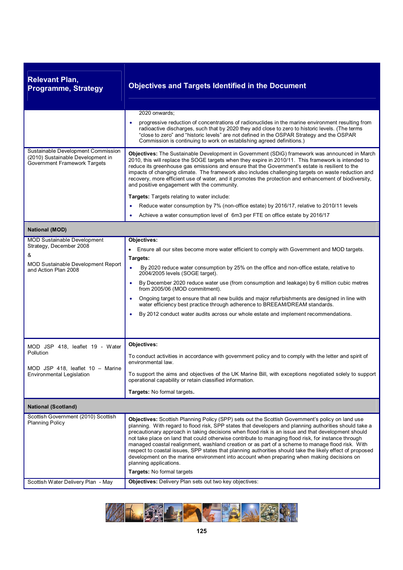| <b>Relevant Plan,</b><br><b>Programme, Strategy</b>                                                                                                                                     | <b>Objectives and Targets Identified in the Document</b>                                                                                                                                                                                                                                                                                                                                                                                                                                                                                                                                                                                                                                                                                                                                                                                       |
|-----------------------------------------------------------------------------------------------------------------------------------------------------------------------------------------|------------------------------------------------------------------------------------------------------------------------------------------------------------------------------------------------------------------------------------------------------------------------------------------------------------------------------------------------------------------------------------------------------------------------------------------------------------------------------------------------------------------------------------------------------------------------------------------------------------------------------------------------------------------------------------------------------------------------------------------------------------------------------------------------------------------------------------------------|
|                                                                                                                                                                                         | 2020 onwards:<br>progressive reduction of concentrations of radionuclides in the marine environment resulting from<br>radioactive discharges, such that by 2020 they add close to zero to historic levels. (The terms<br>"close to zero" and "historic levels" are not defined in the OSPAR Strategy and the OSPAR<br>Commission is continuing to work on establishing agreed definitions.)                                                                                                                                                                                                                                                                                                                                                                                                                                                    |
| Sustainable Development Commission<br>(2010) Sustainable Development in<br>Government Framework Targets                                                                                 | Objectives: The Sustainable Development in Government (SDiG) framework was announced in March<br>2010, this will replace the SOGE targets when they expire in 2010/11. This framework is intended to<br>reduce its greenhouse gas emissions and ensure that the Government's estate is resilient to the<br>impacts of changing climate. The framework also includes challenging targets on waste reduction and<br>recovery, more efficient use of water, and it promotes the protection and enhancement of biodiversity,<br>and positive engagement with the community.                                                                                                                                                                                                                                                                        |
|                                                                                                                                                                                         | Targets: Targets relating to water include:                                                                                                                                                                                                                                                                                                                                                                                                                                                                                                                                                                                                                                                                                                                                                                                                    |
|                                                                                                                                                                                         | Reduce water consumption by 7% (non-office estate) by 2016/17, relative to 2010/11 levels<br>٠                                                                                                                                                                                                                                                                                                                                                                                                                                                                                                                                                                                                                                                                                                                                                 |
|                                                                                                                                                                                         | Achieve a water consumption level of 6m3 per FTE on office estate by 2016/17                                                                                                                                                                                                                                                                                                                                                                                                                                                                                                                                                                                                                                                                                                                                                                   |
| <b>National (MOD)</b>                                                                                                                                                                   |                                                                                                                                                                                                                                                                                                                                                                                                                                                                                                                                                                                                                                                                                                                                                                                                                                                |
| <b>MOD Sustainable Development</b><br>Strategy, December 2008<br>&<br><b>MOD Sustainable Development Report</b><br>and Action Plan 2008<br>MOD JSP 418, leaflet 19 - Water<br>Pollution | Objectives:<br>• Ensure all our sites become more water efficient to comply with Government and MOD targets.<br>Targets:<br>$\bullet$<br>By 2020 reduce water consumption by 25% on the office and non-office estate, relative to<br>2004/2005 levels (SOGE target).<br>By December 2020 reduce water use (from consumption and leakage) by 6 million cubic metres<br>٠<br>from 2005/06 (MOD commitment).<br>Ongoing target to ensure that all new builds and major refurbishments are designed in line with<br>$\bullet$<br>water efficiency best practice through adherence to BREEAM/DREAM standards.<br>By 2012 conduct water audits across our whole estate and implement recommendations.<br>Objectives:<br>To conduct activities in accordance with government policy and to comply with the letter and spirit of<br>environmental law. |
| MOD JSP 418, leaflet 10 - Marine<br>Environmental Legislation                                                                                                                           | To support the aims and objectives of the UK Marine Bill, with exceptions negotiated solely to support<br>operational capability or retain classified information.<br>Targets: No formal targets.                                                                                                                                                                                                                                                                                                                                                                                                                                                                                                                                                                                                                                              |
| <b>National (Scotland)</b>                                                                                                                                                              |                                                                                                                                                                                                                                                                                                                                                                                                                                                                                                                                                                                                                                                                                                                                                                                                                                                |
| Scottish Government (2010) Scottish<br><b>Planning Policy</b>                                                                                                                           | Objectives: Scottish Planning Policy (SPP) sets out the Scottish Government's policy on land use<br>planning. With regard to flood risk, SPP states that developers and planning authorities should take a<br>precautionary approach in taking decisions when flood risk is an issue and that development should<br>not take place on land that could otherwise contribute to managing flood risk, for instance through<br>managed coastal realignment, washland creation or as part of a scheme to manage flood risk. With<br>respect to coastal issues, SPP states that planning authorities should take the likely effect of proposed<br>development on the marine environment into account when preparing when making decisions on<br>planning applications.<br>Targets: No formal targets                                                 |
| Scottish Water Delivery Plan - May                                                                                                                                                      | Objectives: Delivery Plan sets out two key objectives:                                                                                                                                                                                                                                                                                                                                                                                                                                                                                                                                                                                                                                                                                                                                                                                         |

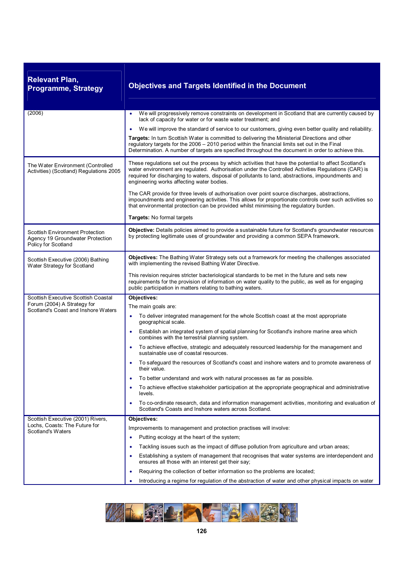| <b>Relevant Plan,</b><br><b>Programme, Strategy</b>                                               | <b>Objectives and Targets Identified in the Document</b>                                                                                                                                                                                                                                                                                                         |
|---------------------------------------------------------------------------------------------------|------------------------------------------------------------------------------------------------------------------------------------------------------------------------------------------------------------------------------------------------------------------------------------------------------------------------------------------------------------------|
| (2006)                                                                                            | We will progressively remove constraints on development in Scotland that are currently caused by<br>lack of capacity for water or for waste water treatment; and                                                                                                                                                                                                 |
|                                                                                                   | We will improve the standard of service to our customers, giving even better quality and reliability.<br>$\bullet$                                                                                                                                                                                                                                               |
|                                                                                                   | Targets: In turn Scottish Water is committed to delivering the Ministerial Directions and other<br>regulatory targets for the 2006 - 2010 period within the financial limits set out in the Final<br>Determination. A number of targets are specified throughout the document in order to achieve this.                                                          |
| The Water Environment (Controlled<br>Activities) (Scotland) Regulations 2005                      | These regulations set out the process by which activities that have the potential to affect Scotland's<br>water environment are regulated. Authorisation under the Controlled Activities Regulations (CAR) is<br>required for discharging to waters, disposal of pollutants to land, abstractions, impoundments and<br>engineering works affecting water bodies. |
|                                                                                                   | The CAR provide for three levels of authorisation over point source discharges, abstractions,<br>impoundments and engineering activities. This allows for proportionate controls over such activities so<br>that environmental protection can be provided whilst minimising the regulatory burden.                                                               |
|                                                                                                   | Targets: No formal targets                                                                                                                                                                                                                                                                                                                                       |
| <b>Scottish Environment Protection</b><br>Agency 19 Groundwater Protection<br>Policy for Scotland | Objective: Details policies aimed to provide a sustainable future for Scotland's groundwater resources<br>by protecting legitimate uses of groundwater and providing a common SEPA framework.                                                                                                                                                                    |
| Scottish Executive (2006) Bathing<br>Water Strategy for Scotland                                  | <b>Objectives:</b> The Bathing Water Strategy sets out a framework for meeting the challenges associated<br>with implementing the revised Bathing Water Directive.                                                                                                                                                                                               |
|                                                                                                   | This revision requires stricter bacteriological standards to be met in the future and sets new<br>requirements for the provision of information on water quality to the public, as well as for engaging<br>public participation in matters relating to bathing waters.                                                                                           |
| Scottish Executive Scottish Coastal                                                               | Objectives:                                                                                                                                                                                                                                                                                                                                                      |
| Forum (2004) A Strategy for<br>Scotland's Coast and Inshore Waters                                | The main goals are:                                                                                                                                                                                                                                                                                                                                              |
|                                                                                                   | To deliver integrated management for the whole Scottish coast at the most appropriate<br>٠<br>geographical scale.                                                                                                                                                                                                                                                |
|                                                                                                   | Establish an integrated system of spatial planning for Scotland's inshore marine area which<br>combines with the terrestrial planning system.                                                                                                                                                                                                                    |
|                                                                                                   | To achieve effective, strategic and adequately resourced leadership for the management and<br>sustainable use of coastal resources.                                                                                                                                                                                                                              |
|                                                                                                   | To safeguard the resources of Scotland's coast and inshore waters and to promote awareness of<br>their value.                                                                                                                                                                                                                                                    |
|                                                                                                   | To better understand and work with natural processes as far as possible.                                                                                                                                                                                                                                                                                         |
|                                                                                                   | To achieve effective stakeholder participation at the appropriate geographical and administrative<br>levels.                                                                                                                                                                                                                                                     |
|                                                                                                   | To co-ordinate research, data and information management activities, monitoring and evaluation of<br>٠<br>Scotland's Coasts and Inshore waters across Scotland.                                                                                                                                                                                                  |
| Scottish Executive (2001) Rivers,                                                                 | <b>Objectives:</b>                                                                                                                                                                                                                                                                                                                                               |
| Lochs, Coasts: The Future for<br>Scotland's Waters                                                | Improvements to management and protection practises will involve:                                                                                                                                                                                                                                                                                                |
|                                                                                                   | Putting ecology at the heart of the system;<br>٠                                                                                                                                                                                                                                                                                                                 |
|                                                                                                   | Tackling issues such as the impact of diffuse pollution from agriculture and urban areas;<br>٠                                                                                                                                                                                                                                                                   |
|                                                                                                   | Establishing a system of management that recognises that water systems are interdependent and<br>٠<br>ensures all those with an interest get their say;                                                                                                                                                                                                          |
|                                                                                                   | Requiring the collection of better information so the problems are located;<br>$\bullet$                                                                                                                                                                                                                                                                         |
|                                                                                                   | Introducing a regime for regulation of the abstraction of water and other physical impacts on water                                                                                                                                                                                                                                                              |

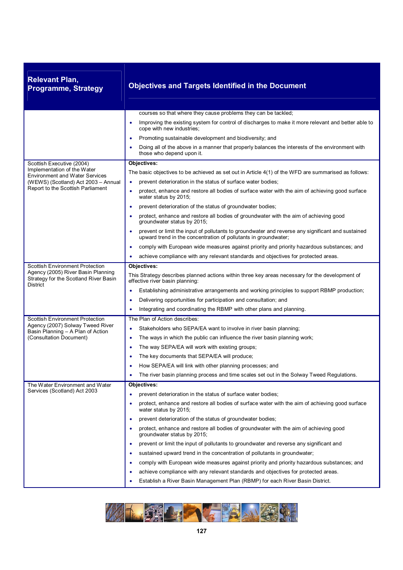| <b>Relevant Plan,</b><br><b>Programme, Strategy</b>                                            | <b>Objectives and Targets Identified in the Document</b>                                                                                                                          |
|------------------------------------------------------------------------------------------------|-----------------------------------------------------------------------------------------------------------------------------------------------------------------------------------|
|                                                                                                | courses so that where they cause problems they can be tackled;                                                                                                                    |
|                                                                                                | Improving the existing system for control of discharges to make it more relevant and better able to<br>$\bullet$<br>cope with new industries;                                     |
|                                                                                                | Promoting sustainable development and biodiversity; and<br>٠                                                                                                                      |
|                                                                                                | Doing all of the above in a manner that properly balances the interests of the environment with<br>those who depend upon it.                                                      |
| Scottish Executive (2004)                                                                      | Objectives:                                                                                                                                                                       |
| Implementation of the Water<br><b>Environment and Water Services</b>                           | The basic objectives to be achieved as set out in Article 4(1) of the WFD are summarised as follows:                                                                              |
| (WEWS) (Scotland) Act 2003 - Annual                                                            | prevent deterioration in the status of surface water bodies;<br>$\bullet$                                                                                                         |
| Report to the Scottish Parliament                                                              | protect, enhance and restore all bodies of surface water with the aim of achieving good surface<br>$\bullet$<br>water status by 2015;                                             |
|                                                                                                | prevent deterioration of the status of groundwater bodies;<br>$\bullet$                                                                                                           |
|                                                                                                | protect, enhance and restore all bodies of groundwater with the aim of achieving good<br>groundwater status by 2015;                                                              |
|                                                                                                | prevent or limit the input of pollutants to groundwater and reverse any significant and sustained<br>$\bullet$<br>upward trend in the concentration of pollutants in groundwater; |
|                                                                                                | comply with European wide measures against priority and priority hazardous substances; and<br>٠                                                                                   |
|                                                                                                | achieve compliance with any relevant standards and objectives for protected areas.<br>٠                                                                                           |
| <b>Scottish Environment Protection</b>                                                         | Objectives:                                                                                                                                                                       |
| Agency (2005) River Basin Planning<br>Strategy for the Scotland River Basin<br><b>District</b> | This Strategy describes planned actions within three key areas necessary for the development of<br>effective river basin planning:                                                |
|                                                                                                | Establishing administrative arrangements and working principles to support RBMP production;                                                                                       |
|                                                                                                | Delivering opportunities for participation and consultation; and                                                                                                                  |
|                                                                                                | Integrating and coordinating the RBMP with other plans and planning.                                                                                                              |
| <b>Scottish Environment Protection</b>                                                         | The Plan of Action describes:                                                                                                                                                     |
| Agency (2007) Solway Tweed River<br>Basin Planning - A Plan of Action                          | Stakeholders who SEPA/EA want to involve in river basin planning;<br>٠                                                                                                            |
| (Consultation Document)                                                                        | The ways in which the public can influence the river basin planning work;<br>٠                                                                                                    |
|                                                                                                | The way SEPA/EA will work with existing groups;                                                                                                                                   |
|                                                                                                | The key documents that SEPA/EA will produce;                                                                                                                                      |
|                                                                                                | How SEPA/EA will link with other planning processes; and<br>٠                                                                                                                     |
|                                                                                                | The river basin planning process and time scales set out in the Solway Tweed Regulations.                                                                                         |
| The Water Environment and Water<br>Services (Scotland) Act 2003                                | Objectives:                                                                                                                                                                       |
|                                                                                                | prevent deterioration in the status of surface water bodies;<br>$\bullet$                                                                                                         |
|                                                                                                | protect, enhance and restore all bodies of surface water with the aim of achieving good surface<br>water status by 2015;                                                          |
|                                                                                                | prevent deterioration of the status of groundwater bodies;<br>٠                                                                                                                   |
|                                                                                                | protect, enhance and restore all bodies of groundwater with the aim of achieving good<br>٠<br>groundwater status by 2015;                                                         |
|                                                                                                | prevent or limit the input of pollutants to groundwater and reverse any significant and<br>٠                                                                                      |
|                                                                                                | sustained upward trend in the concentration of pollutants in groundwater;<br>٠                                                                                                    |
|                                                                                                | comply with European wide measures against priority and priority hazardous substances; and<br>٠                                                                                   |
|                                                                                                | achieve compliance with any relevant standards and objectives for protected areas.                                                                                                |
|                                                                                                | Establish a River Basin Management Plan (RBMP) for each River Basin District.<br>٠                                                                                                |

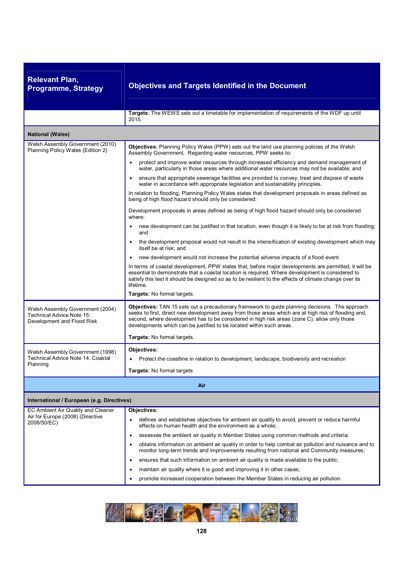| <b>Relevant Plan,</b><br><b>Programme, Strategy</b>                                         | <b>Objectives and Targets Identified in the Document</b>                                                                                                                                                                                                                                                                                                                        |
|---------------------------------------------------------------------------------------------|---------------------------------------------------------------------------------------------------------------------------------------------------------------------------------------------------------------------------------------------------------------------------------------------------------------------------------------------------------------------------------|
|                                                                                             | Targets: The WEWS sets out a timetable for implementation of requirements of the WDF up until<br>2015.                                                                                                                                                                                                                                                                          |
| <b>National (Wales)</b>                                                                     |                                                                                                                                                                                                                                                                                                                                                                                 |
| Welsh Assembly Government (2010)<br>Planning Policy Wales (Edition 2)                       | Objectives: Planning Policy Wales (PPW) sets out the land use planning policies of the Welsh<br>Assembly Government. Regarding water resources, PPW seeks to:                                                                                                                                                                                                                   |
|                                                                                             | protect and improve water resources through increased efficiency and demand management of<br>$\bullet$<br>water, particularly in those areas where additional water resources may not be available; and                                                                                                                                                                         |
|                                                                                             | ensure that appropriate sewerage facilities are provided to convey, treat and dispose of waste<br>water in accordance with appropriate legislation and sustainability principles.                                                                                                                                                                                               |
|                                                                                             | In relation to flooding, Planning Policy Wales states that development proposals in areas defined as<br>being of high flood hazard should only be considered:                                                                                                                                                                                                                   |
|                                                                                             | Development proposals in areas defined as being of high flood hazard should only be considered<br>where:                                                                                                                                                                                                                                                                        |
|                                                                                             | new development can be justified in that location, even though it is likely to be at risk from flooding;<br>and                                                                                                                                                                                                                                                                 |
|                                                                                             | the development proposal would not result in the intensification of existing development which may<br>itself be at risk; and                                                                                                                                                                                                                                                    |
|                                                                                             | new development would not increase the potential adverse impacts of a flood event.                                                                                                                                                                                                                                                                                              |
|                                                                                             | In terms of coastal development, PPW states that, before major developments are permitted, it will be<br>essential to demonstrate that a coastal location is required. Where development is considered to<br>satisfy this test it should be designed so as to be resilient to the effects of climate change over its<br>lifetime.                                               |
|                                                                                             | Targets: No formal targets.                                                                                                                                                                                                                                                                                                                                                     |
| Welsh Assembly Government (2004)<br>Technical Advice Note 15:<br>Development and Flood Risk | Objectives: TAN 15 sets out a precautionary framework to guide planning decisions. The approach<br>seeks to first, direct new development away from those areas which are at high risk of flooding and,<br>second, where development has to be considered in high risk areas (zone C), allow only those<br>developments which can be justified to be located within such areas. |
|                                                                                             | Targets: No formal targets.                                                                                                                                                                                                                                                                                                                                                     |
| Welsh Assembly Government (1998)                                                            | Objectives:                                                                                                                                                                                                                                                                                                                                                                     |
| Technical Advice Note 14: Coastal<br>Planning                                               | Protect the coastline in relation to development, landscape, biodiversity and recreation<br>٠                                                                                                                                                                                                                                                                                   |
|                                                                                             | Targets: No formal targets                                                                                                                                                                                                                                                                                                                                                      |
|                                                                                             | Air                                                                                                                                                                                                                                                                                                                                                                             |
| International / European (e.g. Directives)                                                  |                                                                                                                                                                                                                                                                                                                                                                                 |
| EC Ambient Air Quality and Cleaner                                                          | Objectives:                                                                                                                                                                                                                                                                                                                                                                     |
| Air for Europe (2008) (Directive<br>2008/50/EC)                                             | defines and establishes objectives for ambient air quality to avoid, prevent or reduce harmful<br>٠<br>effects on human health and the environment as a whole;                                                                                                                                                                                                                  |
|                                                                                             | assesses the ambient air quality in Member States using common methods and criteria;<br>٠                                                                                                                                                                                                                                                                                       |
|                                                                                             | obtains information on ambient air quality in order to help combat air pollution and nuisance and to<br>٠<br>monitor long-term trends and improvements resulting from national and Community measures;                                                                                                                                                                          |
|                                                                                             | ensures that such information on ambient air quality is made available to the public;<br>٠                                                                                                                                                                                                                                                                                      |
|                                                                                             | maintain air quality where it is good and improving it in other cases;<br>٠                                                                                                                                                                                                                                                                                                     |
|                                                                                             | promote increased cooperation between the Member States in reducing air pollution.<br>٠                                                                                                                                                                                                                                                                                         |
|                                                                                             |                                                                                                                                                                                                                                                                                                                                                                                 |

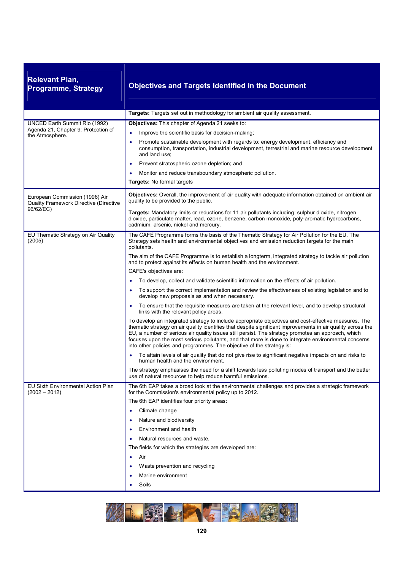| <b>Relevant Plan,</b><br><b>Programme, Strategy</b>                                     | <b>Objectives and Targets Identified in the Document</b>                                                                                                                                                                                                                                                                                                                                                                                                                                                  |
|-----------------------------------------------------------------------------------------|-----------------------------------------------------------------------------------------------------------------------------------------------------------------------------------------------------------------------------------------------------------------------------------------------------------------------------------------------------------------------------------------------------------------------------------------------------------------------------------------------------------|
|                                                                                         | Targets: Targets set out in methodology for ambient air quality assessment.                                                                                                                                                                                                                                                                                                                                                                                                                               |
| UNCED Earth Summit Rio (1992)<br>Agenda 21, Chapter 9: Protection of<br>the Atmosphere. | Objectives: This chapter of Agenda 21 seeks to:<br>Improve the scientific basis for decision-making;<br>$\bullet$                                                                                                                                                                                                                                                                                                                                                                                         |
|                                                                                         | Promote sustainable development with regards to: energy development, efficiency and<br>consumption, transportation, industrial development, terrestrial and marine resource development<br>and land use;                                                                                                                                                                                                                                                                                                  |
|                                                                                         | Prevent stratospheric ozone depletion; and<br>٠                                                                                                                                                                                                                                                                                                                                                                                                                                                           |
|                                                                                         | Monitor and reduce transboundary atmospheric pollution.                                                                                                                                                                                                                                                                                                                                                                                                                                                   |
|                                                                                         | Targets: No formal targets                                                                                                                                                                                                                                                                                                                                                                                                                                                                                |
| European Commission (1996) Air<br>Quality Framework Directive (Directive                | Objectives: Overall, the improvement of air quality with adequate information obtained on ambient air<br>quality to be provided to the public.                                                                                                                                                                                                                                                                                                                                                            |
| 96/62/EC)                                                                               | Targets: Mandatory limits or reductions for 11 air pollutants including: sulphur dioxide, nitrogen<br>dioxide, particulate matter, lead, ozone, benzene, carbon monoxide, poly-aromatic hydrocarbons,<br>cadmium, arsenic, nickel and mercury.                                                                                                                                                                                                                                                            |
| EU Thematic Strategy on Air Quality<br>(2005)                                           | The CAFÉ Programme forms the basis of the Thematic Strategy for Air Pollution for the EU. The<br>Strategy sets health and environmental objectives and emission reduction targets for the main<br>pollutants.                                                                                                                                                                                                                                                                                             |
|                                                                                         | The aim of the CAFE Programme is to establish a longterm, integrated strategy to tackle air pollution<br>and to protect against its effects on human health and the environment.                                                                                                                                                                                                                                                                                                                          |
|                                                                                         | CAFE's objectives are:                                                                                                                                                                                                                                                                                                                                                                                                                                                                                    |
|                                                                                         | To develop, collect and validate scientific information on the effects of air pollution.                                                                                                                                                                                                                                                                                                                                                                                                                  |
|                                                                                         | To support the correct implementation and review the effectiveness of existing legislation and to<br>develop new proposals as and when necessary.                                                                                                                                                                                                                                                                                                                                                         |
|                                                                                         | To ensure that the requisite measures are taken at the relevant level, and to develop structural<br>$\bullet$<br>links with the relevant policy areas.                                                                                                                                                                                                                                                                                                                                                    |
|                                                                                         | To develop an integrated strategy to include appropriate objectives and cost-effective measures. The<br>thematic strategy on air quality identifies that despite significant improvements in air quality across the<br>EU, a number of serious air quality issues still persist. The strategy promotes an approach, which<br>focuses upon the most serious pollutants, and that more is done to integrate environmental concerns<br>into other policies and programmes. The objective of the strategy is: |
|                                                                                         | To attain levels of air quality that do not give rise to significant negative impacts on and risks to<br>human health and the environment.                                                                                                                                                                                                                                                                                                                                                                |
|                                                                                         | The strategy emphasises the need for a shift towards less polluting modes of transport and the better<br>use of natural resources to help reduce harmful emissions.                                                                                                                                                                                                                                                                                                                                       |
| EU Sixth Environmental Action Plan<br>$(2002 - 2012)$                                   | The 6th EAP takes a broad look at the environmental challenges and provides a strategic framework<br>for the Commission's environmental policy up to 2012.                                                                                                                                                                                                                                                                                                                                                |
|                                                                                         | The 6th EAP identifies four priority areas:                                                                                                                                                                                                                                                                                                                                                                                                                                                               |
|                                                                                         | Climate change<br>٠                                                                                                                                                                                                                                                                                                                                                                                                                                                                                       |
|                                                                                         | Nature and biodiversity<br>٠                                                                                                                                                                                                                                                                                                                                                                                                                                                                              |
|                                                                                         | Environment and health                                                                                                                                                                                                                                                                                                                                                                                                                                                                                    |
|                                                                                         | Natural resources and waste.                                                                                                                                                                                                                                                                                                                                                                                                                                                                              |
|                                                                                         | The fields for which the strategies are developed are:                                                                                                                                                                                                                                                                                                                                                                                                                                                    |
|                                                                                         | Air<br>٠                                                                                                                                                                                                                                                                                                                                                                                                                                                                                                  |
|                                                                                         | Waste prevention and recycling                                                                                                                                                                                                                                                                                                                                                                                                                                                                            |
|                                                                                         | Marine environment<br>٠                                                                                                                                                                                                                                                                                                                                                                                                                                                                                   |
|                                                                                         | Soils<br>٠                                                                                                                                                                                                                                                                                                                                                                                                                                                                                                |

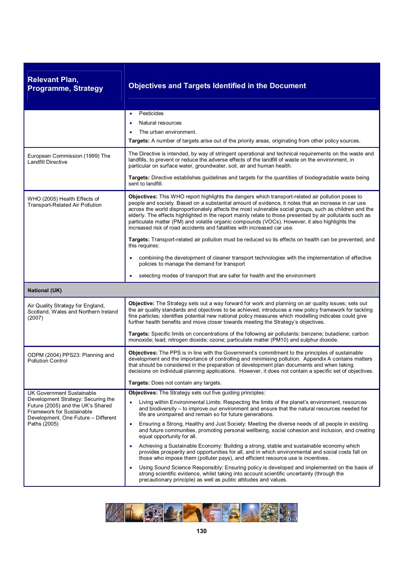| <b>Relevant Plan,</b><br><b>Programme, Strategy</b>                                                                                                | <b>Objectives and Targets Identified in the Document</b>                                                                                                                                                                                                                                                                                                                                                                                                                                                                                                                                                      |
|----------------------------------------------------------------------------------------------------------------------------------------------------|---------------------------------------------------------------------------------------------------------------------------------------------------------------------------------------------------------------------------------------------------------------------------------------------------------------------------------------------------------------------------------------------------------------------------------------------------------------------------------------------------------------------------------------------------------------------------------------------------------------|
|                                                                                                                                                    | Pesticides                                                                                                                                                                                                                                                                                                                                                                                                                                                                                                                                                                                                    |
|                                                                                                                                                    | Natural resources                                                                                                                                                                                                                                                                                                                                                                                                                                                                                                                                                                                             |
|                                                                                                                                                    | The urban environment.                                                                                                                                                                                                                                                                                                                                                                                                                                                                                                                                                                                        |
|                                                                                                                                                    | Targets: A number of targets arise out of the priority areas, originating from other policy sources.                                                                                                                                                                                                                                                                                                                                                                                                                                                                                                          |
| European Commission (1999) The<br><b>Landfill Directive</b>                                                                                        | The Directive is intended, by way of stringent operational and technical requirements on the waste and<br>landfills, to prevent or reduce the adverse effects of the landfill of waste on the environment, in<br>particular on surface water, groundwater, soil, air and human health.                                                                                                                                                                                                                                                                                                                        |
|                                                                                                                                                    | Targets: Directive establishes guidelines and targets for the quantities of biodegradable waste being<br>sent to landfill.                                                                                                                                                                                                                                                                                                                                                                                                                                                                                    |
| WHO (2005) Health Effects of<br><b>Transport-Related Air Pollution</b>                                                                             | Objectives: This WHO report highlights the dangers which transport-related air pollution poses to<br>people and society. Based on a substantial amount of evidence, it notes that an increase in car use<br>across the world disproportionately affects the most vulnerable social groups, such as children and the<br>elderly. The effects highlighted in the report mainly relate to those presented by air pollutants such as<br>particulate matter (PM) and volatile organic compounds (VOCs). However, it also highlights the<br>increased risk of road accidents and fatalities with increased car use. |
|                                                                                                                                                    | Targets: Transport-related air pollution must be reduced so its effects on health can be prevented, and<br>this requires:                                                                                                                                                                                                                                                                                                                                                                                                                                                                                     |
|                                                                                                                                                    | combining the development of cleaner transport technologies with the implementation of effective<br>policies to manage the demand for transport                                                                                                                                                                                                                                                                                                                                                                                                                                                               |
|                                                                                                                                                    | selecting modes of transport that are safer for health and the environment<br>٠                                                                                                                                                                                                                                                                                                                                                                                                                                                                                                                               |
| <b>National (UK)</b>                                                                                                                               |                                                                                                                                                                                                                                                                                                                                                                                                                                                                                                                                                                                                               |
| Air Quality Strategy for England,<br>Scotland, Wales and Northern Ireland<br>(2007)                                                                | Objective: The Strategy sets out a way forward for work and planning on air quality issues; sets out<br>the air quality standards and objectives to be achieved; introduces a new policy framework for tackling<br>fine particles; identifies potential new national policy measures which modelling indicates could give<br>further health benefits and move closer towards meeting the Strategy's objectives.                                                                                                                                                                                               |
|                                                                                                                                                    | Targets: Specific limits on concentrations of the following air pollutants: benzene; butadiene; carbon<br>monoxide; lead; nitrogen dioxide; ozone; particulate matter (PM10) and sulphur dioxide.                                                                                                                                                                                                                                                                                                                                                                                                             |
| ODPM (2004) PPS23: Planning and<br><b>Pollution Control</b>                                                                                        | Objectives: The PPS is in line with the Government's commitment to the principles of sustainable<br>development and the importance of controlling and minimising pollution. Appendix A contains matters<br>that should be considered in the preparation of development plan documents and when taking<br>decisions on individual planning applications. However, it does not contain a specific set of objectives.                                                                                                                                                                                            |
|                                                                                                                                                    | <b>Targets:</b> Does not contain any targets.                                                                                                                                                                                                                                                                                                                                                                                                                                                                                                                                                                 |
| <b>UK Government Sustainable</b>                                                                                                                   | Objectives: The Strategy sets out five guiding principles:                                                                                                                                                                                                                                                                                                                                                                                                                                                                                                                                                    |
| Development Strategy: Securing the<br>Future (2005) and the UK's Shared<br><b>Framework for Sustainable</b><br>Development, One Future - Different | Living within Environmental Limits: Respecting the limits of the planet's environment, resources<br>and biodiversity – to improve our environment and ensure that the natural resources needed for<br>life are unimpaired and remain so for future generations.                                                                                                                                                                                                                                                                                                                                               |
| Paths (2005)                                                                                                                                       | Ensuring a Strong, Healthy and Just Society: Meeting the diverse needs of all people in existing<br>$\bullet$<br>and future communities, promoting personal wellbeing, social cohesion and inclusion, and creating<br>equal opportunity for all.                                                                                                                                                                                                                                                                                                                                                              |
|                                                                                                                                                    | Achieving a Sustainable Economy: Building a strong, stable and sustainable economy which<br>٠<br>provides prosperity and opportunities for all, and in which environmental and social costs fall on<br>those who impose them (polluter pays), and efficient resource use is incentives.                                                                                                                                                                                                                                                                                                                       |
|                                                                                                                                                    | Using Sound Science Responsibly: Ensuring policy is developed and implemented on the basis of<br>strong scientific evidence, whilst taking into account scientific uncertainty (through the<br>precautionary principle) as well as public attitudes and values.                                                                                                                                                                                                                                                                                                                                               |

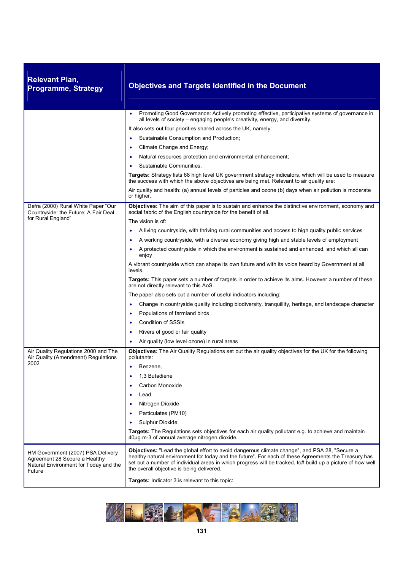| <b>Relevant Plan,</b><br><b>Programme, Strategy</b>                                                                   | <b>Objectives and Targets Identified in the Document</b>                                                                                                                                                                                                                                                                                                         |
|-----------------------------------------------------------------------------------------------------------------------|------------------------------------------------------------------------------------------------------------------------------------------------------------------------------------------------------------------------------------------------------------------------------------------------------------------------------------------------------------------|
|                                                                                                                       | Promoting Good Governance: Actively promoting effective, participative systems of governance in<br>$\bullet$                                                                                                                                                                                                                                                     |
|                                                                                                                       | all levels of society – engaging people's creativity, energy, and diversity.                                                                                                                                                                                                                                                                                     |
|                                                                                                                       | It also sets out four priorities shared across the UK, namely:<br>Sustainable Consumption and Production;<br>$\bullet$                                                                                                                                                                                                                                           |
|                                                                                                                       | Climate Change and Energy;<br>٠                                                                                                                                                                                                                                                                                                                                  |
|                                                                                                                       | Natural resources protection and environmental enhancement;<br>٠                                                                                                                                                                                                                                                                                                 |
|                                                                                                                       | Sustainable Communities.                                                                                                                                                                                                                                                                                                                                         |
|                                                                                                                       | Targets: Strategy lists 68 high level UK government strategy indicators, which will be used to measure<br>the success with which the above objectives are being met. Relevant to air quality are:                                                                                                                                                                |
|                                                                                                                       | Air quality and health: (a) annual levels of particles and ozone (b) days when air pollution is moderate<br>or higher.                                                                                                                                                                                                                                           |
| Defra (2000) Rural White Paper "Our<br>Countryside: the Future: A Fair Deal<br>for Rural England"                     | Objectives: The aim of this paper is to sustain and enhance the distinctive environment, economy and<br>social fabric of the English countryside for the benefit of all.                                                                                                                                                                                         |
|                                                                                                                       | The vision is of:                                                                                                                                                                                                                                                                                                                                                |
|                                                                                                                       | A living countryside, with thriving rural communities and access to high quality public services<br>٠                                                                                                                                                                                                                                                            |
|                                                                                                                       | A working countryside, with a diverse economy giving high and stable levels of employment                                                                                                                                                                                                                                                                        |
|                                                                                                                       | A protected countryside in which the environment is sustained and enhanced, and which all can<br>enjoy                                                                                                                                                                                                                                                           |
|                                                                                                                       | A vibrant countryside which can shape its own future and with its voice heard by Government at all<br>levels.                                                                                                                                                                                                                                                    |
|                                                                                                                       | Targets: This paper sets a number of targets in order to achieve its aims. However a number of these<br>are not directly relevant to this AoS.                                                                                                                                                                                                                   |
|                                                                                                                       | The paper also sets out a number of useful indicators including:                                                                                                                                                                                                                                                                                                 |
|                                                                                                                       | Change in countryside quality including biodiversity, tranquillity, heritage, and landscape character<br>$\bullet$                                                                                                                                                                                                                                               |
|                                                                                                                       | Populations of farmland birds<br>$\bullet$                                                                                                                                                                                                                                                                                                                       |
|                                                                                                                       | <b>Condition of SSSIs</b><br>٠                                                                                                                                                                                                                                                                                                                                   |
|                                                                                                                       | Rivers of good or fair quality<br>٠                                                                                                                                                                                                                                                                                                                              |
|                                                                                                                       | Air quality (low level ozone) in rural areas<br>٠                                                                                                                                                                                                                                                                                                                |
| Air Quality Regulations 2000 and The<br>Air Quality (Amendment) Regulations                                           | Objectives: The Air Quality Regulations set out the air quality objectives for the UK for the following<br>pollutants:                                                                                                                                                                                                                                           |
| 2002                                                                                                                  | Benzene,<br>٠                                                                                                                                                                                                                                                                                                                                                    |
|                                                                                                                       | 1,3 Butadiene                                                                                                                                                                                                                                                                                                                                                    |
|                                                                                                                       | Carbon Monoxide                                                                                                                                                                                                                                                                                                                                                  |
|                                                                                                                       | Lead<br>$\bullet$                                                                                                                                                                                                                                                                                                                                                |
|                                                                                                                       | Nitrogen Dioxide<br>$\bullet$                                                                                                                                                                                                                                                                                                                                    |
|                                                                                                                       | Particulates (PM10)                                                                                                                                                                                                                                                                                                                                              |
|                                                                                                                       | Sulphur Dioxide.<br>$\bullet$                                                                                                                                                                                                                                                                                                                                    |
|                                                                                                                       | <b>Targets:</b> The Regulations sets objectives for each air quality pollutant e.g. to achieve and maintain<br>40ug.m-3 of annual average nitrogen dioxide.                                                                                                                                                                                                      |
| HM Government (2007) PSA Delivery<br>Agreement 28 Secure a Healthy<br>Natural Environment for Today and the<br>Future | Objectives: "Lead the global effort to avoid dangerous climate change", and PSA 28, "Secure a<br>healthy natural environment for today and the future". For each of these Agreements the Treasury has<br>set out a number of individual areas in which progress will be tracked, to# build up a picture of how well<br>the overall objective is being delivered. |
|                                                                                                                       | Targets: Indicator 3 is relevant to this topic:                                                                                                                                                                                                                                                                                                                  |

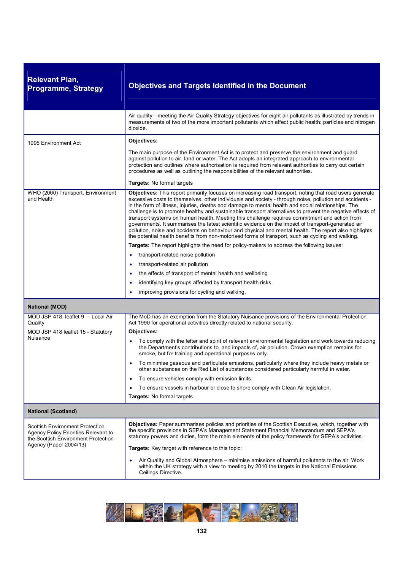| <b>Relevant Plan,</b><br><b>Programme, Strategy</b>                                                                   | <b>Objectives and Targets Identified in the Document</b>                                                                                                                                                                                                                                                                                                                                                                                                                                                                                                                                                                                                                                                                                                                                                                                                    |
|-----------------------------------------------------------------------------------------------------------------------|-------------------------------------------------------------------------------------------------------------------------------------------------------------------------------------------------------------------------------------------------------------------------------------------------------------------------------------------------------------------------------------------------------------------------------------------------------------------------------------------------------------------------------------------------------------------------------------------------------------------------------------------------------------------------------------------------------------------------------------------------------------------------------------------------------------------------------------------------------------|
|                                                                                                                       | Air quality—meeting the Air Quality Strategy objectives for eight air pollutants as illustrated by trends in<br>measurements of two of the more important pollutants which affect public health: particles and nitrogen<br>dioxide.                                                                                                                                                                                                                                                                                                                                                                                                                                                                                                                                                                                                                         |
| 1995 Environment Act                                                                                                  | Objectives:                                                                                                                                                                                                                                                                                                                                                                                                                                                                                                                                                                                                                                                                                                                                                                                                                                                 |
|                                                                                                                       | The main purpose of the Environment Act is to protect and preserve the environment and guard<br>against pollution to air, land or water. The Act adopts an integrated approach to environmental<br>protection and outlines where authorisation is required from relevant authorities to carry out certain<br>procedures as well as outlining the responsibilities of the relevant authorities.                                                                                                                                                                                                                                                                                                                                                                                                                                                              |
|                                                                                                                       | <b>Targets:</b> No formal targets                                                                                                                                                                                                                                                                                                                                                                                                                                                                                                                                                                                                                                                                                                                                                                                                                           |
| WHO (2000) Transport, Environment<br>and Health                                                                       | Objectives: This report primarily focuses on increasing road transport, noting that road users generate<br>excessive costs to themselves, other individuals and society - through noise, pollution and accidents -<br>in the form of illness, injuries, deaths and damage to mental health and social relationships. The<br>challenge is to promote healthy and sustainable transport alternatives to prevent the negative effects of<br>transport systems on human health. Meeting this challenge requires commitment and action from<br>governments. It summarises the latest scientific evidence on the impact of transport-generated air<br>pollution, noise and accidents on behaviour and physical and mental health. The report also highlights<br>the potential health benefits from non-motorised forms of transport, such as cycling and walking. |
|                                                                                                                       | Targets: The report highlights the need for policy-makers to address the following issues:                                                                                                                                                                                                                                                                                                                                                                                                                                                                                                                                                                                                                                                                                                                                                                  |
|                                                                                                                       | transport-related noise pollution<br>٠                                                                                                                                                                                                                                                                                                                                                                                                                                                                                                                                                                                                                                                                                                                                                                                                                      |
|                                                                                                                       | transport-related air pollution                                                                                                                                                                                                                                                                                                                                                                                                                                                                                                                                                                                                                                                                                                                                                                                                                             |
|                                                                                                                       | the effects of transport of mental health and wellbeing                                                                                                                                                                                                                                                                                                                                                                                                                                                                                                                                                                                                                                                                                                                                                                                                     |
|                                                                                                                       | identifying key groups affected by transport health risks<br>$\bullet$                                                                                                                                                                                                                                                                                                                                                                                                                                                                                                                                                                                                                                                                                                                                                                                      |
|                                                                                                                       | improving provisions for cycling and walking.                                                                                                                                                                                                                                                                                                                                                                                                                                                                                                                                                                                                                                                                                                                                                                                                               |
| <b>National (MOD)</b>                                                                                                 |                                                                                                                                                                                                                                                                                                                                                                                                                                                                                                                                                                                                                                                                                                                                                                                                                                                             |
| MOD JSP 418, leaflet 9 - Local Air<br>Quality                                                                         | The MoD has an exemption from the Statutory Nuisance provisions of the Environmental Protection<br>Act 1990 for operational activities directly related to national security.                                                                                                                                                                                                                                                                                                                                                                                                                                                                                                                                                                                                                                                                               |
| MOD JSP 418 leaflet 15 - Statutory                                                                                    | Objectives:                                                                                                                                                                                                                                                                                                                                                                                                                                                                                                                                                                                                                                                                                                                                                                                                                                                 |
| Nuisance                                                                                                              | To comply with the letter and spirit of relevant environmental legislation and work towards reducing<br>the Department's contributions to, and impacts of, air pollution. Crown exemption remains for<br>smoke, but for training and operational purposes only.                                                                                                                                                                                                                                                                                                                                                                                                                                                                                                                                                                                             |
|                                                                                                                       | To minimise gaseous and particulate emissions, particularly where they include heavy metals or<br>other substances on the Red List of substances considered particularly harmful in water.                                                                                                                                                                                                                                                                                                                                                                                                                                                                                                                                                                                                                                                                  |
|                                                                                                                       | To ensure vehicles comply with emission limits.<br>$\bullet$                                                                                                                                                                                                                                                                                                                                                                                                                                                                                                                                                                                                                                                                                                                                                                                                |
|                                                                                                                       | To ensure vessels in harbour or close to shore comply with Clean Air legislation.                                                                                                                                                                                                                                                                                                                                                                                                                                                                                                                                                                                                                                                                                                                                                                           |
|                                                                                                                       | Targets: No formal targets                                                                                                                                                                                                                                                                                                                                                                                                                                                                                                                                                                                                                                                                                                                                                                                                                                  |
| <b>National (Scotland)</b>                                                                                            |                                                                                                                                                                                                                                                                                                                                                                                                                                                                                                                                                                                                                                                                                                                                                                                                                                                             |
| <b>Scottish Environment Protection</b><br>Agency Policy Priorities Relevant to<br>the Scottish Environment Protection | Objectives: Paper summarises policies and priorities of the Scottish Executive, which, together with<br>the specific provisions in SEPA's Management Statement Financial Memorandum and SEPA's<br>statutory powers and duties, form the main elements of the policy framework for SEPA's activities.                                                                                                                                                                                                                                                                                                                                                                                                                                                                                                                                                        |
| Agency (Paper 2004/13)                                                                                                | Targets: Key target with reference to this topic:                                                                                                                                                                                                                                                                                                                                                                                                                                                                                                                                                                                                                                                                                                                                                                                                           |
|                                                                                                                       | Air Quality and Global Atmosphere – minimise emissions of harmful pollutants to the air. Work<br>٠<br>within the UK strategy with a view to meeting by 2010 the targets in the National Emissions<br>Ceilings Directive.                                                                                                                                                                                                                                                                                                                                                                                                                                                                                                                                                                                                                                    |

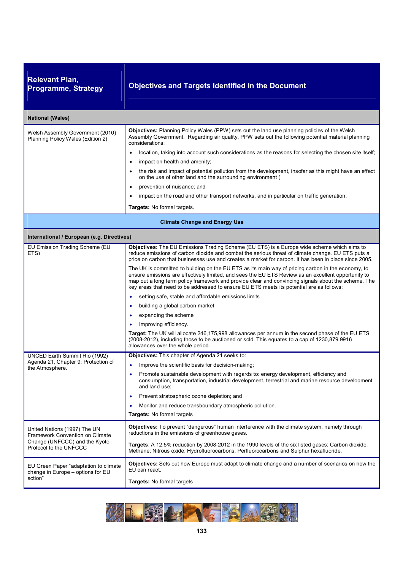| <b>Relevant Plan,</b><br><b>Programme, Strategy</b>                                                                        | <b>Objectives and Targets Identified in the Document</b>                                                                                                                                                                                                                                                                                                                                                                                                                                                                                                                                                                                                                                                                                                                                                                                                                                                                                                                                                                                                                                                                                         |  |
|----------------------------------------------------------------------------------------------------------------------------|--------------------------------------------------------------------------------------------------------------------------------------------------------------------------------------------------------------------------------------------------------------------------------------------------------------------------------------------------------------------------------------------------------------------------------------------------------------------------------------------------------------------------------------------------------------------------------------------------------------------------------------------------------------------------------------------------------------------------------------------------------------------------------------------------------------------------------------------------------------------------------------------------------------------------------------------------------------------------------------------------------------------------------------------------------------------------------------------------------------------------------------------------|--|
| <b>National (Wales)</b>                                                                                                    |                                                                                                                                                                                                                                                                                                                                                                                                                                                                                                                                                                                                                                                                                                                                                                                                                                                                                                                                                                                                                                                                                                                                                  |  |
| Welsh Assembly Government (2010)<br>Planning Policy Wales (Edition 2)                                                      | Objectives: Planning Policy Wales (PPW) sets out the land use planning policies of the Welsh<br>Assembly Government. Regarding air quality, PPW sets out the following potential material planning<br>considerations:<br>location, taking into account such considerations as the reasons for selecting the chosen site itself;<br>impact on health and amenity;<br>$\bullet$<br>the risk and impact of potential pollution from the development, insofar as this might have an effect<br>$\bullet$<br>on the use of other land and the surrounding environment (<br>prevention of nuisance; and<br>$\bullet$<br>impact on the road and other transport networks, and in particular on traffic generation.<br>Targets: No formal targets.                                                                                                                                                                                                                                                                                                                                                                                                        |  |
| <b>Climate Change and Energy Use</b>                                                                                       |                                                                                                                                                                                                                                                                                                                                                                                                                                                                                                                                                                                                                                                                                                                                                                                                                                                                                                                                                                                                                                                                                                                                                  |  |
| International / European (e.g. Directives)                                                                                 |                                                                                                                                                                                                                                                                                                                                                                                                                                                                                                                                                                                                                                                                                                                                                                                                                                                                                                                                                                                                                                                                                                                                                  |  |
| EU Emission Trading Scheme (EU<br>ETS)                                                                                     | Objectives: The EU Emissions Trading Scheme (EU ETS) is a Europe wide scheme which aims to<br>reduce emissions of carbon dioxide and combat the serious threat of climate change. EU ETS puts a<br>price on carbon that businesses use and creates a market for carbon. It has been in place since 2005.<br>The UK is committed to building on the EU ETS as its main way of pricing carbon in the economy, to<br>ensure emissions are effectively limited, and sees the EU ETS Review as an excellent opportunity to<br>map out a long term policy framework and provide clear and convincing signals about the scheme. The<br>key areas that need to be addressed to ensure EU ETS meets its potential are as follows:<br>setting safe, stable and affordable emissions limits<br>$\bullet$<br>building a global carbon market<br>٠<br>expanding the scheme<br>٠<br>Improving efficiency.<br>$\bullet$<br>Target: The UK will allocate 246,175,998 allowances per annum in the second phase of the EU ETS<br>(2008-2012), including those to be auctioned or sold. This equates to a cap of 1230,879,9916<br>allowances over the whole period. |  |
| UNCED Earth Summit Rio (1992)<br>Agenda 21, Chapter 9: Protection of<br>the Atmosphere.                                    | Objectives: This chapter of Agenda 21 seeks to:<br>Improve the scientific basis for decision-making;<br>Promote sustainable development with regards to: energy development, efficiency and<br>consumption, transportation, industrial development, terrestrial and marine resource development<br>and land use;<br>Prevent stratospheric ozone depletion; and<br>٠<br>Monitor and reduce transboundary atmospheric pollution.<br>Targets: No formal targets                                                                                                                                                                                                                                                                                                                                                                                                                                                                                                                                                                                                                                                                                     |  |
| United Nations (1997) The UN<br>Framework Convention on Climate<br>Change (UNFCCC) and the Kyoto<br>Protocol to the UNFCCC | Objectives: To prevent "dangerous" human interference with the climate system, namely through<br>reductions in the emissions of greenhouse gases.<br>Targets: A 12.5% reduction by 2008-2012 in the 1990 levels of the six listed gases: Carbon dioxide;<br>Methane; Nitrous oxide; Hydrofluorocarbons; Perfluorocarbons and Sulphur hexafluoride.<br>Objectives: Sets out how Europe must adapt to climate change and a number of scenarios on how the                                                                                                                                                                                                                                                                                                                                                                                                                                                                                                                                                                                                                                                                                          |  |
| EU Green Paper "adaptation to climate<br>change in Europe - options for EU<br>action"                                      | EU can react.<br>Targets: No formal targets                                                                                                                                                                                                                                                                                                                                                                                                                                                                                                                                                                                                                                                                                                                                                                                                                                                                                                                                                                                                                                                                                                      |  |

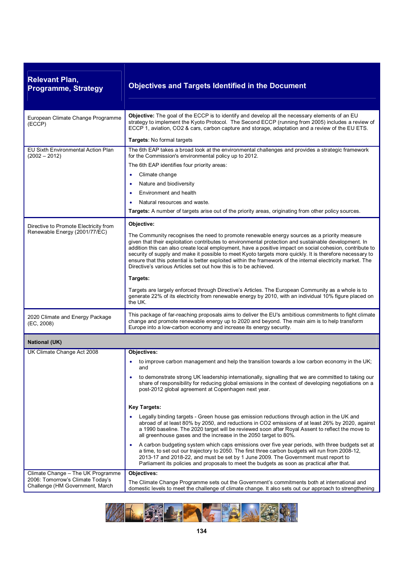| <b>Relevant Plan,</b><br><b>Programme, Strategy</b>                 | <b>Objectives and Targets Identified in the Document</b>                                                                                                                                                                                                                                                                                                                                                                                                                                                                                                                                                        |
|---------------------------------------------------------------------|-----------------------------------------------------------------------------------------------------------------------------------------------------------------------------------------------------------------------------------------------------------------------------------------------------------------------------------------------------------------------------------------------------------------------------------------------------------------------------------------------------------------------------------------------------------------------------------------------------------------|
| European Climate Change Programme<br>(ECCP)                         | <b>Objective:</b> The goal of the ECCP is to identify and develop all the necessary elements of an EU<br>strategy to implement the Kyoto Protocol. The Second ECCP (running from 2005) includes a review of<br>ECCP 1, aviation, CO2 & cars, carbon capture and storage, adaptation and a review of the EU ETS.                                                                                                                                                                                                                                                                                                 |
|                                                                     | Targets: No formal targets                                                                                                                                                                                                                                                                                                                                                                                                                                                                                                                                                                                      |
| EU Sixth Environmental Action Plan<br>$(2002 - 2012)$               | The 6th EAP takes a broad look at the environmental challenges and provides a strategic framework<br>for the Commission's environmental policy up to 2012.                                                                                                                                                                                                                                                                                                                                                                                                                                                      |
|                                                                     | The 6th EAP identifies four priority areas:                                                                                                                                                                                                                                                                                                                                                                                                                                                                                                                                                                     |
|                                                                     | Climate change<br>$\bullet$                                                                                                                                                                                                                                                                                                                                                                                                                                                                                                                                                                                     |
|                                                                     | Nature and biodiversity<br>٠                                                                                                                                                                                                                                                                                                                                                                                                                                                                                                                                                                                    |
|                                                                     | Environment and health                                                                                                                                                                                                                                                                                                                                                                                                                                                                                                                                                                                          |
|                                                                     | Natural resources and waste.                                                                                                                                                                                                                                                                                                                                                                                                                                                                                                                                                                                    |
|                                                                     | Targets: A number of targets arise out of the priority areas, originating from other policy sources.                                                                                                                                                                                                                                                                                                                                                                                                                                                                                                            |
| Directive to Promote Electricity from                               | Objective:                                                                                                                                                                                                                                                                                                                                                                                                                                                                                                                                                                                                      |
| Renewable Energy (2001/77/EC)                                       | The Community recognises the need to promote renewable energy sources as a priority measure<br>given that their exploitation contributes to environmental protection and sustainable development. In<br>addition this can also create local employment, have a positive impact on social cohesion, contribute to<br>security of supply and make it possible to meet Kyoto targets more quickly. It is therefore necessary to<br>ensure that this potential is better exploited within the framework of the internal electricity market. The<br>Directive's various Articles set out how this is to be achieved. |
|                                                                     | Targets:                                                                                                                                                                                                                                                                                                                                                                                                                                                                                                                                                                                                        |
|                                                                     | Targets are largely enforced through Directive's Articles. The European Community as a whole is to<br>generate 22% of its electricity from renewable energy by 2010, with an individual 10% figure placed on<br>the UK.                                                                                                                                                                                                                                                                                                                                                                                         |
| 2020 Climate and Energy Package<br>(EC, 2008)                       | This package of far-reaching proposals aims to deliver the EU's ambitious commitments to fight climate<br>change and promote renewable energy up to 2020 and beyond. The main aim is to help transform<br>Europe into a low-carbon economy and increase its energy security.                                                                                                                                                                                                                                                                                                                                    |
| <b>National (UK)</b>                                                |                                                                                                                                                                                                                                                                                                                                                                                                                                                                                                                                                                                                                 |
| UK Climate Change Act 2008                                          | Objectives:                                                                                                                                                                                                                                                                                                                                                                                                                                                                                                                                                                                                     |
|                                                                     | to improve carbon management and help the transition towards a low carbon economy in the UK;<br>and                                                                                                                                                                                                                                                                                                                                                                                                                                                                                                             |
|                                                                     | to demonstrate strong UK leadership internationally, signalling that we are committed to taking our<br>share of responsibility for reducing global emissions in the context of developing negotiations on a<br>post-2012 global agreement at Copenhagen next year.                                                                                                                                                                                                                                                                                                                                              |
|                                                                     | <b>Key Targets:</b>                                                                                                                                                                                                                                                                                                                                                                                                                                                                                                                                                                                             |
|                                                                     | Legally binding targets - Green house gas emission reductions through action in the UK and<br>abroad of at least 80% by 2050, and reductions in CO2 emissions of at least 26% by 2020, against<br>a 1990 baseline. The 2020 target will be reviewed soon after Royal Assent to reflect the move to<br>all greenhouse gases and the increase in the 2050 target to 80%.                                                                                                                                                                                                                                          |
|                                                                     | A carbon budgeting system which caps emissions over five year periods, with three budgets set at<br>a time, to set out our trajectory to 2050. The first three carbon budgets will run from 2008-12,<br>2013-17 and 2018-22, and must be set by 1 June 2009. The Government must report to<br>Parliament its policies and proposals to meet the budgets as soon as practical after that.                                                                                                                                                                                                                        |
| Climate Change - The UK Programme                                   | Objectives:                                                                                                                                                                                                                                                                                                                                                                                                                                                                                                                                                                                                     |
| 2006: Tomorrow's Climate Today's<br>Challenge (HM Government, March | The Climate Change Programme sets out the Government's commitments both at international and<br>domestic levels to meet the challenge of climate change. It also sets out our approach to strengthening                                                                                                                                                                                                                                                                                                                                                                                                         |

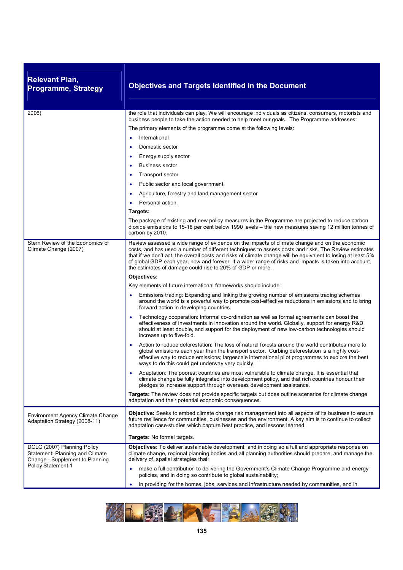| <b>Relevant Plan,</b><br><b>Programme, Strategy</b>                                                                            | <b>Objectives and Targets Identified in the Document</b>                                                                                                                                                                                                                                                                                                                                                                                                                                     |
|--------------------------------------------------------------------------------------------------------------------------------|----------------------------------------------------------------------------------------------------------------------------------------------------------------------------------------------------------------------------------------------------------------------------------------------------------------------------------------------------------------------------------------------------------------------------------------------------------------------------------------------|
| 2006)                                                                                                                          | the role that individuals can play. We will encourage individuals as citizens, consumers, motorists and                                                                                                                                                                                                                                                                                                                                                                                      |
|                                                                                                                                | business people to take the action needed to help meet our goals. The Programme addresses:                                                                                                                                                                                                                                                                                                                                                                                                   |
|                                                                                                                                | The primary elements of the programme come at the following levels:<br>International                                                                                                                                                                                                                                                                                                                                                                                                         |
|                                                                                                                                | ٠<br>$\bullet$                                                                                                                                                                                                                                                                                                                                                                                                                                                                               |
|                                                                                                                                | Domestic sector                                                                                                                                                                                                                                                                                                                                                                                                                                                                              |
|                                                                                                                                | Energy supply sector<br>$\bullet$                                                                                                                                                                                                                                                                                                                                                                                                                                                            |
|                                                                                                                                | <b>Business sector</b>                                                                                                                                                                                                                                                                                                                                                                                                                                                                       |
|                                                                                                                                | Transport sector<br>٠                                                                                                                                                                                                                                                                                                                                                                                                                                                                        |
|                                                                                                                                | Public sector and local government                                                                                                                                                                                                                                                                                                                                                                                                                                                           |
|                                                                                                                                | Agriculture, forestry and land management sector                                                                                                                                                                                                                                                                                                                                                                                                                                             |
|                                                                                                                                | Personal action.<br>$\bullet$                                                                                                                                                                                                                                                                                                                                                                                                                                                                |
|                                                                                                                                | Targets:                                                                                                                                                                                                                                                                                                                                                                                                                                                                                     |
|                                                                                                                                | The package of existing and new policy measures in the Programme are projected to reduce carbon<br>dioxide emissions to 15-18 per cent below 1990 levels – the new measures saving 12 million tonnes of<br>carbon by 2010.                                                                                                                                                                                                                                                                   |
| Stern Review of the Economics of<br>Climate Change (2007)                                                                      | Review assessed a wide range of evidence on the impacts of climate change and on the economic<br>costs, and has used a number of different techniques to assess costs and risks. The Review estimates<br>that if we don't act, the overall costs and risks of climate change will be equivalent to losing at least 5%<br>of global GDP each year, now and forever. If a wider range of risks and impacts is taken into account,<br>the estimates of damage could rise to 20% of GDP or more. |
|                                                                                                                                | Objectives:                                                                                                                                                                                                                                                                                                                                                                                                                                                                                  |
|                                                                                                                                | Key elements of future international frameworks should include:                                                                                                                                                                                                                                                                                                                                                                                                                              |
|                                                                                                                                | Emissions trading: Expanding and linking the growing number of emissions trading schemes<br>$\bullet$<br>around the world is a powerful way to promote cost-effective reductions in emissions and to bring<br>forward action in developing countries.                                                                                                                                                                                                                                        |
|                                                                                                                                | Technology cooperation: Informal co-ordination as well as formal agreements can boost the<br>effectiveness of investments in innovation around the world. Globally, support for energy R&D<br>should at least double, and support for the deployment of new low-carbon technologies should<br>increase up to five-fold.                                                                                                                                                                      |
|                                                                                                                                | Action to reduce deforestation: The loss of natural forests around the world contributes more to<br>global emissions each year than the transport sector. Curbing deforestation is a highly cost-<br>effective way to reduce emissions; largescale international pilot programmes to explore the best<br>ways to do this could get underway very quickly.                                                                                                                                    |
|                                                                                                                                | Adaptation: The poorest countries are most vulnerable to climate change. It is essential that<br>climate change be fully integrated into development policy, and that rich countries honour their<br>pledges to increase support through overseas development assistance.                                                                                                                                                                                                                    |
|                                                                                                                                | Targets: The review does not provide specific targets but does outline scenarios for climate change<br>adaptation and their potential economic consequences.                                                                                                                                                                                                                                                                                                                                 |
| Environment Agency Climate Change<br>Adaptation Strategy (2008-11)                                                             | <b>Objective:</b> Seeks to embed climate change risk management into all aspects of its business to ensure<br>future resilience for communities, businesses and the environment. A key aim is to continue to collect<br>adaptation case-studies which capture best practice, and lessons learned.                                                                                                                                                                                            |
|                                                                                                                                | Targets: No formal targets.                                                                                                                                                                                                                                                                                                                                                                                                                                                                  |
| DCLG (2007) Planning Policy<br>Statement: Planning and Climate<br>Change - Supplement to Planning<br><b>Policy Statement 1</b> | Objectives: To deliver sustainable development, and in doing so a full and appropriate response on<br>climate change, regional planning bodies and all planning authorities should prepare, and manage the<br>delivery of, spatial strategies that:                                                                                                                                                                                                                                          |
|                                                                                                                                | make a full contribution to delivering the Government's Climate Change Programme and energy<br>policies, and in doing so contribute to global sustainability;                                                                                                                                                                                                                                                                                                                                |
|                                                                                                                                | in providing for the homes, jobs, services and infrastructure needed by communities, and in<br>٠                                                                                                                                                                                                                                                                                                                                                                                             |

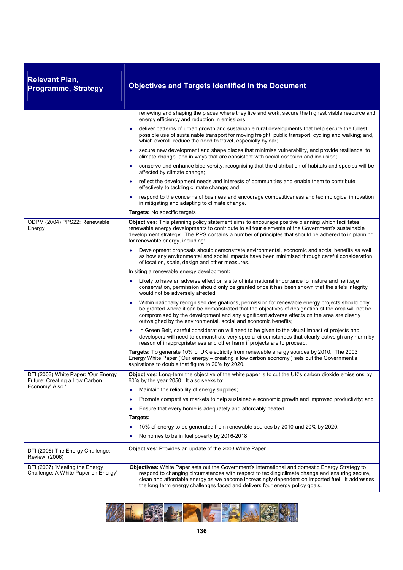| <b>Relevant Plan,</b><br><b>Programme, Strategy</b>                   | <b>Objectives and Targets Identified in the Document</b>                                                                                                                                                                                                                                                                                                                            |
|-----------------------------------------------------------------------|-------------------------------------------------------------------------------------------------------------------------------------------------------------------------------------------------------------------------------------------------------------------------------------------------------------------------------------------------------------------------------------|
|                                                                       | renewing and shaping the places where they live and work, secure the highest viable resource and<br>energy efficiency and reduction in emissions;                                                                                                                                                                                                                                   |
|                                                                       | deliver patterns of urban growth and sustainable rural developments that help secure the fullest<br>$\bullet$<br>possible use of sustainable transport for moving freight, public transport, cycling and walking; and,<br>which overall, reduce the need to travel, especially by car;                                                                                              |
|                                                                       | secure new development and shape places that minimise vulnerability, and provide resilience, to<br>$\bullet$<br>climate change; and in ways that are consistent with social cohesion and inclusion;                                                                                                                                                                                 |
|                                                                       | conserve and enhance biodiversity, recognising that the distribution of habitats and species will be<br>affected by climate change;                                                                                                                                                                                                                                                 |
|                                                                       | reflect the development needs and interests of communities and enable them to contribute<br>$\bullet$<br>effectively to tackling climate change; and                                                                                                                                                                                                                                |
|                                                                       | respond to the concerns of business and encourage competitiveness and technological innovation<br>$\bullet$<br>in mitigating and adapting to climate change.                                                                                                                                                                                                                        |
|                                                                       | Targets: No specific targets                                                                                                                                                                                                                                                                                                                                                        |
| ODPM (2004) PPS22: Renewable<br>Energy                                | Objectives: This planning policy statement aims to encourage positive planning which facilitates<br>renewable energy developments to contribute to all four elements of the Government's sustainable<br>development strategy. The PPS contains a number of principles that should be adhered to in planning<br>for renewable energy, including:                                     |
|                                                                       | Development proposals should demonstrate environmental, economic and social benefits as well<br>$\bullet$<br>as how any environmental and social impacts have been minimised through careful consideration<br>of location, scale, design and other measures.                                                                                                                        |
|                                                                       | In siting a renewable energy development:                                                                                                                                                                                                                                                                                                                                           |
|                                                                       | Likely to have an adverse effect on a site of international importance for nature and heritage<br>$\bullet$<br>conservation, permission should only be granted once it has been shown that the site's integrity<br>would not be adversely affected;                                                                                                                                 |
|                                                                       | Within nationally recognised designations, permission for renewable energy projects should only<br>be granted where it can be demonstrated that the objectives of designation of the area will not be<br>compromised by the development and any significant adverse effects on the area are clearly<br>outweighed by the environmental, social and economic benefits;               |
|                                                                       | In Green Belt, careful consideration will need to be given to the visual impact of projects and<br>developers will need to demonstrate very special circumstances that clearly outweigh any harm by<br>reason of inappropriateness and other harm if projects are to proceed.                                                                                                       |
|                                                                       | Targets: To generate 10% of UK electricity from renewable energy sources by 2010. The 2003<br>Energy White Paper ('Our energy - creating a low carbon economy') sets out the Government's<br>aspirations to double that figure to 20% by 2020.                                                                                                                                      |
| DTI (2003) White Paper: 'Our Energy<br>Future: Creating a Low Carbon  | Objectives: Long-term the objective of the white paper is to cut the UK's carbon dioxide emissions by<br>60% by the year 2050. It also seeks to:                                                                                                                                                                                                                                    |
| Economy' Also                                                         | Maintain the reliability of energy supplies;<br>$\bullet$                                                                                                                                                                                                                                                                                                                           |
|                                                                       | Promote competitive markets to help sustainable economic growth and improved productivity; and<br>٠                                                                                                                                                                                                                                                                                 |
|                                                                       | Ensure that every home is adequately and affordably heated.<br>٠                                                                                                                                                                                                                                                                                                                    |
|                                                                       | Targets:                                                                                                                                                                                                                                                                                                                                                                            |
|                                                                       | 10% of energy to be generated from renewable sources by 2010 and 20% by 2020.<br>٠                                                                                                                                                                                                                                                                                                  |
|                                                                       | No homes to be in fuel poverty by 2016-2018.                                                                                                                                                                                                                                                                                                                                        |
| DTI (2006) The Energy Challenge:<br>Review' (2006)                    | <b>Objectives:</b> Provides an update of the 2003 White Paper.                                                                                                                                                                                                                                                                                                                      |
| DTI (2007) 'Meeting the Energy<br>Challenge: A White Paper on Energy' | Objectives: White Paper sets out the Government's international and domestic Energy Strategy to<br>respond to changing circumstances with respect to tackling climate change and ensuring secure,<br>clean and affordable energy as we become increasingly dependent on imported fuel. It addresses<br>the long term energy challenges faced and delivers four energy policy goals. |

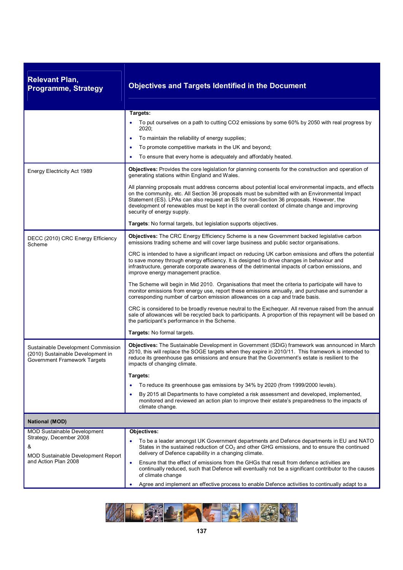| <b>Relevant Plan,</b><br><b>Programme, Strategy</b>                                                     | <b>Objectives and Targets Identified in the Document</b>                                                                                                                                                                                                                                                                                                                                                                         |
|---------------------------------------------------------------------------------------------------------|----------------------------------------------------------------------------------------------------------------------------------------------------------------------------------------------------------------------------------------------------------------------------------------------------------------------------------------------------------------------------------------------------------------------------------|
|                                                                                                         | Targets:                                                                                                                                                                                                                                                                                                                                                                                                                         |
|                                                                                                         | To put ourselves on a path to cutting CO2 emissions by some 60% by 2050 with real progress by<br>2020:                                                                                                                                                                                                                                                                                                                           |
|                                                                                                         | To maintain the reliability of energy supplies;                                                                                                                                                                                                                                                                                                                                                                                  |
|                                                                                                         | To promote competitive markets in the UK and beyond;                                                                                                                                                                                                                                                                                                                                                                             |
|                                                                                                         | To ensure that every home is adequately and affordably heated.                                                                                                                                                                                                                                                                                                                                                                   |
| Energy Electricity Act 1989                                                                             | Objectives: Provides the core legislation for planning consents for the construction and operation of<br>generating stations within England and Wales.                                                                                                                                                                                                                                                                           |
|                                                                                                         | All planning proposals must address concerns about potential local environmental impacts, and effects<br>on the community, etc. All Section 36 proposals must be submitted with an Environmental Impact<br>Statement (ES). LPAs can also request an ES for non-Section 36 proposals. However, the<br>development of renewables must be kept in the overall context of climate change and improving<br>security of energy supply. |
|                                                                                                         | Targets: No formal targets, but legislation supports objectives.                                                                                                                                                                                                                                                                                                                                                                 |
| DECC (2010) CRC Energy Efficiency<br>Scheme                                                             | Objectives: The CRC Energy Efficiency Scheme is a new Government backed legislative carbon<br>emissions trading scheme and will cover large business and public sector organisations.                                                                                                                                                                                                                                            |
|                                                                                                         | CRC is intended to have a significant impact on reducing UK carbon emissions and offers the potential<br>to save money through energy efficiency. It is designed to drive changes in behaviour and<br>infrastructure, generate corporate awareness of the detrimental impacts of carbon emissions, and<br>improve energy management practice.                                                                                    |
|                                                                                                         | The Scheme will begin in Mid 2010. Organisations that meet the criteria to participate will have to<br>monitor emissions from energy use, report these emissions annually, and purchase and surrender a<br>corresponding number of carbon emission allowances on a cap and trade basis.                                                                                                                                          |
|                                                                                                         | CRC is considered to be broadly revenue neutral to the Exchequer. All revenue raised from the annual<br>sale of allowances will be recycled back to participants. A proportion of this repayment will be based on<br>the participant's performance in the Scheme.                                                                                                                                                                |
|                                                                                                         | Targets: No formal targets.                                                                                                                                                                                                                                                                                                                                                                                                      |
| Sustainable Development Commission<br>(2010) Sustainable Development in<br>Government Framework Targets | Objectives: The Sustainable Development in Government (SDiG) framework was announced in March<br>2010, this will replace the SOGE targets when they expire in 2010/11. This framework is intended to<br>reduce its greenhouse gas emissions and ensure that the Government's estate is resilient to the<br>impacts of changing climate.                                                                                          |
|                                                                                                         | Targets:                                                                                                                                                                                                                                                                                                                                                                                                                         |
|                                                                                                         | To reduce its greenhouse gas emissions by 34% by 2020 (from 1999/2000 levels).                                                                                                                                                                                                                                                                                                                                                   |
|                                                                                                         | By 2015 all Departments to have completed a risk assessment and developed, implemented,<br>monitored and reviewed an action plan to improve their estate's preparedness to the impacts of<br>climate change.                                                                                                                                                                                                                     |
| <b>National (MOD)</b>                                                                                   |                                                                                                                                                                                                                                                                                                                                                                                                                                  |
| <b>MOD Sustainable Development</b>                                                                      | Objectives:                                                                                                                                                                                                                                                                                                                                                                                                                      |
| Strategy, December 2008<br>&<br><b>MOD Sustainable Development Report</b>                               | To be a leader amongst UK Government departments and Defence departments in EU and NATO<br>States in the sustained reduction of CO <sub>2</sub> and other GHG emissions, and to ensure the continued<br>delivery of Defence capability in a changing climate.                                                                                                                                                                    |
| and Action Plan 2008                                                                                    | Ensure that the effect of emissions from the GHGs that result from defence activities are<br>$\bullet$<br>continually reduced, such that Defence will eventually not be a significant contributor to the causes<br>of climate change                                                                                                                                                                                             |
|                                                                                                         | Agree and implement an effective process to enable Defence activities to continually adapt to a                                                                                                                                                                                                                                                                                                                                  |

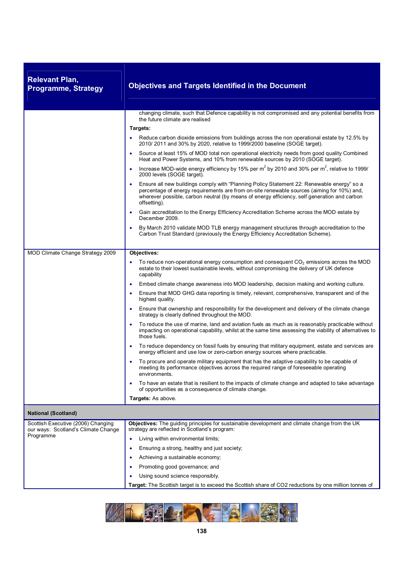| <b>Relevant Plan,</b><br><b>Programme, Strategy</b>                                    | <b>Objectives and Targets Identified in the Document</b>                                                                                                                                                                                                                                                                          |
|----------------------------------------------------------------------------------------|-----------------------------------------------------------------------------------------------------------------------------------------------------------------------------------------------------------------------------------------------------------------------------------------------------------------------------------|
|                                                                                        | changing climate, such that Defence capability is not compromised and any potential benefits from<br>the future climate are realised<br>Targets:<br>Reduce carbon dioxide emissions from buildings across the non operational estate by 12.5% by<br>٠<br>2010/2011 and 30% by 2020, relative to 1999/2000 baseline (SOGE target). |
|                                                                                        | Source at least 15% of MOD total non operational electricity needs from good quality Combined<br>٠<br>Heat and Power Systems, and 10% from renewable sources by 2010 (SOGE target).                                                                                                                                               |
|                                                                                        | Increase MOD-wide energy efficiency by 15% per m <sup>2</sup> by 2010 and 30% per m <sup>2</sup> , relative to 1999/<br>2000 levels (SOGE target).                                                                                                                                                                                |
|                                                                                        | Ensure all new buildings comply with "Planning Policy Statement 22: Renewable energy" so a<br>percentage of energy requirements are from on-site renewable sources (aiming for 10%) and,<br>wherever possible, carbon neutral (by means of energy efficiency, self generation and carbon<br>offsetting).                          |
|                                                                                        | Gain accreditation to the Energy Efficiency Accreditation Scheme across the MOD estate by<br>٠<br>December 2009.                                                                                                                                                                                                                  |
|                                                                                        | By March 2010 validate MOD TLB energy management structures through accreditation to the<br>$\bullet$<br>Carbon Trust Standard (previously the Energy Efficiency Accreditation Scheme).                                                                                                                                           |
| MOD Climate Change Strategy 2009                                                       | Objectives:                                                                                                                                                                                                                                                                                                                       |
|                                                                                        | To reduce non-operational energy consumption and consequent $CO2$ emissions across the MOD<br>estate to their lowest sustainable levels, without compromising the delivery of UK defence<br>capability                                                                                                                            |
|                                                                                        | Embed climate change awareness into MOD leadership, decision making and working culture.<br>٠                                                                                                                                                                                                                                     |
|                                                                                        | Ensure that MOD GHG data reporting is timely, relevant, comprehensive, transparent and of the<br>٠<br>highest quality.                                                                                                                                                                                                            |
|                                                                                        | Ensure that ownership and responsibility for the development and delivery of the climate change<br>strategy is clearly defined throughout the MOD.                                                                                                                                                                                |
|                                                                                        | To reduce the use of marine, land and aviation fuels as much as is reasonably practicable without<br>$\bullet$<br>impacting on operational capability, whilst at the same time assessing the viability of alternatives to<br>those fuels.                                                                                         |
|                                                                                        | To reduce dependency on fossil fuels by ensuring that military equipment, estate and services are<br>٠<br>energy efficient and use low or zero-carbon energy sources where practicable.                                                                                                                                           |
|                                                                                        | To procure and operate military equipment that has the adaptive capability to be capable of<br>meeting its performance objectives across the required range of foreseeable operating<br>environments.                                                                                                                             |
|                                                                                        | To have an estate that is resilient to the impacts of climate change and adapted to take advantage<br>٠<br>of opportunities as a consequence of climate change.                                                                                                                                                                   |
|                                                                                        | Targets: As above.                                                                                                                                                                                                                                                                                                                |
| <b>National (Scotland)</b>                                                             |                                                                                                                                                                                                                                                                                                                                   |
| Scottish Executive (2006) Changing<br>our ways: Scotland's Climate Change<br>Programme | Objectives: The guiding principles for sustainable development and climate change from the UK<br>strategy are reflected in Scotland's program:                                                                                                                                                                                    |
|                                                                                        | Living within environmental limits;<br>٠                                                                                                                                                                                                                                                                                          |
|                                                                                        | Ensuring a strong, healthy and just society;<br>$\bullet$                                                                                                                                                                                                                                                                         |
|                                                                                        | Achieving a sustainable economy;                                                                                                                                                                                                                                                                                                  |
|                                                                                        | Promoting good governance; and                                                                                                                                                                                                                                                                                                    |
|                                                                                        | Using sound science responsibly.                                                                                                                                                                                                                                                                                                  |
|                                                                                        | Target: The Scottish target is to exceed the Scottish share of CO2 reductions by one million tonnes of                                                                                                                                                                                                                            |

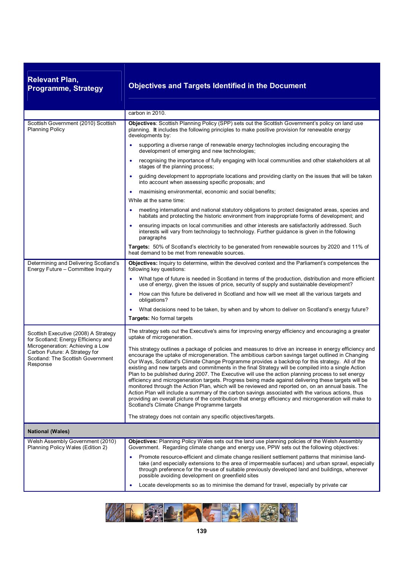| <b>Relevant Plan,</b><br><b>Programme, Strategy</b>                                                                                                                                               | <b>Objectives and Targets Identified in the Document</b>                                                                                                                                                                                                                                                                                                                                                                                                                                                                                                                                                                                                                                                                                                                                                                                                                                                                                                                                                     |
|---------------------------------------------------------------------------------------------------------------------------------------------------------------------------------------------------|--------------------------------------------------------------------------------------------------------------------------------------------------------------------------------------------------------------------------------------------------------------------------------------------------------------------------------------------------------------------------------------------------------------------------------------------------------------------------------------------------------------------------------------------------------------------------------------------------------------------------------------------------------------------------------------------------------------------------------------------------------------------------------------------------------------------------------------------------------------------------------------------------------------------------------------------------------------------------------------------------------------|
|                                                                                                                                                                                                   | carbon in 2010.                                                                                                                                                                                                                                                                                                                                                                                                                                                                                                                                                                                                                                                                                                                                                                                                                                                                                                                                                                                              |
| Scottish Government (2010) Scottish<br><b>Planning Policy</b>                                                                                                                                     | Objectives: Scottish Planning Policy (SPP) sets out the Scottish Government's policy on land use<br>planning. It includes the following principles to make positive provision for renewable energy<br>developments by:                                                                                                                                                                                                                                                                                                                                                                                                                                                                                                                                                                                                                                                                                                                                                                                       |
|                                                                                                                                                                                                   | supporting a diverse range of renewable energy technologies including encouraging the<br>development of emerging and new technologies;                                                                                                                                                                                                                                                                                                                                                                                                                                                                                                                                                                                                                                                                                                                                                                                                                                                                       |
|                                                                                                                                                                                                   | recognising the importance of fully engaging with local communities and other stakeholders at all<br>٠<br>stages of the planning process;                                                                                                                                                                                                                                                                                                                                                                                                                                                                                                                                                                                                                                                                                                                                                                                                                                                                    |
|                                                                                                                                                                                                   | guiding development to appropriate locations and providing clarity on the issues that will be taken<br>into account when assessing specific proposals; and                                                                                                                                                                                                                                                                                                                                                                                                                                                                                                                                                                                                                                                                                                                                                                                                                                                   |
|                                                                                                                                                                                                   | maximising environmental, economic and social benefits;<br>٠                                                                                                                                                                                                                                                                                                                                                                                                                                                                                                                                                                                                                                                                                                                                                                                                                                                                                                                                                 |
|                                                                                                                                                                                                   | While at the same time:                                                                                                                                                                                                                                                                                                                                                                                                                                                                                                                                                                                                                                                                                                                                                                                                                                                                                                                                                                                      |
|                                                                                                                                                                                                   | meeting international and national statutory obligations to protect designated areas, species and<br>habitats and protecting the historic environment from inappropriate forms of development; and                                                                                                                                                                                                                                                                                                                                                                                                                                                                                                                                                                                                                                                                                                                                                                                                           |
|                                                                                                                                                                                                   | ensuring impacts on local communities and other interests are satisfactorily addressed. Such<br>interests will vary from technology to technology. Further guidance is given in the following<br>paragraphs                                                                                                                                                                                                                                                                                                                                                                                                                                                                                                                                                                                                                                                                                                                                                                                                  |
|                                                                                                                                                                                                   | Targets: 50% of Scotland's electricity to be generated from renewable sources by 2020 and 11% of<br>heat demand to be met from renewable sources.                                                                                                                                                                                                                                                                                                                                                                                                                                                                                                                                                                                                                                                                                                                                                                                                                                                            |
| Determining and Delivering Scotland's<br>Energy Future - Committee Inquiry                                                                                                                        | Objectives: Inquiry to determine, within the devolved context and the Parliament's competences the<br>following key questions:                                                                                                                                                                                                                                                                                                                                                                                                                                                                                                                                                                                                                                                                                                                                                                                                                                                                               |
|                                                                                                                                                                                                   | What type of future is needed in Scotland in terms of the production, distribution and more efficient<br>use of energy, given the issues of price, security of supply and sustainable development?                                                                                                                                                                                                                                                                                                                                                                                                                                                                                                                                                                                                                                                                                                                                                                                                           |
|                                                                                                                                                                                                   | How can this future be delivered in Scotland and how will we meet all the various targets and<br>٠<br>obligations?                                                                                                                                                                                                                                                                                                                                                                                                                                                                                                                                                                                                                                                                                                                                                                                                                                                                                           |
|                                                                                                                                                                                                   | What decisions need to be taken, by when and by whom to deliver on Scotland's energy future?<br>٠                                                                                                                                                                                                                                                                                                                                                                                                                                                                                                                                                                                                                                                                                                                                                                                                                                                                                                            |
|                                                                                                                                                                                                   | Targets: No formal targets                                                                                                                                                                                                                                                                                                                                                                                                                                                                                                                                                                                                                                                                                                                                                                                                                                                                                                                                                                                   |
| Scottish Executive (2008) A Strategy<br>for Scotland; Energy Efficiency and<br>Microgeneration: Achieving a Low<br>Carbon Future: A Strategy for<br>Scotland: The Scottish Government<br>Response | The strategy sets out the Executive's aims for improving energy efficiency and encouraging a greater<br>uptake of microgeneration.                                                                                                                                                                                                                                                                                                                                                                                                                                                                                                                                                                                                                                                                                                                                                                                                                                                                           |
|                                                                                                                                                                                                   | This strategy outlines a package of policies and measures to drive an increase in energy efficiency and<br>encourage the uptake of microgeneration. The ambitious carbon savings target outlined in Changing<br>Our Ways, Scotland's Climate Change Programme provides a backdrop for this strategy. All of the<br>existing and new targets and commitments in the final Strategy will be compiled into a single Action<br>Plan to be published during 2007. The Executive will use the action planning process to set energy<br>efficiency and microgeneration targets. Progress being made against delivering these targets will be<br>monitored through the Action Plan, which will be reviewed and reported on, on an annual basis. The<br>Action Plan will include a summary of the carbon savings associated with the various actions, thus<br>providing an overall picture of the contribution that energy efficiency and microgeneration will make to<br>Scotland's Climate Change Programme targets |
|                                                                                                                                                                                                   | The strategy does not contain any specific objectives/targets.                                                                                                                                                                                                                                                                                                                                                                                                                                                                                                                                                                                                                                                                                                                                                                                                                                                                                                                                               |
| <b>National (Wales)</b>                                                                                                                                                                           |                                                                                                                                                                                                                                                                                                                                                                                                                                                                                                                                                                                                                                                                                                                                                                                                                                                                                                                                                                                                              |
| Welsh Assembly Government (2010)<br>Planning Policy Wales (Edition 2)                                                                                                                             | Objectives: Planning Policy Wales sets out the land use planning policies of the Welsh Assembly<br>Government. Regarding climate change and energy use, PPW sets out the following objectives:                                                                                                                                                                                                                                                                                                                                                                                                                                                                                                                                                                                                                                                                                                                                                                                                               |
|                                                                                                                                                                                                   | Promote resource-efficient and climate change resilient settlement patterns that minimise land-<br>٠<br>take (and especially extensions to the area of impermeable surfaces) and urban sprawl, especially<br>through preference for the re-use of suitable previously developed land and buildings, wherever<br>possible avoiding development on greenfield sites                                                                                                                                                                                                                                                                                                                                                                                                                                                                                                                                                                                                                                            |
|                                                                                                                                                                                                   | Locate developments so as to minimise the demand for travel, especially by private car<br>۰                                                                                                                                                                                                                                                                                                                                                                                                                                                                                                                                                                                                                                                                                                                                                                                                                                                                                                                  |

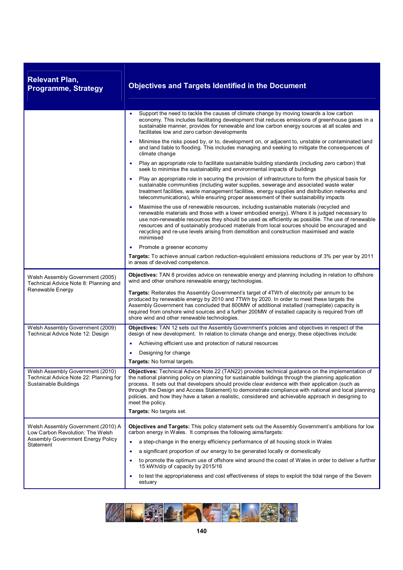| <b>Relevant Plan,</b><br><b>Programme, Strategy</b>                                                                             | <b>Objectives and Targets Identified in the Document</b>                                                                                                                                                                                                                                                                                                                                                                                                                                                                                         |
|---------------------------------------------------------------------------------------------------------------------------------|--------------------------------------------------------------------------------------------------------------------------------------------------------------------------------------------------------------------------------------------------------------------------------------------------------------------------------------------------------------------------------------------------------------------------------------------------------------------------------------------------------------------------------------------------|
|                                                                                                                                 | Support the need to tackle the causes of climate change by moving towards a low carbon<br>economy. This includes facilitating development that reduces emissions of greenhouse gases in a<br>sustainable manner, provides for renewable and low carbon energy sources at all scales and<br>facilitates low and zero carbon developments                                                                                                                                                                                                          |
|                                                                                                                                 | Minimise the risks posed by, or to, development on, or adjacent to, unstable or contaminated land<br>and land liable to flooding. This includes managing and seeking to mitigate the consequences of<br>climate change                                                                                                                                                                                                                                                                                                                           |
|                                                                                                                                 | Play an appropriate role to facilitate sustainable building standards (including zero carbon) that<br>seek to minimise the sustainability and environmental impacts of buildings                                                                                                                                                                                                                                                                                                                                                                 |
|                                                                                                                                 | Play an appropriate role in securing the provision of infrastructure to form the physical basis for<br>sustainable communities (including water supplies, sewerage and associated waste water<br>treatment facilities, waste management facilities, energy supplies and distribution networks and<br>telecommunications), while ensuring proper assessment of their sustainability impacts                                                                                                                                                       |
|                                                                                                                                 | Maximise the use of renewable resources, including sustainable materials (recycled and<br>٠<br>renewable materials and those with a lower embodied energy). Where it is judged necessary to<br>use non-renewable resources they should be used as efficiently as possible. The use of renewable<br>resources and of sustainably produced materials from local sources should be encouraged and<br>recycling and re-use levels arising from demolition and construction maximised and waste<br>minimised                                          |
|                                                                                                                                 | Promote a greener economy                                                                                                                                                                                                                                                                                                                                                                                                                                                                                                                        |
|                                                                                                                                 | Targets: To achieve annual carbon reduction-equivalent emissions reductions of 3% per year by 2011<br>in areas of devolved competence.                                                                                                                                                                                                                                                                                                                                                                                                           |
| Welsh Assembly Government (2005)<br>Technical Advice Note 8: Planning and<br>Renewable Energy                                   | Objectives: TAN 8 provides advice on renewable energy and planning including in relation to offshore<br>wind and other onshore renewable energy technologies.                                                                                                                                                                                                                                                                                                                                                                                    |
|                                                                                                                                 | Targets: Reiterates the Assembly Government's target of 4TWh of electricity per annum to be<br>produced by renewable energy by 2010 and 7TWh by 2020. In order to meet these targets the<br>Assembly Government has concluded that 800MW of additional installed (nameplate) capacity is<br>required from onshore wind sources and a further 200MW of installed capacity is required from off<br>shore wind and other renewable technologies.                                                                                                    |
| Welsh Assembly Government (2009)<br>Technical Advice Note 12: Design                                                            | Objectives: TAN 12 sets out the Assembly Government's policies and objectives in respect of the<br>design of new development. In relation to climate change and energy, these objectives include:                                                                                                                                                                                                                                                                                                                                                |
|                                                                                                                                 | Achieving efficient use and protection of natural resources<br>٠                                                                                                                                                                                                                                                                                                                                                                                                                                                                                 |
|                                                                                                                                 | Designing for change                                                                                                                                                                                                                                                                                                                                                                                                                                                                                                                             |
|                                                                                                                                 | <b>Targets:</b> No formal targets.                                                                                                                                                                                                                                                                                                                                                                                                                                                                                                               |
| Welsh Assembly Government (2010)<br>Technical Advice Note 22: Planning for<br>Sustainable Buildings                             | Objectives: Technical Advice Note 22 (TAN22) provides technical guidance on the implementation of<br>the national planning policy on planning for sustainable buildings through the planning application<br>process. It sets out that developers should provide clear evidence with their application (such as<br>through the Design and Access Statement) to demonstrate compliance with national and local planning<br>policies, and how they have a taken a realistic, considered and achievable approach in designing to<br>meet the policy. |
|                                                                                                                                 | Targets: No targets set.                                                                                                                                                                                                                                                                                                                                                                                                                                                                                                                         |
| Welsh Assembly Government (2010) A<br>Low Carbon Revolution: The Welsh<br><b>Assembly Government Energy Policy</b><br>Statement | Objectives and Targets: This policy statement sets out the Assembly Government's ambitions for low<br>carbon energy in Wales. It comprises the following aims/targets:                                                                                                                                                                                                                                                                                                                                                                           |
|                                                                                                                                 | a step-change in the energy efficiency performance of all housing stock in Wales<br>$\bullet$                                                                                                                                                                                                                                                                                                                                                                                                                                                    |
|                                                                                                                                 | a significant proportion of our energy to be generated locally or domestically                                                                                                                                                                                                                                                                                                                                                                                                                                                                   |
|                                                                                                                                 | to promote the optimum use of offshore wind around the coast of Wales in order to deliver a further<br>15 kWh/d/p of capacity by 2015/16                                                                                                                                                                                                                                                                                                                                                                                                         |
|                                                                                                                                 | to test the appropriateness and cost effectiveness of steps to exploit the tidal range of the Severn<br>٠<br>estuary                                                                                                                                                                                                                                                                                                                                                                                                                             |

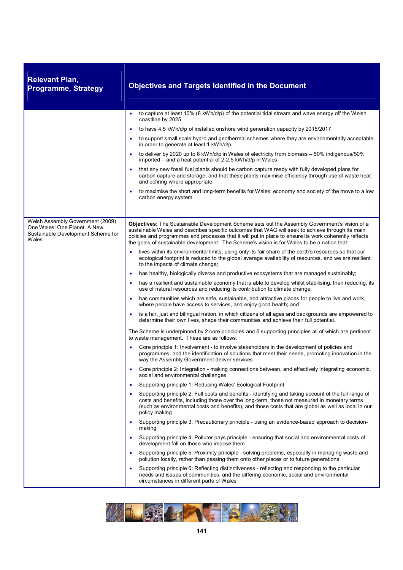| <b>Relevant Plan,</b><br><b>Programme, Strategy</b>                                                             | <b>Objectives and Targets Identified in the Document</b>                                                                                                                                                                                                                                                                                                                                                          |
|-----------------------------------------------------------------------------------------------------------------|-------------------------------------------------------------------------------------------------------------------------------------------------------------------------------------------------------------------------------------------------------------------------------------------------------------------------------------------------------------------------------------------------------------------|
|                                                                                                                 | to capture at least 10% (8 kWh/d/p) of the potential tidal stream and wave energy off the Welsh                                                                                                                                                                                                                                                                                                                   |
|                                                                                                                 | coastline by 2025<br>to have 4.5 kWh/d/p of installed onshore wind generation capacity by 2015/2017<br>$\bullet$                                                                                                                                                                                                                                                                                                  |
|                                                                                                                 | to support small scale hydro and geothermal schemes where they are environmentally acceptable<br>in order to generate at least 1 kWh/d/p                                                                                                                                                                                                                                                                          |
|                                                                                                                 | to deliver by 2020 up to 6 kWh/d/p in Wales of electricity from biomass - 50% indigenous/50%<br>٠<br>imported – and a heat potential of 2-2.5 kWh/d/p in Wales                                                                                                                                                                                                                                                    |
|                                                                                                                 | that any new fossil fuel plants should be carbon capture ready with fully developed plans for<br>$\bullet$<br>carbon capture and storage; and that these plants maximise efficiency through use of waste heat<br>and cofiring where appropriate                                                                                                                                                                   |
|                                                                                                                 | to maximise the short and long-term benefits for Wales' economy and society of the move to a low<br>carbon energy system                                                                                                                                                                                                                                                                                          |
|                                                                                                                 |                                                                                                                                                                                                                                                                                                                                                                                                                   |
| Welsh Assembly Government (2009)<br>One Wales: One Planet, A New<br>Sustainable Development Scheme for<br>Wales | <b>Objectives:</b> The Sustainable Development Scheme sets out the Assembly Government's vision of a<br>sustainable Wales and describes specific outcomes that WAG will seek to achieve through its main<br>policies and programmes and processes that it will put in place to ensure its work coherently reflects<br>the goals of sustainable development. The Scheme's vision is for Wales to be a nation that: |
|                                                                                                                 | lives within its environmental limits, using only its fair share of the earth's resources so that our<br>ecological footprint is reduced to the global average availability of resources, and we are resilient<br>to the impacts of climate change;                                                                                                                                                               |
|                                                                                                                 | has healthy, biologically diverse and productive ecosystems that are managed sustainably;<br>$\bullet$                                                                                                                                                                                                                                                                                                            |
|                                                                                                                 | has a resilient and sustainable economy that is able to develop whilst stabilising, then reducing, its<br>$\bullet$<br>use of natural resources and reducing its contribution to climate change;                                                                                                                                                                                                                  |
|                                                                                                                 | has communities which are safe, sustainable, and attractive places for people to live and work,<br>$\bullet$<br>where people have access to services, and enjoy good health; and                                                                                                                                                                                                                                  |
|                                                                                                                 | is a fair, just and bilingual nation, in which citizens of all ages and backgrounds are empowered to<br>٠<br>determine their own lives, shape their communities and achieve their full potential.                                                                                                                                                                                                                 |
|                                                                                                                 | The Scheme is underpinned by 2 core principles and 6 supporting principles all of which are pertinent<br>to waste management. These are as follows:                                                                                                                                                                                                                                                               |
|                                                                                                                 | Core principle 1: Involvement - to involve stakeholders in the development of policies and<br>$\bullet$<br>programmes, and the identification of solutions that meet their needs, promoting innovation in the<br>way the Assembly Government deliver services                                                                                                                                                     |
|                                                                                                                 | Core principle 2: Integration - making connections between, and effectively integrating economic,<br>social and environmental challenges                                                                                                                                                                                                                                                                          |
|                                                                                                                 | Supporting principle 1: Reducing Wales' Ecological Footprint<br>٠                                                                                                                                                                                                                                                                                                                                                 |
|                                                                                                                 | Supporting principle 2: Full costs and benefits - identifying and taking account of the full range of<br>costs and benefits, including those over the long-term, those not measured in monetary terms<br>(such as environmental costs and benefits), and those costs that are global as well as local in our<br>policy making                                                                                     |
|                                                                                                                 | Supporting principle 3: Precautionary principle - using an evidence-based approach to decision-<br>making                                                                                                                                                                                                                                                                                                         |
|                                                                                                                 | Supporting principle 4: Polluter pays principle - ensuring that social and environmental costs of<br>development fall on those who impose them                                                                                                                                                                                                                                                                    |
|                                                                                                                 | Supporting principle 5: Proximity principle - solving problems, especially in managing waste and<br>$\bullet$<br>pollution locally, rather than passing them onto other places or to future generations                                                                                                                                                                                                           |
|                                                                                                                 | Supporting principle 6: Reflecting distinctiveness - reflecting and responding to the particular<br>$\bullet$<br>needs and issues of communities, and the differing economic, social and environmental<br>circumstances in different parts of Wales                                                                                                                                                               |

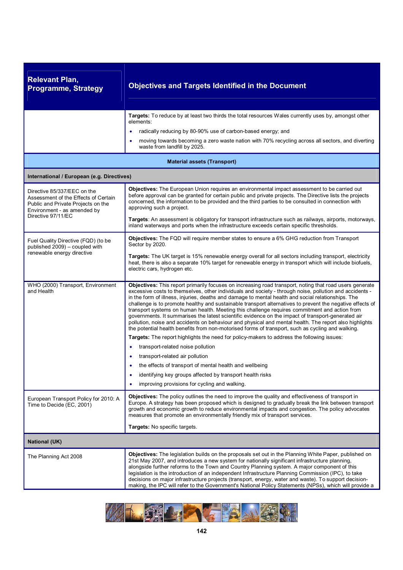| <b>Relevant Plan,</b><br><b>Programme, Strategy</b>                                                                                                            | <b>Objectives and Targets Identified in the Document</b>                                                                                                                                                                                                                                                                                                                                                                                                                                                                                                                                                                                                                                                                                                                                                                                                    |
|----------------------------------------------------------------------------------------------------------------------------------------------------------------|-------------------------------------------------------------------------------------------------------------------------------------------------------------------------------------------------------------------------------------------------------------------------------------------------------------------------------------------------------------------------------------------------------------------------------------------------------------------------------------------------------------------------------------------------------------------------------------------------------------------------------------------------------------------------------------------------------------------------------------------------------------------------------------------------------------------------------------------------------------|
|                                                                                                                                                                | Targets: To reduce by at least two thirds the total resources Wales currently uses by, amongst other<br>elements:<br>radically reducing by 80-90% use of carbon-based energy; and<br>moving towards becoming a zero waste nation with 70% recycling across all sectors, and diverting<br>waste from landfill by 2025.                                                                                                                                                                                                                                                                                                                                                                                                                                                                                                                                       |
|                                                                                                                                                                | <b>Material assets (Transport)</b>                                                                                                                                                                                                                                                                                                                                                                                                                                                                                                                                                                                                                                                                                                                                                                                                                          |
| International / European (e.g. Directives)                                                                                                                     |                                                                                                                                                                                                                                                                                                                                                                                                                                                                                                                                                                                                                                                                                                                                                                                                                                                             |
| Directive 85/337/EEC on the<br>Assessment of the Effects of Certain<br>Public and Private Projects on the<br>Environment - as amended by<br>Directive 97/11/EC | Objectives: The European Union requires an environmental impact assessment to be carried out<br>before approval can be granted for certain public and private projects. The Directive lists the projects<br>concerned, the information to be provided and the third parties to be consulted in connection with<br>approving such a project.                                                                                                                                                                                                                                                                                                                                                                                                                                                                                                                 |
|                                                                                                                                                                | Targets: An assessment is obligatory for transport infrastructure such as railways, airports, motorways,<br>inland waterways and ports when the infrastructure exceeds certain specific thresholds.                                                                                                                                                                                                                                                                                                                                                                                                                                                                                                                                                                                                                                                         |
| Fuel Quality Directive (FQD) (to be<br>published 2009) - coupled with<br>renewable energy directive                                                            | Objectives: The FQD will require member states to ensure a 6% GHG reduction from Transport<br>Sector by 2020.<br>Targets: The UK target is 15% renewable energy overall for all sectors including transport, electricity<br>heat, there is also a separate 10% target for renewable energy in transport which will include biofuels,<br>electric cars, hydrogen etc.                                                                                                                                                                                                                                                                                                                                                                                                                                                                                        |
| WHO (2000) Transport, Environment<br>and Health                                                                                                                | Objectives: This report primarily focuses on increasing road transport, noting that road users generate<br>excessive costs to themselves, other individuals and society - through noise, pollution and accidents -<br>in the form of illness, injuries, deaths and damage to mental health and social relationships. The<br>challenge is to promote healthy and sustainable transport alternatives to prevent the negative effects of<br>transport systems on human health. Meeting this challenge requires commitment and action from<br>governments. It summarises the latest scientific evidence on the impact of transport-generated air<br>pollution, noise and accidents on behaviour and physical and mental health. The report also highlights<br>the potential health benefits from non-motorised forms of transport, such as cycling and walking. |
|                                                                                                                                                                | Targets: The report highlights the need for policy-makers to address the following issues:<br>transport-related noise pollution<br>٠                                                                                                                                                                                                                                                                                                                                                                                                                                                                                                                                                                                                                                                                                                                        |
|                                                                                                                                                                | transport-related air pollution                                                                                                                                                                                                                                                                                                                                                                                                                                                                                                                                                                                                                                                                                                                                                                                                                             |
|                                                                                                                                                                | the effects of transport of mental health and wellbeing                                                                                                                                                                                                                                                                                                                                                                                                                                                                                                                                                                                                                                                                                                                                                                                                     |
|                                                                                                                                                                | identifying key groups affected by transport health risks<br>$\bullet$                                                                                                                                                                                                                                                                                                                                                                                                                                                                                                                                                                                                                                                                                                                                                                                      |
|                                                                                                                                                                | improving provisions for cycling and walking.                                                                                                                                                                                                                                                                                                                                                                                                                                                                                                                                                                                                                                                                                                                                                                                                               |
| European Transport Policy for 2010: A<br>Time to Decide (EC, 2001)                                                                                             | Objectives: The policy outlines the need to improve the quality and effectiveness of transport in<br>Europe. A strategy has been proposed which is designed to gradually break the link between transport<br>growth and economic growth to reduce environmental impacts and congestion. The policy advocates<br>measures that promote an environmentally friendly mix of transport services.                                                                                                                                                                                                                                                                                                                                                                                                                                                                |
|                                                                                                                                                                | Targets: No specific targets.                                                                                                                                                                                                                                                                                                                                                                                                                                                                                                                                                                                                                                                                                                                                                                                                                               |
| <b>National (UK)</b>                                                                                                                                           |                                                                                                                                                                                                                                                                                                                                                                                                                                                                                                                                                                                                                                                                                                                                                                                                                                                             |
| The Planning Act 2008                                                                                                                                          | Objectives: The legislation builds on the proposals set out in the Planning White Paper, published on<br>21st May 2007, and introduces a new system for nationally significant infrastructure planning,<br>alongside further reforms to the Town and Country Planning system. A major component of this<br>legislation is the introduction of an independent Infrastructure Planning Commission (IPC), to take<br>decisions on major infrastructure projects (transport, energy, water and waste). To support decision-<br>making, the IPC will refer to the Government's National Policy Statements (NPSs), which will provide a                                                                                                                                                                                                                           |

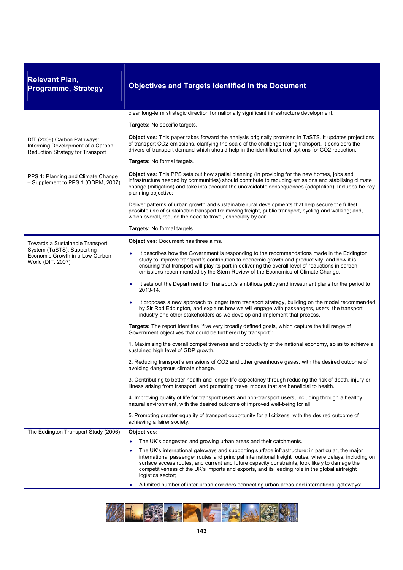| <b>Relevant Plan,</b><br><b>Programme, Strategy</b>                                                  | <b>Objectives and Targets Identified in the Document</b>                                                                                                                                                                                                                                                                                                                                                                         |
|------------------------------------------------------------------------------------------------------|----------------------------------------------------------------------------------------------------------------------------------------------------------------------------------------------------------------------------------------------------------------------------------------------------------------------------------------------------------------------------------------------------------------------------------|
|                                                                                                      | clear long-term strategic direction for nationally significant infrastructure development.                                                                                                                                                                                                                                                                                                                                       |
|                                                                                                      | Targets: No specific targets.                                                                                                                                                                                                                                                                                                                                                                                                    |
| DfT (2008) Carbon Pathways:<br>Informing Development of a Carbon<br>Reduction Strategy for Transport | Objectives: This paper takes forward the analysis originally promised in TaSTS. It updates projections<br>of transport CO2 emissions, clarifying the scale of the challenge facing transport. It considers the<br>drivers of transport demand which should help in the identification of options for CO2 reduction.                                                                                                              |
|                                                                                                      | Targets: No formal targets.                                                                                                                                                                                                                                                                                                                                                                                                      |
| PPS 1: Planning and Climate Change<br>- Supplement to PPS 1 (ODPM, 2007)                             | Objectives: This PPS sets out how spatial planning (in providing for the new homes, jobs and<br>infrastructure needed by communities) should contribute to reducing emissions and stabilising climate<br>change (mitigation) and take into account the unavoidable consequences (adaptation). Includes he key<br>planning objective:                                                                                             |
|                                                                                                      | Deliver patterns of urban growth and sustainable rural developments that help secure the fullest<br>possible use of sustainable transport for moving freight, public transport, cycling and walking; and,<br>which overall, reduce the need to travel, especially by car.                                                                                                                                                        |
|                                                                                                      | Targets: No formal targets.                                                                                                                                                                                                                                                                                                                                                                                                      |
| Towards a Sustainable Transport                                                                      | Objectives: Document has three aims.                                                                                                                                                                                                                                                                                                                                                                                             |
| System (TaSTS): Supporting<br>Economic Growth in a Low Carbon<br>World (DfT, 2007)                   | It describes how the Government is responding to the recommendations made in the Eddington<br>study to improve transport's contribution to economic growth and productivity, and how it is<br>ensuring that transport will play its part in delivering the overall level of reductions in carbon<br>emissions recommended by the Stern Review of the Economics of Climate Change.                                                |
|                                                                                                      | It sets out the Department for Transport's ambitious policy and investment plans for the period to<br>2013-14.                                                                                                                                                                                                                                                                                                                   |
|                                                                                                      | It proposes a new approach to longer term transport strategy, building on the model recommended<br>$\bullet$<br>by Sir Rod Eddington, and explains how we will engage with passengers, users, the transport<br>industry and other stakeholders as we develop and implement that process.                                                                                                                                         |
|                                                                                                      | Targets: The report identifies "five very broadly defined goals, which capture the full range of<br>Government objectives that could be furthered by transport":                                                                                                                                                                                                                                                                 |
|                                                                                                      | 1. Maximising the overall competitiveness and productivity of the national economy, so as to achieve a<br>sustained high level of GDP growth.                                                                                                                                                                                                                                                                                    |
|                                                                                                      | 2. Reducing transport's emissions of CO2 and other greenhouse gases, with the desired outcome of<br>avoiding dangerous climate change.                                                                                                                                                                                                                                                                                           |
|                                                                                                      | 3. Contributing to better health and longer life expectancy through reducing the risk of death, injury or<br>illness arising from transport, and promoting travel modes that are beneficial to health.                                                                                                                                                                                                                           |
|                                                                                                      | 4. Improving quality of life for transport users and non-transport users, including through a healthy<br>natural environment, with the desired outcome of improved well-being for all.                                                                                                                                                                                                                                           |
|                                                                                                      | 5. Promoting greater equality of transport opportunity for all citizens, with the desired outcome of<br>achieving a fairer society.                                                                                                                                                                                                                                                                                              |
| The Eddington Transport Study (2006)                                                                 | <b>Objectives:</b>                                                                                                                                                                                                                                                                                                                                                                                                               |
|                                                                                                      | The UK's congested and growing urban areas and their catchments.                                                                                                                                                                                                                                                                                                                                                                 |
|                                                                                                      | The UK's international gateways and supporting surface infrastructure: in particular, the major<br>international passenger routes and principal international freight routes, where delays, including on<br>surface access routes, and current and future capacity constraints, look likely to damage the<br>competitiveness of the UK's imports and exports, and its leading role in the global airfreight<br>logistics sector; |
|                                                                                                      | A limited number of inter-urban corridors connecting urban areas and international gateways:                                                                                                                                                                                                                                                                                                                                     |

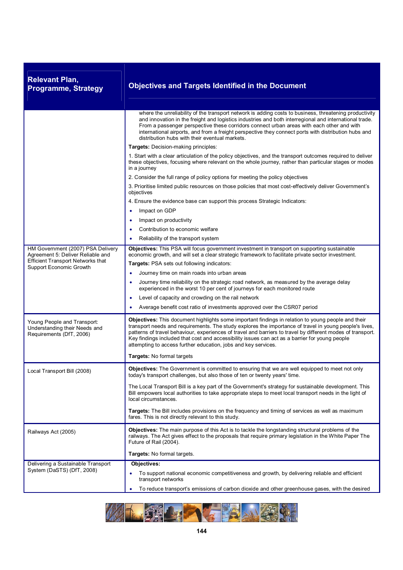| <b>Relevant Plan,</b><br><b>Programme, Strategy</b>                                      | <b>Objectives and Targets Identified in the Document</b>                                                                                                                                                                                                                                                                                                                                                                                                                                        |
|------------------------------------------------------------------------------------------|-------------------------------------------------------------------------------------------------------------------------------------------------------------------------------------------------------------------------------------------------------------------------------------------------------------------------------------------------------------------------------------------------------------------------------------------------------------------------------------------------|
|                                                                                          | where the unreliability of the transport network is adding costs to business, threatening productivity<br>and innovation in the freight and logistics industries and both interregional and international trade.<br>From a passenger perspective these corridors connect urban areas with each other and with<br>international airports, and from a freight perspective they connect ports with distribution hubs and<br>distribution hubs with their eventual markets.                         |
|                                                                                          | Targets: Decision-making principles:                                                                                                                                                                                                                                                                                                                                                                                                                                                            |
|                                                                                          | 1. Start with a clear articulation of the policy objectives, and the transport outcomes required to deliver<br>these objectives, focusing where relevant on the whole journey, rather than particular stages or modes<br>in a journey                                                                                                                                                                                                                                                           |
|                                                                                          | 2. Consider the full range of policy options for meeting the policy objectives                                                                                                                                                                                                                                                                                                                                                                                                                  |
|                                                                                          | 3. Prioritise limited public resources on those policies that most cost-effectively deliver Government's<br>objectives                                                                                                                                                                                                                                                                                                                                                                          |
|                                                                                          | 4. Ensure the evidence base can support this process Strategic Indicators:                                                                                                                                                                                                                                                                                                                                                                                                                      |
|                                                                                          | Impact on GDP<br>$\bullet$                                                                                                                                                                                                                                                                                                                                                                                                                                                                      |
|                                                                                          | Impact on productivity<br>٠                                                                                                                                                                                                                                                                                                                                                                                                                                                                     |
|                                                                                          | Contribution to economic welfare                                                                                                                                                                                                                                                                                                                                                                                                                                                                |
|                                                                                          | Reliability of the transport system<br>$\bullet$                                                                                                                                                                                                                                                                                                                                                                                                                                                |
| HM Government (2007) PSA Delivery<br>Agreement 5: Deliver Reliable and                   | Objectives: This PSA will focus government investment in transport on supporting sustainable<br>economic growth, and will set a clear strategic framework to facilitate private sector investment.                                                                                                                                                                                                                                                                                              |
| <b>Efficient Transport Networks that</b><br>Support Economic Growth                      | <b>Targets: PSA sets out following indicators:</b>                                                                                                                                                                                                                                                                                                                                                                                                                                              |
|                                                                                          | Journey time on main roads into urban areas<br>$\bullet$                                                                                                                                                                                                                                                                                                                                                                                                                                        |
|                                                                                          | Journey time reliability on the strategic road network, as measured by the average delay<br>$\bullet$<br>experienced in the worst 10 per cent of journeys for each monitored route                                                                                                                                                                                                                                                                                                              |
|                                                                                          | Level of capacity and crowding on the rail network<br>$\bullet$                                                                                                                                                                                                                                                                                                                                                                                                                                 |
|                                                                                          | Average benefit cost ratio of investments approved over the CSR07 period<br>٠                                                                                                                                                                                                                                                                                                                                                                                                                   |
| Young People and Transport:<br>Understanding their Needs and<br>Requirements (DfT, 2006) | Objectives: This document highlights some important findings in relation to young people and their<br>transport needs and requirements. The study explores the importance of travel in young people's lives,<br>patterns of travel behaviour, experiences of travel and barriers to travel by different modes of transport.<br>Key findings included that cost and accessibility issues can act as a barrier for young people<br>attempting to access further education, jobs and key services. |
|                                                                                          | Targets: No formal targets                                                                                                                                                                                                                                                                                                                                                                                                                                                                      |
| Local Transport Bill (2008)                                                              | Objectives: The Government is committed to ensuring that we are well equipped to meet not only<br>today's transport challenges, but also those of ten or twenty years' time.                                                                                                                                                                                                                                                                                                                    |
|                                                                                          | The Local Transport Bill is a key part of the Government's strategy for sustainable development. This<br>Bill empowers local authorities to take appropriate steps to meet local transport needs in the light of<br>local circumstances.                                                                                                                                                                                                                                                        |
|                                                                                          | Targets: The Bill includes provisions on the frequency and timing of services as well as maximum<br>fares. This is not directly relevant to this study.                                                                                                                                                                                                                                                                                                                                         |
| Railways Act (2005)                                                                      | <b>Objectives:</b> The main purpose of this Act is to tackle the longstanding structural problems of the<br>railways. The Act gives effect to the proposals that require primary legislation in the White Paper The<br>Future of Rail (2004).                                                                                                                                                                                                                                                   |
|                                                                                          | Targets: No formal targets.                                                                                                                                                                                                                                                                                                                                                                                                                                                                     |
| Delivering a Sustainable Transport                                                       | Objectives:                                                                                                                                                                                                                                                                                                                                                                                                                                                                                     |
| System (DaSTS) (DfT, 2008)                                                               | To support national economic competitiveness and growth, by delivering reliable and efficient<br>transport networks                                                                                                                                                                                                                                                                                                                                                                             |
|                                                                                          | To reduce transport's emissions of carbon dioxide and other greenhouse gases, with the desired<br>$\bullet$                                                                                                                                                                                                                                                                                                                                                                                     |

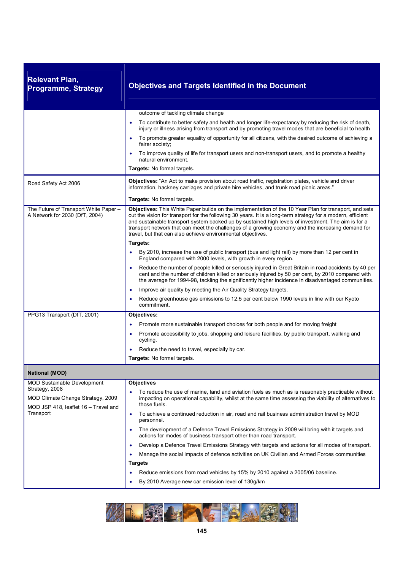| <b>Relevant Plan,</b><br><b>Programme, Strategy</b>                                         | <b>Objectives and Targets Identified in the Document</b>                                                                                                                                                                                                                                                                                                                                                                                                                                        |
|---------------------------------------------------------------------------------------------|-------------------------------------------------------------------------------------------------------------------------------------------------------------------------------------------------------------------------------------------------------------------------------------------------------------------------------------------------------------------------------------------------------------------------------------------------------------------------------------------------|
|                                                                                             | outcome of tackling climate change                                                                                                                                                                                                                                                                                                                                                                                                                                                              |
|                                                                                             | To contribute to better safety and health and longer life-expectancy by reducing the risk of death,<br>injury or illness arising from transport and by promoting travel modes that are beneficial to health                                                                                                                                                                                                                                                                                     |
|                                                                                             | To promote greater equality of opportunity for all citizens, with the desired outcome of achieving a<br>٠<br>fairer society;                                                                                                                                                                                                                                                                                                                                                                    |
|                                                                                             | To improve quality of life for transport users and non-transport users, and to promote a healthy<br>٠<br>natural environment.                                                                                                                                                                                                                                                                                                                                                                   |
|                                                                                             | Targets: No formal targets.                                                                                                                                                                                                                                                                                                                                                                                                                                                                     |
| Road Safety Act 2006                                                                        | Objectives: "An Act to make provision about road traffic, registration plates, vehicle and driver<br>information, hackney carriages and private hire vehicles, and trunk road picnic areas."                                                                                                                                                                                                                                                                                                    |
|                                                                                             | <b>Targets:</b> No formal targets.                                                                                                                                                                                                                                                                                                                                                                                                                                                              |
| The Future of Transport White Paper -<br>A Network for 2030 (DfT, 2004)                     | Objectives: This White Paper builds on the implementation of the 10 Year Plan for transport, and sets<br>out the vision for transport for the following 30 years. It is a long-term strategy for a modern, efficient<br>and sustainable transport system backed up by sustained high levels of investment. The aim is for a<br>transport network that can meet the challenges of a growing economy and the increasing demand for<br>travel, but that can also achieve environmental objectives. |
|                                                                                             | Targets:                                                                                                                                                                                                                                                                                                                                                                                                                                                                                        |
|                                                                                             | By 2010, increase the use of public transport (bus and light rail) by more than 12 per cent in<br>England compared with 2000 levels, with growth in every region.                                                                                                                                                                                                                                                                                                                               |
|                                                                                             | Reduce the number of people killed or seriously injured in Great Britain in road accidents by 40 per<br>$\bullet$<br>cent and the number of children killed or seriously injured by 50 per cent, by 2010 compared with<br>the average for 1994-98, tackling the significantly higher incidence in disadvantaged communities.                                                                                                                                                                    |
|                                                                                             | Improve air quality by meeting the Air Quality Strategy targets.<br>$\bullet$                                                                                                                                                                                                                                                                                                                                                                                                                   |
|                                                                                             | Reduce greenhouse gas emissions to 12.5 per cent below 1990 levels in line with our Kyoto<br>commitment.                                                                                                                                                                                                                                                                                                                                                                                        |
| PPG13 Transport (DfT, 2001)                                                                 | Objectives:                                                                                                                                                                                                                                                                                                                                                                                                                                                                                     |
|                                                                                             | Promote more sustainable transport choices for both people and for moving freight<br>٠                                                                                                                                                                                                                                                                                                                                                                                                          |
|                                                                                             | Promote accessibility to jobs, shopping and leisure facilities, by public transport, walking and<br>cycling.                                                                                                                                                                                                                                                                                                                                                                                    |
|                                                                                             | Reduce the need to travel, especially by car.                                                                                                                                                                                                                                                                                                                                                                                                                                                   |
|                                                                                             | Targets: No formal targets.                                                                                                                                                                                                                                                                                                                                                                                                                                                                     |
| <b>National (MOD)</b>                                                                       |                                                                                                                                                                                                                                                                                                                                                                                                                                                                                                 |
| <b>MOD Sustainable Development</b>                                                          | <b>Objectives</b>                                                                                                                                                                                                                                                                                                                                                                                                                                                                               |
| Strategy, 2008<br>MOD Climate Change Strategy, 2009<br>MOD JSP 418, leaflet 16 - Travel and | To reduce the use of marine, land and aviation fuels as much as is reasonably practicable without<br>impacting on operational capability, whilst at the same time assessing the viability of alternatives to<br>those fuels.                                                                                                                                                                                                                                                                    |
| Transport                                                                                   | To achieve a continued reduction in air, road and rail business administration travel by MOD<br>$\bullet$<br>personnel.                                                                                                                                                                                                                                                                                                                                                                         |
|                                                                                             | The development of a Defence Travel Emissions Strategy in 2009 will bring with it targets and<br>٠<br>actions for modes of business transport other than road transport.                                                                                                                                                                                                                                                                                                                        |
|                                                                                             | Develop a Defence Travel Emissions Strategy with targets and actions for all modes of transport.<br>$\bullet$                                                                                                                                                                                                                                                                                                                                                                                   |
|                                                                                             | Manage the social impacts of defence activities on UK Civilian and Armed Forces communities<br>$\bullet$                                                                                                                                                                                                                                                                                                                                                                                        |
|                                                                                             | <b>Targets</b>                                                                                                                                                                                                                                                                                                                                                                                                                                                                                  |
|                                                                                             | Reduce emissions from road vehicles by 15% by 2010 against a 2005/06 baseline.                                                                                                                                                                                                                                                                                                                                                                                                                  |
|                                                                                             | By 2010 Average new car emission level of 130g/km<br>٠                                                                                                                                                                                                                                                                                                                                                                                                                                          |

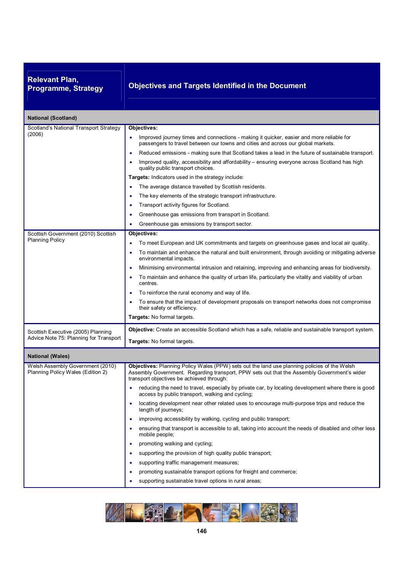# **Relevant Plan,**

### **Programme, Strategy Objectives and Targets Identified in the Document**

| <b>National (Scotland)</b>                                                   |                                                                                                                                                                                                                                                                                                                                                                                                                                                                                                                                                                                                                                                                                                                                                                                                                                                                                                                                                                                                                     |
|------------------------------------------------------------------------------|---------------------------------------------------------------------------------------------------------------------------------------------------------------------------------------------------------------------------------------------------------------------------------------------------------------------------------------------------------------------------------------------------------------------------------------------------------------------------------------------------------------------------------------------------------------------------------------------------------------------------------------------------------------------------------------------------------------------------------------------------------------------------------------------------------------------------------------------------------------------------------------------------------------------------------------------------------------------------------------------------------------------|
| Scotland's National Transport Strategy<br>(2006)                             | Objectives:<br>Improved journey times and connections - making it quicker, easier and more reliable for<br>$\bullet$<br>passengers to travel between our towns and cities and across our global markets.<br>Reduced emissions - making sure that Scotland takes a lead in the future of sustainable transport.<br>٠<br>Improved quality, accessibility and affordability – ensuring everyone across Scotland has high<br>quality public transport choices.<br>Targets: Indicators used in the strategy include:<br>The average distance travelled by Scottish residents.<br>The key elements of the strategic transport infrastructure.<br>Transport activity figures for Scotland.                                                                                                                                                                                                                                                                                                                                 |
|                                                                              | Greenhouse gas emissions from transport in Scotland.<br>٠                                                                                                                                                                                                                                                                                                                                                                                                                                                                                                                                                                                                                                                                                                                                                                                                                                                                                                                                                           |
|                                                                              | Greenhouse gas emissions by transport sector.                                                                                                                                                                                                                                                                                                                                                                                                                                                                                                                                                                                                                                                                                                                                                                                                                                                                                                                                                                       |
| Scottish Government (2010) Scottish<br><b>Planning Policy</b>                | Objectives:<br>To meet European and UK commitments and targets on greenhouse gases and local air quality.<br>٠<br>To maintain and enhance the natural and built environment, through avoiding or mitigating adverse<br>environmental impacts.<br>Minimising environmental intrusion and retaining, improving and enhancing areas for biodiversity.<br>٠<br>To maintain and enhance the quality of urban life, particularly the vitality and viability of urban<br>centres.<br>To reinforce the rural economy and way of life.<br>To ensure that the impact of development proposals on transport networks does not compromise<br>their safety or efficiency.<br>Targets: No formal targets.                                                                                                                                                                                                                                                                                                                         |
| Scottish Executive (2005) Planning<br>Advice Note 75: Planning for Transport | Objective: Create an accessible Scotland which has a safe, reliable and sustainable transport system.<br><b>Targets:</b> No formal targets.                                                                                                                                                                                                                                                                                                                                                                                                                                                                                                                                                                                                                                                                                                                                                                                                                                                                         |
| <b>National (Wales)</b>                                                      |                                                                                                                                                                                                                                                                                                                                                                                                                                                                                                                                                                                                                                                                                                                                                                                                                                                                                                                                                                                                                     |
| Welsh Assembly Government (2010)<br>Planning Policy Wales (Edition 2)        | Objectives: Planning Policy Wales (PPW) sets out the land use planning policies of the Welsh<br>Assembly Government. Regarding transport, PPW sets out that the Assembly Government's wider<br>transport objectives be achieved through:<br>reducing the need to travel, especially by private car, by locating development where there is good<br>access by public transport, walking and cycling;<br>locating development near other related uses to encourage multi-purpose trips and reduce the<br>length of journeys;<br>improving accessibility by walking, cycling and public transport;<br>٠<br>ensuring that transport is accessible to all, taking into account the needs of disabled and other less<br>mobile people;<br>promoting walking and cycling;<br>٠<br>supporting the provision of high quality public transport;<br>supporting traffic management measures;<br>promoting sustainable transport options for freight and commerce;<br>supporting sustainable travel options in rural areas;<br>۰ |

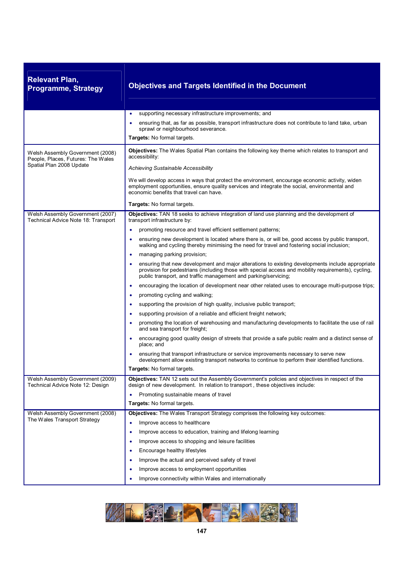| <b>Relevant Plan,</b><br><b>Programme, Strategy</b>                                                | <b>Objectives and Targets Identified in the Document</b>                                                                                                                                                                                                                                                                                                                                                                                                                                                                                                                                                                                                                                                                                                                                                                                                                                                                                                                                                                                                                                                                                                                                                                                                                                                                                                                                                                                                                                                                               |
|----------------------------------------------------------------------------------------------------|----------------------------------------------------------------------------------------------------------------------------------------------------------------------------------------------------------------------------------------------------------------------------------------------------------------------------------------------------------------------------------------------------------------------------------------------------------------------------------------------------------------------------------------------------------------------------------------------------------------------------------------------------------------------------------------------------------------------------------------------------------------------------------------------------------------------------------------------------------------------------------------------------------------------------------------------------------------------------------------------------------------------------------------------------------------------------------------------------------------------------------------------------------------------------------------------------------------------------------------------------------------------------------------------------------------------------------------------------------------------------------------------------------------------------------------------------------------------------------------------------------------------------------------|
|                                                                                                    | supporting necessary infrastructure improvements; and<br>$\bullet$<br>ensuring that, as far as possible, transport infrastructure does not contribute to land take, urban<br>٠<br>sprawl or neighbourhood severance.<br><b>Targets:</b> No formal targets.                                                                                                                                                                                                                                                                                                                                                                                                                                                                                                                                                                                                                                                                                                                                                                                                                                                                                                                                                                                                                                                                                                                                                                                                                                                                             |
| Welsh Assembly Government (2008)<br>People, Places, Futures: The Wales<br>Spatial Plan 2008 Update | <b>Objectives:</b> The Wales Spatial Plan contains the following key theme which relates to transport and<br>accessibility:<br>Achieving Sustainable Accessibility<br>We will develop access in ways that protect the environment, encourage economic activity, widen<br>employment opportunities, ensure quality services and integrate the social, environmental and                                                                                                                                                                                                                                                                                                                                                                                                                                                                                                                                                                                                                                                                                                                                                                                                                                                                                                                                                                                                                                                                                                                                                                 |
|                                                                                                    | economic benefits that travel can have.<br>Targets: No formal targets.                                                                                                                                                                                                                                                                                                                                                                                                                                                                                                                                                                                                                                                                                                                                                                                                                                                                                                                                                                                                                                                                                                                                                                                                                                                                                                                                                                                                                                                                 |
| Welsh Assembly Government (2007)<br>Technical Advice Note 18: Transport                            | Objectives: TAN 18 seeks to achieve integration of land use planning and the development of<br>transport infrastructure by:<br>promoting resource and travel efficient settlement patterns;<br>ensuring new development is located where there is, or will be, good access by public transport,<br>$\bullet$<br>walking and cycling thereby minimising the need for travel and fostering social inclusion;<br>managing parking provision;<br>$\bullet$<br>ensuring that new development and major alterations to existing developments include appropriate<br>provision for pedestrians (including those with special access and mobility requirements), cycling,<br>public transport, and traffic management and parking/servicing;<br>encouraging the location of development near other related uses to encourage multi-purpose trips;<br>٠<br>promoting cycling and walking;<br>٠<br>supporting the provision of high quality, inclusive public transport;<br>٠<br>supporting provision of a reliable and efficient freight network;<br>٠<br>promoting the location of warehousing and manufacturing developments to facilitate the use of rail<br>and sea transport for freight;<br>encouraging good quality design of streets that provide a safe public realm and a distinct sense of<br>place; and<br>ensuring that transport infrastructure or service improvements necessary to serve new<br>development allow existing transport networks to continue to perform their identified functions.<br>Targets: No formal targets. |
| Welsh Assembly Government (2009)<br>Technical Advice Note 12: Design                               | Objectives: TAN 12 sets out the Assembly Government's policies and objectives in respect of the<br>design of new development. In relation to transport, these objectives include:<br>Promoting sustainable means of travel<br>Targets: No formal targets.                                                                                                                                                                                                                                                                                                                                                                                                                                                                                                                                                                                                                                                                                                                                                                                                                                                                                                                                                                                                                                                                                                                                                                                                                                                                              |
| Welsh Assembly Government (2008)<br>The Wales Transport Strategy                                   | Objectives: The Wales Transport Strategy comprises the following key outcomes:<br>Improve access to healthcare<br>$\bullet$<br>Improve access to education, training and lifelong learning<br>٠<br>Improve access to shopping and leisure facilities<br>٠<br>Encourage healthy lifestyles<br>٠<br>Improve the actual and perceived safety of travel<br>Improve access to employment opportunities<br>Improve connectivity within Wales and internationally                                                                                                                                                                                                                                                                                                                                                                                                                                                                                                                                                                                                                                                                                                                                                                                                                                                                                                                                                                                                                                                                             |

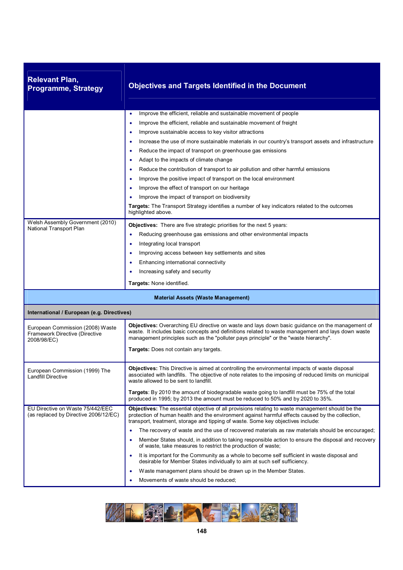| <b>Relevant Plan,</b><br><b>Programme, Strategy</b>                               | <b>Objectives and Targets Identified in the Document</b>                                                                                                                                                                                                                                                                                                                                                                                                                                                                                                                                                                                                                                                                                                                                                                                                                                                   |
|-----------------------------------------------------------------------------------|------------------------------------------------------------------------------------------------------------------------------------------------------------------------------------------------------------------------------------------------------------------------------------------------------------------------------------------------------------------------------------------------------------------------------------------------------------------------------------------------------------------------------------------------------------------------------------------------------------------------------------------------------------------------------------------------------------------------------------------------------------------------------------------------------------------------------------------------------------------------------------------------------------|
|                                                                                   | Improve the efficient, reliable and sustainable movement of people<br>$\bullet$<br>Improve the efficient, reliable and sustainable movement of freight<br>٠<br>Improve sustainable access to key visitor attractions<br>٠<br>Increase the use of more sustainable materials in our country's transport assets and infrastructure<br>٠<br>Reduce the impact of transport on greenhouse gas emissions<br>۰<br>Adapt to the impacts of climate change<br>Reduce the contribution of transport to air pollution and other harmful emissions<br>٠<br>Improve the positive impact of transport on the local environment<br>٠<br>Improve the effect of transport on our heritage<br>٠<br>Improve the impact of transport on biodiversity<br>Targets: The Transport Strategy identifies a number of key indicators related to the outcomes<br>highlighted above.                                                   |
| Welsh Assembly Government (2010)<br>National Transport Plan                       | <b>Objectives:</b> There are five strategic priorities for the next 5 years:<br>Reducing greenhouse gas emissions and other environmental impacts<br>٠<br>Integrating local transport<br>٠<br>Improving access between key settlements and sites<br>Enhancing international connectivity<br>Increasing safety and security<br>Targets: None identified.                                                                                                                                                                                                                                                                                                                                                                                                                                                                                                                                                    |
|                                                                                   | <b>Material Assets (Waste Management)</b>                                                                                                                                                                                                                                                                                                                                                                                                                                                                                                                                                                                                                                                                                                                                                                                                                                                                  |
| International / European (e.g. Directives)                                        |                                                                                                                                                                                                                                                                                                                                                                                                                                                                                                                                                                                                                                                                                                                                                                                                                                                                                                            |
| European Commission (2008) Waste<br>Framework Directive (Directive<br>2008/98/EC) | Objectives: Overarching EU directive on waste and lays down basic guidance on the management of<br>waste. It includes basic concepts and definitions related to waste management and lays down waste<br>management principles such as the "polluter pays principle" or the "waste hierarchy".<br>Targets: Does not contain any targets.                                                                                                                                                                                                                                                                                                                                                                                                                                                                                                                                                                    |
| European Commission (1999) The<br><b>Landfill Directive</b>                       | <b>Objectives:</b> This Directive is aimed at controlling the environmental impacts of waste disposal<br>associated with landfills. The objective of note relates to the imposing of reduced limits on municipal<br>waste allowed to be sent to landfill.<br>Targets: By 2010 the amount of biodegradable waste going to landfill must be 75% of the total<br>produced in 1995; by 2013 the amount must be reduced to 50% and by 2020 to 35%.                                                                                                                                                                                                                                                                                                                                                                                                                                                              |
| EU Directive on Waste 75/442/EEC<br>(as replaced by Directive 2006/12/EC)         | <b>Objectives:</b> The essential objective of all provisions relating to waste management should be the<br>protection of human health and the environment against harmful effects caused by the collection,<br>transport, treatment, storage and tipping of waste. Some key objectives include:<br>The recovery of waste and the use of recovered materials as raw materials should be encouraged;<br>$\bullet$<br>Member States should, in addition to taking responsible action to ensure the disposal and recovery<br>٠<br>of waste, take measures to restrict the production of waste;<br>It is important for the Community as a whole to become self sufficient in waste disposal and<br>٠<br>desirable for Member States individually to aim at such self sufficiency.<br>Waste management plans should be drawn up in the Member States.<br>$\bullet$<br>Movements of waste should be reduced;<br>٠ |

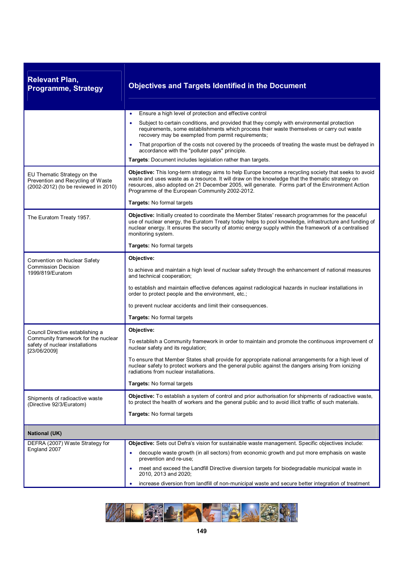| <b>Relevant Plan,</b><br><b>Programme, Strategy</b>                                                                        | <b>Objectives and Targets Identified in the Document</b>                                                                                                                                                                                                                                                                                                       |
|----------------------------------------------------------------------------------------------------------------------------|----------------------------------------------------------------------------------------------------------------------------------------------------------------------------------------------------------------------------------------------------------------------------------------------------------------------------------------------------------------|
|                                                                                                                            | Ensure a high level of protection and effective control<br>٠                                                                                                                                                                                                                                                                                                   |
|                                                                                                                            | Subject to certain conditions, and provided that they comply with environmental protection<br>$\bullet$<br>requirements, some establishments which process their waste themselves or carry out waste<br>recovery may be exempted from permit requirements;                                                                                                     |
|                                                                                                                            | That proportion of the costs not covered by the proceeds of treating the waste must be defrayed in<br>٠<br>accordance with the "polluter pays" principle.                                                                                                                                                                                                      |
|                                                                                                                            | Targets: Document includes legislation rather than targets.                                                                                                                                                                                                                                                                                                    |
| EU Thematic Strategy on the<br>Prevention and Recycling of Waste<br>(2002-2012) (to be reviewed in 2010)                   | Objective: This long-term strategy aims to help Europe become a recycling society that seeks to avoid<br>waste and uses waste as a resource. It will draw on the knowledge that the thematic strategy on<br>resources, also adopted on 21 December 2005, will generate. Forms part of the Environment Action<br>Programme of the European Community 2002-2012. |
|                                                                                                                            | Targets: No formal targets                                                                                                                                                                                                                                                                                                                                     |
| The Euratom Treaty 1957.                                                                                                   | Objective: Initially created to coordinate the Member States' research programmes for the peaceful<br>use of nuclear energy, the Euratom Treaty today helps to pool knowledge, infrastructure and funding of<br>nuclear energy. It ensures the security of atomic energy supply within the framework of a centralised<br>monitoring system.                    |
|                                                                                                                            | <b>Targets: No formal targets</b>                                                                                                                                                                                                                                                                                                                              |
| Convention on Nuclear Safety                                                                                               | Objective:                                                                                                                                                                                                                                                                                                                                                     |
| <b>Commission Decision</b><br>1999/819/Euratom                                                                             | to achieve and maintain a high level of nuclear safety through the enhancement of national measures<br>and technical cooperation;                                                                                                                                                                                                                              |
|                                                                                                                            | to establish and maintain effective defences against radiological hazards in nuclear installations in<br>order to protect people and the environment, etc.;                                                                                                                                                                                                    |
|                                                                                                                            | to prevent nuclear accidents and limit their consequences.                                                                                                                                                                                                                                                                                                     |
|                                                                                                                            | Targets: No formal targets                                                                                                                                                                                                                                                                                                                                     |
| Council Directive establishing a<br>Community framework for the nuclear<br>safety of nuclear installations<br>[23/06/2009] | Objective:                                                                                                                                                                                                                                                                                                                                                     |
|                                                                                                                            | To establish a Community framework in order to maintain and promote the continuous improvement of<br>nuclear safety and its regulation;                                                                                                                                                                                                                        |
|                                                                                                                            | To ensure that Member States shall provide for appropriate national arrangements for a high level of<br>nuclear safety to protect workers and the general public against the dangers arising from ionizing<br>radiations from nuclear installations.                                                                                                           |
|                                                                                                                            | Targets: No formal targets                                                                                                                                                                                                                                                                                                                                     |
| Shipments of radioactive waste<br>(Directive 92/3/Euratom)                                                                 | Objective: To establish a system of control and prior authorisation for shipments of radioactive waste,<br>to protect the health of workers and the general public and to avoid illicit traffic of such materials.                                                                                                                                             |
|                                                                                                                            | <b>Targets: No formal targets</b>                                                                                                                                                                                                                                                                                                                              |
| <b>National (UK)</b>                                                                                                       |                                                                                                                                                                                                                                                                                                                                                                |
| DEFRA (2007) Waste Strategy for<br>England 2007                                                                            | Objective: Sets out Defra's vision for sustainable waste management. Specific objectives include:                                                                                                                                                                                                                                                              |
|                                                                                                                            | decouple waste growth (in all sectors) from economic growth and put more emphasis on waste<br>٠<br>prevention and re-use;                                                                                                                                                                                                                                      |
|                                                                                                                            | meet and exceed the Landfill Directive diversion targets for biodegradable municipal waste in<br>2010, 2013 and 2020;                                                                                                                                                                                                                                          |
|                                                                                                                            | increase diversion from landfill of non-municipal waste and secure better integration of treatment<br>٠                                                                                                                                                                                                                                                        |

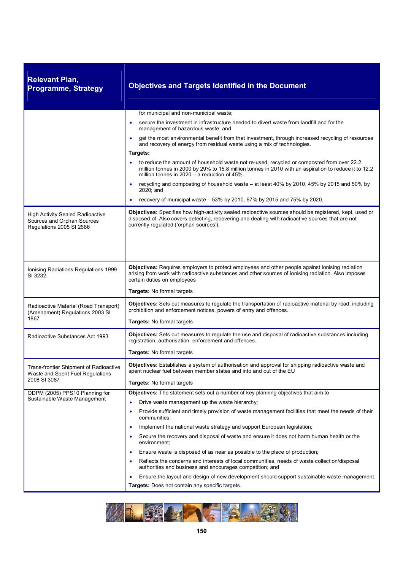| <b>Relevant Plan,</b><br><b>Programme, Strategy</b>                                               | <b>Objectives and Targets Identified in the Document</b>                                                                                                                                                                                                 |
|---------------------------------------------------------------------------------------------------|----------------------------------------------------------------------------------------------------------------------------------------------------------------------------------------------------------------------------------------------------------|
|                                                                                                   | for municipal and non-municipal waste;                                                                                                                                                                                                                   |
|                                                                                                   | secure the investment in infrastructure needed to divert waste from landfill and for the<br>$\bullet$<br>management of hazardous waste; and                                                                                                              |
|                                                                                                   | get the most environmental benefit from that investment, through increased recycling of resources<br>٠<br>and recovery of energy from residual waste using a mix of technologies.                                                                        |
|                                                                                                   | Targets:                                                                                                                                                                                                                                                 |
|                                                                                                   | to reduce the amount of household waste not re-used, recycled or composted from over 22.2<br>٠<br>million tonnes in 2000 by 29% to 15.8 million tonnes in 2010 with an aspiration to reduce it to 12.2<br>million tonnes in $2020 - a$ reduction of 45%. |
|                                                                                                   | recycling and composting of household waste – at least 40% by 2010, 45% by 2015 and 50% by<br>٠<br>2020; and                                                                                                                                             |
|                                                                                                   | recovery of municipal waste $-53\%$ by 2010, 67% by 2015 and 75% by 2020.<br>٠                                                                                                                                                                           |
| <b>High Activity Sealed Radioactive</b><br>Sources and Orphan Sources<br>Regulations 2005 SI 2686 | Objectives: Specifies how high-activity sealed radioactive sources should be registered, kept, used or<br>disposed of. Also covers detecting, recovering and dealing with radioactive sources that are not<br>currently regulated ('orphan sources').    |
|                                                                                                   |                                                                                                                                                                                                                                                          |
| Ionising Radiations Regulations 1999<br>SI 3232.                                                  | Objectives: Requires employers to protect employees and other people against ionising radiation<br>arising from work with radioactive substances and other sources of ionising radiation. Also imposes<br>certain duties on employees                    |
|                                                                                                   | Targets: No formal targets                                                                                                                                                                                                                               |
| Radioactive Material (Road Transport)<br>(Amendment) Regulations 2003 SI                          | Objectives: Sets out measures to regulate the transportation of radioactive material by road, including<br>prohibition and enforcement notices, powers of entry and offences.                                                                            |
| 1867                                                                                              | Targets: No formal targets                                                                                                                                                                                                                               |
| Radioactive Substances Act 1993                                                                   | Objectives: Sets out measures to regulate the use and disposal of radioactive substances including<br>registration, authorisation, enforcement and offences.                                                                                             |
|                                                                                                   | Targets: No formal targets                                                                                                                                                                                                                               |
| Trans-frontier Shipment of Radioactive<br>Waste and Spent Fuel Regulations<br>2008 SI 3087        | Objectives: Establishes a system of authorisation and approval for shipping radioactive waste and<br>spent nuclear fuel between member states and into and out of the EU                                                                                 |
|                                                                                                   | Targets: No formal targets                                                                                                                                                                                                                               |
| ODPM (2005) PPS10 Planning for                                                                    | Objectives: The statement sets out a number of key planning objectives that aim to                                                                                                                                                                       |
| Sustainable Waste Management                                                                      | Drive waste management up the waste hierarchy;<br>٠                                                                                                                                                                                                      |
|                                                                                                   | Provide sufficient and timely provision of waste management facilities that meet the needs of their<br>communities;                                                                                                                                      |
|                                                                                                   | Implement the national waste strategy and support European legislation;<br>٠                                                                                                                                                                             |
|                                                                                                   | Secure the recovery and disposal of waste and ensure it does not harm human health or the<br>٠<br>environment:                                                                                                                                           |
|                                                                                                   | Ensure waste is disposed of as near as possible to the place of production;<br>٠                                                                                                                                                                         |
|                                                                                                   | Reflects the concerns and interests of local communities, needs of waste collection/disposal<br>authorities and business and encourages competition; and                                                                                                 |
|                                                                                                   | Ensure the layout and design of new development should support sustainable waste management.<br>٠                                                                                                                                                        |
|                                                                                                   | Targets: Does not contain any specific targets.                                                                                                                                                                                                          |

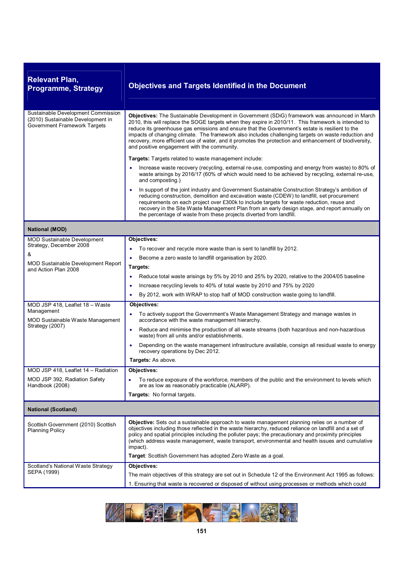| <b>Relevant Plan,</b><br><b>Programme, Strategy</b>                                                            | <b>Objectives and Targets Identified in the Document</b>                                                                                                                                                                                                                                                                                                                                                                                                                                                                                                                |
|----------------------------------------------------------------------------------------------------------------|-------------------------------------------------------------------------------------------------------------------------------------------------------------------------------------------------------------------------------------------------------------------------------------------------------------------------------------------------------------------------------------------------------------------------------------------------------------------------------------------------------------------------------------------------------------------------|
| Sustainable Development Commission<br>(2010) Sustainable Development in<br><b>Government Framework Targets</b> | Objectives: The Sustainable Development in Government (SDiG) framework was announced in March<br>2010, this will replace the SOGE targets when they expire in 2010/11. This framework is intended to<br>reduce its greenhouse gas emissions and ensure that the Government's estate is resilient to the<br>impacts of changing climate. The framework also includes challenging targets on waste reduction and<br>recovery, more efficient use of water, and it promotes the protection and enhancement of biodiversity,<br>and positive engagement with the community. |
|                                                                                                                | Targets: Targets related to waste management include:                                                                                                                                                                                                                                                                                                                                                                                                                                                                                                                   |
|                                                                                                                | Increase waste recovery (recycling, external re-use, composting and energy from waste) to 80% of<br>waste arisings by 2016/17 (60% of which would need to be achieved by recycling, external re-use,<br>and composting.)                                                                                                                                                                                                                                                                                                                                                |
|                                                                                                                | In support of the joint industry and Government Sustainable Construction Strategy's ambition of<br>$\bullet$<br>reducing construction, demolition and excavation waste (CDEW) to landfill, set procurement<br>requirements on each project over £300k to include targets for waste reduction, reuse and<br>recovery in the Site Waste Management Plan from an early design stage, and report annually on<br>the percentage of waste from these projects diverted from landfill.                                                                                         |
| <b>National (MOD)</b>                                                                                          |                                                                                                                                                                                                                                                                                                                                                                                                                                                                                                                                                                         |
| <b>MOD Sustainable Development</b>                                                                             | Objectives:                                                                                                                                                                                                                                                                                                                                                                                                                                                                                                                                                             |
| Strategy, December 2008                                                                                        | To recover and recycle more waste than is sent to landfill by 2012.                                                                                                                                                                                                                                                                                                                                                                                                                                                                                                     |
| &                                                                                                              | Become a zero waste to landfill organisation by 2020.                                                                                                                                                                                                                                                                                                                                                                                                                                                                                                                   |
| <b>MOD Sustainable Development Report</b><br>and Action Plan 2008                                              | Targets:                                                                                                                                                                                                                                                                                                                                                                                                                                                                                                                                                                |
|                                                                                                                | Reduce total waste arisings by 5% by 2010 and 25% by 2020, relative to the 2004/05 baseline                                                                                                                                                                                                                                                                                                                                                                                                                                                                             |
|                                                                                                                | Increase recycling levels to 40% of total waste by 2010 and 75% by 2020<br>$\bullet$                                                                                                                                                                                                                                                                                                                                                                                                                                                                                    |
|                                                                                                                | By 2012, work with WRAP to stop half of MOD construction waste going to landfill.<br>٠                                                                                                                                                                                                                                                                                                                                                                                                                                                                                  |
| MOD JSP 418, Leaflet 18 - Waste                                                                                | Objectives:                                                                                                                                                                                                                                                                                                                                                                                                                                                                                                                                                             |
| Management<br>MOD Sustainable Waste Management<br>Strategy (2007)                                              | To actively support the Government's Waste Management Strategy and manage wastes in<br>$\bullet$<br>accordance with the waste management hierarchy.                                                                                                                                                                                                                                                                                                                                                                                                                     |
|                                                                                                                | Reduce and minimise the production of all waste streams (both hazardous and non-hazardous<br>$\bullet$<br>waste) from all units and/or establishments.                                                                                                                                                                                                                                                                                                                                                                                                                  |
|                                                                                                                | Depending on the waste management infrastructure available, consign all residual waste to energy<br>٠<br>recovery operations by Dec 2012.                                                                                                                                                                                                                                                                                                                                                                                                                               |
|                                                                                                                | <b>Targets: As above.</b>                                                                                                                                                                                                                                                                                                                                                                                                                                                                                                                                               |
| MOD JSP 418, Leaflet 14 - Radiation                                                                            | <b>Objectives:</b>                                                                                                                                                                                                                                                                                                                                                                                                                                                                                                                                                      |
| MOD JSP 392, Radiation Safety<br>Handbook (2008)                                                               | To reduce exposure of the workforce, members of the public and the environment to levels which<br>are as low as reasonably practicable (ALARP).                                                                                                                                                                                                                                                                                                                                                                                                                         |
|                                                                                                                | <b>Targets:</b> No formal targets.                                                                                                                                                                                                                                                                                                                                                                                                                                                                                                                                      |
| <b>National (Scotland)</b>                                                                                     |                                                                                                                                                                                                                                                                                                                                                                                                                                                                                                                                                                         |
| Scottish Government (2010) Scottish<br><b>Planning Policy</b>                                                  | Objective: Sets out a sustainable approach to waste management planning relies on a number of<br>objectives including those reflected in the waste hierarchy, reduced reliance on landfill and a set of<br>policy and spatial principles including the polluter pays; the precautionary and proximity principles<br>(which address waste management, waste transport, environmental and health issues and cumulative<br>impact).                                                                                                                                        |
|                                                                                                                | Target: Scottish Government has adopted Zero Waste as a goal.                                                                                                                                                                                                                                                                                                                                                                                                                                                                                                           |
| Scotland's National Waste Strategy<br>SEPA (1999)                                                              | Objectives:                                                                                                                                                                                                                                                                                                                                                                                                                                                                                                                                                             |
|                                                                                                                | The main objectives of this strategy are set out in Schedule 12 of the Environment Act 1995 as follows:                                                                                                                                                                                                                                                                                                                                                                                                                                                                 |
|                                                                                                                | 1. Ensuring that waste is recovered or disposed of without using processes or methods which could                                                                                                                                                                                                                                                                                                                                                                                                                                                                       |

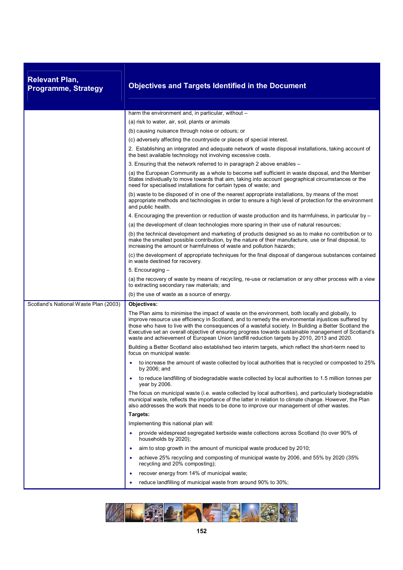| <b>Relevant Plan,</b><br><b>Programme, Strategy</b> | <b>Objectives and Targets Identified in the Document</b>                                                                                                                                                                                                                                                                                                                                                                                                                                                              |
|-----------------------------------------------------|-----------------------------------------------------------------------------------------------------------------------------------------------------------------------------------------------------------------------------------------------------------------------------------------------------------------------------------------------------------------------------------------------------------------------------------------------------------------------------------------------------------------------|
|                                                     | harm the environment and, in particular, without –                                                                                                                                                                                                                                                                                                                                                                                                                                                                    |
|                                                     | (a) risk to water, air, soil, plants or animals                                                                                                                                                                                                                                                                                                                                                                                                                                                                       |
|                                                     | (b) causing nuisance through noise or odours; or                                                                                                                                                                                                                                                                                                                                                                                                                                                                      |
|                                                     | (c) adversely affecting the countryside or places of special interest.                                                                                                                                                                                                                                                                                                                                                                                                                                                |
|                                                     | 2. Establishing an integrated and adequate network of waste disposal installations, taking account of<br>the best available technology not involving excessive costs.                                                                                                                                                                                                                                                                                                                                                 |
|                                                     | 3. Ensuring that the network referred to in paragraph 2 above enables -                                                                                                                                                                                                                                                                                                                                                                                                                                               |
|                                                     | (a) the European Community as a whole to become self sufficient in waste disposal, and the Member<br>States individually to move towards that aim, taking into account geographical circumstances or the<br>need for specialised installations for certain types of waste; and                                                                                                                                                                                                                                        |
|                                                     | (b) waste to be disposed of in one of the nearest appropriate installations, by means of the most<br>appropriate methods and technologies in order to ensure a high level of protection for the environment<br>and public health.                                                                                                                                                                                                                                                                                     |
|                                                     | 4. Encouraging the prevention or reduction of waste production and its harmfulness, in particular by –                                                                                                                                                                                                                                                                                                                                                                                                                |
|                                                     | (a) the development of clean technologies more sparing in their use of natural resources;                                                                                                                                                                                                                                                                                                                                                                                                                             |
|                                                     | (b) the technical development and marketing of products designed so as to make no contribution or to<br>make the smallest possible contribution, by the nature of their manufacture, use or final disposal, to<br>increasing the amount or harmfulness of waste and pollution hazards;                                                                                                                                                                                                                                |
|                                                     | (c) the development of appropriate techniques for the final disposal of dangerous substances contained<br>in waste destined for recovery.                                                                                                                                                                                                                                                                                                                                                                             |
|                                                     | 5. Encouraging -                                                                                                                                                                                                                                                                                                                                                                                                                                                                                                      |
|                                                     | (a) the recovery of waste by means of recycling, re-use or reclamation or any other process with a view<br>to extracting secondary raw materials; and                                                                                                                                                                                                                                                                                                                                                                 |
|                                                     | (b) the use of waste as a source of energy.                                                                                                                                                                                                                                                                                                                                                                                                                                                                           |
| Scotland's National Waste Plan (2003)               | Objectives:                                                                                                                                                                                                                                                                                                                                                                                                                                                                                                           |
|                                                     | The Plan aims to minimise the impact of waste on the environment, both locally and globally, to<br>improve resource use efficiency in Scotland, and to remedy the environmental injustices suffered by<br>those who have to live with the consequences of a wasteful society. In Building a Better Scotland the<br>Executive set an overall objective of ensuring progress towards sustainable management of Scotland's<br>waste and achievement of European Union landfill reduction targets by 2010, 2013 and 2020. |
|                                                     | Building a Better Scotland also established two interim targets, which reflect the short-term need to<br>focus on municipal waste:                                                                                                                                                                                                                                                                                                                                                                                    |
|                                                     | to increase the amount of waste collected by local authorities that is recycled or composted to 25%<br>by 2006; and                                                                                                                                                                                                                                                                                                                                                                                                   |
|                                                     | to reduce landfilling of biodegradable waste collected by local authorities to 1.5 million tonnes per<br>year by 2006.                                                                                                                                                                                                                                                                                                                                                                                                |
|                                                     | The focus on municipal waste (i.e. waste collected by local authorities), and particularly biodegradable<br>municipal waste, reflects the importance of the latter in relation to climate change. However, the Plan<br>also addresses the work that needs to be done to improve our management of other wastes.                                                                                                                                                                                                       |
|                                                     | Targets:                                                                                                                                                                                                                                                                                                                                                                                                                                                                                                              |
|                                                     | Implementing this national plan will:                                                                                                                                                                                                                                                                                                                                                                                                                                                                                 |
|                                                     | provide widespread segregated kerbside waste collections across Scotland (to over 90% of<br>households by 2020);                                                                                                                                                                                                                                                                                                                                                                                                      |
|                                                     | aim to stop growth in the amount of municipal waste produced by 2010;<br>$\bullet$                                                                                                                                                                                                                                                                                                                                                                                                                                    |
|                                                     | achieve 25% recycling and composting of municipal waste by 2006, and 55% by 2020 (35%<br>recycling and 20% composting);                                                                                                                                                                                                                                                                                                                                                                                               |
|                                                     | recover energy from 14% of municipal waste;<br>$\bullet$                                                                                                                                                                                                                                                                                                                                                                                                                                                              |
|                                                     | reduce landfilling of municipal waste from around 90% to 30%;<br>٠                                                                                                                                                                                                                                                                                                                                                                                                                                                    |

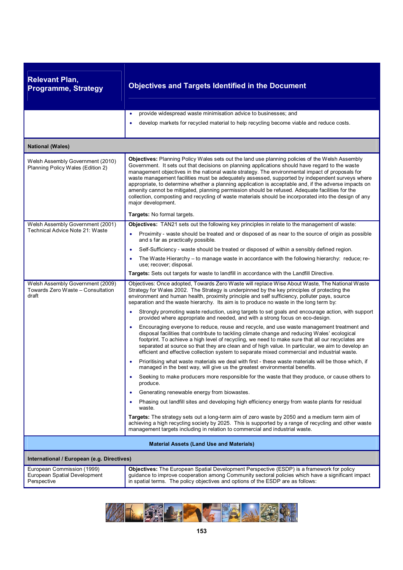| <b>Relevant Plan,</b><br><b>Programme, Strategy</b>                            | <b>Objectives and Targets Identified in the Document</b>                                                                                                                                                                                                                                                                                                                                                                                                                                                                                                                                                                                                                                                                                                   |
|--------------------------------------------------------------------------------|------------------------------------------------------------------------------------------------------------------------------------------------------------------------------------------------------------------------------------------------------------------------------------------------------------------------------------------------------------------------------------------------------------------------------------------------------------------------------------------------------------------------------------------------------------------------------------------------------------------------------------------------------------------------------------------------------------------------------------------------------------|
|                                                                                | provide widespread waste minimisation advice to businesses; and<br>$\bullet$<br>develop markets for recycled material to help recycling become viable and reduce costs.<br>٠                                                                                                                                                                                                                                                                                                                                                                                                                                                                                                                                                                               |
| <b>National (Wales)</b>                                                        |                                                                                                                                                                                                                                                                                                                                                                                                                                                                                                                                                                                                                                                                                                                                                            |
| Welsh Assembly Government (2010)<br>Planning Policy Wales (Edition 2)          | <b>Objectives:</b> Planning Policy Wales sets out the land use planning policies of the Welsh Assembly<br>Government. It sets out that decisions on planning applications should have regard to the waste<br>management objectives in the national waste strategy. The environmental impact of proposals for<br>waste management facilities must be adequately assessed, supported by independent surveys where<br>appropriate, to determine whether a planning application is acceptable and, if the adverse impacts on<br>amenity cannot be mitigated, planning permission should be refused. Adequate facilities for the<br>collection, composting and recycling of waste materials should be incorporated into the design of any<br>major development. |
|                                                                                | Targets: No formal targets.                                                                                                                                                                                                                                                                                                                                                                                                                                                                                                                                                                                                                                                                                                                                |
| Welsh Assembly Government (2001)<br>Technical Advice Note 21: Waste            | Objectives: TAN21 sets out the following key principles in relate to the management of waste:<br>Proximity - waste should be treated and or disposed of as near to the source of origin as possible<br>٠<br>and s far as practically possible.                                                                                                                                                                                                                                                                                                                                                                                                                                                                                                             |
|                                                                                | Self-Sufficiency - waste should be treated or disposed of within a sensibly defined region.<br>$\bullet$                                                                                                                                                                                                                                                                                                                                                                                                                                                                                                                                                                                                                                                   |
|                                                                                | The Waste Hierarchy – to manage waste in accordance with the following hierarchy: reduce; re-<br>use; recover; disposal.                                                                                                                                                                                                                                                                                                                                                                                                                                                                                                                                                                                                                                   |
|                                                                                | Targets: Sets out targets for waste to landfill in accordance with the Landfill Directive.                                                                                                                                                                                                                                                                                                                                                                                                                                                                                                                                                                                                                                                                 |
| Welsh Assembly Government (2009)<br>Towards Zero Waste - Consultation<br>draft | Objectives: Once adopted, Towards Zero Waste will replace Wise About Waste, The National Waste<br>Strategy for Wales 2002. The Strategy is underpinned by the key principles of protecting the<br>environment and human health, proximity principle and self sufficiency, polluter pays, source<br>separation and the waste hierarchy. Its aim is to produce no waste in the long term by:<br>Strongly promoting waste reduction, using targets to set goals and encourage action, with support<br>٠                                                                                                                                                                                                                                                       |
|                                                                                | provided where appropriate and needed, and with a strong focus on eco-design.                                                                                                                                                                                                                                                                                                                                                                                                                                                                                                                                                                                                                                                                              |
|                                                                                | Encouraging everyone to reduce, reuse and recycle, and use waste management treatment and<br>$\bullet$<br>disposal facilities that contribute to tackling climate change and reducing Wales' ecological<br>footprint. To achieve a high level of recycling, we need to make sure that all our recyclates are<br>separated at source so that they are clean and of high value. In particular, we aim to develop an<br>efficient and effective collection system to separate mixed commercial and industrial waste.                                                                                                                                                                                                                                          |
|                                                                                | Prioritising what waste materials we deal with first - these waste materials will be those which, if<br>managed in the best way, will give us the greatest environmental benefits.                                                                                                                                                                                                                                                                                                                                                                                                                                                                                                                                                                         |
|                                                                                | Seeking to make producers more responsible for the waste that they produce, or cause others to<br>produce.                                                                                                                                                                                                                                                                                                                                                                                                                                                                                                                                                                                                                                                 |
|                                                                                | Generating renewable energy from biowastes.<br>٠                                                                                                                                                                                                                                                                                                                                                                                                                                                                                                                                                                                                                                                                                                           |
|                                                                                | Phasing out landfill sites and developing high efficiency energy from waste plants for residual<br>waste.                                                                                                                                                                                                                                                                                                                                                                                                                                                                                                                                                                                                                                                  |
|                                                                                | Targets: The strategy sets out a long-term aim of zero waste by 2050 and a medium term aim of<br>achieving a high recycling society by 2025. This is supported by a range of recycling and other waste<br>management targets including in relation to commercial and industrial waste.                                                                                                                                                                                                                                                                                                                                                                                                                                                                     |
|                                                                                | <b>Material Assets (Land Use and Materials)</b>                                                                                                                                                                                                                                                                                                                                                                                                                                                                                                                                                                                                                                                                                                            |
| International / European (e.g. Directives)                                     |                                                                                                                                                                                                                                                                                                                                                                                                                                                                                                                                                                                                                                                                                                                                                            |
| European Commission (1999)<br>European Spatial Development<br>Perspective      | Objectives: The European Spatial Development Perspective (ESDP) is a framework for policy<br>guidance to improve cooperation among Community sectoral policies which have a significant impact<br>in spatial terms. The policy objectives and options of the ESDP are as follows:                                                                                                                                                                                                                                                                                                                                                                                                                                                                          |

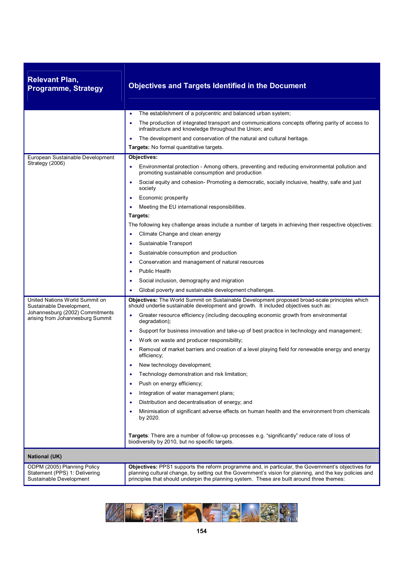| <b>Relevant Plan,</b><br><b>Programme, Strategy</b>                                           | <b>Objectives and Targets Identified in the Document</b>                                                                                                                                                                                                                                                   |
|-----------------------------------------------------------------------------------------------|------------------------------------------------------------------------------------------------------------------------------------------------------------------------------------------------------------------------------------------------------------------------------------------------------------|
|                                                                                               | The establishment of a polycentric and balanced urban system;<br>$\bullet$                                                                                                                                                                                                                                 |
|                                                                                               | The production of integrated transport and communications concepts offering parity of access to<br>$\bullet$<br>infrastructure and knowledge throughout the Union; and                                                                                                                                     |
|                                                                                               | The development and conservation of the natural and cultural heritage.<br>$\bullet$                                                                                                                                                                                                                        |
|                                                                                               | Targets: No formal quantitative targets.                                                                                                                                                                                                                                                                   |
| European Sustainable Development                                                              | Objectives:                                                                                                                                                                                                                                                                                                |
| Strategy (2006)                                                                               | Environmental protection - Among others, preventing and reducing environmental pollution and<br>$\bullet$<br>promoting sustainable consumption and production                                                                                                                                              |
|                                                                                               | Social equity and cohesion- Promoting a democratic, socially inclusive, healthy, safe and just<br>society                                                                                                                                                                                                  |
|                                                                                               | Economic prosperity<br>$\bullet$                                                                                                                                                                                                                                                                           |
|                                                                                               | Meeting the EU international responsibilities.<br>$\bullet$                                                                                                                                                                                                                                                |
|                                                                                               | Targets:                                                                                                                                                                                                                                                                                                   |
|                                                                                               | The following key challenge areas include a number of targets in achieving their respective objectives:                                                                                                                                                                                                    |
|                                                                                               | Climate Change and clean energy                                                                                                                                                                                                                                                                            |
|                                                                                               | Sustainable Transport<br>$\bullet$                                                                                                                                                                                                                                                                         |
|                                                                                               | Sustainable consumption and production<br>$\bullet$                                                                                                                                                                                                                                                        |
|                                                                                               | Conservation and management of natural resources<br>٠                                                                                                                                                                                                                                                      |
|                                                                                               | <b>Public Health</b><br>٠                                                                                                                                                                                                                                                                                  |
|                                                                                               | Social inclusion, demography and migration                                                                                                                                                                                                                                                                 |
|                                                                                               | Global poverty and sustainable development challenges.                                                                                                                                                                                                                                                     |
| United Nations World Summit on<br>Sustainable Development,<br>Johannesburg (2002) Commitments | Objectives: The World Summit on Sustainable Development proposed broad-scale principles which<br>should underlie sustainable development and growth. It included objectives such as:                                                                                                                       |
| arising from Johannesburg Summit                                                              | Greater resource efficiency (including decoupling economic growth from environmental<br>degradation);                                                                                                                                                                                                      |
|                                                                                               | Support for business innovation and take-up of best practice in technology and management;<br>$\bullet$                                                                                                                                                                                                    |
|                                                                                               | Work on waste and producer responsibility;<br>٠                                                                                                                                                                                                                                                            |
|                                                                                               | Removal of market barriers and creation of a level playing field for renewable energy and energy<br>$\bullet$<br>efficiency;                                                                                                                                                                               |
|                                                                                               | New technology development;                                                                                                                                                                                                                                                                                |
|                                                                                               | Technology demonstration and risk limitation;<br>٠                                                                                                                                                                                                                                                         |
|                                                                                               | Push on energy efficiency;<br>٠                                                                                                                                                                                                                                                                            |
|                                                                                               | Integration of water management plans;<br>٠                                                                                                                                                                                                                                                                |
|                                                                                               | Distribution and decentralisation of energy; and<br>٠                                                                                                                                                                                                                                                      |
|                                                                                               | Minimisation of significant adverse effects on human health and the environment from chemicals<br>by 2020.                                                                                                                                                                                                 |
|                                                                                               | Targets: There are a number of follow-up processes e.g. "significantly" reduce rate of loss of<br>biodiversity by 2010, but no specific targets.                                                                                                                                                           |
| <b>National (UK)</b>                                                                          |                                                                                                                                                                                                                                                                                                            |
| ODPM (2005) Planning Policy<br>Statement (PPS) 1: Delivering<br>Sustainable Development       | Objectives: PPS1 supports the reform programme and, in particular, the Government's objectives for<br>planning cultural change, by setting out the Government's vision for planning, and the key policies and<br>principles that should underpin the planning system. These are built around three themes: |

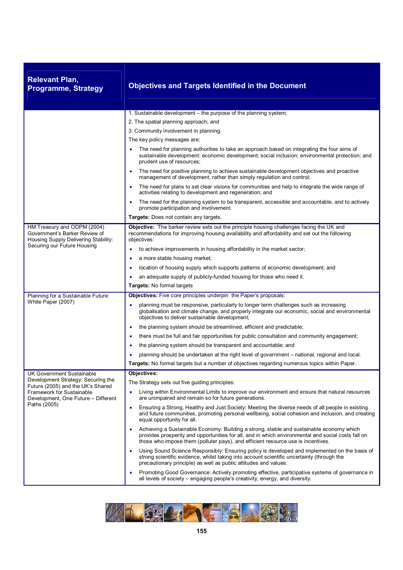| <b>Relevant Plan,</b><br><b>Programme, Strategy</b>                                                   | <b>Objectives and Targets Identified in the Document</b>                                                                                                                                                                                                                           |
|-------------------------------------------------------------------------------------------------------|------------------------------------------------------------------------------------------------------------------------------------------------------------------------------------------------------------------------------------------------------------------------------------|
|                                                                                                       | 1. Sustainable development - the purpose of the planning system;                                                                                                                                                                                                                   |
|                                                                                                       | 2. The spatial planning approach; and                                                                                                                                                                                                                                              |
|                                                                                                       | 3. Community involvement in planning.                                                                                                                                                                                                                                              |
|                                                                                                       | The key policy messages are:                                                                                                                                                                                                                                                       |
|                                                                                                       | The need for planning authorities to take an approach based on integrating the four aims of<br>sustainable development: economic development; social inclusion; environmental protection; and<br>prudent use of resources;                                                         |
|                                                                                                       | The need for positive planning to achieve sustainable development objectives and proactive<br>management of development, rather than simply regulation and control;                                                                                                                |
|                                                                                                       | The need for plans to set clear visions for communities and help to integrate the wide range of<br>activities relating to development and regeneration; and                                                                                                                        |
|                                                                                                       | The need for the planning system to be transparent, accessible and accountable, and to actively<br>$\bullet$<br>promote participation and involvement.                                                                                                                             |
|                                                                                                       | Targets: Does not contain any targets.                                                                                                                                                                                                                                             |
| HM Treasury and ODPM (2004)<br>Government's Barker Review of<br>Housing Supply Delivering Stability:  | Objective: The barker review sets out the principle housing challenges facing the UK and<br>recommendations for improving housing availability and affordability and set out the following<br>objectives:                                                                          |
| Securing our Future Housing                                                                           | to achieve improvements in housing affordability in the market sector;                                                                                                                                                                                                             |
|                                                                                                       | a more stable housing market;                                                                                                                                                                                                                                                      |
|                                                                                                       | location of housing supply which supports patterns of economic development; and<br>٠                                                                                                                                                                                               |
|                                                                                                       | an adequate supply of publicly-funded housing for those who need it.                                                                                                                                                                                                               |
|                                                                                                       | Targets: No formal targets                                                                                                                                                                                                                                                         |
| Planning for a Sustainable Future:                                                                    | <b>Objectives:</b> Five core principles underpin the Paper's proposals:                                                                                                                                                                                                            |
| White Paper (2007)                                                                                    | planning must be responsive, particularly to longer term challenges such as increasing<br>globalisation and climate change, and properly integrate our economic, social and environmental<br>objectives to deliver sustainable development;                                        |
|                                                                                                       | the planning system should be streamlined, efficient and predictable;<br>٠                                                                                                                                                                                                         |
|                                                                                                       | there must be full and fair opportunities for public consultation and community engagement;<br>$\bullet$                                                                                                                                                                           |
|                                                                                                       | the planning system should be transparent and accountable; and<br>$\bullet$                                                                                                                                                                                                        |
|                                                                                                       | planning should be undertaken at the right level of government – national, regional and local.                                                                                                                                                                                     |
|                                                                                                       | Targets: No formal targets but a number of objectives regarding numerous topics within Paper.                                                                                                                                                                                      |
| <b>UK Government Sustainable</b>                                                                      | Objectives:                                                                                                                                                                                                                                                                        |
| Development Strategy: Securing the                                                                    | The Strategy sets out five guiding principles:                                                                                                                                                                                                                                     |
| Future (2005) and the UK's Shared<br>Framework for Sustainable<br>Development, One Future - Different | Living within Environmental Limits to improve our environment and ensure that natural resources<br>٠<br>are unimpaired and remain so for future generations.                                                                                                                       |
| Paths (2005)                                                                                          | Ensuring a Strong, Healthy and Just Society: Meeting the diverse needs of all people in existing<br>$\bullet$<br>and future communities, promoting personal wellbeing, social cohesion and inclusion, and creating<br>equal opportunity for all.                                   |
|                                                                                                       | Achieving a Sustainable Economy: Building a strong, stable and sustainable economy which<br>provides prosperity and opportunities for all, and in which environmental and social costs fall on<br>those who impose them (polluter pays), and efficient resource use is incentives. |
|                                                                                                       | Using Sound Science Responsibly: Ensuring policy is developed and implemented on the basis of<br>strong scientific evidence, whilst taking into account scientific uncertainty (through the<br>precautionary principle) as well as public attitudes and values.                    |
|                                                                                                       | Promoting Good Governance: Actively promoting effective, participative systems of governance in<br>٠<br>all levels of society – engaging people's creativity, energy, and diversity.                                                                                               |

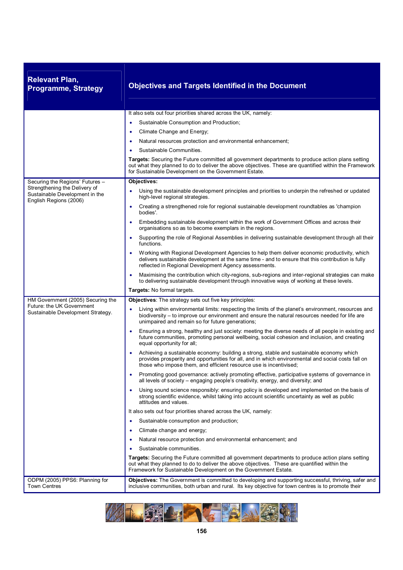| <b>Relevant Plan,</b><br><b>Programme, Strategy</b>                                       | <b>Objectives and Targets Identified in the Document</b>                                                                                                                                                                                                             |
|-------------------------------------------------------------------------------------------|----------------------------------------------------------------------------------------------------------------------------------------------------------------------------------------------------------------------------------------------------------------------|
|                                                                                           | It also sets out four priorities shared across the UK, namely:                                                                                                                                                                                                       |
|                                                                                           | Sustainable Consumption and Production;                                                                                                                                                                                                                              |
|                                                                                           | Climate Change and Energy;                                                                                                                                                                                                                                           |
|                                                                                           | Natural resources protection and environmental enhancement;                                                                                                                                                                                                          |
|                                                                                           | Sustainable Communities.                                                                                                                                                                                                                                             |
|                                                                                           | Targets: Securing the Future committed all government departments to produce action plans setting<br>out what they planned to do to deliver the above objectives. These are quantified within the Framework<br>for Sustainable Development on the Government Estate. |
| Securing the Regions' Futures -                                                           | Objectives:                                                                                                                                                                                                                                                          |
| Strengthening the Delivery of<br>Sustainable Development in the<br>English Regions (2006) | Using the sustainable development principles and priorities to underpin the refreshed or updated<br>٠<br>high-level regional strategies.                                                                                                                             |
|                                                                                           | Creating a strengthened role for regional sustainable development roundtables as 'champion<br>$\bullet$<br>bodies'.                                                                                                                                                  |
|                                                                                           | Embedding sustainable development within the work of Government Offices and across their<br>$\bullet$<br>organisations so as to become exemplars in the regions.                                                                                                     |
|                                                                                           | Supporting the role of Regional Assemblies in delivering sustainable development through all their<br>functions.                                                                                                                                                     |
|                                                                                           | Working with Regional Development Agencies to help them deliver economic productivity, which<br>delivers sustainable development at the same time - and to ensure that this contribution is fully<br>reflected in Regional Development Agency assessments.           |
|                                                                                           | Maximising the contribution which city-regions, sub-regions and inter-regional strategies can make<br>$\bullet$<br>to delivering sustainable development through innovative ways of working at these levels.                                                         |
|                                                                                           | Targets: No formal targets.                                                                                                                                                                                                                                          |
| HM Government (2005) Securing the                                                         | Objectives: The strategy sets out five key principles:                                                                                                                                                                                                               |
| Future: the UK Government<br>Sustainable Development Strategy.                            | Living within environmental limits: respecting the limits of the planet's environment, resources and<br>biodiversity – to improve our environment and ensure the natural resources needed for life are<br>unimpaired and remain so for future generations;           |
|                                                                                           | Ensuring a strong, healthy and just society: meeting the diverse needs of all people in existing and<br>٠<br>future communities, promoting personal wellbeing, social cohesion and inclusion, and creating<br>equal opportunity for all;                             |
|                                                                                           | Achieving a sustainable economy: building a strong, stable and sustainable economy which<br>provides prosperity and opportunities for all, and in which environmental and social costs fall on<br>those who impose them, and efficient resource use is incentivised; |
|                                                                                           | Promoting good governance: actively promoting effective, participative systems of governance in<br>all levels of society - engaging people's creativity, energy, and diversity; and                                                                                  |
|                                                                                           | Using sound science responsibly: ensuring policy is developed and implemented on the basis of<br>$\bullet$<br>strong scientific evidence, whilst taking into account scientific uncertainty as well as public<br>attitudes and values.                               |
|                                                                                           | It also sets out four priorities shared across the UK, namely:                                                                                                                                                                                                       |
|                                                                                           | Sustainable consumption and production;<br>$\bullet$                                                                                                                                                                                                                 |
|                                                                                           | Climate change and energy;<br>$\bullet$                                                                                                                                                                                                                              |
|                                                                                           | Natural resource protection and environmental enhancement; and                                                                                                                                                                                                       |
|                                                                                           | Sustainable communities.                                                                                                                                                                                                                                             |
|                                                                                           | Targets: Securing the Future committed all government departments to produce action plans setting<br>out what they planned to do to deliver the above objectives. These are quantified within the<br>Framework for Sustainable Development on the Government Estate. |
| ODPM (2005) PPS6: Planning for<br><b>Town Centres</b>                                     | Objectives: The Government is committed to developing and supporting successful, thriving, safer and<br>inclusive communities, both urban and rural. Its key objective for town centres is to promote their                                                          |

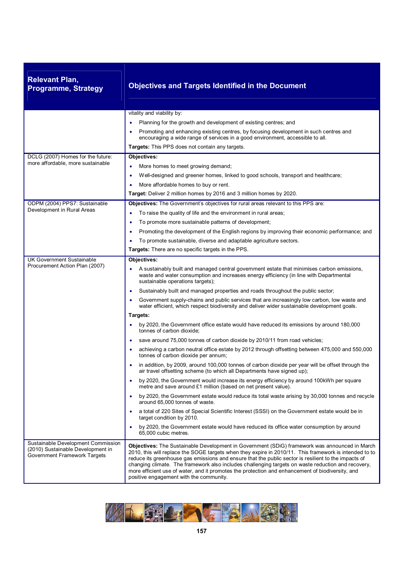| <b>Relevant Plan,</b><br><b>Programme, Strategy</b>                                                     | <b>Objectives and Targets Identified in the Document</b>                                                                                                                                                                                                                                                                                                                                                                                                                                                                                                             |
|---------------------------------------------------------------------------------------------------------|----------------------------------------------------------------------------------------------------------------------------------------------------------------------------------------------------------------------------------------------------------------------------------------------------------------------------------------------------------------------------------------------------------------------------------------------------------------------------------------------------------------------------------------------------------------------|
|                                                                                                         | vitality and viability by:                                                                                                                                                                                                                                                                                                                                                                                                                                                                                                                                           |
|                                                                                                         | Planning for the growth and development of existing centres; and                                                                                                                                                                                                                                                                                                                                                                                                                                                                                                     |
|                                                                                                         | Promoting and enhancing existing centres, by focusing development in such centres and                                                                                                                                                                                                                                                                                                                                                                                                                                                                                |
|                                                                                                         | encouraging a wide range of services in a good environment, accessible to all.<br>Targets: This PPS does not contain any targets.                                                                                                                                                                                                                                                                                                                                                                                                                                    |
| DCLG (2007) Homes for the future:                                                                       | Objectives:                                                                                                                                                                                                                                                                                                                                                                                                                                                                                                                                                          |
| more affordable, more sustainable                                                                       | More homes to meet growing demand;<br>٠                                                                                                                                                                                                                                                                                                                                                                                                                                                                                                                              |
|                                                                                                         | Well-designed and greener homes, linked to good schools, transport and healthcare;<br>$\bullet$                                                                                                                                                                                                                                                                                                                                                                                                                                                                      |
|                                                                                                         | More affordable homes to buy or rent.                                                                                                                                                                                                                                                                                                                                                                                                                                                                                                                                |
|                                                                                                         | Target: Deliver 2 million homes by 2016 and 3 million homes by 2020.                                                                                                                                                                                                                                                                                                                                                                                                                                                                                                 |
| ODPM (2004) PPS7: Sustainable                                                                           | Objectives: The Government's objectives for rural areas relevant to this PPS are:                                                                                                                                                                                                                                                                                                                                                                                                                                                                                    |
| Development in Rural Areas                                                                              | To raise the quality of life and the environment in rural areas;                                                                                                                                                                                                                                                                                                                                                                                                                                                                                                     |
|                                                                                                         | To promote more sustainable patterns of development;<br>٠                                                                                                                                                                                                                                                                                                                                                                                                                                                                                                            |
|                                                                                                         | Promoting the development of the English regions by improving their economic performance; and<br>٠                                                                                                                                                                                                                                                                                                                                                                                                                                                                   |
|                                                                                                         | To promote sustainable, diverse and adaptable agriculture sectors.                                                                                                                                                                                                                                                                                                                                                                                                                                                                                                   |
|                                                                                                         | Targets: There are no specific targets in the PPS.                                                                                                                                                                                                                                                                                                                                                                                                                                                                                                                   |
| <b>UK Government Sustainable</b>                                                                        | Objectives:                                                                                                                                                                                                                                                                                                                                                                                                                                                                                                                                                          |
| Procurement Action Plan (2007)                                                                          | A sustainably built and managed central government estate that minimises carbon emissions,<br>waste and water consumption and increases energy efficiency (in line with Departmental<br>sustainable operations targets);                                                                                                                                                                                                                                                                                                                                             |
|                                                                                                         | Sustainably built and managed properties and roads throughout the public sector;<br>$\bullet$                                                                                                                                                                                                                                                                                                                                                                                                                                                                        |
|                                                                                                         | Government supply-chains and public services that are increasingly low carbon, low waste and<br>water efficient, which respect biodiversity and deliver wider sustainable development goals.                                                                                                                                                                                                                                                                                                                                                                         |
|                                                                                                         | Targets:                                                                                                                                                                                                                                                                                                                                                                                                                                                                                                                                                             |
|                                                                                                         | by 2020, the Government office estate would have reduced its emissions by around 180,000<br>tonnes of carbon dioxide;                                                                                                                                                                                                                                                                                                                                                                                                                                                |
|                                                                                                         | save around 75,000 tonnes of carbon dioxide by 2010/11 from road vehicles;<br>٠                                                                                                                                                                                                                                                                                                                                                                                                                                                                                      |
|                                                                                                         | achieving a carbon neutral office estate by 2012 through offsetting between 475,000 and 550,000<br>tonnes of carbon dioxide per annum;                                                                                                                                                                                                                                                                                                                                                                                                                               |
|                                                                                                         | in addition, by 2009, around 100,000 tonnes of carbon dioxide per year will be offset through the<br>air travel offsetting scheme (to which all Departments have signed up);                                                                                                                                                                                                                                                                                                                                                                                         |
|                                                                                                         | by 2020, the Government would increase its energy efficiency by around 100kWh per square<br>٠<br>metre and save around £1 million (based on net present value).                                                                                                                                                                                                                                                                                                                                                                                                      |
|                                                                                                         | by 2020, the Government estate would reduce its total waste arising by 30,000 tonnes and recycle<br>around 65,000 tonnes of waste.                                                                                                                                                                                                                                                                                                                                                                                                                                   |
|                                                                                                         | a total of 220 Sites of Special Scientific Interest (SSSI) on the Government estate would be in<br>target condition by 2010.                                                                                                                                                                                                                                                                                                                                                                                                                                         |
|                                                                                                         | by 2020, the Government estate would have reduced its office water consumption by around<br>٠<br>65,000 cubic metres.                                                                                                                                                                                                                                                                                                                                                                                                                                                |
| Sustainable Development Commission<br>(2010) Sustainable Development in<br>Government Framework Targets | Objectives: The Sustainable Development in Government (SDiG) framework was announced in March<br>2010, this will replace the SOGE targets when they expire in 2010/11. This framework is intended to to<br>reduce its greenhouse gas emissions and ensure that the public sector is resilient to the impacts of<br>changing climate. The framework also includes challenging targets on waste reduction and recovery,<br>more efficient use of water, and it promotes the protection and enhancement of biodiversity, and<br>positive engagement with the community. |

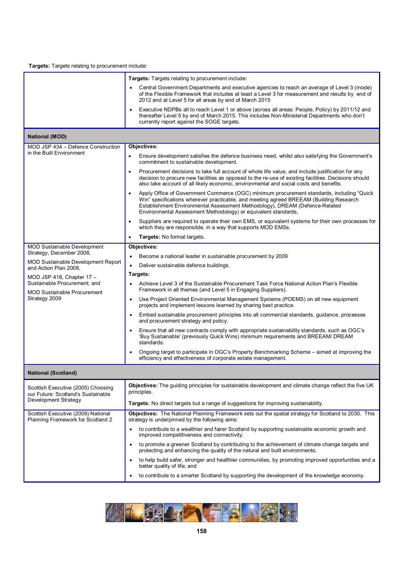**Targets:** Targets relating to procurement include:

|                                                                                                  | Targets: Targets relating to procurement include:                                                                                                                                                                                                                                                                                                 |
|--------------------------------------------------------------------------------------------------|---------------------------------------------------------------------------------------------------------------------------------------------------------------------------------------------------------------------------------------------------------------------------------------------------------------------------------------------------|
|                                                                                                  | Central Government Departments and executive agencies to reach an average of Level 3 (mode)<br>$\bullet$<br>of the Flexible Framework that includes at least a Level 3 for measurement and results by end of<br>2012 and at Level 5 for all areas by end of March 2015                                                                            |
|                                                                                                  | Executive NDPBs all to reach Level 1 or above (across all areas: People, Policy) by 2011/12 and<br>thereafter Level 5 by end of March 2015. This includes Non-Ministerial Departments who don't<br>currently report against the SOGE targets.                                                                                                     |
| <b>National (MOD)</b>                                                                            |                                                                                                                                                                                                                                                                                                                                                   |
| MOD JSP 434 - Defence Construction                                                               | Objectives:                                                                                                                                                                                                                                                                                                                                       |
| in the Built Environment                                                                         | Ensure development satisfies the defence business need, whilst also satisfying the Government's<br>$\bullet$<br>commitment to sustainable development.                                                                                                                                                                                            |
|                                                                                                  | Procurement decisions to take full account of whole life value, and include justification for any<br>٠<br>decision to procure new facilities as opposed to the re-use of existing facilities. Decisions should<br>also take account of all likely economic, environmental and social costs and benefits.                                          |
|                                                                                                  | Apply Office of Government Commerce (OGC) minimum procurement standards, including "Quick<br>$\bullet$<br>Win" specifications wherever practicable, and meeting agreed BREEAM (Building Research<br>Establishment Environmental Assessment Methodology), DREAM (Defence-Related<br>Environmental Assessment Methodology) or equivalent standards, |
|                                                                                                  | Suppliers are required to operate their own EMS, or equivalent systems for their own processes for<br>$\bullet$<br>which they are responsible, in a way that supports MOD EMSs.                                                                                                                                                                   |
|                                                                                                  | Targets: No formal targets.<br>٠                                                                                                                                                                                                                                                                                                                  |
| <b>MOD Sustainable Development</b>                                                               | Objectives:                                                                                                                                                                                                                                                                                                                                       |
| Strategy, December 2008,                                                                         | Become a national leader in sustainable procurement by 2009<br>$\bullet$                                                                                                                                                                                                                                                                          |
| <b>MOD Sustainable Development Report</b><br>and Action Plan 2008,                               | Deliver sustainable defence buildings.<br>$\bullet$                                                                                                                                                                                                                                                                                               |
| MOD JSP 418, Chapter 17 -                                                                        | Targets:                                                                                                                                                                                                                                                                                                                                          |
| Sustainable Procurement; and<br><b>MOD Sustainable Procurement</b>                               | Achieve Level 3 of the Sustainable Procurement Task Force National Action Plan's Flexible<br>Framework in all themes (and Level 5 in Engaging Suppliers).                                                                                                                                                                                         |
| Strategy 2009                                                                                    | Use Project Oriented Environmental Management Systems (POEMS) on all new equipment<br>٠<br>projects and implement lessons learned by sharing best practice.                                                                                                                                                                                       |
|                                                                                                  | Embed sustainable procurement principles into all commercial standards, guidance, processes<br>٠<br>and procurement strategy and policy.                                                                                                                                                                                                          |
|                                                                                                  | Ensure that all new contracts comply with appropriate sustainability standards, such as OGC's<br>٠<br>'Buy Sustainable' (previously Quick Wins) minimum requirements and BREEAM/ DREAM<br>standards.                                                                                                                                              |
|                                                                                                  | Ongoing target to participate in OGC's Property Benchmarking Scheme - aimed at improving the<br>efficiency and effectiveness of corporate estate management.                                                                                                                                                                                      |
| <b>National (Scotland)</b>                                                                       |                                                                                                                                                                                                                                                                                                                                                   |
| Scottish Executive (2005) Choosing<br>our Future: Scotland's Sustainable<br>Development Strategy | Objectives: The guiding principles for sustainable development and climate change reflect the five UK<br>principles.                                                                                                                                                                                                                              |
|                                                                                                  | <b>Targets:</b> No direct targets but a range of suggestions for improving sustainability.                                                                                                                                                                                                                                                        |
| Scottish Executive (2009) National<br>Planning Framework for Scotland 2                          | <b>Objectives:</b> The National Planning Framework sets out the spatial strategy for Scotland to 2030. This<br>strategy is underpinned by the following aims:                                                                                                                                                                                     |
|                                                                                                  | to contribute to a wealthier and fairer Scotland by supporting sustainable economic growth and<br>improved competitiveness and connectivity;                                                                                                                                                                                                      |
|                                                                                                  | to promote a greener Scotland by contributing to the achievement of climate change targets and<br>$\bullet$<br>protecting and enhancing the quality of the natural and built environments;                                                                                                                                                        |
|                                                                                                  | to help build safer, stronger and healthier communities, by promoting improved opportunities and a<br>٠<br>better quality of life; and                                                                                                                                                                                                            |
|                                                                                                  | to contribute to a smarter Scotland by supporting the development of the knowledge economy.                                                                                                                                                                                                                                                       |

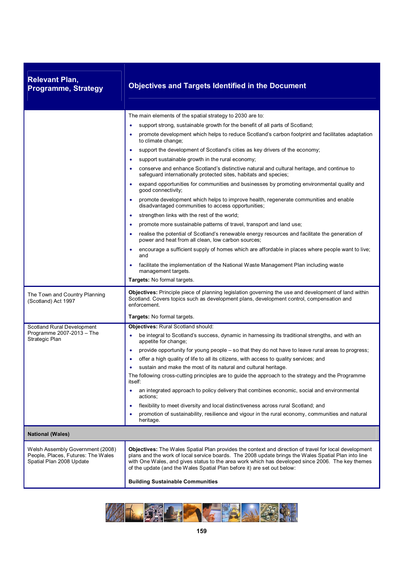| <b>Relevant Plan,</b><br><b>Programme, Strategy</b>                                                | <b>Objectives and Targets Identified in the Document</b>                                                                                                                                                                                                                                                                                                                                                                                                                                                                                                                                                                                                                                                                                                                                                                                                                                                                                                                                                                                                                                                                                                                                               |
|----------------------------------------------------------------------------------------------------|--------------------------------------------------------------------------------------------------------------------------------------------------------------------------------------------------------------------------------------------------------------------------------------------------------------------------------------------------------------------------------------------------------------------------------------------------------------------------------------------------------------------------------------------------------------------------------------------------------------------------------------------------------------------------------------------------------------------------------------------------------------------------------------------------------------------------------------------------------------------------------------------------------------------------------------------------------------------------------------------------------------------------------------------------------------------------------------------------------------------------------------------------------------------------------------------------------|
|                                                                                                    | The main elements of the spatial strategy to 2030 are to:<br>support strong, sustainable growth for the benefit of all parts of Scotland;<br>$\bullet$<br>promote development which helps to reduce Scotland's carbon footprint and facilitates adaptation<br>٠<br>to climate change;<br>support the development of Scotland's cities as key drivers of the economy;<br>$\bullet$<br>support sustainable growth in the rural economy;<br>٠<br>conserve and enhance Scotland's distinctive natural and cultural heritage, and continue to<br>safeguard internationally protected sites, habitats and species;<br>expand opportunities for communities and businesses by promoting environmental quality and<br>$\bullet$<br>good connectivity;<br>promote development which helps to improve health, regenerate communities and enable<br>$\bullet$<br>disadvantaged communities to access opportunities;<br>strengthen links with the rest of the world;<br>$\bullet$<br>promote more sustainable patterns of travel, transport and land use;<br>realise the potential of Scotland's renewable energy resources and facilitate the generation of<br>power and heat from all clean, low carbon sources; |
|                                                                                                    | encourage a sufficient supply of homes which are affordable in places where people want to live;<br>and<br>facilitate the implementation of the National Waste Management Plan including waste<br>management targets.<br><b>Targets:</b> No formal targets.                                                                                                                                                                                                                                                                                                                                                                                                                                                                                                                                                                                                                                                                                                                                                                                                                                                                                                                                            |
| The Town and Country Planning<br>(Scotland) Act 1997                                               | Objectives: Principle piece of planning legislation governing the use and development of land within<br>Scotland. Covers topics such as development plans, development control, compensation and<br>enforcement.<br>Targets: No formal targets.                                                                                                                                                                                                                                                                                                                                                                                                                                                                                                                                                                                                                                                                                                                                                                                                                                                                                                                                                        |
| Scotland Rural Development<br>Programme 2007-2013 - The<br>Strategic Plan                          | <b>Objectives: Rural Scotland should:</b><br>be integral to Scotland's success, dynamic in harnessing its traditional strengths, and with an<br>appetite for change;<br>provide opportunity for young people – so that they do not have to leave rural areas to progress;<br>$\bullet$<br>offer a high quality of life to all its citizens, with access to quality services; and<br>sustain and make the most of its natural and cultural heritage.<br>The following cross-cutting principles are to guide the approach to the strategy and the Programme<br>itself:<br>an integrated approach to policy delivery that combines economic, social and environmental<br>actions:<br>flexibility to meet diversity and local distinctiveness across rural Scotland; and<br>$\bullet$<br>promotion of sustainability, resilience and vigour in the rural economy, communities and natural<br>٠<br>heritage.                                                                                                                                                                                                                                                                                                |
| <b>National (Wales)</b>                                                                            |                                                                                                                                                                                                                                                                                                                                                                                                                                                                                                                                                                                                                                                                                                                                                                                                                                                                                                                                                                                                                                                                                                                                                                                                        |
| Welsh Assembly Government (2008)<br>People, Places, Futures: The Wales<br>Spatial Plan 2008 Update | Objectives: The Wales Spatial Plan provides the context and direction of travel for local development<br>plans and the work of local service boards. The 2008 update brings the Wales Spatial Plan into line<br>with One Wales, and gives status to the area work which has developed since 2006. The key themes<br>of the update (and the Wales Spatial Plan before it) are set out below:<br><b>Building Sustainable Communities</b>                                                                                                                                                                                                                                                                                                                                                                                                                                                                                                                                                                                                                                                                                                                                                                 |

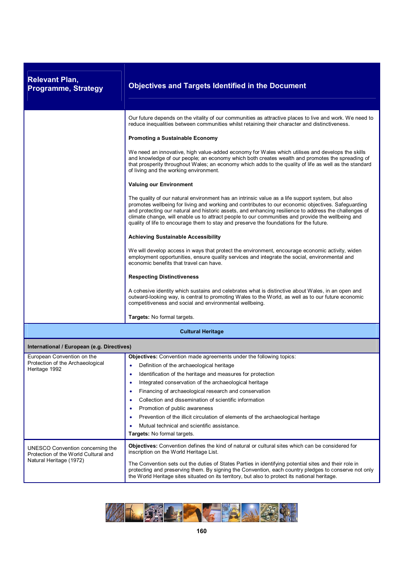| <b>Relevant Plan,</b><br><b>Programme, Strategy</b>                                                 | <b>Objectives and Targets Identified in the Document</b>                                                                                                                                                                                                                                                                                                                                                                                                                                                       |
|-----------------------------------------------------------------------------------------------------|----------------------------------------------------------------------------------------------------------------------------------------------------------------------------------------------------------------------------------------------------------------------------------------------------------------------------------------------------------------------------------------------------------------------------------------------------------------------------------------------------------------|
|                                                                                                     | Our future depends on the vitality of our communities as attractive places to live and work. We need to<br>reduce inequalities between communities whilst retaining their character and distinctiveness.                                                                                                                                                                                                                                                                                                       |
|                                                                                                     | <b>Promoting a Sustainable Economy</b>                                                                                                                                                                                                                                                                                                                                                                                                                                                                         |
|                                                                                                     | We need an innovative, high value-added economy for Wales which utilises and develops the skills<br>and knowledge of our people; an economy which both creates wealth and promotes the spreading of<br>that prosperity throughout Wales; an economy which adds to the quality of life as well as the standard<br>of living and the working environment.                                                                                                                                                        |
|                                                                                                     | <b>Valuing our Environment</b>                                                                                                                                                                                                                                                                                                                                                                                                                                                                                 |
|                                                                                                     | The quality of our natural environment has an intrinsic value as a life support system, but also<br>promotes wellbeing for living and working and contributes to our economic objectives. Safeguarding<br>and protecting our natural and historic assets, and enhancing resilience to address the challenges of<br>climate change, will enable us to attract people to our communities and provide the wellbeing and<br>quality of life to encourage them to stay and preserve the foundations for the future. |
|                                                                                                     | <b>Achieving Sustainable Accessibility</b>                                                                                                                                                                                                                                                                                                                                                                                                                                                                     |
|                                                                                                     | We will develop access in ways that protect the environment, encourage economic activity, widen<br>employment opportunities, ensure quality services and integrate the social, environmental and<br>economic benefits that travel can have.                                                                                                                                                                                                                                                                    |
|                                                                                                     | <b>Respecting Distinctiveness</b>                                                                                                                                                                                                                                                                                                                                                                                                                                                                              |
|                                                                                                     | A cohesive identity which sustains and celebrates what is distinctive about Wales, in an open and<br>outward-looking way, is central to promoting Wales to the World, as well as to our future economic<br>competitiveness and social and environmental wellbeing.                                                                                                                                                                                                                                             |
|                                                                                                     | Targets: No formal targets.                                                                                                                                                                                                                                                                                                                                                                                                                                                                                    |
|                                                                                                     | <b>Cultural Heritage</b>                                                                                                                                                                                                                                                                                                                                                                                                                                                                                       |
| International / European (e.g. Directives)                                                          |                                                                                                                                                                                                                                                                                                                                                                                                                                                                                                                |
| European Convention on the                                                                          | Objectives: Convention made agreements under the following topics:                                                                                                                                                                                                                                                                                                                                                                                                                                             |
| Protection of the Archaeological<br>Heritage 1992                                                   | Definition of the archaeological heritage                                                                                                                                                                                                                                                                                                                                                                                                                                                                      |
|                                                                                                     | Identification of the heritage and measures for protection<br>٠                                                                                                                                                                                                                                                                                                                                                                                                                                                |
|                                                                                                     | Integrated conservation of the archaeological heritage<br>٠                                                                                                                                                                                                                                                                                                                                                                                                                                                    |
|                                                                                                     | Financing of archaeological research and conservation<br>٠<br>Collection and dissemination of scientific information                                                                                                                                                                                                                                                                                                                                                                                           |
|                                                                                                     | Promotion of public awareness<br>$\bullet$                                                                                                                                                                                                                                                                                                                                                                                                                                                                     |
|                                                                                                     | Prevention of the illicit circulation of elements of the archaeological heritage                                                                                                                                                                                                                                                                                                                                                                                                                               |
|                                                                                                     | Mutual technical and scientific assistance.                                                                                                                                                                                                                                                                                                                                                                                                                                                                    |
|                                                                                                     | Targets: No formal targets.                                                                                                                                                                                                                                                                                                                                                                                                                                                                                    |
| UNESCO Convention concerning the<br>Protection of the World Cultural and<br>Natural Heritage (1972) | Objectives: Convention defines the kind of natural or cultural sites which can be considered for<br>inscription on the World Heritage List.                                                                                                                                                                                                                                                                                                                                                                    |
|                                                                                                     | The Convention sets out the duties of States Parties in identifying potential sites and their role in<br>protecting and preserving them. By signing the Convention, each country pledges to conserve not only<br>the World Heritage sites situated on its territory, but also to protect its national heritage.                                                                                                                                                                                                |

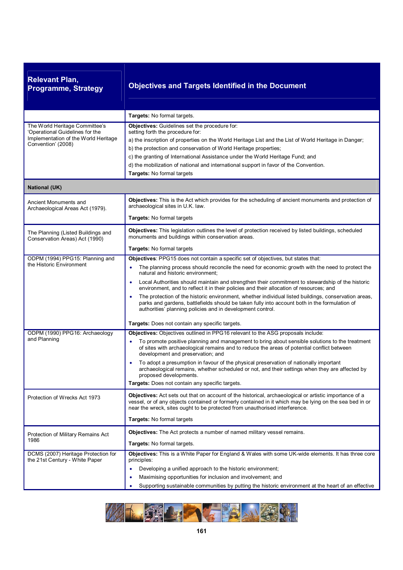| <b>Relevant Plan,</b><br><b>Programme, Strategy</b>                                                                             | <b>Objectives and Targets Identified in the Document</b>                                                                                                                                                                                                                                                                                                                                                                                                                                                                                                                                                                                                                                                                                                                                  |
|---------------------------------------------------------------------------------------------------------------------------------|-------------------------------------------------------------------------------------------------------------------------------------------------------------------------------------------------------------------------------------------------------------------------------------------------------------------------------------------------------------------------------------------------------------------------------------------------------------------------------------------------------------------------------------------------------------------------------------------------------------------------------------------------------------------------------------------------------------------------------------------------------------------------------------------|
|                                                                                                                                 | Targets: No formal targets.                                                                                                                                                                                                                                                                                                                                                                                                                                                                                                                                                                                                                                                                                                                                                               |
| The World Heritage Committee's<br>'Operational Guidelines for the<br>Implementation of the World Heritage<br>Convention' (2008) | Objectives: Guidelines set the procedure for:<br>setting forth the procedure for:<br>a) the inscription of properties on the World Heritage List and the List of World Heritage in Danger;<br>b) the protection and conservation of World Heritage properties;<br>c) the granting of International Assistance under the World Heritage Fund; and<br>d) the mobilization of national and international support in favor of the Convention.<br>Targets: No formal targets                                                                                                                                                                                                                                                                                                                   |
| <b>National (UK)</b>                                                                                                            |                                                                                                                                                                                                                                                                                                                                                                                                                                                                                                                                                                                                                                                                                                                                                                                           |
| Ancient Monuments and<br>Archaeological Areas Act (1979).                                                                       | Objectives: This is the Act which provides for the scheduling of ancient monuments and protection of<br>archaeological sites in U.K. law.<br>Targets: No formal targets                                                                                                                                                                                                                                                                                                                                                                                                                                                                                                                                                                                                                   |
| The Planning (Listed Buildings and<br>Conservation Areas) Act (1990)                                                            | Objectives: This legislation outlines the level of protection received by listed buildings, scheduled<br>monuments and buildings within conservation areas.<br><b>Targets: No formal targets</b>                                                                                                                                                                                                                                                                                                                                                                                                                                                                                                                                                                                          |
| ODPM (1994) PPG15: Planning and<br>the Historic Environment                                                                     | Objectives: PPG15 does not contain a specific set of objectives, but states that:<br>The planning process should reconcile the need for economic growth with the need to protect the<br>$\bullet$<br>natural and historic environment;<br>Local Authorities should maintain and strengthen their commitment to stewardship of the historic<br>$\bullet$<br>environment, and to reflect it in their policies and their allocation of resources; and<br>The protection of the historic environment, whether individual listed buildings, conservation areas,<br>$\bullet$<br>parks and gardens, battlefields should be taken fully into account both in the formulation of<br>authorities' planning policies and in development control.<br>Targets: Does not contain any specific targets. |
| ODPM (1990) PPG16: Archaeology<br>and Planning                                                                                  | Objectives: Objectives outlined in PPG16 relevant to the ASG proposals include:<br>To promote positive planning and management to bring about sensible solutions to the treatment<br>٠<br>of sites with archaeological remains and to reduce the areas of potential conflict between<br>development and preservation; and<br>To adopt a presumption in favour of the physical preservation of nationally important<br>٠<br>archaeological remains, whether scheduled or not, and their settings when they are affected by<br>proposed developments.<br>Targets: Does not contain any specific targets.                                                                                                                                                                                    |
| Protection of Wrecks Act 1973                                                                                                   | Objectives: Act sets out that on account of the historical, archaeological or artistic importance of a<br>vessel, or of any objects contained or formerly contained in it which may be lying on the sea bed in or<br>near the wreck, sites ought to be protected from unauthorised interference.<br>Targets: No formal targets                                                                                                                                                                                                                                                                                                                                                                                                                                                            |
| Protection of Military Remains Act<br>1986                                                                                      | Objectives: The Act protects a number of named military vessel remains.<br><b>Targets:</b> No formal targets.                                                                                                                                                                                                                                                                                                                                                                                                                                                                                                                                                                                                                                                                             |
| DCMS (2007) Heritage Protection for<br>the 21st Century - White Paper                                                           | Objectives: This is a White Paper for England & Wales with some UK-wide elements. It has three core<br>principles:<br>Developing a unified approach to the historic environment;<br>$\bullet$<br>Maximising opportunities for inclusion and involvement; and<br>$\bullet$<br>Supporting sustainable communities by putting the historic environment at the heart of an effective<br>٠                                                                                                                                                                                                                                                                                                                                                                                                     |

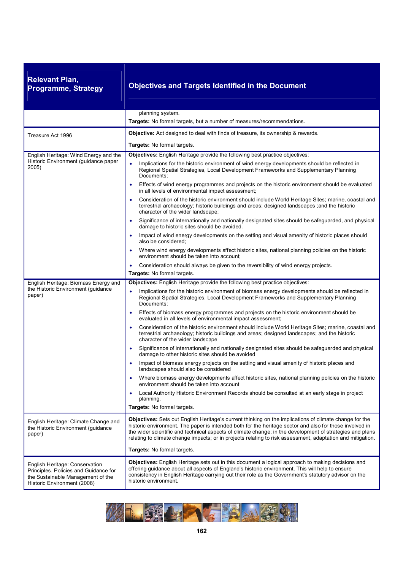| <b>Relevant Plan,</b><br><b>Programme, Strategy</b>                                                                                         | <b>Objectives and Targets Identified in the Document</b>                                                                                                                                                                                                                                                                                                                                                                                                                                                                                                                                                                                                                                                                                                                                                                                                                                                                                                                                                                                                                                                                                                                                                                                                                                                                                           |
|---------------------------------------------------------------------------------------------------------------------------------------------|----------------------------------------------------------------------------------------------------------------------------------------------------------------------------------------------------------------------------------------------------------------------------------------------------------------------------------------------------------------------------------------------------------------------------------------------------------------------------------------------------------------------------------------------------------------------------------------------------------------------------------------------------------------------------------------------------------------------------------------------------------------------------------------------------------------------------------------------------------------------------------------------------------------------------------------------------------------------------------------------------------------------------------------------------------------------------------------------------------------------------------------------------------------------------------------------------------------------------------------------------------------------------------------------------------------------------------------------------|
|                                                                                                                                             | planning system.<br>Targets: No formal targets, but a number of measures/recommendations.                                                                                                                                                                                                                                                                                                                                                                                                                                                                                                                                                                                                                                                                                                                                                                                                                                                                                                                                                                                                                                                                                                                                                                                                                                                          |
| Treasure Act 1996                                                                                                                           | <b>Objective:</b> Act designed to deal with finds of treasure, its ownership & rewards.<br><b>Targets:</b> No formal targets.                                                                                                                                                                                                                                                                                                                                                                                                                                                                                                                                                                                                                                                                                                                                                                                                                                                                                                                                                                                                                                                                                                                                                                                                                      |
| English Heritage: Wind Energy and the<br>Historic Environment (guidance paper<br>2005)                                                      | Objectives: English Heritage provide the following best practice objectives:<br>Implications for the historic environment of wind energy developments should be reflected in<br>$\bullet$<br>Regional Spatial Strategies, Local Development Frameworks and Supplementary Planning<br>Documents;<br>Effects of wind energy programmes and projects on the historic environment should be evaluated<br>in all levels of environmental impact assessment;<br>Consideration of the historic environment should include World Heritage Sites; marine, coastal and<br>$\bullet$<br>terrestrial archaeology; historic buildings and areas; designed landscapes ; and the historic<br>character of the wider landscape;<br>Significance of internationally and nationally designated sites should be safeguarded, and physical<br>$\bullet$<br>damage to historic sites should be avoided.<br>Impact of wind energy developments on the setting and visual amenity of historic places should<br>٠<br>also be considered;<br>Where wind energy developments affect historic sites, national planning policies on the historic<br>environment should be taken into account;                                                                                                                                                                                  |
|                                                                                                                                             | Consideration should always be given to the reversibility of wind energy projects.<br>Targets: No formal targets.                                                                                                                                                                                                                                                                                                                                                                                                                                                                                                                                                                                                                                                                                                                                                                                                                                                                                                                                                                                                                                                                                                                                                                                                                                  |
| English Heritage: Biomass Energy and<br>the Historic Environment (guidance<br>paper)                                                        | Objectives: English Heritage provide the following best practice objectives:<br>Implications for the historic environment of biomass energy developments should be reflected in<br>$\bullet$<br>Regional Spatial Strategies, Local Development Frameworks and Supplementary Planning<br>Documents;<br>Effects of biomass energy programmes and projects on the historic environment should be<br>$\bullet$<br>evaluated in all levels of environmental impact assessment;<br>Consideration of the historic environment should include World Heritage Sites; marine, coastal and<br>terrestrial archaeology; historic buildings and areas; designed landscapes; and the historic<br>character of the wider landscape<br>Significance of internationally and nationally designated sites should be safeguarded and physical<br>$\bullet$<br>damage to other historic sites should be avoided<br>Impact of biomass energy projects on the setting and visual amenity of historic places and<br>۰<br>landscapes should also be considered<br>Where biomass energy developments affect historic sites, national planning policies on the historic<br>environment should be taken into account<br>Local Authority Historic Environment Records should be consulted at an early stage in project<br>$\bullet$<br>planning.<br>Targets: No formal targets. |
| English Heritage: Climate Change and<br>the Historic Environment (guidance<br>paper)                                                        | Objectives: Sets out English Heritage's current thinking on the implications of climate change for the<br>historic environment. The paper is intended both for the heritage sector and also for those involved in<br>the wider scientific and technical aspects of climate change; in the development of strategies and plans<br>relating to climate change impacts; or in projects relating to risk assessment, adaptation and mitigation.<br>Targets: No formal targets.                                                                                                                                                                                                                                                                                                                                                                                                                                                                                                                                                                                                                                                                                                                                                                                                                                                                         |
| English Heritage: Conservation<br>Principles, Policies and Guidance for<br>the Sustainable Management of the<br>Historic Environment (2008) | <b>Objectives:</b> English Heritage sets out in this document a logical approach to making decisions and<br>offering guidance about all aspects of England's historic environment. This will help to ensure<br>consistency in English Heritage carrying out their role as the Government's statutory advisor on the<br>historic environment.                                                                                                                                                                                                                                                                                                                                                                                                                                                                                                                                                                                                                                                                                                                                                                                                                                                                                                                                                                                                       |

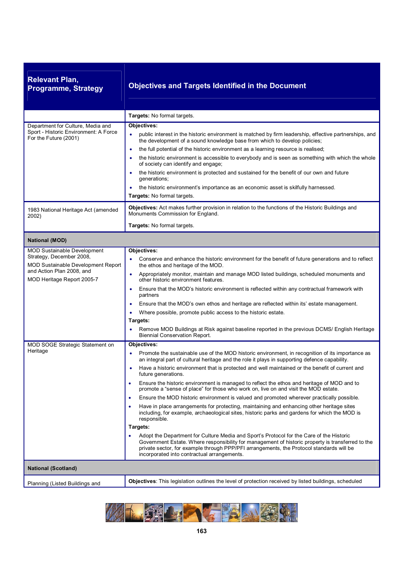| <b>Relevant Plan,</b><br><b>Programme, Strategy</b>                                                                                                                    | <b>Objectives and Targets Identified in the Document</b>                                                                                                                                                                                                                                                                                                                                                                                                                                                                                                                                                                                                                                                                                                                                                                                                                                                                                                                                                                                                                                                                                                                                                          |
|------------------------------------------------------------------------------------------------------------------------------------------------------------------------|-------------------------------------------------------------------------------------------------------------------------------------------------------------------------------------------------------------------------------------------------------------------------------------------------------------------------------------------------------------------------------------------------------------------------------------------------------------------------------------------------------------------------------------------------------------------------------------------------------------------------------------------------------------------------------------------------------------------------------------------------------------------------------------------------------------------------------------------------------------------------------------------------------------------------------------------------------------------------------------------------------------------------------------------------------------------------------------------------------------------------------------------------------------------------------------------------------------------|
|                                                                                                                                                                        | Targets: No formal targets.                                                                                                                                                                                                                                                                                                                                                                                                                                                                                                                                                                                                                                                                                                                                                                                                                                                                                                                                                                                                                                                                                                                                                                                       |
| Department for Culture, Media and<br>Sport - Historic Environment: A Force<br>For the Future (2001)                                                                    | Objectives:<br>public interest in the historic environment is matched by firm leadership, effective partnerships, and<br>the development of a sound knowledge base from which to develop policies;<br>the full potential of the historic environment as a learning resource is realised;<br>٠<br>the historic environment is accessible to everybody and is seen as something with which the whole<br>of society can identify and engage;<br>the historic environment is protected and sustained for the benefit of our own and future<br>٠<br>generations;<br>the historic environment's importance as an economic asset is skilfully harnessed.<br>Targets: No formal targets.                                                                                                                                                                                                                                                                                                                                                                                                                                                                                                                                  |
| 1983 National Heritage Act (amended<br>2002)                                                                                                                           | Objectives: Act makes further provision in relation to the functions of the Historic Buildings and<br>Monuments Commission for England.                                                                                                                                                                                                                                                                                                                                                                                                                                                                                                                                                                                                                                                                                                                                                                                                                                                                                                                                                                                                                                                                           |
|                                                                                                                                                                        | <b>Targets:</b> No formal targets.                                                                                                                                                                                                                                                                                                                                                                                                                                                                                                                                                                                                                                                                                                                                                                                                                                                                                                                                                                                                                                                                                                                                                                                |
| <b>National (MOD)</b>                                                                                                                                                  |                                                                                                                                                                                                                                                                                                                                                                                                                                                                                                                                                                                                                                                                                                                                                                                                                                                                                                                                                                                                                                                                                                                                                                                                                   |
| <b>MOD Sustainable Development</b><br>Strategy, December 2008,<br><b>MOD Sustainable Development Report</b><br>and Action Plan 2008, and<br>MOD Heritage Report 2005-7 | Objectives:<br>Conserve and enhance the historic environment for the benefit of future generations and to reflect<br>the ethos and heritage of the MOD.<br>Appropriately monitor, maintain and manage MOD listed buildings, scheduled monuments and<br>$\bullet$<br>other historic environment features.<br>Ensure that the MOD's historic environment is reflected within any contractual framework with<br>$\bullet$<br>partners<br>Ensure that the MOD's own ethos and heritage are reflected within its' estate management.<br>٠<br>Where possible, promote public access to the historic estate.<br>Targets:<br>Remove MOD Buildings at Risk against baseline reported in the previous DCMS/ English Heritage<br><b>Biennial Conservation Report.</b>                                                                                                                                                                                                                                                                                                                                                                                                                                                        |
| MOD SOGE Strategic Statement on<br>Heritage                                                                                                                            | Objectives:<br>Promote the sustainable use of the MOD historic environment, in recognition of its importance as<br>an integral part of cultural heritage and the role it plays in supporting defence capability.<br>Have a historic environment that is protected and well maintained or the benefit of current and<br>future generations.<br>Ensure the historic environment is managed to reflect the ethos and heritage of MOD and to<br>٠<br>promote a "sense of place" for those who work on, live on and visit the MOD estate.<br>Ensure the MOD historic environment is valued and promoted wherever practically possible.<br>٠<br>Have in place arrangements for protecting, maintaining and enhancing other heritage sites<br>٠<br>including, for example, archaeological sites, historic parks and gardens for which the MOD is<br>responsible.<br>Targets:<br>Adopt the Department for Culture Media and Sport's Protocol for the Care of the Historic<br>Government Estate. Where responsibility for management of historic property is transferred to the<br>private sector, for example through PPP/PFI arrangements, the Protocol standards will be<br>incorporated into contractual arrangements. |
| <b>National (Scotland)</b>                                                                                                                                             |                                                                                                                                                                                                                                                                                                                                                                                                                                                                                                                                                                                                                                                                                                                                                                                                                                                                                                                                                                                                                                                                                                                                                                                                                   |
| Planning (Listed Buildings and                                                                                                                                         | Objectives: This legislation outlines the level of protection received by listed buildings, scheduled                                                                                                                                                                                                                                                                                                                                                                                                                                                                                                                                                                                                                                                                                                                                                                                                                                                                                                                                                                                                                                                                                                             |

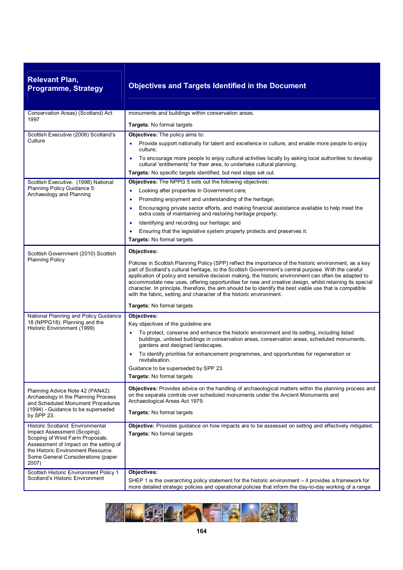| <b>Relevant Plan,</b>      |  |
|----------------------------|--|
| <b>Programme, Strategy</b> |  |

### **Programme, Strategy Objectives and Targets Identified in the Document**

| Conservation Areas) (Scotland) Act                                                                                                                                                             | monuments and buildings within conservation areas.                                                                                                                                                                                                                                                                                                                                                                                                                                                                                                                                                                    |
|------------------------------------------------------------------------------------------------------------------------------------------------------------------------------------------------|-----------------------------------------------------------------------------------------------------------------------------------------------------------------------------------------------------------------------------------------------------------------------------------------------------------------------------------------------------------------------------------------------------------------------------------------------------------------------------------------------------------------------------------------------------------------------------------------------------------------------|
| 1997                                                                                                                                                                                           | Targets: No formal targets                                                                                                                                                                                                                                                                                                                                                                                                                                                                                                                                                                                            |
| Scottish Executive (2006) Scotland's                                                                                                                                                           | Objectives: The policy aims to:                                                                                                                                                                                                                                                                                                                                                                                                                                                                                                                                                                                       |
| Culture                                                                                                                                                                                        | Provide support nationally for talent and excellence in culture, and enable more people to enjoy<br>culture;                                                                                                                                                                                                                                                                                                                                                                                                                                                                                                          |
|                                                                                                                                                                                                | To encourage more people to enjoy cultural activities locally by asking local authorities to develop<br>cultural 'entitlements' for their area, to undertake cultural planning.                                                                                                                                                                                                                                                                                                                                                                                                                                       |
|                                                                                                                                                                                                | Targets: No specific targets identified, but next steps set out.                                                                                                                                                                                                                                                                                                                                                                                                                                                                                                                                                      |
| Scottish Executive. (1998) National                                                                                                                                                            | Objectives: The NPPG 5 sets out the following objectives:                                                                                                                                                                                                                                                                                                                                                                                                                                                                                                                                                             |
| Planning Policy Guidance 5:<br>Archaeology and Planning                                                                                                                                        | Looking after properties in Government care;<br>$\bullet$                                                                                                                                                                                                                                                                                                                                                                                                                                                                                                                                                             |
|                                                                                                                                                                                                | Promoting enjoyment and understanding of the heritage;<br>$\bullet$                                                                                                                                                                                                                                                                                                                                                                                                                                                                                                                                                   |
|                                                                                                                                                                                                | Encouraging private sector efforts, and making financial assistance available to help meet the<br>$\bullet$<br>extra costs of maintaining and restoring heritage property;                                                                                                                                                                                                                                                                                                                                                                                                                                            |
|                                                                                                                                                                                                | Identifying and recording our heritage; and<br>$\bullet$                                                                                                                                                                                                                                                                                                                                                                                                                                                                                                                                                              |
|                                                                                                                                                                                                | Ensuring that the legislative system properly protects and preserves it.                                                                                                                                                                                                                                                                                                                                                                                                                                                                                                                                              |
|                                                                                                                                                                                                | <b>Targets: No formal targets</b>                                                                                                                                                                                                                                                                                                                                                                                                                                                                                                                                                                                     |
| Scottish Government (2010) Scottish                                                                                                                                                            | Objectives:                                                                                                                                                                                                                                                                                                                                                                                                                                                                                                                                                                                                           |
| <b>Planning Policy</b>                                                                                                                                                                         | Policies in Scottish Planning Policy (SPP) reflect the importance of the historic environment, as a key<br>part of Scotland's cultural heritage, to the Scottish Government's central purpose. With the careful<br>application of policy and sensitive decision making, the historic environment can often be adapted to<br>accommodate new uses, offering opportunities for new and creative design, whilst retaining its special<br>character. In principle, therefore, the aim should be to identify the best viable use that is compatible<br>with the fabric, setting and character of the historic environment. |
|                                                                                                                                                                                                | Targets: No formal targets                                                                                                                                                                                                                                                                                                                                                                                                                                                                                                                                                                                            |
| National Planning and Policy Guidance                                                                                                                                                          | Objectives:                                                                                                                                                                                                                                                                                                                                                                                                                                                                                                                                                                                                           |
| 18 (NPPG18): Planning and the<br>Historic Environment (1999)                                                                                                                                   | Key objectives of the guideline are                                                                                                                                                                                                                                                                                                                                                                                                                                                                                                                                                                                   |
|                                                                                                                                                                                                | To protect, conserve and enhance the historic environment and its setting, including listed<br>buildings, unlisted buildings in conservation areas, conservation areas, scheduled monuments,<br>gardens and designed landscapes.                                                                                                                                                                                                                                                                                                                                                                                      |
|                                                                                                                                                                                                | To identify priorities for enhancement programmes, and opportunities for regeneration or<br>revitalisation.                                                                                                                                                                                                                                                                                                                                                                                                                                                                                                           |
|                                                                                                                                                                                                | Guidance to be superseded by SPP 23.                                                                                                                                                                                                                                                                                                                                                                                                                                                                                                                                                                                  |
|                                                                                                                                                                                                | Targets: No formal targets                                                                                                                                                                                                                                                                                                                                                                                                                                                                                                                                                                                            |
| Planning Advice Note 42 (PAN42):<br>Archaeology in the Planning Process<br>and Scheduled Monument Procedures<br>(1994) - Guidance to be superseded<br>by SPP 23.                               | Objectives: Provides advice on the handling of archaeological matters within the planning process and<br>on the separate controls over scheduled monuments under the Ancient Monuments and<br>Archaeological Areas Act 1979.<br><b>Targets: No formal targets</b>                                                                                                                                                                                                                                                                                                                                                     |
| Historic Scotland: Environmental                                                                                                                                                               | Objective: Provides guidance on how impacts are to be assessed on setting and effectively mitigated.                                                                                                                                                                                                                                                                                                                                                                                                                                                                                                                  |
| Impact Assessment (Scoping).<br>Scoping of Wind Farm Proposals.<br>Assessment of Impact on the setting of<br>the Historic Environment Resource.<br>Some General Considerations (paper<br>2007) | Targets: No formal targets                                                                                                                                                                                                                                                                                                                                                                                                                                                                                                                                                                                            |
| Scottish Historic Environment Policy 1                                                                                                                                                         | Objectives:                                                                                                                                                                                                                                                                                                                                                                                                                                                                                                                                                                                                           |
| Scotland's Historic Environment                                                                                                                                                                | SHEP 1 is the overarching policy statement for the historic environment – it provides a framework for<br>more detailed strategic policies and operational policies that inform the day-to-day working of a range                                                                                                                                                                                                                                                                                                                                                                                                      |

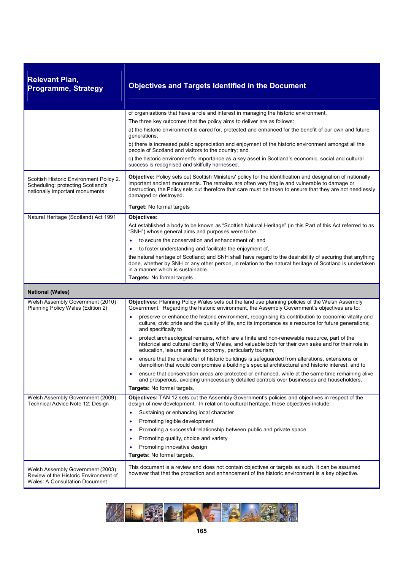| <b>Relevant Plan,</b><br><b>Programme, Strategy</b>                                                            | <b>Objectives and Targets Identified in the Document</b>                                                                                                                                                                                                                                                                                        |
|----------------------------------------------------------------------------------------------------------------|-------------------------------------------------------------------------------------------------------------------------------------------------------------------------------------------------------------------------------------------------------------------------------------------------------------------------------------------------|
|                                                                                                                | of organisations that have a role and interest in managing the historic environment.                                                                                                                                                                                                                                                            |
|                                                                                                                | The three key outcomes that the policy aims to deliver are as follows:                                                                                                                                                                                                                                                                          |
|                                                                                                                | a) the historic environment is cared for, protected and enhanced for the benefit of our own and future<br>generations;                                                                                                                                                                                                                          |
|                                                                                                                | b) there is increased public appreciation and enjoyment of the historic environment amongst all the<br>people of Scotland and visitors to the country; and                                                                                                                                                                                      |
|                                                                                                                | c) the historic environment's importance as a key asset in Scotland's economic, social and cultural<br>success is recognised and skilfully harnessed.                                                                                                                                                                                           |
| Scottish Historic Environment Policy 2.<br>Scheduling: protecting Scotland's<br>nationally important monuments | Objective: Policy sets out Scottish Ministers' policy for the identification and designation of nationally<br>important ancient monuments. The remains are often very fragile and vulnerable to damage or<br>destruction, the Policy sets out therefore that care must be taken to ensure that they are not needlessly<br>damaged or destroyed. |
|                                                                                                                | Target: No formal targets                                                                                                                                                                                                                                                                                                                       |
| Natural Heritage (Scotland) Act 1991                                                                           | Objectives:                                                                                                                                                                                                                                                                                                                                     |
|                                                                                                                | Act established a body to be known as "Scottish Natural Heritage" (in this Part of this Act referred to as<br>"SNH") whose general aims and purposes were to be:                                                                                                                                                                                |
|                                                                                                                | to secure the conservation and enhancement of; and                                                                                                                                                                                                                                                                                              |
|                                                                                                                | to foster understanding and facilitate the enjoyment of,                                                                                                                                                                                                                                                                                        |
|                                                                                                                | the natural heritage of Scotland; and SNH shall have regard to the desirability of securing that anything<br>done, whether by SNH or any other person, in relation to the natural heritage of Scotland is undertaken<br>in a manner which is sustainable.                                                                                       |
|                                                                                                                | Targets: No formal targets                                                                                                                                                                                                                                                                                                                      |
| <b>National (Wales)</b>                                                                                        |                                                                                                                                                                                                                                                                                                                                                 |
| Welsh Assembly Government (2010)<br>Planning Policy Wales (Edition 2)                                          | Objectives: Planning Policy Wales sets out the land use planning policies of the Welsh Assembly<br>Government. Regarding the historic environment, the Assembly Government's objectives are to:                                                                                                                                                 |
|                                                                                                                | preserve or enhance the historic environment, recognising its contribution to economic vitality and<br>$\bullet$<br>culture, civic pride and the quality of life, and its importance as a resource for future generations;<br>and specifically to                                                                                               |
|                                                                                                                | protect archaeological remains, which are a finite and non-renewable resource, part of the<br>٠<br>historical and cultural identity of Wales, and valuable both for their own sake and for their role in<br>education, leisure and the economy, particularly tourism;                                                                           |
|                                                                                                                | ensure that the character of historic buildings is safeguarded from alterations, extensions or<br>$\bullet$<br>demolition that would compromise a building's special architectural and historic interest; and to                                                                                                                                |
|                                                                                                                | ensure that conservation areas are protected or enhanced, while at the same time remaining alive<br>and prosperous, avoiding unnecessarily detailed controls over businesses and householders.                                                                                                                                                  |
|                                                                                                                | Targets: No formal targets.                                                                                                                                                                                                                                                                                                                     |
| Welsh Assembly Government (2009)<br>Technical Advice Note 12: Design                                           | Objectives: TAN 12 sets out the Assembly Government's policies and objectives in respect of the<br>design of new development. In relation to cultural heritage, these objectives include:                                                                                                                                                       |
|                                                                                                                | Sustaining or enhancing local character<br>$\bullet$                                                                                                                                                                                                                                                                                            |
|                                                                                                                | Promoting legible development<br>$\bullet$                                                                                                                                                                                                                                                                                                      |
|                                                                                                                | Promoting a successful relationship between public and private space<br>٠                                                                                                                                                                                                                                                                       |
|                                                                                                                | Promoting quality, choice and variety<br>$\bullet$                                                                                                                                                                                                                                                                                              |
|                                                                                                                | Promoting innovative design                                                                                                                                                                                                                                                                                                                     |
|                                                                                                                | Targets: No formal targets.                                                                                                                                                                                                                                                                                                                     |
| Welsh Assembly Government (2003)<br>Review of the Historic Environment of<br>Wales: A Consultation Document    | This document is a review and does not contain objectives or targets as such. It can be assumed<br>however that that the protection and enhancement of the historic environment is a key objective.                                                                                                                                             |

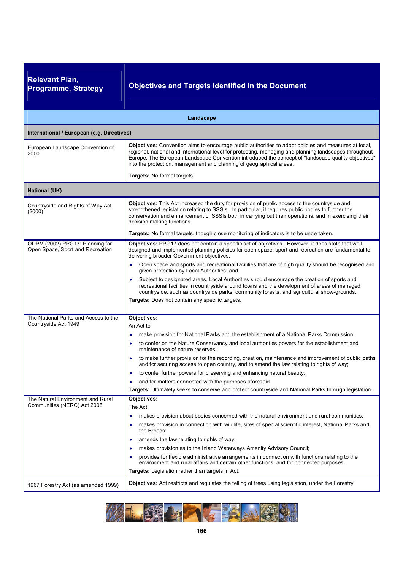| <b>Relevant Plan,</b><br><b>Programme, Strategy</b>                                                         | <b>Objectives and Targets Identified in the Document</b>                                                                                                                                                                                                                                                                                                                                                                                                                                                                                                                                                                                                                                                                                                                                         |
|-------------------------------------------------------------------------------------------------------------|--------------------------------------------------------------------------------------------------------------------------------------------------------------------------------------------------------------------------------------------------------------------------------------------------------------------------------------------------------------------------------------------------------------------------------------------------------------------------------------------------------------------------------------------------------------------------------------------------------------------------------------------------------------------------------------------------------------------------------------------------------------------------------------------------|
|                                                                                                             | Landscape                                                                                                                                                                                                                                                                                                                                                                                                                                                                                                                                                                                                                                                                                                                                                                                        |
| International / European (e.g. Directives)                                                                  |                                                                                                                                                                                                                                                                                                                                                                                                                                                                                                                                                                                                                                                                                                                                                                                                  |
| European Landscape Convention of<br>2000                                                                    | Objectives: Convention aims to encourage public authorities to adopt policies and measures at local,<br>regional, national and international level for protecting, managing and planning landscapes throughout<br>Europe. The European Landscape Convention introduced the concept of "landscape quality objectives"<br>into the protection, management and planning of geographical areas.                                                                                                                                                                                                                                                                                                                                                                                                      |
|                                                                                                             | Targets: No formal targets.                                                                                                                                                                                                                                                                                                                                                                                                                                                                                                                                                                                                                                                                                                                                                                      |
| <b>National (UK)</b>                                                                                        |                                                                                                                                                                                                                                                                                                                                                                                                                                                                                                                                                                                                                                                                                                                                                                                                  |
| Countryside and Rights of Way Act<br>(2000)                                                                 | Objectives: This Act increased the duty for provision of public access to the countryside and<br>strengthened legislation relating to SSSIs. In particular, it requires public bodies to further the<br>conservation and enhancement of SSSIs both in carrying out their operations, and in exercising their<br>decision making functions.                                                                                                                                                                                                                                                                                                                                                                                                                                                       |
|                                                                                                             | Targets: No formal targets, though close monitoring of indicators is to be undertaken.                                                                                                                                                                                                                                                                                                                                                                                                                                                                                                                                                                                                                                                                                                           |
| ODPM (2002) PPG17: Planning for<br>Open Space, Sport and Recreation<br>The National Parks and Access to the | Objectives: PPG17 does not contain a specific set of objectives. However, it does state that well-<br>designed and implemented planning policies for open space, sport and recreation are fundamental to<br>delivering broader Government objectives.<br>Open space and sports and recreational facilities that are of high quality should be recognised and<br>$\bullet$<br>given protection by Local Authorities; and<br>Subject to designated areas, Local Authorities should encourage the creation of sports and<br>$\bullet$<br>recreational facilities in countryside around towns and the development of areas of managed<br>countryside, such as countryside parks, community forests, and agricultural show-grounds.<br>Targets: Does not contain any specific targets.<br>Objectives: |
| Countryside Act 1949                                                                                        | An Act to:                                                                                                                                                                                                                                                                                                                                                                                                                                                                                                                                                                                                                                                                                                                                                                                       |
|                                                                                                             | make provision for National Parks and the establishment of a National Parks Commission;<br>to confer on the Nature Conservancy and local authorities powers for the establishment and<br>٠<br>maintenance of nature reserves;                                                                                                                                                                                                                                                                                                                                                                                                                                                                                                                                                                    |
|                                                                                                             | to make further provision for the recording, creation, maintenance and improvement of public paths<br>and for securing access to open country, and to amend the law relating to rights of way;                                                                                                                                                                                                                                                                                                                                                                                                                                                                                                                                                                                                   |
|                                                                                                             | to confer further powers for preserving and enhancing natural beauty;<br>and for matters connected with the purposes aforesaid.<br>٠                                                                                                                                                                                                                                                                                                                                                                                                                                                                                                                                                                                                                                                             |
|                                                                                                             | Targets: Ultimately seeks to conserve and protect countryside and National Parks through legislation.                                                                                                                                                                                                                                                                                                                                                                                                                                                                                                                                                                                                                                                                                            |
| The Natural Environment and Rural<br>Communities (NERC) Act 2006                                            | Objectives:<br>The Act<br>makes provision about bodies concerned with the natural environment and rural communities;<br>makes provision in connection with wildlife, sites of special scientific interest, National Parks and<br>٠<br>the Broads;<br>amends the law relating to rights of way;<br>٠<br>makes provision as to the Inland Waterways Amenity Advisory Council;<br>٠<br>provides for flexible administrative arrangements in connection with functions relating to the<br>environment and rural affairs and certain other functions; and for connected purposes.                                                                                                                                                                                                                     |
|                                                                                                             | Targets: Legislation rather than targets in Act.                                                                                                                                                                                                                                                                                                                                                                                                                                                                                                                                                                                                                                                                                                                                                 |
| 1967 Forestry Act (as amended 1999)                                                                         | Objectives: Act restricts and regulates the felling of trees using legislation, under the Forestry                                                                                                                                                                                                                                                                                                                                                                                                                                                                                                                                                                                                                                                                                               |

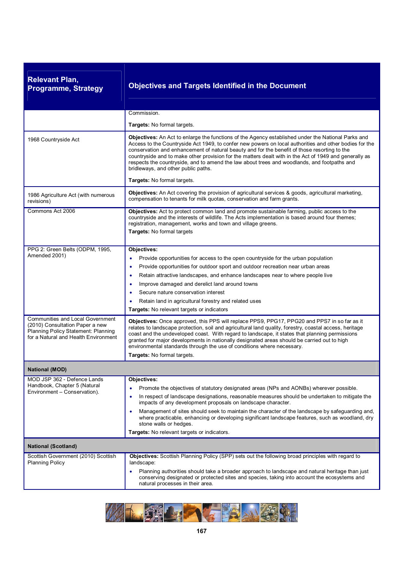| <b>Relevant Plan,</b><br><b>Programme, Strategy</b>                                                                                                | <b>Objectives and Targets Identified in the Document</b>                                                                                                                                                                                                                                                                                                                                                                                                                                                                                                                                        |
|----------------------------------------------------------------------------------------------------------------------------------------------------|-------------------------------------------------------------------------------------------------------------------------------------------------------------------------------------------------------------------------------------------------------------------------------------------------------------------------------------------------------------------------------------------------------------------------------------------------------------------------------------------------------------------------------------------------------------------------------------------------|
|                                                                                                                                                    | Commission.<br>Targets: No formal targets.                                                                                                                                                                                                                                                                                                                                                                                                                                                                                                                                                      |
| 1968 Countryside Act                                                                                                                               | Objectives: An Act to enlarge the functions of the Agency established under the National Parks and<br>Access to the Countryside Act 1949, to confer new powers on local authorities and other bodies for the<br>conservation and enhancement of natural beauty and for the benefit of those resorting to the<br>countryside and to make other provision for the matters dealt with in the Act of 1949 and generally as<br>respects the countryside, and to amend the law about trees and woodlands, and footpaths and<br>bridleways, and other public paths.<br>Targets: No formal targets.     |
| 1986 Agriculture Act (with numerous<br>revisions)                                                                                                  | Objectives: An Act covering the provision of agricultural services & goods, agricultural marketing,<br>compensation to tenants for milk quotas, conservation and farm grants.                                                                                                                                                                                                                                                                                                                                                                                                                   |
| Commons Act 2006                                                                                                                                   | Objectives: Act to protect common land and promote sustainable farming, public access to the<br>countryside and the interests of wildlife. The Acts implementation is based around four themes;<br>registration, management, works and town and village greens.<br>Targets: No formal targets                                                                                                                                                                                                                                                                                                   |
| PPG 2: Green Belts (ODPM, 1995,<br>Amended 2001)                                                                                                   | Objectives:<br>Provide opportunities for access to the open countryside for the urban population<br>$\bullet$<br>Provide opportunities for outdoor sport and outdoor recreation near urban areas<br>$\bullet$<br>Retain attractive landscapes, and enhance landscapes near to where people live<br>$\bullet$<br>Improve damaged and derelict land around towns<br>$\bullet$<br>Secure nature conservation interest<br>Retain land in agricultural forestry and related uses<br>Targets: No relevant targets or indicators                                                                       |
| Communities and Local Government<br>(2010) Consultation Paper a new<br>Planning Policy Statement: Planning<br>for a Natural and Health Environment | Objectives: Once approved, this PPS will replace PPS9, PPG17, PPG20 and PPS7 in so far as it<br>relates to landscape protection, soil and agricultural land quality, forestry, coastal access, heritage<br>coast and the undeveloped coast. With regard to landscape, it states that planning permissions<br>granted for major developments in nationally designated areas should be carried out to high<br>environmental standards through the use of conditions where necessary.<br>Targets: No formal targets.                                                                               |
| <b>National (MOD)</b>                                                                                                                              |                                                                                                                                                                                                                                                                                                                                                                                                                                                                                                                                                                                                 |
| MOD JSP 362 - Defence Lands<br>Handbook, Chapter 5 (Natural<br>Environment - Conservation).                                                        | Objectives:<br>Promote the objectives of statutory designated areas (NPs and AONBs) wherever possible.<br>$\bullet$<br>In respect of landscape designations, reasonable measures should be undertaken to mitigate the<br>$\bullet$<br>impacts of any development proposals on landscape character.<br>Management of sites should seek to maintain the character of the landscape by safeguarding and,<br>$\bullet$<br>where practicable, enhancing or developing significant landscape features, such as woodland, dry<br>stone walls or hedges.<br>Targets: No relevant targets or indicators. |
| <b>National (Scotland)</b>                                                                                                                         |                                                                                                                                                                                                                                                                                                                                                                                                                                                                                                                                                                                                 |
| Scottish Government (2010) Scottish<br><b>Planning Policy</b>                                                                                      | Objectives: Scottish Planning Policy (SPP) sets out the following broad principles with regard to<br>landscape:<br>Planning authorities should take a broader approach to landscape and natural heritage than just<br>conserving designated or protected sites and species, taking into account the ecosystems and<br>natural processes in their area.                                                                                                                                                                                                                                          |

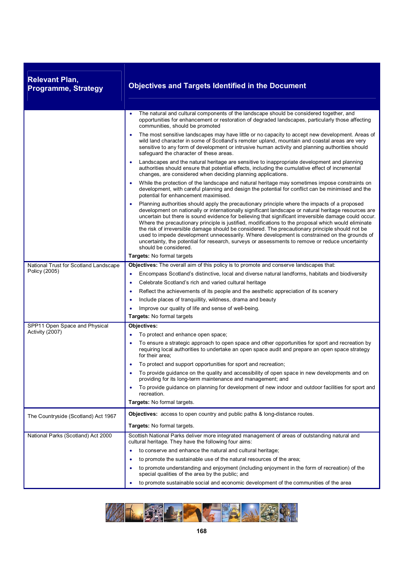| <b>Relevant Plan,</b><br><b>Programme, Strategy</b> | <b>Objectives and Targets Identified in the Document</b>                                                                                                                                                                                                                                                                                                                                                                                                                                                                                                                                                                                                                                                                                             |
|-----------------------------------------------------|------------------------------------------------------------------------------------------------------------------------------------------------------------------------------------------------------------------------------------------------------------------------------------------------------------------------------------------------------------------------------------------------------------------------------------------------------------------------------------------------------------------------------------------------------------------------------------------------------------------------------------------------------------------------------------------------------------------------------------------------------|
|                                                     | The natural and cultural components of the landscape should be considered together, and<br>opportunities for enhancement or restoration of degraded landscapes, particularly those affecting<br>communities, should be promoted                                                                                                                                                                                                                                                                                                                                                                                                                                                                                                                      |
|                                                     | The most sensitive landscapes may have little or no capacity to accept new development. Areas of<br>wild land character in some of Scotland's remoter upland, mountain and coastal areas are very<br>sensitive to any form of development or intrusive human activity and planning authorities should<br>safequard the character of these areas.                                                                                                                                                                                                                                                                                                                                                                                                     |
|                                                     | Landscapes and the natural heritage are sensitive to inappropriate development and planning<br>authorities should ensure that potential effects, including the cumulative effect of incremental<br>changes, are considered when deciding planning applications.                                                                                                                                                                                                                                                                                                                                                                                                                                                                                      |
|                                                     | While the protection of the landscape and natural heritage may sometimes impose constraints on<br>development, with careful planning and design the potential for conflict can be minimised and the<br>potential for enhancement maximised.                                                                                                                                                                                                                                                                                                                                                                                                                                                                                                          |
|                                                     | Planning authorities should apply the precautionary principle where the impacts of a proposed<br>development on nationally or internationally significant landscape or natural heritage resources are<br>uncertain but there is sound evidence for believing that significant irreversible damage could occur.<br>Where the precautionary principle is justified, modifications to the proposal which would eliminate<br>the risk of irreversible damage should be considered. The precautionary principle should not be<br>used to impede development unnecessarily. Where development is constrained on the grounds of<br>uncertainty, the potential for research, surveys or assessments to remove or reduce uncertainty<br>should be considered. |
|                                                     | Targets: No formal targets                                                                                                                                                                                                                                                                                                                                                                                                                                                                                                                                                                                                                                                                                                                           |
| National Trust for Scotland Landscape               | Objectives: The overall aim of this policy is to promote and conserve landscapes that:                                                                                                                                                                                                                                                                                                                                                                                                                                                                                                                                                                                                                                                               |
| Policy (2005)                                       | Encompass Scotland's distinctive, local and diverse natural landforms, habitats and biodiversity<br>٠                                                                                                                                                                                                                                                                                                                                                                                                                                                                                                                                                                                                                                                |
|                                                     | Celebrate Scotland's rich and varied cultural heritage<br>٠                                                                                                                                                                                                                                                                                                                                                                                                                                                                                                                                                                                                                                                                                          |
|                                                     | Reflect the achievements of its people and the aesthetic appreciation of its scenery<br>$\bullet$                                                                                                                                                                                                                                                                                                                                                                                                                                                                                                                                                                                                                                                    |
|                                                     | Include places of tranquillity, wildness, drama and beauty<br>$\bullet$                                                                                                                                                                                                                                                                                                                                                                                                                                                                                                                                                                                                                                                                              |
|                                                     | Improve our quality of life and sense of well-being.<br>٠                                                                                                                                                                                                                                                                                                                                                                                                                                                                                                                                                                                                                                                                                            |
|                                                     | Targets: No formal targets                                                                                                                                                                                                                                                                                                                                                                                                                                                                                                                                                                                                                                                                                                                           |
| SPP11 Open Space and Physical                       | Objectives:                                                                                                                                                                                                                                                                                                                                                                                                                                                                                                                                                                                                                                                                                                                                          |
| Activity (2007)                                     | To protect and enhance open space;                                                                                                                                                                                                                                                                                                                                                                                                                                                                                                                                                                                                                                                                                                                   |
|                                                     | To ensure a strategic approach to open space and other opportunities for sport and recreation by<br>requiring local authorities to undertake an open space audit and prepare an open space strategy<br>for their area;                                                                                                                                                                                                                                                                                                                                                                                                                                                                                                                               |
|                                                     | To protect and support opportunities for sport and recreation;                                                                                                                                                                                                                                                                                                                                                                                                                                                                                                                                                                                                                                                                                       |
|                                                     | To provide guidance on the quality and accessibility of open space in new developments and on<br>providing for its long-term maintenance and management; and                                                                                                                                                                                                                                                                                                                                                                                                                                                                                                                                                                                         |
|                                                     | To provide guidance on planning for development of new indoor and outdoor facilities for sport and<br>٠<br>recreation.                                                                                                                                                                                                                                                                                                                                                                                                                                                                                                                                                                                                                               |
|                                                     | Targets: No formal targets.                                                                                                                                                                                                                                                                                                                                                                                                                                                                                                                                                                                                                                                                                                                          |
| The Countryside (Scotland) Act 1967                 | <b>Objectives:</b> access to open country and public paths & long-distance routes.                                                                                                                                                                                                                                                                                                                                                                                                                                                                                                                                                                                                                                                                   |
|                                                     | Targets: No formal targets.                                                                                                                                                                                                                                                                                                                                                                                                                                                                                                                                                                                                                                                                                                                          |
| National Parks (Scotland) Act 2000                  | Scottish National Parks deliver more integrated management of areas of outstanding natural and<br>cultural heritage. They have the following four aims:                                                                                                                                                                                                                                                                                                                                                                                                                                                                                                                                                                                              |
|                                                     | to conserve and enhance the natural and cultural heritage;                                                                                                                                                                                                                                                                                                                                                                                                                                                                                                                                                                                                                                                                                           |
|                                                     | to promote the sustainable use of the natural resources of the area;                                                                                                                                                                                                                                                                                                                                                                                                                                                                                                                                                                                                                                                                                 |
|                                                     | to promote understanding and enjoyment (including enjoyment in the form of recreation) of the<br>special qualities of the area by the public; and                                                                                                                                                                                                                                                                                                                                                                                                                                                                                                                                                                                                    |
|                                                     | to promote sustainable social and economic development of the communities of the area<br>٠                                                                                                                                                                                                                                                                                                                                                                                                                                                                                                                                                                                                                                                           |

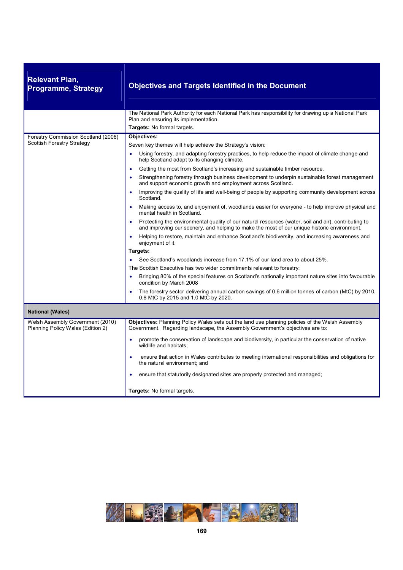| <b>Relevant Plan,</b><br><b>Programme, Strategy</b>                   | <b>Objectives and Targets Identified in the Document</b>                                                                                                                                                         |  |
|-----------------------------------------------------------------------|------------------------------------------------------------------------------------------------------------------------------------------------------------------------------------------------------------------|--|
|                                                                       | The National Park Authority for each National Park has responsibility for drawing up a National Park<br>Plan and ensuring its implementation.                                                                    |  |
|                                                                       | Targets: No formal targets.                                                                                                                                                                                      |  |
| Forestry Commission Scotland (2006)                                   | Objectives:                                                                                                                                                                                                      |  |
| Scottish Forestry Strategy                                            | Seven key themes will help achieve the Strategy's vision:                                                                                                                                                        |  |
|                                                                       | Using forestry, and adapting forestry practices, to help reduce the impact of climate change and<br>help Scotland adapt to its changing climate.                                                                 |  |
|                                                                       | Getting the most from Scotland's increasing and sustainable timber resource.<br>$\bullet$                                                                                                                        |  |
|                                                                       | Strengthening forestry through business development to underpin sustainable forest management<br>and support economic growth and employment across Scotland.                                                     |  |
|                                                                       | Improving the quality of life and well-being of people by supporting community development across<br>Scotland.                                                                                                   |  |
|                                                                       | Making access to, and enjoyment of, woodlands easier for everyone - to help improve physical and<br>mental health in Scotland.                                                                                   |  |
|                                                                       | Protecting the environmental quality of our natural resources (water, soil and air), contributing to<br>$\bullet$<br>and improving our scenery, and helping to make the most of our unique historic environment. |  |
|                                                                       | Helping to restore, maintain and enhance Scotland's biodiversity, and increasing awareness and<br>enjoyment of it.                                                                                               |  |
|                                                                       | Targets:                                                                                                                                                                                                         |  |
|                                                                       | See Scotland's woodlands increase from 17.1% of our land area to about 25%.                                                                                                                                      |  |
|                                                                       | The Scottish Executive has two wider commitments relevant to forestry:                                                                                                                                           |  |
|                                                                       | Bringing 80% of the special features on Scotland's nationally important nature sites into favourable<br>condition by March 2008                                                                                  |  |
|                                                                       | The forestry sector delivering annual carbon savings of 0.6 million tonnes of carbon (MtC) by 2010,<br>0.8 MtC by 2015 and 1.0 MtC by 2020.                                                                      |  |
| <b>National (Wales)</b>                                               |                                                                                                                                                                                                                  |  |
| Welsh Assembly Government (2010)<br>Planning Policy Wales (Edition 2) | Objectives: Planning Policy Wales sets out the land use planning policies of the Welsh Assembly<br>Government. Regarding landscape, the Assembly Government's objectives are to:                                 |  |
|                                                                       | promote the conservation of landscape and biodiversity, in particular the conservation of native<br>wildlife and habitats;                                                                                       |  |
|                                                                       | ensure that action in Wales contributes to meeting international responsibilities and obligations for<br>the natural environment; and                                                                            |  |
|                                                                       | ensure that statutorily designated sites are properly protected and managed;                                                                                                                                     |  |
|                                                                       | Targets: No formal targets.                                                                                                                                                                                      |  |

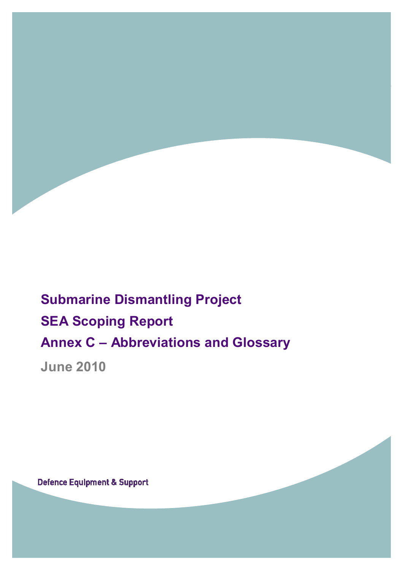

## **Submarine Dismantling Project SEA Scoping Report Annex C – Abbreviations and Glossary**

**June 2010** 

**Defence Equipment & Support**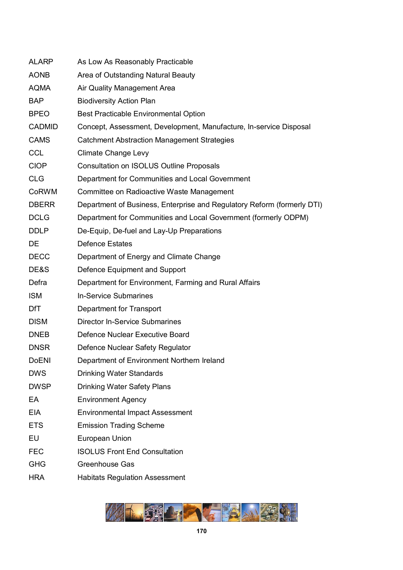| <b>ALARP</b>  | As Low As Reasonably Practicable                                        |
|---------------|-------------------------------------------------------------------------|
| <b>AONB</b>   | Area of Outstanding Natural Beauty                                      |
| <b>AQMA</b>   | Air Quality Management Area                                             |
| <b>BAP</b>    | <b>Biodiversity Action Plan</b>                                         |
| <b>BPEO</b>   | <b>Best Practicable Environmental Option</b>                            |
| <b>CADMID</b> | Concept, Assessment, Development, Manufacture, In-service Disposal      |
| <b>CAMS</b>   | <b>Catchment Abstraction Management Strategies</b>                      |
| <b>CCL</b>    | <b>Climate Change Levy</b>                                              |
| <b>CIOP</b>   | <b>Consultation on ISOLUS Outline Proposals</b>                         |
| <b>CLG</b>    | Department for Communities and Local Government                         |
| <b>CoRWM</b>  | Committee on Radioactive Waste Management                               |
| <b>DBERR</b>  | Department of Business, Enterprise and Regulatory Reform (formerly DTI) |
| <b>DCLG</b>   | Department for Communities and Local Government (formerly ODPM)         |
| <b>DDLP</b>   | De-Equip, De-fuel and Lay-Up Preparations                               |
| <b>DE</b>     | <b>Defence Estates</b>                                                  |
| <b>DECC</b>   | Department of Energy and Climate Change                                 |
| DE&S          | Defence Equipment and Support                                           |
| Defra         | Department for Environment, Farming and Rural Affairs                   |
| <b>ISM</b>    | <b>In-Service Submarines</b>                                            |
| <b>DfT</b>    | Department for Transport                                                |
| <b>DISM</b>   | <b>Director In-Service Submarines</b>                                   |
| <b>DNEB</b>   | Defence Nuclear Executive Board                                         |
| <b>DNSR</b>   | Defence Nuclear Safety Regulator                                        |
| <b>DoENI</b>  | Department of Environment Northern Ireland                              |
| <b>DWS</b>    | <b>Drinking Water Standards</b>                                         |
| <b>DWSP</b>   | <b>Drinking Water Safety Plans</b>                                      |
| EA            | <b>Environment Agency</b>                                               |
| <b>EIA</b>    | <b>Environmental Impact Assessment</b>                                  |
| <b>ETS</b>    | <b>Emission Trading Scheme</b>                                          |
| EU            | European Union                                                          |
| <b>FEC</b>    | <b>ISOLUS Front End Consultation</b>                                    |
| <b>GHG</b>    | Greenhouse Gas                                                          |
| <b>HRA</b>    | <b>Habitats Regulation Assessment</b>                                   |

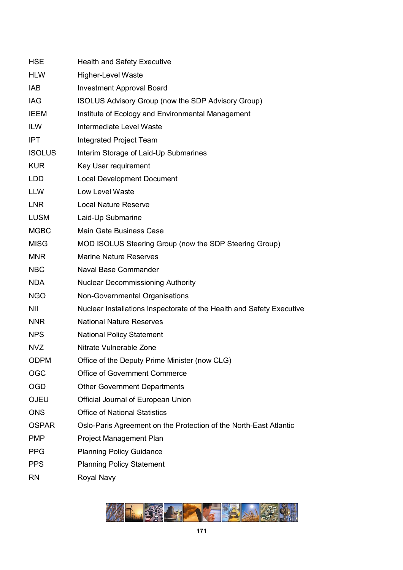| <b>HSE</b>    | <b>Health and Safety Executive</b>                                    |
|---------------|-----------------------------------------------------------------------|
| <b>HLW</b>    | <b>Higher-Level Waste</b>                                             |
| IAB           | <b>Investment Approval Board</b>                                      |
| <b>IAG</b>    | ISOLUS Advisory Group (now the SDP Advisory Group)                    |
| <b>IEEM</b>   | Institute of Ecology and Environmental Management                     |
| <b>ILW</b>    | Intermediate Level Waste                                              |
| <b>IPT</b>    | <b>Integrated Project Team</b>                                        |
| <b>ISOLUS</b> | Interim Storage of Laid-Up Submarines                                 |
| <b>KUR</b>    | Key User requirement                                                  |
| <b>LDD</b>    | <b>Local Development Document</b>                                     |
| LLW           | Low Level Waste                                                       |
| <b>LNR</b>    | <b>Local Nature Reserve</b>                                           |
| <b>LUSM</b>   | Laid-Up Submarine                                                     |
| <b>MGBC</b>   | Main Gate Business Case                                               |
| <b>MISG</b>   | MOD ISOLUS Steering Group (now the SDP Steering Group)                |
| <b>MNR</b>    | <b>Marine Nature Reserves</b>                                         |
| <b>NBC</b>    | Naval Base Commander                                                  |
| <b>NDA</b>    | <b>Nuclear Decommissioning Authority</b>                              |
| <b>NGO</b>    | Non-Governmental Organisations                                        |
| <b>NII</b>    | Nuclear Installations Inspectorate of the Health and Safety Executive |
| <b>NNR</b>    | <b>National Nature Reserves</b>                                       |
| <b>NPS</b>    | <b>National Policy Statement</b>                                      |
| <b>NVZ</b>    | Nitrate Vulnerable Zone                                               |
| <b>ODPM</b>   | Office of the Deputy Prime Minister (now CLG)                         |
| <b>OGC</b>    | <b>Office of Government Commerce</b>                                  |
| <b>OGD</b>    | <b>Other Government Departments</b>                                   |
| <b>OJEU</b>   | Official Journal of European Union                                    |
| <b>ONS</b>    | <b>Office of National Statistics</b>                                  |
| <b>OSPAR</b>  | Oslo-Paris Agreement on the Protection of the North-East Atlantic     |
| <b>PMP</b>    | Project Management Plan                                               |
| <b>PPG</b>    | <b>Planning Policy Guidance</b>                                       |
| <b>PPS</b>    | <b>Planning Policy Statement</b>                                      |
| <b>RN</b>     | Royal Navy                                                            |

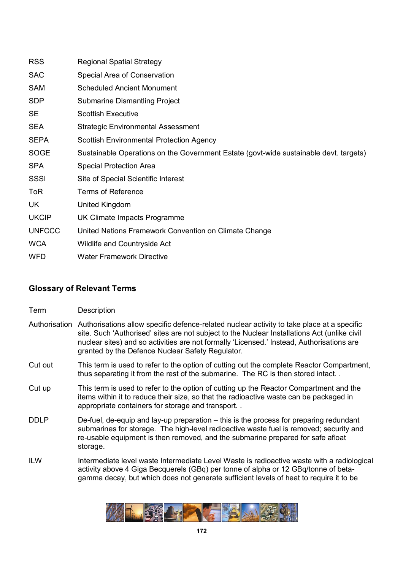| <b>RSS</b>    | <b>Regional Spatial Strategy</b>                                                      |
|---------------|---------------------------------------------------------------------------------------|
| <b>SAC</b>    | Special Area of Conservation                                                          |
| <b>SAM</b>    | <b>Scheduled Ancient Monument</b>                                                     |
| <b>SDP</b>    | <b>Submarine Dismantling Project</b>                                                  |
| <b>SE</b>     | <b>Scottish Executive</b>                                                             |
| <b>SEA</b>    | <b>Strategic Environmental Assessment</b>                                             |
| <b>SEPA</b>   | <b>Scottish Environmental Protection Agency</b>                                       |
| <b>SOGE</b>   | Sustainable Operations on the Government Estate (govt-wide sustainable devt. targets) |
| <b>SPA</b>    | <b>Special Protection Area</b>                                                        |
| SSSI          | Site of Special Scientific Interest                                                   |
| <b>ToR</b>    | <b>Terms of Reference</b>                                                             |
| UK            | United Kingdom                                                                        |
| <b>UKCIP</b>  | UK Climate Impacts Programme                                                          |
| <b>UNFCCC</b> | United Nations Framework Convention on Climate Change                                 |
| <b>WCA</b>    | <b>Wildlife and Countryside Act</b>                                                   |
| <b>WFD</b>    | <b>Water Framework Directive</b>                                                      |

#### **Glossary of Relevant Terms**

- Term Description
- Authorisation Authorisations allow specific defence-related nuclear activity to take place at a specific site. Such 'Authorised' sites are not subject to the Nuclear Installations Act (unlike civil nuclear sites) and so activities are not formally 'Licensed.' Instead, Authorisations are granted by the Defence Nuclear Safety Regulator.
- Cut out This term is used to refer to the option of cutting out the complete Reactor Compartment, thus separating it from the rest of the submarine. The RC is then stored intact. .
- Cut up This term is used to refer to the option of cutting up the Reactor Compartment and the items within it to reduce their size, so that the radioactive waste can be packaged in appropriate containers for storage and transport. .
- DDLP De-fuel, de-equip and lay-up preparation this is the process for preparing redundant submarines for storage. The high-level radioactive waste fuel is removed; security and re-usable equipment is then removed, and the submarine prepared for safe afloat storage.
- ILW Intermediate level waste Intermediate Level Waste is radioactive waste with a radiological activity above 4 Giga Becquerels (GBq) per tonne of alpha or 12 GBq/tonne of betagamma decay, but which does not generate sufficient levels of heat to require it to be

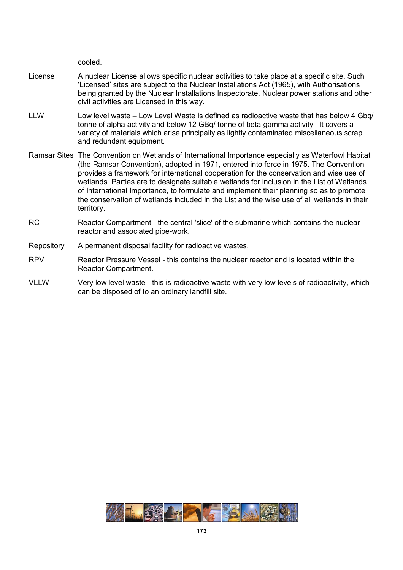cooled.

- License A nuclear License allows specific nuclear activities to take place at a specific site. Such 'Licensed' sites are subject to the Nuclear Installations Act (1965), with Authorisations being granted by the Nuclear Installations Inspectorate. Nuclear power stations and other civil activities are Licensed in this way.
- LLW Low level waste Low Level Waste is defined as radioactive waste that has below 4 Gbq/ tonne of alpha activity and below 12 GBq/ tonne of beta-gamma activity. It covers a variety of materials which arise principally as lightly contaminated miscellaneous scrap and redundant equipment.
- Ramsar Sites The Convention on Wetlands of International Importance especially as Waterfowl Habitat (the Ramsar Convention), adopted in 1971, entered into force in 1975. The Convention provides a framework for international cooperation for the conservation and wise use of wetlands. Parties are to designate suitable wetlands for inclusion in the List of Wetlands of International Importance, to formulate and implement their planning so as to promote the conservation of wetlands included in the List and the wise use of all wetlands in their territory.
- RC Reactor Compartment the central 'slice' of the submarine which contains the nuclear reactor and associated pipe-work.
- Repository A permanent disposal facility for radioactive wastes.
- RPV Reactor Pressure Vessel this contains the nuclear reactor and is located within the Reactor Compartment.
- VLLW Very low level waste this is radioactive waste with very low levels of radioactivity, which can be disposed of to an ordinary landfill site.

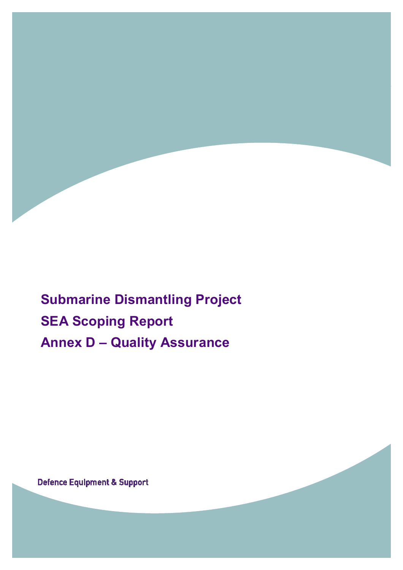

**Submarine Dismantling Project SEA Scoping Report Annex D – Quality Assurance** 

**Defence Equipment & Support**